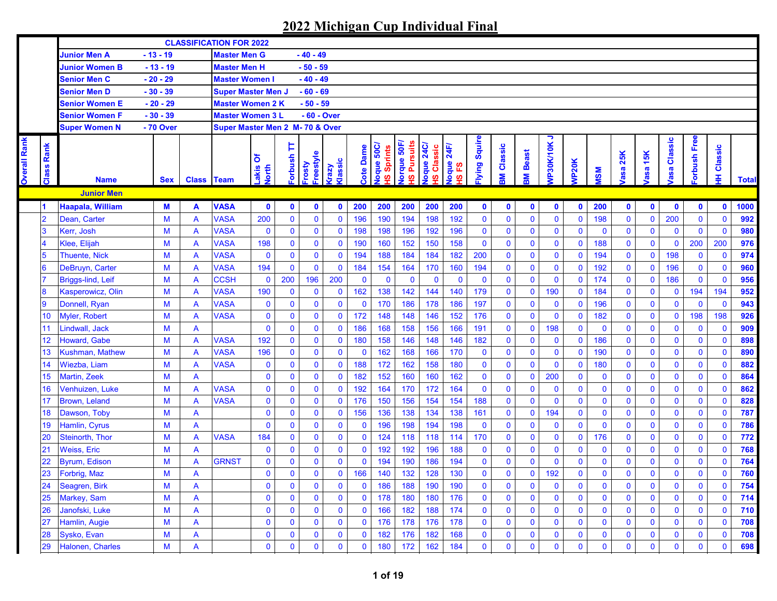|                     |                 |                          |            |                         | <b>CLASSIFICATION FOR 2022</b> |                     |              |                     |                  |             |                            |                                    |                                        |                           |              |                      |                 |                |              |              |              |                   |                        |              |               |              |
|---------------------|-----------------|--------------------------|------------|-------------------------|--------------------------------|---------------------|--------------|---------------------|------------------|-------------|----------------------------|------------------------------------|----------------------------------------|---------------------------|--------------|----------------------|-----------------|----------------|--------------|--------------|--------------|-------------------|------------------------|--------------|---------------|--------------|
|                     |                 | <b>Junior Men A</b>      | $-13 - 19$ |                         | <b>Master Men G</b>            |                     |              | $-40 - 49$          |                  |             |                            |                                    |                                        |                           |              |                      |                 |                |              |              |              |                   |                        |              |               |              |
|                     |                 | <b>Junior Women B</b>    | $-13 - 19$ |                         | <b>Master Men H</b>            |                     |              | $-50 - 59$          |                  |             |                            |                                    |                                        |                           |              |                      |                 |                |              |              |              |                   |                        |              |               |              |
|                     |                 | <b>Senior Men C</b>      | $-20 - 29$ |                         | <b>Master Women I</b>          |                     |              | $-40 - 49$          |                  |             |                            |                                    |                                        |                           |              |                      |                 |                |              |              |              |                   |                        |              |               |              |
|                     |                 | Senior Men D             | $-30 - 39$ |                         | <b>Super Master Men J</b>      |                     |              | $-60 - 69$          |                  |             |                            |                                    |                                        |                           |              |                      |                 |                |              |              |              |                   |                        |              |               |              |
|                     |                 | Senior Women E           | $-20 - 29$ |                         | <b>Master Women 2 K</b>        |                     |              | $-50 - 59$          |                  |             |                            |                                    |                                        |                           |              |                      |                 |                |              |              |              |                   |                        |              |               |              |
|                     |                 | <b>Senior Women F</b>    | $-30 - 39$ |                         | <b>Master Women 3 L</b>        |                     |              | - 60 - Over         |                  |             |                            |                                    |                                        |                           |              |                      |                 |                |              |              |              |                   |                        |              |               |              |
|                     |                 | <b>Super Women N</b>     | - 70 Over  |                         | Super Master Men 2 M-70 & Over |                     |              |                     |                  |             |                            |                                    |                                        |                           |              |                      |                 |                |              |              |              |                   |                        |              |               |              |
| <b>Overall Rank</b> | Rank<br>Class   | <b>Name</b>              | <b>Sex</b> | <b>Class Team</b>       |                                | δ<br>Lakis<br>North | Þ<br>dsnquo. | Freestyle<br>Frosty | Klassic<br>Vzery | Cote Dame   | loque 50C/<br>Sprints<br>ဖ | lorque 50F<br><b>Pursuits</b><br>ဖ | loque 24C<br>Classic<br>$\overline{a}$ | 24F/<br>Joque<br>18<br>18 | lying Squire | Classic<br><b>MB</b> | <b>IV Beast</b> | っ<br>VP30K/10K | <b>NP20K</b> | <b>MSM</b>   | asa 25K      | 15K<br><b>asa</b> | Classic<br><b>lasa</b> | orbush Free  | Classic<br>Ŧ, | <b>Total</b> |
|                     |                 | <b>Junior Men</b>        |            |                         |                                |                     |              |                     |                  |             |                            |                                    |                                        |                           |              |                      |                 |                |              |              |              |                   |                        |              |               |              |
|                     | $\blacksquare$  | Haapala, William         | M          | A                       | <b>VASA</b>                    | $\mathbf 0$         | $\mathbf 0$  | $\mathbf 0$         | $\mathbf 0$      | 200         | 200                        | 200                                | 200                                    | 200                       | $\mathbf 0$  | $\mathbf 0$          | $\bullet$       | $\mathbf 0$    | $\mathbf 0$  | 200          | $\mathbf 0$  | $\mathbf 0$       | $\mathbf 0$            | $\mathbf 0$  | $\mathbf 0$   | 1000         |
|                     | $\overline{2}$  | Dean, Carter             | M          | A                       | <b>VASA</b>                    | 200                 | $\mathbf 0$  | $\pmb{0}$           | $\mathbf 0$      | 196         | 190                        | 194                                | 198                                    | 192                       | 0            | $\mathbf 0$          | $\mathbf 0$     | $\mathbf 0$    | $\mathbf 0$  | 198          | $\mathbf 0$  | $\mathbf{0}$      | 200                    | $\mathbf{0}$ | $\mathbf{0}$  | 992          |
|                     | 3               | Kerr, Josh               | M          | A                       | <b>VASA</b>                    | $\bf{0}$            | $\bf{0}$     | $\mathbf 0$         | $\mathbf 0$      | 198         | 198                        | 196                                | 192                                    | 196                       | $\mathbf 0$  | 0                    | $\mathbf 0$     | $\mathbf 0$    | $\mathbf 0$  | $\mathbf 0$  | $\mathbf 0$  | $\mathbf 0$       | $\mathbf 0$            | $\mathbf 0$  | $\mathbf{0}$  | 980          |
|                     |                 | Klee, Elijah             | M          | A                       | <b>VASA</b>                    | 198                 | $\bf{0}$     | $\mathbf 0$         | $\bf{0}$         | 190         | 160                        | 152                                | 150                                    | 158                       | $\mathbf 0$  | 0                    | $\bf{0}$        | $\mathbf 0$    | $\bf{0}$     | 188          | $\mathbf 0$  | $\mathbf 0$       | $\mathbf 0$            | 200          | 200           | 976          |
|                     | $5\overline{5}$ | <b>Thuente, Nick</b>     | M          | A                       | <b>VASA</b>                    | $\mathbf 0$         | $\mathbf 0$  | $\mathbf 0$         | $\bf{0}$         | 194         | 188                        | 184                                | 184                                    | 182                       | 200          | 0                    | $\bf{0}$        | $\mathbf 0$    | $\mathbf{0}$ | 194          | $\mathbf 0$  | $\mathbf 0$       | 198                    | $\mathbf 0$  | $\mathbf 0$   | 974          |
|                     | $6\phantom{1}6$ | DeBruyn, Carter          | M          | A                       | <b>VASA</b>                    | 194                 | $\mathbf 0$  | $\mathbf 0$         | $\mathbf 0$      | 184         | 154                        | 164                                | 170                                    | 160                       | 194          | $\mathbf 0$          | $\bf{0}$        | $\mathbf 0$    | $\mathbf{0}$ | 192          | $\mathbf 0$  | $\mathbf 0$       | 196                    | $\mathbf 0$  | $\mathbf 0$   | 960          |
|                     |                 | <b>Briggs-lind, Leif</b> | M          | A                       | <b>CCSH</b>                    | $\bf{0}$            | 200          | 196                 | 200              | $\mathbf 0$ | $\mathbf 0$                | $\mathbf{0}$                       | $\bf{0}$                               | $\mathbf 0$               | $\mathbf 0$  | $\mathbf 0$          | $\mathbf 0$     | $\mathbf 0$    | $\mathbf 0$  | 174          | $\mathbf 0$  | $\mathbf 0$       | 186                    | $\mathbf{0}$ | $\mathbf 0$   | 956          |
|                     | 8               | Kasperowicz, Olin        | M          | A                       | <b>VASA</b>                    | 190                 | $\mathbf 0$  | $\mathbf 0$         | $\bf{0}$         | 162         | 138                        | 142                                | 144                                    | 140                       | 179          | 0                    | $\mathbf 0$     | 190            | $\mathbf 0$  | 184          | $\mathbf 0$  | $\bf{0}$          | $\mathbf 0$            | 194          | 194           | 952          |
|                     | $\overline{9}$  | Donnell, Ryan            | M          | A                       | <b>VASA</b>                    | $\bf{0}$            | $\bf{0}$     | $\mathbf 0$         | $\mathbf 0$      | $\mathbf 0$ | 170                        | 186                                | 178                                    | 186                       | 197          | $\mathbf{0}$         | $\mathbf 0$     | $\mathbf 0$    | $\mathbf{0}$ | 196          | $\mathbf 0$  | $\mathbf 0$       | $\mathbf 0$            | $\mathbf 0$  | $\mathbf 0$   | 943          |
|                     | 10              | Myler, Robert            | M          | A                       | <b>VASA</b>                    | $\bf{0}$            | $\bf{0}$     | $\mathbf 0$         | $\mathbf 0$      | 172         | 148                        | 148                                | 146                                    | 152                       | 176          | $\mathbf{0}$         | $\mathbf 0$     | $\mathbf 0$    | $\mathbf 0$  | 182          | $\mathbf 0$  | $\mathbf 0$       | $\mathbf 0$            | 198          | 198           | 926          |
|                     | 11              | Lindwall, Jack           | M          | A                       |                                | $\mathbf 0$         | $\mathbf{0}$ | $\overline{0}$      | $\mathbf 0$      | 186         | 168                        | 158                                | 156                                    | 166                       | 191          | $\overline{0}$       | $\mathbf 0$     | 198            | $\mathbf{0}$ | $\mathbf{0}$ | $\mathbf 0$  | $\mathbf 0$       | $\bf{0}$               | $\mathbf 0$  | $\mathbf{0}$  | 909          |
|                     | 12              | Howard, Gabe             | M          | A                       | <b>VASA</b>                    | 192                 | $\bf{0}$     | $\mathbf 0$         | $\mathbf 0$      | 180         | 158                        | 146                                | 148                                    | 146                       | 182          | 0                    | $\mathbf 0$     | $\mathbf 0$    | $\mathbf 0$  | 186          | $\mathbf 0$  | $\mathbf 0$       | $\mathbf 0$            | 0            | $\mathbf 0$   | 898          |
|                     | 13              | Kushman, Mathew          | M          | A                       | <b>VASA</b>                    | 196                 | $\mathbf 0$  | $\mathbf 0$         | $\mathbf 0$      | $\mathbf 0$ | 162                        | 168                                | 166                                    | 170                       | $\mathbf 0$  | 0                    | $\mathbf 0$     | $\mathbf 0$    | $\mathbf{0}$ | 190          | $\mathbf 0$  | $\mathbf 0$       | $\mathbf 0$            | $\mathbf 0$  | $\mathbf 0$   | 890          |
|                     | 14              | Wiezba, Liam             | M          | A                       | <b>VASA</b>                    | $\bf{0}$            | $\bf{0}$     | $\mathbf 0$         | $\bf{0}$         | 188         | 172                        | 162                                | 158                                    | 180                       | 0            | 0                    | $\mathbf 0$     | $\mathbf 0$    | $\mathbf 0$  | 180          | $\mathbf 0$  | $\mathbf 0$       | $\mathbf 0$            | $\mathbf 0$  | $\mathbf 0$   | 882          |
|                     | 15              | <b>Martin, Zeek</b>      | M          | A                       |                                | $\bf{0}$            | $\bf{0}$     | $\mathbf 0$         | $\bf{0}$         | 182         | 152                        | 160                                | 160                                    | 162                       | 0            | 0                    | $\mathbf 0$     | 200            | $\mathbf 0$  | $\mathbf{0}$ | $\mathbf 0$  | $\mathbf 0$       | $\bf{0}$               | $\mathbf 0$  | $\mathbf 0$   | 864          |
|                     | 16              | Venhuizen, Luke          | M          | A                       | <b>VASA</b>                    | $\bf{0}$            | $\bf{0}$     | $\mathbf 0$         | $\bf{0}$         | 192         | 164                        | 170                                | 172                                    | 164                       | $\mathbf 0$  | 0                    | $\mathbf 0$     | $\bf{0}$       | $\mathbf 0$  | $\mathbf 0$  | $\mathbf 0$  | $\bf{0}$          | $\mathbf 0$            | $\mathbf 0$  | $\mathbf 0$   | 862          |
|                     | 17              | <b>Brown, Leland</b>     | M          | A                       | <b>VASA</b>                    | $\bf{0}$            | $\bf{0}$     | $\mathbf 0$         | $\mathbf 0$      | 176         | 150                        | 156                                | 154                                    | 154                       | 188          | $\mathbf 0$          | $\mathbf 0$     | $\mathbf 0$    | $\mathbf{0}$ | $\mathbf 0$  | $\mathbf 0$  | $\pmb{0}$         | $\bf{0}$               | $\mathbf 0$  | $\mathbf 0$   | 828          |
|                     | 18              | Dawson, Toby             | M          | $\mathsf{A}$            |                                | $\mathbf 0$         | $\bf{0}$     | $\mathbf 0$         | $\mathbf 0$      | 156         | 136                        | 138                                | 134                                    | 138                       | 161          | $\mathbf 0$          | $\mathbf 0$     | 194            | $\mathbf 0$  | $\mathbf 0$  | $\mathbf 0$  | $\pmb{0}$         | $\bf{0}$               | $\mathbf 0$  | $\mathbf 0$   | 787          |
|                     | 19              | Hamlin, Cyrus            | M          | A                       |                                | $\mathbf 0$         | $\bf{0}$     | $\mathbf 0$         | $\mathbf 0$      | $\mathbf 0$ | 196                        | 198                                | 194                                    | 198                       | 0            | $\mathbf 0$          | $\mathbf 0$     | $\mathbf 0$    | $\mathbf{0}$ | $\mathbf{0}$ | $\mathbf 0$  | $\mathbf 0$       | $\bf{0}$               | $\mathbf 0$  | $\mathbf 0$   | 786          |
|                     | 20              | Steinorth, Thor          | M          | A                       | <b>VASA</b>                    | 184                 | $\mathbf 0$  | 0                   | $\mathbf 0$      | $\mathbf 0$ | 124                        | 118                                | 118                                    | 114                       | 170          | 0                    | $\bf{0}$        | $\bf{0}$       | $\bf{0}$     | 176          | $\mathbf 0$  | $\mathbf 0$       | $\mathbf 0$            | $\mathbf 0$  | $\mathbf 0$   | 772          |
|                     | 21              | <b>Weiss, Eric</b>       | M          | $\overline{\mathsf{A}}$ |                                | $\bf{0}$            | $\mathbf 0$  | 0                   | $\bf{0}$         | $\mathbf 0$ | 192                        | 192                                | 196                                    | 188                       | $\mathbf 0$  | 0                    | $\mathbf 0$     | $\bf{0}$       | $\mathbf{0}$ | $\mathbf 0$  | $\mathbf 0$  | $\mathbf 0$       | $\mathbf 0$            | $\mathbf 0$  | $\mathbf 0$   | 768          |
|                     | 22              | Byrum, Edison            | M          | A                       | <b>GRNST</b>                   | $\bf{0}$            | $\mathbf 0$  | $\mathbf 0$         | $\bf{0}$         | $\mathbf 0$ | 194                        | 190                                | 186                                    | 194                       | $\mathbf 0$  | 0                    | $\mathbf 0$     | $\mathbf 0$    | $\mathbf{0}$ | $\mathbf 0$  | $\mathbf 0$  | $\bf{0}$          | $\mathbf 0$            | $\mathbf 0$  | $\mathbf 0$   | 764          |
|                     | 23              | Forbrig, Maz             | M          | A                       |                                | $\mathbf{0}$        | $\mathbf{0}$ | 0                   | $\mathbf 0$      | 166         | 140                        | 132                                | 128                                    | 130                       | $\mathbf{0}$ | $\mathbf{0}$         | $\mathbf 0$     | 192            | $\mathbf{0}$ | $\mathbf{0}$ | $\mathbf{0}$ | $\mathbf{0}$      | $\mathbf{0}$           | $\mathbf{0}$ | $\mathbf{0}$  | 760          |
|                     | 24              | Seagren, Birk            | M          | A                       |                                | 0                   | 0            | $\bf{0}$            | $\bf{0}$         | $\bf{0}$    | 186                        | 188                                | 190                                    | 190                       | 0            | 0                    | 0               | $\mathbf 0$    | $\mathbf 0$  | $\mathbf 0$  | $\mathbf 0$  | $\bf{0}$          | $\mathbf 0$            | $\bf{0}$     | $\mathbf 0$   | 754          |
|                     | 25              | Markey, Sam              | M          | A                       |                                | $\pmb{0}$           | $\pmb{0}$    | $\mathbf 0$         | $\mathbf 0$      | $\mathbf 0$ | 178                        | 180                                | 180                                    | 176                       | $\mathbf 0$  | 0                    | $\mathbf 0$     | $\mathbf 0$    | $\mathbf 0$  | $\mathbf 0$  | $\mathbf 0$  | $\mathbf 0$       | $\mathbf 0$            | $\mathbf 0$  | $\mathbf 0$   | 714          |
|                     | 26              | Janofski, Luke           | M          | A                       |                                | $\pmb{0}$           | $\mathbf 0$  | 0                   | $\mathbf 0$      | $\mathbf 0$ | 166                        | 182                                | 188                                    | 174                       | 0            | 0                    | $\mathbf 0$     | $\mathbf 0$    | $\mathbf 0$  | $\mathbf 0$  | $\mathbf 0$  | $\bf{0}$          | $\mathbf 0$            | $\mathbf 0$  | $\mathbf 0$   | 710          |
|                     | 27              | Hamlin, Augie            | M          | A                       |                                | $\mathbf 0$         | $\mathbf 0$  | $\mathbf 0$         | $\bf{0}$         | $\mathbf 0$ | 176                        | 178                                | 176                                    | 178                       | $\mathbf 0$  | 0                    | $\mathbf 0$     | $\mathbf 0$    | $\mathbf 0$  | $\mathbf 0$  | $\mathbf 0$  | $\mathbf 0$       | $\bf{0}$               | $\mathbf 0$  | $\mathbf 0$   | 708          |
|                     | 28              | Sysko, Evan              | M          | A                       |                                | $\mathbf 0$         | $\mathbf 0$  | $\mathbf 0$         | $\bf{0}$         | $\mathbf 0$ | 182                        | 176                                | 182                                    | 168                       | 0            | 0                    | $\mathbf 0$     | $\mathbf 0$    | $\mathbf 0$  | $\mathbf 0$  | $\mathbf 0$  | $\mathbf 0$       | $\bf{0}$               | $\mathbf 0$  | $\mathbf 0$   | 708          |
|                     | 29              | Halonen, Charles         | M          | A                       |                                | $\mathbf 0$         | $\mathbf 0$  | $\mathbf 0$         | $\mathbf 0$      | $\mathbf 0$ | 180                        | 172                                | 162                                    | 184                       | 0            | 0                    | $\mathbf 0$     | $\mathbf 0$    | $\mathbf{0}$ | $\mathbf 0$  | $\bf{0}$     | $\bf{0}$          | 0                      | 0            | $\pmb{0}$     | 698          |
|                     |                 |                          |            |                         |                                |                     |              |                     |                  |             |                            |                                    |                                        |                           |              |                      |                 |                |              |              |              |                   |                        |              |               |              |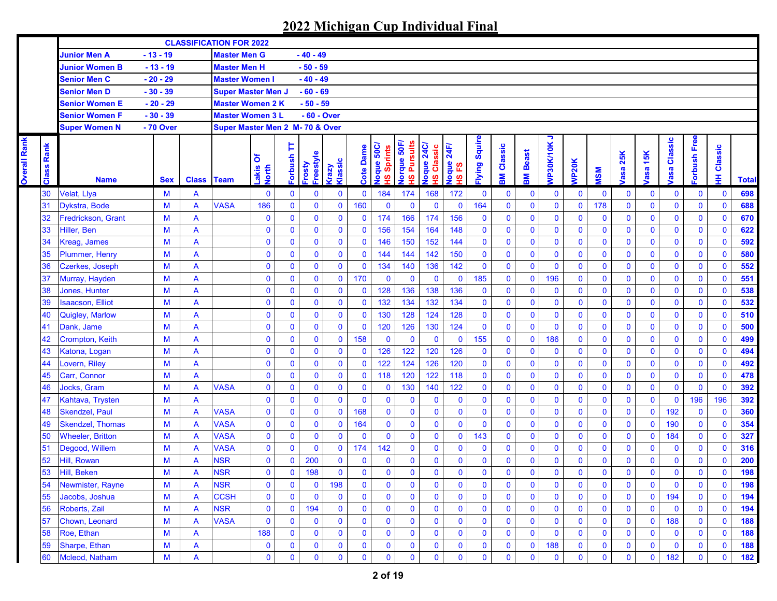**Overall Rank** 

**Overall Rank** 

|                   |                           |              |                           | <b>CLASSIFICATION FOR 2022</b>  |                     |              |                     |                 |              |                                             |                                                         |                                       |                         |                      |              |                    |                |                    |              |              |                           |                       |                |              |              |
|-------------------|---------------------------|--------------|---------------------------|---------------------------------|---------------------|--------------|---------------------|-----------------|--------------|---------------------------------------------|---------------------------------------------------------|---------------------------------------|-------------------------|----------------------|--------------|--------------------|----------------|--------------------|--------------|--------------|---------------------------|-----------------------|----------------|--------------|--------------|
|                   | <b>Junior Men A</b>       | $-13 - 19$   |                           | <b>Master Men G</b>             |                     |              | $-40 - 49$          |                 |              |                                             |                                                         |                                       |                         |                      |              |                    |                |                    |              |              |                           |                       |                |              |              |
|                   | <b>Junior Women B</b>     | $-13 - 19$   |                           | <b>Master Men H</b>             |                     |              | $-50 - 59$          |                 |              |                                             |                                                         |                                       |                         |                      |              |                    |                |                    |              |              |                           |                       |                |              |              |
|                   | <b>Senior Men C</b>       | $-20 - 29$   |                           | <b>Master Women I</b>           |                     |              | $-40 - 49$          |                 |              |                                             |                                                         |                                       |                         |                      |              |                    |                |                    |              |              |                           |                       |                |              |              |
|                   | <b>Senior Men D</b>       | $-30 - 39$   |                           | <b>Super Master Men J</b>       |                     |              | $-60 - 69$          |                 |              |                                             |                                                         |                                       |                         |                      |              |                    |                |                    |              |              |                           |                       |                |              |              |
|                   | <b>Senior Women E</b>     | $-20 - 29$   |                           | <b>Master Women 2 K</b>         |                     |              | $-50 - 59$          |                 |              |                                             |                                                         |                                       |                         |                      |              |                    |                |                    |              |              |                           |                       |                |              |              |
|                   | <b>Senior Women F</b>     | $-30 - 39$   |                           | <b>Master Women 3 L</b>         |                     |              | - 60 - Over         |                 |              |                                             |                                                         |                                       |                         |                      |              |                    |                |                    |              |              |                           |                       |                |              |              |
|                   | <b>Super Women N</b>      | - 70 Over    |                           | Super Master Men 2 M- 70 & Over |                     |              |                     |                 |              |                                             |                                                         |                                       |                         |                      |              |                    |                |                    |              |              |                           |                       |                |              |              |
| <b>Class Rank</b> | <b>Name</b>               | <b>Sex</b>   | <b>Class Team</b>         |                                 | δ<br>Lakis<br>North | Þ<br>Forbush | Freestyle<br>Frosty | Klassic<br>Vzey | Cote Dame    | oque 50C<br>Sprints<br>$\underline{\omega}$ | orque 50F<br><b>Pursuits</b><br>$\overline{\mathbf{v}}$ | <b>24C/</b><br>Classic<br>loque<br>စ္ | 24F<br>loque<br>က္<br>ဖ | <b>ilying Squire</b> | Classic<br>훎 | <b>Beast</b><br>MB | っ<br>VP30K/10K | NP <sub>20</sub> K | <b>MSM</b>   | 25K<br>asa   | <b>15K</b><br><b>lasa</b> | Classic<br><b>asa</b> | orbush Free    | Classic<br>Ŧ | <b>Total</b> |
| 30                | Velat, Llya               | M            | A                         |                                 | $\mathbf 0$         | $\mathbf{0}$ | 0                   | $\bf{0}$        | $\mathbf 0$  | 184                                         | 174                                                     | 168                                   | 172                     | $\mathbf{0}$         | $\mathbf 0$  | $\mathbf 0$        | $\bf{0}$       | $\mathbf 0$        | $\mathbf 0$  | $\mathbf 0$  | $\mathbf 0$               | $\mathbf 0$           | $\mathbf 0$    | $\mathbf{0}$ | 698          |
| 31                | Dykstra, Bode             | M            | A                         | <b>VASA</b>                     | 186                 | $\mathbf{0}$ | $\pmb{0}$           | $\bf{0}$        | 160          | $\mathbf{0}$                                | $\bf{0}$                                                | $\mathbf 0$                           | $\mathbf 0$             | 164                  | $\mathbf{0}$ | $\mathbf{0}$       | $\mathbf 0$    | $\mathbf 0$        | 178          | $\mathbf{0}$ | $\mathbf 0$               | $\mathbf{0}$          | $\mathbf{0}$   | $\mathbf{0}$ | 688          |
| 32                | <b>Fredrickson, Grant</b> | M            | A                         |                                 | $\mathbf 0$         | $\mathbf 0$  | $\mathbf 0$         | $\bf{0}$        | 0            | 174                                         | 166                                                     | 174                                   | 156                     | $\mathbf 0$          | 0            | 0                  | $\bf{0}$       | $\mathbf 0$        | $\bf{0}$     | $\mathbf 0$  | $\bf{0}$                  | $\mathbf 0$           | $\mathbf 0$    | $\mathbf 0$  | 670          |
| 33                | Hiller, Ben               | $\mathsf{M}$ | A                         |                                 | $\mathbf 0$         | $\mathbf 0$  | $\mathbf 0$         | $\bf{0}$        | $\mathbf 0$  | 156                                         | 154                                                     | 164                                   | 148                     | $\mathbf 0$          | $\mathbf 0$  | $\mathbf 0$        | $\mathbf 0$    | $\mathbf 0$        | $\mathbf 0$  | $\mathbf 0$  | $\mathbf 0$               | $\mathbf 0$           | $\mathbf 0$    | $\mathbf 0$  | 622          |
| 34                | Kreag, James              | $\mathsf{M}$ | A                         |                                 | $\mathbf 0$         | $\mathbf 0$  | $\bf{0}$            | $\bf{0}$        | $\mathbf 0$  | 146                                         | 150                                                     | 152                                   | 144                     | $\mathbf 0$          | $\bf{0}$     | $\mathbf 0$        | $\mathbf 0$    | $\mathbf 0$        | $\mathbf 0$  | $\mathbf 0$  | $\mathbf 0$               | $\mathbf 0$           | $\mathbf 0$    | $\mathbf 0$  | 592          |
| 35                | Plummer, Henry            | $\mathsf{M}$ | A                         |                                 | $\mathbf 0$         | $\mathbf 0$  | $\bf{0}$            | $\bf{0}$        | $\mathbf 0$  | 144                                         | 144                                                     | 142                                   | 150                     | $\mathbf 0$          | $\mathbf 0$  | $\mathbf 0$        | $\mathbf 0$    | $\mathbf 0$        | $\mathbf 0$  | $\mathbf 0$  | $\mathbf 0$               | $\mathbf 0$           | $\mathbf 0$    | $\mathbf 0$  | 580          |
| 36                | Czerkes, Joseph           | M            | $\overline{A}$            |                                 | $\mathbf 0$         | $\mathbf{0}$ | $\bf{0}$            | $\bf{0}$        | 0            | 134                                         | 140                                                     | 136                                   | 142                     | $\mathbf 0$          | $\mathbf 0$  | $\mathbf{0}$       | $\mathbf 0$    | $\mathbf 0$        | $\pmb{0}$    | $\bf{0}$     | $\bf{0}$                  | $\mathbf 0$           | $\mathbf 0$    | $\bf{0}$     | 552          |
| 37                | Murray, Hayden            | M            | $\overline{A}$            |                                 | $\mathbf 0$         | $\bf{0}$     | $\bf{0}$            | $\bf{0}$        | 170          | $\mathbf 0$                                 | $\mathbf 0$                                             | $\mathbf 0$                           | $\mathbf 0$             | 185                  | $\mathbf 0$  | $\mathbf 0$        | 196            | $\mathbf 0$        | $\mathbf 0$  | $\bf{0}$     | $\mathbf 0$               | $\pmb{0}$             | $\mathbf 0$    | $\mathbf{0}$ | 551          |
| 38                | Jones, Hunter             | M            | A                         |                                 | $\pmb{0}$           | $\mathbf{0}$ | $\pmb{0}$           | $\bf{0}$        | $\mathbf 0$  | 128                                         | 136                                                     | 138                                   | 136                     | $\mathbf 0$          | $\mathbf 0$  | 0                  | $\mathbf 0$    | $\mathbf 0$        | $\pmb{0}$    | $\mathbf 0$  | $\mathbf 0$               | $\mathbf 0$           | $\mathbf 0$    | $\mathbf 0$  | 538          |
| 39                | <b>Isaacson, Elliot</b>   | M            | A                         |                                 | $\pmb{0}$           | $\mathbf{0}$ | $\mathbf{0}$        | $\bf{0}$        | $\mathbf 0$  | 132                                         | 134                                                     | 132                                   | 134                     | $\mathbf{0}$         | $\mathbf 0$  | 0                  | $\mathbf 0$    | $\mathbf 0$        | $\mathbf 0$  | $\mathbf 0$  | $\mathbf 0$               | $\mathbf 0$           | $\mathbf 0$    | $\mathbf 0$  | 532          |
| 40                | Quigley, Marlow           | $\mathsf{M}$ | A                         |                                 | $\mathbf 0$         | $\mathbf{0}$ | $\bf{0}$            | $\mathbf 0$     | 0            | 130                                         | 128                                                     | 124                                   | 128                     | $\mathbf{0}$         | 0            | $\mathbf{0}$       | $\mathbf 0$    | $\mathbf 0$        | $\mathbf 0$  | $\mathbf 0$  | $\bf{0}$                  | $\mathbf 0$           | $\mathbf{0}$   | $\mathbf{0}$ | 510          |
| 41                | Dank, Jame                | M            | A                         |                                 | $\mathbf 0$         | $\bf{0}$     | $\mathbf 0$         | $\bf{0}$        | $\mathbf 0$  | 120                                         | 126                                                     | 130                                   | 124                     | $\mathbf 0$          | 0            | $\mathbf 0$        | $\mathbf 0$    | $\mathbf 0$        | $\mathbf 0$  | $\mathbf 0$  | $\mathbf 0$               | $\mathbf 0$           | $\mathbf 0$    | $\bf{0}$     | 500          |
| 42                | Crompton, Keith           | M            | A                         |                                 | $\mathbf 0$         | $\mathbf 0$  | $\mathbf 0$         | $\bf{0}$        | 158          | $\mathbf 0$                                 | $\mathbf 0$                                             | $\mathbf 0$                           | $\mathbf 0$             | 155                  | 0            | $\mathbf 0$        | 186            | $\mathbf 0$        | $\bf{0}$     | $\mathbf 0$  | $\mathbf 0$               | $\mathbf 0$           | $\mathbf 0$    | $\mathbf 0$  | 499          |
| 43                | Katona, Logan             | M            | $\overline{A}$            |                                 | $\mathbf 0$         | $\mathbf 0$  | $\mathbf 0$         | $\mathbf 0$     | 0            | 126                                         | 122                                                     | 120                                   | 126                     | $\mathbf 0$          | 0            | $\mathbf 0$        | $\mathbf 0$    | $\mathbf 0$        | $\mathbf 0$  | $\mathbf 0$  | $\mathbf 0$               | $\mathbf 0$           | $\mathbf 0$    | $\mathbf 0$  | 494          |
| 44                | Lovern, Riley             | $\mathsf{M}$ | A                         |                                 | $\mathbf 0$         | $\mathbf 0$  | $\mathbf 0$         | $\mathbf{0}$    | $\mathbf{0}$ | 122                                         | 124                                                     | 126                                   | 120                     | $\mathbf 0$          | 0            | $\mathbf 0$        | $\mathbf 0$    | $\mathbf 0$        | $\mathbf 0$  | $\mathbf 0$  | $\mathbf 0$               | $\mathbf 0$           | $\mathbf 0$    | $\mathbf 0$  | 492          |
| 45                | Carr, Connor              | M            | $\overline{A}$            |                                 | $\pmb{0}$           | $\mathbf 0$  | $\pmb{0}$           | $\mathbf{0}$    | $\mathbf{0}$ | 118                                         | 120                                                     | 122                                   | 118                     | $\mathbf 0$          | 0            | $\mathbf 0$        | $\mathbf 0$    | $\mathbf 0$        | $\pmb{0}$    | $\mathbf 0$  | $\mathbf 0$               | $\mathbf 0$           | $\mathbf 0$    | $\mathbf 0$  | 478          |
| 46                | <b>Jocks, Gram</b>        | M            | A                         | <b>VASA</b>                     | $\pmb{0}$           | $\mathbf{0}$ | $\pmb{0}$           | $\bf{0}$        | $\mathbf 0$  | $\mathbf 0$                                 | 130                                                     | 140                                   | 122                     | $\mathbf 0$          | 0            | $\mathbf 0$        | $\mathbf 0$    | $\mathbf 0$        | $\mathbf 0$  | $\mathbf 0$  | $\mathbf 0$               | $\mathbf 0$           | $\overline{0}$ | $\mathbf 0$  | 392          |
| 47                | Kahtava, Trysten          | M            | A                         |                                 | $\mathbf 0$         | $\mathbf{0}$ | $\pmb{0}$           | $\mathbf{0}$    | $\mathbf{0}$ | $\mathbf 0$                                 | $\bf{0}$                                                | $\bf{0}$                              | $\mathbf 0$             | 0                    | $\mathbf 0$  | 0                  | $\mathbf 0$    | $\mathbf 0$        | $\mathbf 0$  | $\mathbf 0$  | $\mathbf 0$               | $\mathbf 0$           | 196            | 196          | 392          |
| 48                | <b>Skendzel, Paul</b>     | M            | A                         | <b>VASA</b>                     | $\mathbf 0$         | $\bf{0}$     | $\mathbf 0$         | $\bf{0}$        | 168          | $\bf{0}$                                    | $\bf{0}$                                                | $\bf{0}$                              | 0                       | 0                    | 0            | 0                  | $\mathbf 0$    | $\mathbf 0$        | $\mathbf 0$  | $\mathbf 0$  | $\mathbf 0$               | 192                   | $\mathbf 0$    | $\mathbf 0$  | 360          |
| 49                | <b>Skendzel</b> , Thomas  | M            | $\overline{A}$            | <b>VASA</b>                     | $\bf{0}$            | $\mathbf{0}$ | $\pmb{0}$           | $\bf{0}$        | 164          | $\mathbf 0$                                 | $\mathbf 0$                                             | $\bf{0}$                              | $\mathbf 0$             | 0                    | $\mathbf 0$  | 0                  | $\pmb{0}$      | $\mathbf 0$        | $\pmb{0}$    | $\mathbf 0$  | $\mathbf 0$               | 190                   | $\mathbf 0$    | $\mathbf{0}$ | 354          |
| 50                | <b>Wheeler, Britton</b>   | $\mathsf{M}$ | A                         | <b>VASA</b>                     | $\mathbf 0$         | $\mathbf 0$  | $\mathbf 0$         | $\mathbf{0}$    | $\mathbf 0$  | $\mathbf 0$                                 | $\bf{0}$                                                | $\mathbf 0$                           | $\mathbf 0$             | 143                  | $\mathbf 0$  | $\mathbf 0$        | $\mathbf 0$    | $\mathbf 0$        | $\mathbf 0$  | $\mathbf 0$  | $\mathbf 0$               | 184                   | $\mathbf 0$    | $\mathbf 0$  | 327          |
| 51                | Degood, Willem            | M            | $\overline{A}$            | <b>VASA</b>                     | $\mathbf 0$         | $\mathbf 0$  | $\mathbf{0}$        | $\bf{0}$        | 174          | 142                                         | $\bf{0}$                                                | $\bf{0}$                              | $\bf{0}$                | $\mathbf 0$          | $\bf{0}$     | $\mathbf 0$        | $\mathbf 0$    | $\mathbf 0$        | $\mathbf 0$  | $\mathbf 0$  | $\mathbf 0$               | $\mathbf 0$           | $\mathbf 0$    | $\mathbf 0$  | 316          |
| 52                | Hill, Rowan               | M            | A                         | <b>NSR</b>                      | $\mathbf 0$         | $\mathbf 0$  | 200                 | $\bf{0}$        | 0            | $\bf{0}$                                    | $\bf{0}$                                                | $\bf{0}$                              | $\bf{0}$                | $\mathbf 0$          | 0            | $\mathbf 0$        | $\mathbf 0$    | $\mathbf 0$        | $\mathbf 0$  | $\mathbf 0$  | $\mathbf 0$               | $\mathbf 0$           | $\mathbf 0$    | $\bf{0}$     | 200          |
| 53                | Hill, Beken               | M            | A                         | <b>NSR</b>                      | $\mathbf{0}$        | $\mathbf{0}$ | 198                 | $\mathbf{0}$    | $\mathbf{0}$ | $\mathbf{0}$                                | $\mathbf 0$                                             | $\mathbf{0}$                          | $\mathbf{0}$            | $\mathbf{0}$         | $\mathbf{0}$ | 0                  | $\mathbf 0$    | $\mathbf{0}$       | $\mathbf{0}$ | $\mathbf 0$  | $\mathbf 0$               | $\mathbf{0}$          | $\mathbf{0}$   | $\mathbf{0}$ | 198          |
| 54                | Newmister, Rayne          | M            | A                         | <b>NSR</b>                      | $\bf{0}$            | $\mathbf 0$  | 0                   | 198             | 0            | $\mathbf 0$                                 | $\bf{0}$                                                | $\bf{0}$                              | 0                       | 0                    | 0            | 0                  | $\mathbf 0$    | $\bf{0}$           | 0            | $\mathbf 0$  | $\pmb{0}$                 | $\mathbf 0$           | $\mathbf 0$    | $\mathbf 0$  | 198          |
| 55                | Jacobs, Joshua            | M            | A                         | <b>CCSH</b>                     | $\pmb{0}$           | $\pmb{0}$    | $\mathbf 0$         | $\bf{0}$        | $\mathbf 0$  | $\mathbf 0$                                 | $\mathbf 0$                                             | $\mathbf 0$                           | $\mathbf 0$             | 0                    | $\mathbf 0$  | $\pmb{0}$          | $\pmb{0}$      | $\pmb{0}$          | $\mathbf 0$  | $\mathbf 0$  | $\mathbf 0$               | 194                   | $\mathbf 0$    | $\mathbf 0$  | 194          |
| 56                | Roberts, Zail             | M            | A                         | <b>NSR</b>                      | $\pmb{0}$           | $\mathbf 0$  | 194                 | $\bf{0}$        | $\mathbf 0$  | $\mathbf 0$                                 | $\pmb{0}$                                               | $\mathbf 0$                           | $\mathbf 0$             | $\mathbf 0$          | $\pmb{0}$    | $\pmb{0}$          | $\mathbf 0$    | $\mathbf 0$        | $\pmb{0}$    | $\mathbf 0$  | $\mathbf 0$               | $\mathbf 0$           | $\mathbf 0$    | $\mathbf 0$  | 194          |
| 57                | Chown, Leonard            | M            | A                         | <b>VASA</b>                     | $\mathbf 0$         | 0            | $\mathbf 0$         | $\mathbf 0$     | 0            | $\bf{0}$                                    | $\mathbf 0$                                             | $\mathbf 0$                           | 0                       | $\bf{0}$             | 0            | $\bf{0}$           | $\mathbf 0$    | $\bf{0}$           | $\mathbf 0$  | $\mathbf 0$  | $\bf{0}$                  | 188                   | $\mathbf 0$    | $\mathbf 0$  | 188          |
| 58                | Roe, Ethan                | M            | A                         |                                 | 188                 | $\mathbf 0$  | $\pmb{0}$           | $\bf{0}$        | $\mathbf 0$  | $\mathbf 0$                                 | $\mathbf 0$                                             | $\mathbf 0$                           | $\bf{0}$                | $\bf{0}$             | $\mathbf 0$  | $\mathbf 0$        | $\mathbf 0$    | $\bf{0}$           | $\mathbf 0$  | $\bf{0}$     | $\bf{0}$                  | $\mathbf 0$           | $\mathbf 0$    | $\mathbf 0$  | 188          |
| 59                | Sharpe, Ethan             | $M$          | A                         |                                 | $\pmb{0}$           | $\mathbf 0$  | 0                   | $\bf{0}$        | 0            | $\mathbf 0$                                 | $\mathbf 0$                                             | $\mathbf 0$                           | 0                       | $\bf{0}$             | $\mathbf 0$  | $\mathbf 0$        | 188            | $\bf{0}$           | $\mathbf 0$  | $\bf{0}$     | $\mathbf 0$               | $\mathbf 0$           | $\mathbf 0$    | $\mathbf 0$  | 188          |
| 60                | Mcleod, Natham            | M            | $\boldsymbol{\mathsf{A}}$ |                                 | $\mathbf 0$         | $\bf{0}$     | $\pmb{0}$           | $\bf{0}$        | 0            | 0                                           | $\pmb{0}$                                               | $\bf{0}$                              | 0                       | 0                    | 0            | $\pmb{0}$          | $\bf{0}$       | $\pmb{0}$          | $\mathbf 0$  | $\pmb{0}$    | $\mathbf 0$               | 182                   | $\mathbf 0$    | $\pmb{0}$    | 182          |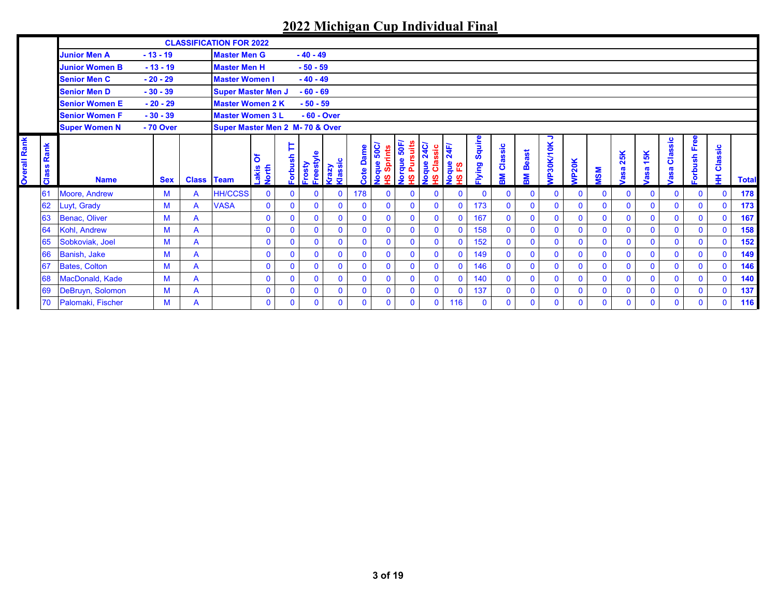|                     |            |                       |            |                   | <b>CLASSIFICATION FOR 2022</b>  |               |              |              |                         |                  |                          |                              |                                  |                       |                 |              |                |              |              |              |              |              |              |                |              |              |
|---------------------|------------|-----------------------|------------|-------------------|---------------------------------|---------------|--------------|--------------|-------------------------|------------------|--------------------------|------------------------------|----------------------------------|-----------------------|-----------------|--------------|----------------|--------------|--------------|--------------|--------------|--------------|--------------|----------------|--------------|--------------|
|                     |            | <b>Junior Men A</b>   | $-13 - 19$ |                   | <b>Master Men G</b>             |               |              | $-40 - 49$   |                         |                  |                          |                              |                                  |                       |                 |              |                |              |              |              |              |              |              |                |              |              |
|                     |            | <b>Junior Women B</b> | $-13 - 19$ |                   | <b>Master Men H</b>             |               |              | $-50 - 59$   |                         |                  |                          |                              |                                  |                       |                 |              |                |              |              |              |              |              |              |                |              |              |
|                     |            | <b>Senior Men C</b>   | $-20 - 29$ |                   | <b>Master Women I</b>           |               |              | $-40 - 49$   |                         |                  |                          |                              |                                  |                       |                 |              |                |              |              |              |              |              |              |                |              |              |
|                     |            | <b>Senior Men D</b>   | $-30 - 39$ |                   | <b>Super Master Men J</b>       |               |              | $-60 - 69$   |                         |                  |                          |                              |                                  |                       |                 |              |                |              |              |              |              |              |              |                |              |              |
|                     |            | <b>Senior Women E</b> | $-20 - 29$ |                   | <b>Master Women 2 K</b>         |               |              | $-50 - 59$   |                         |                  |                          |                              |                                  |                       |                 |              |                |              |              |              |              |              |              |                |              |              |
|                     |            | <b>Senior Women F</b> | $-30 - 39$ |                   | <b>Master Women 3 L</b>         |               |              | $-60 - Over$ |                         |                  |                          |                              |                                  |                       |                 |              |                |              |              |              |              |              |              |                |              |              |
|                     |            | <b>Super Women N</b>  | - 70 Over  |                   | Super Master Men 2 M- 70 & Over |               |              |              |                         |                  |                          |                              |                                  |                       |                 |              |                |              |              |              |              |              |              |                |              |              |
| <b>Overall Rank</b> | Rank<br>ဖိ |                       |            |                   |                                 | ঠ             | Þ<br>orbush  | -reestyle    | <b>Krazy</b><br>Klassic | <b>Cote Dame</b> | Noque 50C/<br>HS Sprints | <b>Vorque 50F/</b><br>ã<br>훈 | <b>Noque 24C/<br/>Noque 24C/</b> | 24F/<br>Noque<br>HSFS | Squire<br>Iying | Classic      | Beast          | ¬<br>30K/10K | <b>NP20K</b> |              | 25K<br>asa   | 15K          | Classic      | orbush Free    | Classic      |              |
|                     | កី         | <b>Name</b>           | <b>Sex</b> | <b>Class Team</b> |                                 | akis<br>Vorth |              | Frosty       |                         |                  |                          | စ္                           |                                  | ပ္စ္                  |                 | 덣            | Š.             | ŝ            |              | <b>MSM</b>   |              | asa          | asa          |                | ∓            | <b>Total</b> |
|                     | 61         | Moore, Andrew         | M          | A                 | <b>HH/CCSS</b>                  | $\mathbf{0}$  | $\mathbf 0$  | $\Omega$     | $\bf{0}$                | 178              | $\mathbf{0}$             | $\mathbf{0}$                 | $\mathbf{0}$                     | $\mathbf 0$           | $\Omega$        | $\mathbf{0}$ | $\mathbf{0}$   | $\mathbf{0}$ | $\mathbf{0}$ | $\mathbf{0}$ | $\mathbf 0$  | $\mathbf{0}$ | $\mathbf{0}$ | $\mathbf{0}$   | $\mathbf 0$  | 178          |
|                     | 62         | Luyt, Grady           | M          | A                 | <b>VASA</b>                     | $\mathbf{0}$  | $\mathbf 0$  | $\mathbf{0}$ | $\mathbf 0$             | 0                | $\mathbf{0}$             | $\mathbf{0}$                 | $\mathbf{0}$                     | $\mathbf 0$           | 173             | $\mathbf{0}$ | 0              | $\mathbf 0$  | $\mathbf{0}$ | $\mathbf{0}$ | $\mathbf 0$  | $\mathbf{0}$ | $\mathbf{0}$ | $\mathbf{0}$   | $\mathbf 0$  | 173          |
|                     | 63         | <b>Benac, Oliver</b>  | M          | A                 |                                 | $\mathbf{0}$  | $\mathbf 0$  | $\mathbf{0}$ | $\mathbf{0}$            | $\mathbf{0}$     | $\mathbf{0}$             | $\mathbf{0}$                 | $\mathbf{0}$                     | $\mathbf{0}$          | 167             | $\Omega$     | $\overline{0}$ | $\mathbf{0}$ | $\mathbf{0}$ | $\mathbf{0}$ | $\mathbf{0}$ | $\mathbf{0}$ | $\mathbf{0}$ | $\overline{0}$ | $\mathbf{0}$ | 167          |
|                     | 64         | Kohl, Andrew          | M          | A                 |                                 | $\mathbf{0}$  | $\mathbf{0}$ | $\mathbf{0}$ | $\mathbf{0}$            | $\mathbf{0}$     | $\mathbf{0}$             | $\mathbf{0}$                 | $\mathbf{0}$                     | $\mathbf{0}$          | 158             | $\mathbf{0}$ | $\mathbf{0}$   | $\mathbf{0}$ | $\mathbf{0}$ | $\mathbf{0}$ | $\mathbf{0}$ | $\mathbf{0}$ | $\mathbf{0}$ | $\mathbf{0}$   | $\mathbf 0$  |              |
|                     | 65         | Sobkoviak, Joel       | M          | A                 |                                 | $\mathbf 0$   | $\mathbf 0$  | $\mathbf 0$  | $\mathbf{0}$            | 0                | $\mathbf{0}$             | $\mathbf{0}$                 | $\mathbf{0}$                     | $\mathbf 0$           | 152             | $\mathbf{0}$ | $\mathbf 0$    | $\mathbf{0}$ | $\mathbf{0}$ | $\mathbf{0}$ | $\mathbf 0$  | $\mathbf{0}$ | $\mathbf 0$  | $\mathbf 0$    | $\mathbf 0$  | 158<br>152   |
|                     | 66         | <b>Banish, Jake</b>   | M          | A                 |                                 | $\mathbf{0}$  | $\mathbf 0$  | $\mathbf{0}$ | $\mathbf{0}$            | $\mathbf{0}$     | $\mathbf{0}$             | $\mathbf{0}$                 | $\mathbf{0}$                     | $\mathbf{0}$          | 149             | $\Omega$     | $\mathbf{0}$   | $\mathbf{0}$ | $\mathbf{0}$ | $\mathbf{0}$ | $\mathbf 0$  | $\mathbf{0}$ | $\Omega$     | $\mathbf{0}$   | $\mathbf 0$  | 149          |
|                     | 67         | <b>Bates, Colton</b>  | M          | A                 |                                 | $\mathbf{0}$  | $\mathbf{0}$ | $\Omega$     | $\Omega$                | $\mathbf{0}$     | $\mathbf{0}$             | $\mathbf{0}$                 | $\mathbf{0}$                     | $\mathbf{0}$          | 146             | $\mathbf{0}$ | $\mathbf{0}$   | $\mathbf{0}$ | $\mathbf{0}$ | $\mathbf{0}$ | $\mathbf{0}$ | $\mathbf{0}$ | $\mathbf{0}$ | $\mathbf{0}$   | $\mathbf{0}$ | 146          |
|                     | 68         | MacDonald, Kade       | M          | A                 |                                 | $\mathbf{0}$  | $\mathbf 0$  | $\mathbf{0}$ | $\mathbf 0$             | $\mathbf 0$      | $\mathbf{0}$             | $\mathbf 0$                  | $\mathbf{0}$                     | $\mathbf 0$           | 140             | $\mathbf{0}$ | 0              | $\mathbf 0$  | $\mathbf 0$  | $\mathbf{0}$ | $\mathbf 0$  | $\mathbf 0$  | $\mathbf{0}$ | 0              | $\mathbf 0$  | 140          |
|                     | 69         | DeBruyn, Solomon      | M          | A                 |                                 | $\mathbf 0$   | $\mathbf 0$  | $\mathbf{0}$ | $\mathbf{0}$            | $\mathbf{0}$     | $\mathbf 0$              | $\mathbf{0}$                 | $\mathbf{0}$                     | $\mathbf 0$           | 137             | $\mathbf{0}$ | $\overline{0}$ | $\mathbf{0}$ | $\mathbf{0}$ | $\mathbf{0}$ | $\mathbf{0}$ | $\mathbf{0}$ | $\mathbf{0}$ | $\mathbf{0}$   | $\mathbf 0$  | 137          |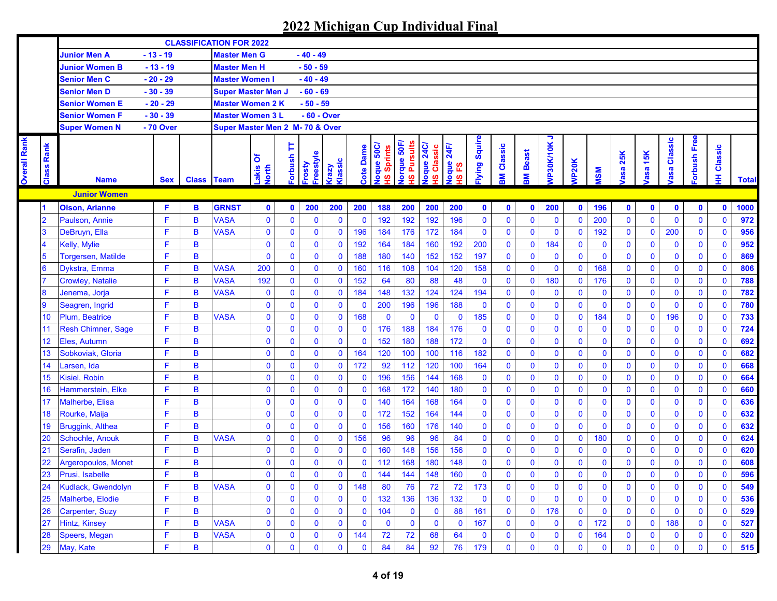|                     |                 |                            |            |                   | <b>CLASSIFICATION FOR 2022</b>  |                     |              |                                    |                 |                  |                                  |                                   |                        |             |                |                   |                |                |              |              |              |             |                |                |                   |              |
|---------------------|-----------------|----------------------------|------------|-------------------|---------------------------------|---------------------|--------------|------------------------------------|-----------------|------------------|----------------------------------|-----------------------------------|------------------------|-------------|----------------|-------------------|----------------|----------------|--------------|--------------|--------------|-------------|----------------|----------------|-------------------|--------------|
|                     |                 | <b>Junior Men A</b>        | $-13 - 19$ |                   | <b>Master Men G</b>             |                     |              | $-40 - 49$                         |                 |                  |                                  |                                   |                        |             |                |                   |                |                |              |              |              |             |                |                |                   |              |
|                     |                 | <b>Junior Women B</b>      | $-13 - 19$ |                   | <b>Master Men H</b>             |                     |              | $-50 - 59$                         |                 |                  |                                  |                                   |                        |             |                |                   |                |                |              |              |              |             |                |                |                   |              |
|                     |                 | <b>Senior Men C</b>        | $-20 - 29$ |                   | <b>Master Women I</b>           |                     |              | $-40 - 49$                         |                 |                  |                                  |                                   |                        |             |                |                   |                |                |              |              |              |             |                |                |                   |              |
|                     |                 | <b>Senior Men D</b>        | $-30 - 39$ |                   | <b>Super Master Men J</b>       |                     |              | $-60 - 69$                         |                 |                  |                                  |                                   |                        |             |                |                   |                |                |              |              |              |             |                |                |                   |              |
|                     |                 | <b>Senior Women E</b>      | $-20 - 29$ |                   | <b>Master Women 2 K</b>         |                     |              | $-50 - 59$                         |                 |                  |                                  |                                   |                        |             |                |                   |                |                |              |              |              |             |                |                |                   |              |
|                     |                 | <b>Senior Women F</b>      | $-30 - 39$ |                   | <b>Master Women 3 L</b>         |                     |              | $-60 - Over$                       |                 |                  |                                  |                                   |                        |             |                |                   |                |                |              |              |              |             |                |                |                   |              |
|                     |                 | <b>Super Women N</b>       | - 70 Over  |                   | Super Master Men 2 M- 70 & Over |                     |              |                                    |                 |                  |                                  |                                   |                        |             |                |                   |                |                |              |              |              |             |                |                |                   |              |
| <b>Dverall Rank</b> | Rank<br>Class   | <b>Name</b>                | <b>Sex</b> | <b>Class Team</b> |                                 | δ<br>-akis<br>Vorth | TT daught    | <b>i</b> reestyle<br><b>Trosty</b> | dassic<br>Vze.y | <b>Cote Dame</b> | loque 50C<br><b>Sprints</b><br>ဖ | <b>Vorque 50F/</b><br>4S Pursuits | loque 24C<br>S Classic | Joque 24F/  | lying Squire   | <b>3M Classic</b> | <b>M</b> Beast | っ<br>VP30K/10K | <b>VP20K</b> | <b>NSM</b>   | asa 25K      | 15K<br>asa  | Classic<br>asa | orbush Free    | <b>IH Classic</b> | <b>Total</b> |
|                     |                 | <b>Junior Women</b>        |            |                   |                                 |                     |              |                                    |                 |                  |                                  |                                   |                        |             |                |                   |                |                |              |              |              |             |                |                |                   |              |
|                     | $\blacksquare$  | <b>Olson, Arianne</b>      | F          | в                 | <b>GRNST</b>                    | $\bullet$           | $\mathbf 0$  | 200                                | 200             | 200              | 188                              | 200                               | 200                    | 200         | $\mathbf 0$    | $\mathbf 0$       | $\mathbf 0$    | 200            | $\mathbf{0}$ | 196          | $\mathbf{0}$ | $\mathbf 0$ | $\mathbf 0$    | $\mathbf 0$    | $\mathbf 0$       | 1000         |
|                     | $\overline{2}$  | Paulson, Annie             | F          | B                 | <b>VASA</b>                     | $\mathbf 0$         | $\mathbf 0$  | $\mathbf 0$                        | $\mathbf 0$     | $\mathbf 0$      | 192                              | 192                               | 192                    | 196         | $\mathbf 0$    | $\mathbf 0$       | $\mathbf 0$    | $\mathbf 0$    | $\mathbf{0}$ | 200          | $\mathbf{0}$ | $\mathbf 0$ | $\mathbf{0}$   | $\mathbf{0}$   | $\mathbf 0$       | 972          |
|                     | 3               | DeBruyn, Ella              | F          | B                 | <b>VASA</b>                     | $\bf{0}$            | $\mathbf 0$  | 0                                  | $\mathbf 0$     | 196              | 184                              | 176                               | 172                    | 184         | $\mathbf 0$    | $\mathbf 0$       | $\mathbf 0$    | $\mathbf 0$    | $\mathbf{0}$ | 192          | $\mathbf{0}$ | $\mathbf 0$ | 200            | $\mathbf 0$    | $\mathbf 0$       | 956          |
|                     | 4               | Kelly, Mylie               | F          | B                 |                                 | $\mathbf 0$         | $\mathbf 0$  | 0                                  | $\mathbf 0$     | 192              | 164                              | 184                               | 160                    | 192         | 200            | $\bf{0}$          | $\mathbf 0$    | 184            | $\mathbf{0}$ | $\mathbf{0}$ | $\mathbf{0}$ | $\bf{0}$    | $\mathbf 0$    | $\pmb{0}$      | $\mathbf 0$       | 952          |
|                     | $5\overline{5}$ | Torgersen, Matilde         | F          | B                 |                                 | $\mathbf{0}$        | $\mathbf 0$  | $\mathbf 0$                        | $\mathbf 0$     | 188              | 180                              | 140                               | 152                    | 152         | 197            | $\pmb{0}$         | $\mathbf 0$    | $\mathbf 0$    | $\mathbf{0}$ | $\mathbf 0$  | $\mathbf 0$  | $\pmb{0}$   | $\mathbf 0$    | $\mathbf 0$    | $\mathbf{0}$      | 869          |
|                     | 6               | Dykstra, Emma              | F          | B                 | <b>VASA</b>                     | 200                 | $\mathbf{0}$ | 0                                  | $\mathbf 0$     | 160              | 116                              | 108                               | 104                    | 120         | 158            | $\mathbf 0$       | $\mathbf 0$    | $\mathbf 0$    | $\mathbf{0}$ | 168          | $\mathbf 0$  | $\pmb{0}$   | $\mathbf 0$    | $\pmb{0}$      | $\mathbf{0}$      | 806          |
|                     |                 | <b>Crowley, Natalie</b>    | F          | B                 | <b>VASA</b>                     | 192                 | $\mathbf 0$  | $\overline{0}$                     | $\mathbf 0$     | 152              | 64                               | 80                                | 88                     | 48          | $\mathbf 0$    | $\bf{0}$          | $\mathbf 0$    | 180            | $\mathbf{0}$ | 176          | $\mathbf{0}$ | $\mathbf 0$ | $\mathbf 0$    | $\mathbf 0$    | $\mathbf 0$       | 788          |
|                     | 8               | Jenema, Jorja              | F          | B                 | <b>VASA</b>                     | $\mathbf 0$         | $\mathbf 0$  | $\overline{0}$                     | $\mathbf 0$     | 184              | 148                              | 132                               | 124                    | 124         | 194            | $\mathbf 0$       | $\mathbf 0$    | $\mathbf 0$    | $\mathbf 0$  | $\mathbf 0$  | $\mathbf{0}$ | $\pmb{0}$   | $\mathbf 0$    | $\mathbf 0$    | $\overline{0}$    | 782          |
|                     | $\overline{9}$  | Seagren, Ingrid            | F          | B                 |                                 | $\mathbf 0$         | $\mathbf 0$  | $\overline{0}$                     | $\mathbf 0$     | $\mathbf 0$      | 200                              | 196                               | 196                    | 188         | $\bf{0}$       | $\mathbf 0$       | $\overline{0}$ | $\mathbf 0$    | $\mathbf{0}$ | $\mathbf{0}$ | $\mathbf 0$  | $\mathbf 0$ | $\mathbf 0$    | $\mathbf 0$    | $\mathbf{0}$      | 780          |
|                     | 10              | Plum, Beatrice             | F          | B                 | <b>VASA</b>                     | $\pmb{0}$           | $\mathbf 0$  | 0                                  | $\mathbf 0$     | 168              | $\mathbf{0}$                     | $\mathbf{0}$                      | $\mathbf 0$            | $\mathbf 0$ | 185            | $\bf{0}$          | $\mathbf 0$    | $\mathbf 0$    | $\mathbf 0$  | 184          | $\mathbf{0}$ | $\mathbf 0$ | 196            | $\mathbf 0$    | $\mathbf{0}$      | 733          |
|                     | 11              | <b>Resh Chimner, Sage</b>  | F          | B                 |                                 | $\mathbf 0$         | $\mathbf 0$  | 0                                  | $\mathbf 0$     | $\mathbf 0$      | 176                              | 188                               | 184                    | 176         | $\mathbf 0$    | $\bf{0}$          | $\bf{0}$       | $\mathbf 0$    | $\mathbf 0$  | $\mathbf{0}$ | $\mathbf 0$  | $\mathbf 0$ | $\mathbf 0$    | $\mathbf{0}$   | $\mathbf{0}$      | 724          |
|                     | 12              | Eles, Autumn               | F          | B                 |                                 | $\mathbf 0$         | $\mathbf 0$  | 0                                  | $\mathbf 0$     | $\mathbf{0}$     | 152                              | 180                               | 188                    | 172         | $\mathbf 0$    | $\bf{0}$          | $\mathbf 0$    | $\mathbf 0$    | $\mathbf{0}$ | $\mathbf 0$  | $\mathbf{0}$ | $\mathbf 0$ | $\mathbf 0$    | $\mathbf 0$    | $\overline{0}$    | 692          |
|                     | 13              | Sobkoviak, Gloria          | F          | B                 |                                 | $\mathbf 0$         | $\mathbf{0}$ | 0                                  | $\mathbf 0$     | 164              | 120                              | 100                               | 100                    | 116         | 182            | $\bf{0}$          | $\mathbf 0$    | $\mathbf 0$    | $\mathbf 0$  | $\mathbf 0$  | $\mathbf 0$  | $\bf{0}$    | $\mathbf 0$    | $\mathbf 0$    | $\overline{0}$    | 682          |
|                     | 14              | Larsen, Ida                | F          | B                 |                                 | $\bf{0}$            | $\mathbf{0}$ | 0                                  | $\mathbf 0$     | 172              | 92                               | 112                               | 120                    | 100         | 164            | $\mathbf 0$       | $\mathbf 0$    | $\mathbf 0$    | $\mathbf 0$  | $\mathbf 0$  | $\mathbf 0$  | $\mathbf 0$ | $\mathbf 0$    | $\pmb{0}$      | $\mathbf{0}$      | 668          |
|                     | 15              | <b>Kisiel, Robin</b>       | F          | B                 |                                 | $\mathbf 0$         | 0            | 0                                  | $\mathbf 0$     | $\mathbf 0$      | 196                              | 156                               | 144                    | 168         | $\bf{0}$       | $\bf{0}$          | $\mathbf 0$    | $\mathbf 0$    | $\mathbf{0}$ | $\mathbf{0}$ | $\mathbf 0$  | $\mathbf 0$ | $\mathbf 0$    | $\mathbf 0$    | $\mathbf{0}$      | 664          |
|                     | 16              | Hammerstein, Elke          | F          | B                 |                                 | $\bf{0}$            | 0            | 0                                  | $\mathbf 0$     | $\mathbf 0$      | 168                              | 172                               | 140                    | 180         | $\pmb{0}$      | $\bf{0}$          | $\overline{0}$ | $\mathbf 0$    | $\mathbf{0}$ | $\mathbf 0$  | $\mathbf{0}$ | $\pmb{0}$   | $\mathbf 0$    | $\overline{0}$ | $\overline{0}$    | 660          |
|                     | 17              | Malherbe, Elisa            | F          | B                 |                                 | $\bf{0}$            | $\mathbf 0$  | 0                                  | $\mathbf 0$     | $\mathbf 0$      | 140                              | 164                               | 168                    | 164         | $\pmb{0}$      | $\bf{0}$          | $\mathbf 0$    | $\mathbf 0$    | $\mathbf{0}$ | $\mathbf{0}$ | $\mathbf{0}$ | $\pmb{0}$   | $\mathbf 0$    | $\mathbf 0$    | $\mathbf{0}$      | 636          |
|                     | 18              | Rourke, Maija              | F          | B                 |                                 | $\bf{0}$            | $\mathbf 0$  | 0                                  | $\mathbf 0$     | $\mathbf 0$      | 172                              | 152                               | 164                    | 144         | $\pmb{0}$      | $\bf{0}$          | $\mathbf 0$    | $\mathbf 0$    | $\mathbf{0}$ | $\mathbf 0$  | $\mathbf 0$  | $\mathbf 0$ | $\mathbf 0$    | $\pmb{0}$      | $\mathbf 0$       | 632          |
|                     | 19              | <b>Bruggink, Althea</b>    | F          | B                 |                                 | $\mathbf 0$         | $\mathbf 0$  | 0                                  | $\mathbf 0$     | $\mathbf 0$      | 156                              | 160                               | 176                    | 140         | $\pmb{0}$      | $\bf{0}$          | $\mathbf 0$    | $\mathbf 0$    | $\mathbf{0}$ | $\mathbf 0$  | $\mathbf 0$  | $\mathbf 0$ | $\mathbf 0$    | $\pmb{0}$      | $\mathbf 0$       | 632          |
|                     | 20              | Schochle, Anouk            | F          | B                 | <b>VASA</b>                     | $\mathbf 0$         | $\mathbf 0$  | 0                                  | $\mathbf 0$     | 156              | 96                               | 96                                | 96                     | 84          | $\mathbf 0$    | $\bf{0}$          | $\mathbf 0$    | $\mathbf 0$    | $\mathbf{0}$ | 180          | $\mathbf 0$  | $\mathbf 0$ | $\mathbf 0$    | $\mathbf 0$    | $\mathbf 0$       | 624          |
|                     | 21              | Serafin, Jaden             | F          | B                 |                                 | $\mathbf 0$         | $\mathbf 0$  | 0                                  | $\mathbf 0$     | $\mathbf 0$      | 160                              | 148                               | 156                    | 156         | $\pmb{0}$      | $\bf{0}$          | $\mathbf 0$    | $\mathbf 0$    | $\mathbf{0}$ | $\mathbf 0$  | $\mathbf 0$  | $\mathbf 0$ | $\mathbf 0$    | $\mathbf 0$    | $\mathbf 0$       | 620          |
|                     | 22              | <b>Argeropoulos, Monet</b> | F          | B                 |                                 | $\mathbf 0$         | $\mathbf 0$  | 0                                  | $\pmb{0}$       | $\mathbf 0$      | 112                              | 168                               | 180                    | 148         | $\pmb{0}$      | $\mathbf 0$       | $\mathbf 0$    | $\bf{0}$       | $\mathbf{0}$ | $\mathbf 0$  | $\bf{0}$     | $\pmb{0}$   | $\mathbf 0$    | $\pmb{0}$      | 0                 | 608          |
|                     | 23              | Prusi, Isabelle            | F          | B                 |                                 | $\mathbf{0}$        | $\mathbf{0}$ | $\mathbf{0}$                       | $\pmb{0}$       | $\mathbf{0}$     | 144                              | 144                               | 148                    | 160         | $\overline{0}$ | $\mathbf{0}$      | $\mathbf{0}$   | $\mathbf 0$    | $\mathbf{0}$ | $\Omega$     | $\mathbf{0}$ | $\mathbf 0$ | $\Omega$       | $\overline{0}$ | $\mathbf{0}$      | 596          |
|                     | 24              | Kudlack, Gwendolyn         | F          | B                 | <b>VASA</b>                     | $\bf{0}$            | 0            | 0                                  | $\mathbf 0$     | 148              | 80                               | 76                                | 72                     | 72          | 173            | $\mathbf 0$       | 0              | $\mathbf 0$    | $\mathbf 0$  | $\mathbf 0$  | 0            | $\mathbf 0$ | $\mathbf 0$    | $\mathbf 0$    | 0                 | 549          |
|                     | 25              | Malherbe, Elodie           | F          | B                 |                                 | $\mathbf 0$         | 0            | $\mathbf 0$                        | $\mathbf 0$     | $\mathbf 0$      | 132                              | 136                               | 136                    | 132         | $\mathbf 0$    | $\mathbf 0$       | $\mathbf 0$    | $\mathbf 0$    | $\mathbf{0}$ | $\mathbf 0$  | $\mathbf{0}$ | $\mathbf 0$ | $\mathbf 0$    | $\mathbf 0$    | $\mathbf{0}$      | 536          |
|                     | 26              | Carpenter, Suzy            | F          | B                 |                                 | $\mathbf 0$         | 0            | 0                                  | $\bf{0}$        | $\bf{0}$         | 104                              | $\mathbf 0$                       | $\mathbf 0$            | 88          | 161            | $\pmb{0}$         | $\mathbf 0$    | 176            | $\mathbf{0}$ | $\mathbf 0$  | $\mathbf 0$  | $\mathbf 0$ | $\mathbf 0$    | $\mathbf 0$    | $\mathbf 0$       | 529          |
|                     | 27              | Hintz, Kinsey              | F          | B                 | <b>VASA</b>                     | $\pmb{0}$           | $\mathbf 0$  | 0                                  | $\bf{0}$        | $\mathbf 0$      | $\mathbf 0$                      | $\mathbf 0$                       | $\mathbf 0$            | $\mathbf 0$ | 167            | $\mathbf 0$       | $\pmb{0}$      | $\mathbf 0$    | $\mathbf 0$  | 172          | $\mathbf 0$  | $\mathbf 0$ | 188            | $\mathbf{0}$   | $\mathbf 0$       | 527          |
|                     | 28              | Speers, Megan              | F          | B                 | <b>VASA</b>                     | $\bf{0}$            | $\mathbf 0$  | 0                                  | $\mathbf 0$     | 144              | 72                               | 72                                | 68                     | 64          | $\mathbf 0$    | $\mathbf 0$       | $\mathbf 0$    | $\mathbf 0$    | $\mathbf 0$  | 164          | $\mathbf 0$  | $\bf{0}$    | $\mathbf 0$    | $\mathbf 0$    | 0                 | 520          |
|                     | 29              | May, Kate                  | F          | B                 |                                 | $\mathbf 0$         | 0            | $\overline{0}$                     | $\pmb{0}$       | $\mathbf 0$      | 84                               | 84                                | 92                     | 76          | 179            | $\bf{0}$          | $\pmb{0}$      | $\mathbf 0$    | $\pmb{0}$    | $\mathbf 0$  | $\mathbf 0$  | $\pmb{0}$   | $\bf{0}$       | $\overline{0}$ | 0                 | 515          |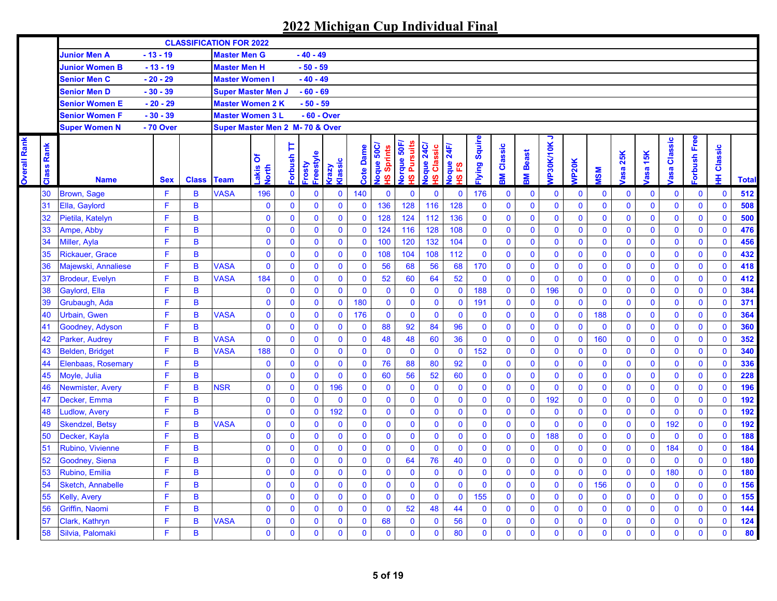**Overall Rank** 

**Overall Rank** 

|                   |                          |            |                | <b>CLASSIFICATION FOR 2022</b> |                     |                    |                     |                         |              |                                  |                         |                           |                                    |                     |                |              |                |                |                |                   |                |                |                |              |              |
|-------------------|--------------------------|------------|----------------|--------------------------------|---------------------|--------------------|---------------------|-------------------------|--------------|----------------------------------|-------------------------|---------------------------|------------------------------------|---------------------|----------------|--------------|----------------|----------------|----------------|-------------------|----------------|----------------|----------------|--------------|--------------|
|                   | <b>Junior Men A</b>      | $-13 - 19$ |                | <b>Master Men G</b>            |                     |                    | $-40 - 49$          |                         |              |                                  |                         |                           |                                    |                     |                |              |                |                |                |                   |                |                |                |              |              |
|                   | <b>Junior Women B</b>    | $-13 - 19$ |                | <b>Master Men H</b>            |                     |                    | $-50 - 59$          |                         |              |                                  |                         |                           |                                    |                     |                |              |                |                |                |                   |                |                |                |              |              |
|                   | <b>Senior Men C</b>      | $-20 - 29$ |                | <b>Master Women I</b>          |                     |                    | $-40 - 49$          |                         |              |                                  |                         |                           |                                    |                     |                |              |                |                |                |                   |                |                |                |              |              |
|                   | <b>Senior Men D</b>      | $-30 - 39$ |                | <b>Super Master Men J</b>      |                     |                    | $-60 - 69$          |                         |              |                                  |                         |                           |                                    |                     |                |              |                |                |                |                   |                |                |                |              |              |
|                   | <b>Senior Women E</b>    | $-20 - 29$ |                | <b>Master Women 2 K</b>        |                     |                    | $-50 - 59$          |                         |              |                                  |                         |                           |                                    |                     |                |              |                |                |                |                   |                |                |                |              |              |
|                   | <b>Senior Women F</b>    | $-30 - 39$ |                | <b>Master Women 3 L</b>        |                     |                    | - 60 - Over         |                         |              |                                  |                         |                           |                                    |                     |                |              |                |                |                |                   |                |                |                |              |              |
|                   | <b>Super Women N</b>     | - 70 Over  |                | Super Master Men 2 M-70 & Over |                     |                    |                     |                         |              |                                  |                         |                           |                                    |                     |                |              |                |                |                |                   |                |                |                |              |              |
| <b>Class Rank</b> | <b>Name</b>              | <b>Sex</b> | <b>Class</b>   | <b>Team</b>                    | δ<br>Lakis<br>North | Þ<br><b>dsnquo</b> | Freestyle<br>Frosty | Klassic<br><b>Aze.n</b> | Cote Dame    | loque 50C<br><b>Sprints</b><br>ഇ | S Pursuits<br>orque 50F | oque 24C/<br>Classic<br>ഇ | 24F/<br>loque?<br>IS <sub>FS</sub> | <b>Iying Squire</b> | Classic<br>M   | <b>Beast</b> | ∍<br>VP30K/10K | <b>VP20K</b>   | <b>NS</b>      | 25K<br><b>asa</b> | asa 15K        | Classic<br>asa | orbush Free    | Classic<br>里 | <b>Total</b> |
| 30                | <b>Brown, Sage</b>       | F          | B              | <b>VASA</b>                    | 196                 | $\mathbf{0}$       | $\mathbf 0$         | $\mathbf 0$             | 140          | $\mathbf{0}$                     | $\mathbf{0}$            | $\mathbf{0}$              | $\mathbf{0}$                       | 176                 | $\bf{0}$       | $\mathbf 0$  | $\mathbf 0$    | $\mathbf 0$    | $\mathbf 0$    | $\mathbf 0$       | $\mathbf 0$    | $\mathbf 0$    | $\mathbf 0$    | $\mathbf 0$  | 512          |
| 31                | Ella, Gaylord            | F          | $\mathbf B$    |                                | $\mathbf{0}$        | $\mathbf{0}$       | $\mathbf{0}$        | $\pmb{0}$               | $\mathbf 0$  | 136                              | 128                     | 116                       | 128                                | $\mathbf 0$         | $\overline{0}$ | $\mathbf{0}$ | $\mathbf{0}$   | $\mathbf 0$    | $\overline{0}$ | $\mathbf 0$       | $\mathbf{0}$   | $\mathbf{0}$   | $\mathbf{0}$   | $\mathbf{0}$ | 508          |
| 32                | Pietila, Katelyn         | F          | B              |                                | $\mathbf 0$         | $\mathbf 0$        | $\mathbf 0$         | $\mathbf 0$             | $\pmb{0}$    | 128                              | 124                     | 112                       | 136                                | $\mathbf 0$         | $\mathbf 0$    | $\pmb{0}$    | $\pmb{0}$      | $\pmb{0}$      | $\overline{0}$ | $\pmb{0}$         | $\mathbf 0$    | $\mathbf 0$    | $\pmb{0}$      | $\mathbf 0$  | 500          |
| 33                | Ampe, Abby               | F          | B              |                                | $\mathbf 0$         | $\mathbf 0$        | $\mathbf 0$         | $\mathbf 0$             | $\mathbf 0$  | 124                              | 116                     | 128                       | 108                                | $\mathbf 0$         | $\mathbf 0$    | $\mathbf{0}$ | $\pmb{0}$      | $\overline{0}$ | $\overline{0}$ | $\mathbf{0}$      | $\mathbf 0$    | $\mathbf 0$    | $\mathbf 0$    | $\mathbf 0$  | 476          |
| 34                | Miller, Ayla             | F          | B              |                                | $\mathbf 0$         | $\mathbf 0$        | $\mathbf 0$         | $\mathbf 0$             | $\mathbf 0$  | 100                              | 120                     | 132                       | 104                                | $\mathbf 0$         | $\mathbf 0$    | $\mathbf 0$  | $\mathbf 0$    | $\mathbf{0}$   | 0              | $\overline{0}$    | $\mathbf 0$    | $\mathbf 0$    | $\mathbf 0$    | $\mathbf 0$  | 456          |
| 35                | <b>Rickauer, Grace</b>   | F          | B              |                                | $\mathbf{0}$        | $\mathbf{0}$       | $\mathbf 0$         | $\bf{0}$                | $\mathbf 0$  | 108                              | 104                     | 108                       | 112                                | $\mathbf{0}$        | $\mathbf 0$    | $\mathbf{0}$ | $\mathbf 0$    | $\mathbf 0$    | 0              | $\mathbf 0$       | $\pmb{0}$      | $\mathbf 0$    | $\mathbf 0$    | $\mathbf 0$  | 432          |
| 36                | Majewski, Annaliese      | F          | B              | <b>VASA</b>                    | $\mathbf{0}$        | $\mathbf 0$        | $\mathbf 0$         | $\mathbf 0$             | $\mathbf 0$  | 56                               | 68                      | 56                        | 68                                 | 170                 | $\pmb{0}$      | $\mathbf 0$  | $\mathbf{0}$   | $\mathbf{0}$   | $\overline{0}$ | $\mathbf 0$       | $\pmb{0}$      | $\mathbf 0$    | $\mathbf 0$    | $\mathbf{0}$ | 418          |
| 37                | <b>Brodeur, Evelyn</b>   | F          | B              | <b>VASA</b>                    | 184                 | $\mathbf 0$        | $\mathbf 0$         | $\mathbf{0}$            | $\mathbf 0$  | 52                               | 60                      | 64                        | 52                                 | $\mathbf 0$         | $\mathbf 0$    | $\mathbf{0}$ | $\mathbf{0}$   | $\mathbf 0$    | $\overline{0}$ | $\overline{0}$    | $\mathbf 0$    | $\mathbf{0}$   | $\pmb{0}$      | $\mathbf{0}$ | 412          |
| 38                | Gaylord, Ella            | F          | B              |                                | $\mathbf 0$         | $\mathbf 0$        | $\mathbf 0$         | $\bf{0}$                | $\mathbf 0$  | $\mathbf 0$                      | $\mathbf 0$             | $\mathbf 0$               | $\mathbf 0$                        | 188                 | $\pmb{0}$      | $\mathbf 0$  | 196            | $\mathbf 0$    | 0              | $\mathbf{0}$      | $\pmb{0}$      | $\mathbf 0$    | $\mathbf 0$    | $\mathbf 0$  | 384          |
| 39                | Grubaugh, Ada            | F          | $\overline{B}$ |                                | $\pmb{0}$           | $\mathbf 0$        | $\mathbf 0$         | $\bf{0}$                | 180          | $\pmb{0}$                        | $\mathbf 0$             | $\bf{0}$                  | $\bf{0}$                           | 191                 | $\pmb{0}$      | $\pmb{0}$    | $\mathbf 0$    | $\pmb{0}$      | 0              | $\mathbf 0$       | $\mathbf 0$    | $\mathbf 0$    | $\mathbf 0$    | $\mathbf 0$  | 371          |
| 40                | <b>Urbain, Gwen</b>      | F          | B              | <b>VASA</b>                    | $\mathbf 0$         | $\mathbf 0$        | $\mathbf 0$         | $\bf{0}$                | 176          | $\mathbf 0$                      | $\mathbf 0$             | $\mathbf 0$               | $\mathbf 0$                        | $\pmb{0}$           | $\mathbf 0$    | $\pmb{0}$    | $\mathbf 0$    | $\pmb{0}$      | 188            | $\pmb{0}$         | $\mathbf 0$    | $\mathbf 0$    | $\mathbf 0$    | $\pmb{0}$    | 364          |
| 41                | Goodney, Adyson          | F          | B              |                                | $\mathbf{0}$        | $\mathbf 0$        | $\mathbf 0$         | $\mathbf 0$             | $\mathbf 0$  | 88                               | 92                      | 84                        | 96                                 | $\mathbf 0$         | $\pmb{0}$      | $\mathbf 0$  | $\pmb{0}$      | $\mathbf 0$    | $\mathbf 0$    | $\overline{0}$    | $\pmb{0}$      | $\mathbf{0}$   | $\mathbf 0$    | $\mathbf 0$  | 360          |
| 42                | Parker, Audrey           | F          | B              | <b>VASA</b>                    | $\mathbf 0$         | $\mathbf 0$        | $\mathbf 0$         | $\mathbf{0}$            | $\mathbf 0$  | 48                               | 48                      | 60                        | 36                                 | $\mathbf{0}$        | $\mathbf 0$    | $\mathbf 0$  | $\pmb{0}$      | $\mathbf 0$    | 160            | $\overline{0}$    | $\mathbf 0$    | $\mathbf 0$    | $\mathbf 0$    | $\mathbf 0$  | 352          |
| 43                | <b>Belden, Bridget</b>   | F          | B              | <b>VASA</b>                    | 188                 | $\mathbf 0$        | $\mathbf{0}$        | $\mathbf 0$             | $\mathbf 0$  | $\mathbf 0$                      | $\mathbf{0}$            | $\mathbf{0}$              | $\mathbf 0$                        | 152                 | $\mathbf{0}$   | $\mathbf 0$  | $\pmb{0}$      | $\mathbf{0}$   | $\mathbf 0$    | $\mathbf{0}$      | $\pmb{0}$      | $\mathbf 0$    | $\mathbf 0$    | $\mathbf{0}$ | 340          |
| 44                | Elenbaas, Rosemary       | F          | B              |                                | $\pmb{0}$           | $\mathbf{0}$       | $\pmb{0}$           | $\pmb{0}$               | $\pmb{0}$    | 76                               | 88                      | 80                        | 92                                 | $\mathbf 0$         | $\overline{0}$ | $\mathbf 0$  | $\mathbf{0}$   | $\mathbf{0}$   | $\overline{0}$ | $\overline{0}$    | $\pmb{0}$      | $\mathbf{0}$   | $\pmb{0}$      | $\mathbf{0}$ | 336          |
| 45                | Moyle, Julia             | F          | B              |                                | $\pmb{0}$           | $\mathbf 0$        | $\mathbf 0$         | $\bf{0}$                | $\pmb{0}$    | 60                               | 56                      | 52                        | 60                                 | $\pmb{0}$           | $\mathbf 0$    | $\pmb{0}$    | $\mathbf 0$    | $\mathbf 0$    | 0              | $\pmb{0}$         | $\pmb{0}$      | $\pmb{0}$      | $\pmb{0}$      | $\mathbf 0$  | 228          |
| 46                | Newmister, Avery         | F          | $\overline{B}$ | <b>NSR</b>                     | $\pmb{0}$           | $\mathbf 0$        | $\mathbf 0$         | 196                     | $\mathbf 0$  | $\mathbf 0$                      | $\mathbf 0$             | $\bf{0}$                  | $\mathbf 0$                        | $\pmb{0}$           | $\mathbf 0$    | $\mathbf{0}$ | $\mathbf 0$    | $\pmb{0}$      | 0              | $\pmb{0}$         | $\mathbf 0$    | $\mathbf 0$    | $\mathbf 0$    | $\mathbf 0$  | 196          |
| 47                | Decker, Emma             | F          | $\overline{B}$ |                                | $\mathbf 0$         | $\bf{0}$           | $\mathbf 0$         | $\bf{0}$                | $\mathbf 0$  | $\mathbf 0$                      | $\mathbf 0$             | $\mathbf 0$               | $\overline{0}$                     | $\mathbf{0}$        | $\mathbf 0$    | $\pmb{0}$    | 192            | $\mathbf{0}$   | $\overline{0}$ | $\overline{0}$    | $\mathbf 0$    | $\mathbf 0$    | $\mathbf 0$    | $\mathbf 0$  | 192          |
| 48                | <b>Ludlow, Avery</b>     | F          | B              |                                | $\mathbf 0$         | $\mathbf 0$        | $\mathbf 0$         | 192                     | $\mathbf 0$  | $\mathbf 0$                      | $\mathbf{0}$            | $\mathbf{0}$              | $\mathbf 0$                        | $\mathbf 0$         | $\mathbf 0$    | $\mathbf 0$  | $\bf{0}$       | $\mathbf{0}$   | 0              | $\mathbf 0$       | $\pmb{0}$      | $\mathbf 0$    | $\mathbf 0$    | $\mathbf 0$  | 192          |
| 49                | <b>Skendzel, Betsy</b>   | F          | B              | <b>VASA</b>                    | $\pmb{0}$           | $\mathbf 0$        | $\mathbf{0}$        | $\mathbf 0$             | $\mathbf 0$  | $\bf{0}$                         | $\mathbf 0$             | $\mathbf{0}$              | $\overline{0}$                     | $\mathbf 0$         | $\mathbf{0}$   | $\mathbf 0$  | $\mathbf{0}$   | $\mathbf{0}$   | 0              | $\overline{0}$    | $\mathbf{0}$   | 192            | $\mathbf{0}$   | $\mathbf 0$  | 192          |
| 50                | Decker, Kayla            | F          | B              |                                | $\mathbf{0}$        | $\mathbf{0}$       | $\mathbf 0$         | $\mathbf 0$             | $\mathbf 0$  | $\mathbf{0}$                     | $\mathbf 0$             | $\mathbf{0}$              | $\mathbf 0$                        | $\mathbf{0}$        | $\mathbf 0$    | $\pmb{0}$    | 188            | $\mathbf{0}$   | $\overline{0}$ | $\mathbf{0}$      | $\mathbf{0}$   | $\mathbf{0}$   | $\mathbf 0$    | $\mathbf{0}$ | 188          |
| 51                | Rubino, Vivienne         | F          | $\, {\bf B}$   |                                | $\pmb{0}$           | $\mathbf 0$        | $\mathbf 0$         | $\mathbf 0$             | $\mathbf 0$  | $\pmb{0}$                        | $\mathbf 0$             | $\bf{0}$                  | $\mathbf 0$                        | $\mathbf 0$         | $\pmb{0}$      | $\bf{0}$     | $\mathbf 0$    | $\pmb{0}$      | $\pmb{0}$      | $\pmb{0}$         | $\mathbf 0$    | 184            | $\mathbf 0$    | $\mathbf 0$  | 184          |
| 52                | Goodney, Siena           | F          | $\overline{B}$ |                                | $\mathbf 0$         | $\bf{0}$           | $\mathbf 0$         | $\bf{0}$                | $\mathbf 0$  | $\pmb{0}$                        | 64                      | 76                        | 40                                 | $\pmb{0}$           | $\mathbf 0$    | $\pmb{0}$    | $\mathbf 0$    | $\pmb{0}$      | 0              | $\pmb{0}$         | $\mathbf 0$    | $\mathbf 0$    | $\mathbf 0$    | $\mathbf 0$  | 180          |
| 53                | Rubino, Emilia           | F          | B              |                                | $\pmb{0}$           | $\mathbf 0$        | $\mathbf 0$         | $\mathbf 0$             | $\mathbf 0$  | $\mathbf 0$                      | $\mathbf 0$             | $\mathbf{0}$              | $\pmb{0}$                          | $\pmb{0}$           | $\pmb{0}$      | $\mathbf{0}$ | $\mathbf 0$    | $\mathbf{0}$   | 0              | $\mathbf{0}$      | $\pmb{0}$      | 180            | $\mathbf 0$    | $\mathbf 0$  | 180          |
| 54                | <b>Sketch, Annabelle</b> | F          | B              |                                | $\mathbf 0$         | $\mathbf{0}$       | $\mathbf 0$         | $\mathbf 0$             | $\mathbf 0$  | $\bf{0}$                         | $\mathbf 0$             | $\mathbf{0}$              | $\mathbf 0$                        | $\mathbf 0$         | $\mathbf{0}$   | $\mathbf{0}$ | $\mathbf 0$    | $\mathbf 0$    | 156            | $\overline{0}$    | $\mathbf 0$    | $\mathbf 0$    | $\mathbf 0$    | $\mathbf 0$  | 156          |
| 55                | <b>Kelly, Avery</b>      | F          | B              |                                | $\mathbf{0}$        | $\mathbf{0}$       | $\mathbf 0$         | $\mathbf 0$             | $\mathbf 0$  | $\pmb{0}$                        | $\mathbf 0$             | $\pmb{0}$                 | $\pmb{0}$                          | 155                 | $\bf{0}$       | $\pmb{0}$    | $\pmb{0}$      | $\mathbf 0$    | 0              | $\mathbf{0}$      | $\mathbf 0$    | $\mathbf 0$    | $\mathbf 0$    | $\mathbf 0$  | 155          |
| 56                | Griffin, Naomi           | F          | B              |                                | $\mathbf{0}$        | $\mathbf{0}$       | $\mathbf{0}$        | $\mathbf 0$             | $\mathbf 0$  | $\mathbf 0$                      | 52                      | 48                        | 44                                 | $\mathbf{0}$        | $\mathbf{0}$   | $\mathbf{0}$ | $\overline{0}$ | $\mathbf 0$    | $\overline{0}$ | $\mathbf 0$       | $\pmb{0}$      | $\mathbf{0}$   | $\mathbf 0$    | $\mathbf{0}$ | $144$        |
| 57                | Clark, Kathryn           | F.         | B              | <b>VASA</b>                    | $\mathbf{0}$        | $\mathbf 0$        | $\mathbf 0$         | $\mathbf{0}$            | $\pmb{0}$    | 68                               | $\mathbf 0$             | $\mathbf{0}$              | 56                                 | $\mathbf{0}$        | $\mathbf 0$    | $\mathbf 0$  | $\mathbf{0}$   | $\mathbf{0}$   | $\overline{0}$ | $\overline{0}$    | $\pmb{0}$      | $\pmb{0}$      | $\pmb{0}$      | $\mathbf{0}$ | 124          |
| 58                | Silvia, Palomaki         | F          | B              |                                | $\overline{0}$      | $\overline{0}$     | $\overline{0}$      | $\mathbf{0}$            | $\mathbf{0}$ | $\mathbf{0}$                     | $\mathbf{0}$            | $\Omega$                  | 80                                 | $\mathbf{0}$        | $\overline{0}$ | $\mathbf{0}$ | $\mathbf 0$    | $\overline{0}$ | $\overline{0}$ | $\overline{0}$    | $\overline{0}$ | $\mathbf 0$    | $\overline{0}$ | $\mathbf{0}$ | 80           |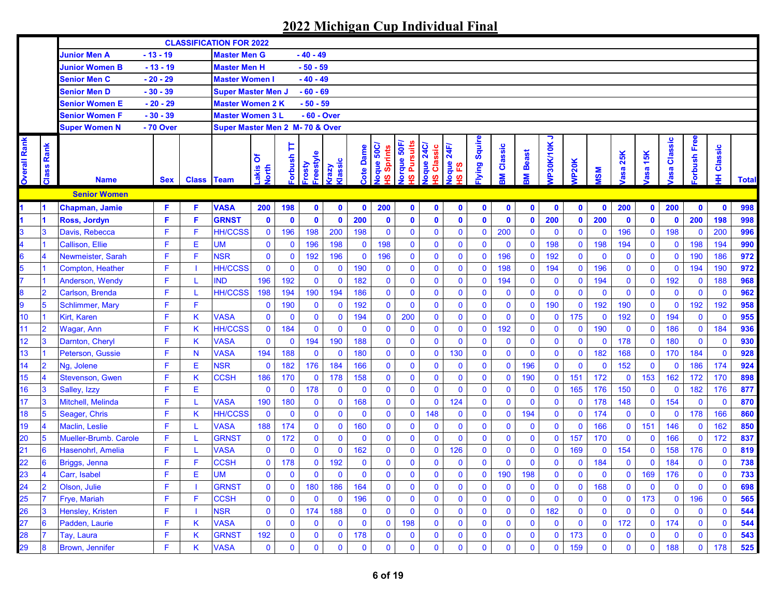|                     |                          |                        |            |                   | <b>CLASSIFICATION FOR 2022</b>  |                           |             |                            |                 |             |                                   |                                    |                            |                          |              |              |                |                |                    |              |             |                   |                |                |              |              |
|---------------------|--------------------------|------------------------|------------|-------------------|---------------------------------|---------------------------|-------------|----------------------------|-----------------|-------------|-----------------------------------|------------------------------------|----------------------------|--------------------------|--------------|--------------|----------------|----------------|--------------------|--------------|-------------|-------------------|----------------|----------------|--------------|--------------|
|                     |                          | <b>Junior Men A</b>    | $-13 - 19$ |                   | <b>Master Men G</b>             |                           |             | $-40 - 49$                 |                 |             |                                   |                                    |                            |                          |              |              |                |                |                    |              |             |                   |                |                |              |              |
|                     |                          | <b>Junior Women B</b>  | $-13 - 19$ |                   | <b>Master Men H</b>             |                           |             | $-50 - 59$                 |                 |             |                                   |                                    |                            |                          |              |              |                |                |                    |              |             |                   |                |                |              |              |
|                     |                          | <b>Senior Men C</b>    | $-20 - 29$ |                   | <b>Master Women I</b>           |                           |             | $-40 - 49$                 |                 |             |                                   |                                    |                            |                          |              |              |                |                |                    |              |             |                   |                |                |              |              |
|                     |                          | <b>Senior Men D</b>    | $-30 - 39$ |                   | <b>Super Master Men J</b>       |                           |             | $-60 - 69$                 |                 |             |                                   |                                    |                            |                          |              |              |                |                |                    |              |             |                   |                |                |              |              |
|                     |                          | Senior Women E         | $-20 - 29$ |                   | <b>Master Women 2 K</b>         |                           |             | $-50 - 59$                 |                 |             |                                   |                                    |                            |                          |              |              |                |                |                    |              |             |                   |                |                |              |              |
|                     |                          | <b>Senior Women F</b>  | $-30 - 39$ |                   | <b>Master Women 3 L</b>         |                           |             | - 60 - Over                |                 |             |                                   |                                    |                            |                          |              |              |                |                |                    |              |             |                   |                |                |              |              |
|                     |                          | <b>Super Women N</b>   | - 70 Over  |                   | Super Master Men 2 M- 70 & Over |                           |             |                            |                 |             |                                   |                                    |                            |                          |              |              |                |                |                    |              |             |                   |                |                |              |              |
| <b>Overall Rank</b> | Rank<br><b>lass</b><br>ត | <b>Name</b>            | <b>Sex</b> | <b>Class Team</b> |                                 | δ<br>akis<br><b>Jorth</b> | Þ<br>dsuduo | -reestyle<br><b>Frosty</b> | Classic<br>razy | Cote Dame   | loque 50C/<br><b>Sprints</b><br>ဖ | lorque 50F<br><b>Pursuits</b><br>ဖ | loque 24C<br>Classic<br>ဖာ | 24F/<br>loque<br>ဥ<br>ဖာ | lying Squire | Classic<br>Ş | <b>M</b> Beast | っ<br>VP30K/10K | VP <sub>20</sub> K | <b>NS</b>    | asa 25K     | <b>15K</b><br>asa | Classic<br>asa | orbush Free    | Classic<br>₽ | <b>Total</b> |
|                     |                          | <b>Senior Women</b>    |            |                   |                                 |                           |             |                            |                 |             |                                   |                                    |                            |                          |              |              |                |                |                    |              |             |                   |                |                |              |              |
|                     |                          | Chapman, Jamie         | F.         | F                 | <b>VASA</b>                     | 200                       | 198         | $\mathbf 0$                | $\mathbf 0$     | $\mathbf 0$ | 200                               | $\mathbf 0$                        | $\mathbf 0$                | $\mathbf 0$              | $\mathbf 0$  | $\mathbf 0$  | $\mathbf 0$    | $\mathbf{0}$   | $\mathbf{0}$       | $\mathbf 0$  | 200         | $\mathbf{0}$      | 200            | $\mathbf 0$    | $\mathbf{0}$ | 998          |
|                     |                          | Ross, Jordyn           | F          | F                 | <b>GRNST</b>                    | $\mathbf 0$               | $\mathbf 0$ | $\mathbf 0$                | $\mathbf 0$     | 200         | $\mathbf 0$                       | $\mathbf{0}$                       | $\mathbf 0$                | $\mathbf 0$              | $\mathbf{0}$ | $\mathbf 0$  | $\bullet$      | 200            | $\mathbf 0$        | 200          | $\mathbf 0$ | $\mathbf 0$       | $\mathbf 0$    | 200            | 198          | 998          |
|                     | 3                        | Davis, Rebecca         | F          | F                 | <b>HH/CCSS</b>                  | $\mathbf 0$               | 196         | 198                        | 200             | 198         | $\mathbf 0$                       | $\mathbf{0}$                       | $\mathbf 0$                | $\mathbf 0$              | $\mathbf 0$  | 200          | $\mathbf 0$    | $\mathbf 0$    | $\mathbf{0}$       | $\mathbf 0$  | 196         | $\mathbf 0$       | 198            | $\mathbf 0$    | 200          | 996          |
|                     |                          | <b>Callison, Ellie</b> | F          | E                 | <b>UM</b>                       | $\mathbf 0$               | $\mathbf 0$ | 196                        | 198             | $\mathbf 0$ | 198                               | 0                                  | $\mathbf 0$                | $\mathbf 0$              | $\bf{0}$     | $\mathbf{0}$ | $\mathbf 0$    | 198            | $\mathbf 0$        | 198          | 194         | $\mathbf 0$       | $\mathbf 0$    | 198            | 194          | 990          |
| 3.                  |                          | Newmeister, Sarah      | F          | F                 | <b>NSR</b>                      | $\mathbf 0$               | $\mathbf 0$ | 192                        | 196             | $\mathbf 0$ | 196                               | $\mathbf{0}$                       | $\mathbf 0$                | $\mathbf 0$              | $\mathbf 0$  | 196          | $\mathbf 0$    | 192            | $\mathbf{0}$       | $\mathbf 0$  | $\bf{0}$    | $\mathbf 0$       | $\mathbf 0$    | 190            | 186          | 972          |
|                     |                          | Compton, Heather       | F          |                   | <b>HH/CCSS</b>                  | $\mathbf 0$               | $\mathbf 0$ | $\mathbf 0$                | $\mathbf 0$     | 190         | $\mathbf{0}$                      | $\mathbf 0$                        | $\mathbf 0$                | $\mathbf 0$              | $\bf{0}$     | 198          | $\mathbf 0$    | 194            | $\mathbf{0}$       | 196          | $\bf{0}$    | $\mathbf 0$       | $\mathbf 0$    | 194            | 190          | 972          |
|                     |                          | Anderson, Wendy        | F          |                   | <b>IND</b>                      | 196                       | 192         | $\overline{0}$             | $\mathbf{0}$    | 182         | $\mathbf{0}$                      | $\mathbf{0}$                       | $\mathbf 0$                | $\bf{0}$                 | $\bf{0}$     | 194          | $\mathbf 0$    | $\mathbf 0$    | $\mathbf{0}$       | 194          | $\mathbf 0$ | $\mathbf 0$       | 192            | $\mathbf 0$    | 188          | 968          |
| 3                   | $\overline{2}$           | Carlson, Brenda        | F          |                   | <b>HH/CCSS</b>                  | 198                       | 194         | 190                        | 194             | 186         | $\mathbf{0}$                      | $\mathbf{0}$                       | $\mathbf 0$                | $\bf{0}$                 | $\bf{0}$     | $\mathbf 0$  | $\mathbf 0$    | $\mathbf 0$    | $\mathbf{0}$       | $\mathbf 0$  | $\mathbf 0$ | $\mathbf 0$       | $\mathbf 0$    | $\mathbf 0$    | $\mathbf{0}$ | 962          |
| 9                   | 5                        | Schlimmer, Mary        | F          | F                 |                                 | $\mathbf 0$               | 190         | $\bf{0}$                   | $\mathbf 0$     | 192         | $\mathbf{0}$                      | $\mathbf 0$                        | $\mathbf 0$                | $\mathbf 0$              | $\mathbf 0$  | $\bf{0}$     | $\mathbf 0$    | 190            | $\mathbf 0$        | 192          | 190         | $\mathbf 0$       | $\mathbf 0$    | 192            | 192          | 958          |
| 10                  |                          | <b>Kirt. Karen</b>     | F          | K                 | <b>VASA</b>                     | $\mathbf 0$               | $\mathbf 0$ | $\mathbf 0$                | $\mathbf 0$     | 194         | $\pmb{0}$                         | 200                                | $\mathbf{0}$               | $\mathbf 0$              | $\pmb{0}$    | $\mathbf 0$  | 0              | $\mathbf 0$    | 175                | $\mathbf 0$  | 192         | $\mathbf 0$       | 194            | $\mathbf 0$    | $\mathbf 0$  | 955          |
| $\overline{11}$     | $\overline{2}$           | Wagar, Ann             | F          | Κ                 | <b>HH/CCSS</b>                  | $\mathbf 0$               | 184         | $\mathbf 0$                | $\mathbf 0$     | $\mathbf 0$ | $\mathbf 0$                       | $\mathbf 0$                        | $\mathbf 0$                | $\mathbf 0$              | $\mathbf 0$  | 192          | $\mathbf 0$    | $\mathbf 0$    | $\mathbf 0$        | 190          | $\mathbf 0$ | $\mathbf 0$       | 186            | $\mathbf 0$    | 184          | 936          |
| $\overline{12}$     | 3                        | Darnton, Cheryl        | F          | K                 | <b>VASA</b>                     | $\mathbf 0$               | $\mathbf 0$ | 194                        | 190             | 188         | $\mathbf{0}$                      | $\mathbf{0}$                       | $\mathbf{0}$               | $\mathbf 0$              | $\mathbf{0}$ | $\mathbf 0$  | $\mathbf 0$    | $\mathbf 0$    | $\mathbf{0}$       | $\mathbf{0}$ | 178         | $\mathbf 0$       | 180            | $\mathbf 0$    | $\mathbf{0}$ | 930          |
| 13                  |                          | Peterson, Gussie       | F          | N                 | <b>VASA</b>                     | 194                       | 188         | $\mathbf 0$                | $\mathbf 0$     | 180         | $\mathbf 0$                       | $\mathbf 0$                        | $\mathbf{0}$               | 130                      | $\bf{0}$     | $\mathbf 0$  | $\mathbf 0$    | $\mathbf 0$    | $\mathbf 0$        | 182          | 168         | $\mathbf 0$       | 170            | 184            | $\mathbf{0}$ | 928          |
| 14                  | $\overline{2}$           | Ng, Jolene             | F          | Е                 | <b>NSR</b>                      | $\mathbf 0$               | 182         | 176                        | 184             | 166         | $\mathbf 0$                       | $\mathbf 0$                        | $\mathbf 0$                | $\mathbf 0$              | $\bf{0}$     | $\mathbf 0$  | 196            | $\mathbf 0$    | $\mathbf 0$        | $\mathbf 0$  | 152         | $\mathbf 0$       | $\mathbf 0$    | 186            | 174          | 924          |
| 15                  | $\overline{\mathbf{4}}$  | <b>Stevenson, Gwen</b> | F          | K                 | <b>CCSH</b>                     | 186                       | 170         | $\mathbf 0$                | 178             | 158         | $\mathbf 0$                       | $\mathbf 0$                        | $\mathbf 0$                | $\mathbf 0$              | $\bf{0}$     | $\mathbf 0$  | 190            | $\mathbf 0$    | 151                | 172          | $\mathbf 0$ | 153               | 162            | 172            | 170          | 898          |
| 16                  | 3                        | Salley, Izzy           | F          | E                 |                                 | $\mathbf{0}$              | $\mathbf 0$ | 178                        | $\mathbf 0$     | $\mathbf 0$ | $\pmb{0}$                         | $\mathbf{0}$                       | $\mathbf{0}$               | $\mathbf 0$              | $\mathbf 0$  | $\bf{0}$     | $\mathbf 0$    | $\mathbf 0$    | 165                | 176          | 150         | $\mathbf 0$       | $\mathbf 0$    | 182            | 176          | 877          |
| 17                  | 3                        | Mitchell, Melinda      | F          |                   | <b>VASA</b>                     | 190                       | 180         | $\mathbf 0$                | $\mathbf 0$     | 168         | $\mathbf 0$                       | $\mathbf{0}$                       | $\mathbf{0}$               | 124                      | $\bf{0}$     | $\mathbf 0$  | $\mathbf 0$    | $\mathbf 0$    | $\mathbf 0$        | 178          | 148         | $\mathbf 0$       | 154            | $\mathbf 0$    | $\mathbf{0}$ | 870          |
| 18                  | 5                        | Seager, Chris          | F          | Κ                 | <b>HH/CCSS</b>                  | $\mathbf 0$               | $\mathbf 0$ | $\mathbf 0$                | $\mathbf 0$     | $\mathbf 0$ | $\mathbf{0}$                      | $\mathbf{0}$                       | 148                        | $\mathbf 0$              | $\bf{0}$     | $\mathbf 0$  | 194            | $\mathbf 0$    | $\mathbf 0$        | 174          | $\mathbf 0$ | $\mathbf 0$       | $\mathbf 0$    | 178            | 166          | 860          |
| 19                  | 4                        | Maclin, Leslie         | F          |                   | <b>VASA</b>                     | 188                       | 174         | $\bf{0}$                   | $\mathbf 0$     | 160         | $\mathbf 0$                       | $\mathbf{0}$                       | $\mathbf 0$                | $\mathbf 0$              | $\bf{0}$     | $\bf{0}$     | $\mathbf 0$    | $\mathbf 0$    | $\mathbf 0$        | 166          | $\mathbf 0$ | 151               | 146            | $\mathbf 0$    | 162          | 850          |
| 20                  | 5                        | Mueller-Brumb. Carole  | F          |                   | <b>GRNST</b>                    | $\mathbf 0$               | 172         | $\mathbf 0$                | $\mathbf 0$     | $\mathbf 0$ | $\pmb{0}$                         | $\mathbf{0}$                       | $\mathbf 0$                | $\mathbf 0$              | $\bf{0}$     | $\bf{0}$     | $\mathbf 0$    | $\mathbf 0$    | 157                | 170          | $\mathbf 0$ | $\mathbf 0$       | 166            | $\mathbf 0$    | 172          | 837          |
| 21                  | 6                        | Hasenohrl, Amelia      | F          |                   | <b>VASA</b>                     | $\mathbf 0$               | $\bf{0}$    | $\mathbf{0}$               | $\mathbf{0}$    | 162         | $\mathbf 0$                       | $\mathbf{0}$                       | $\mathbf 0$                | 126                      | $\bf{0}$     | $\bf{0}$     | $\mathbf 0$    | $\mathbf 0$    | 169                | $\mathbf 0$  | 154         | $\mathbf 0$       | 158            | 176            | $\mathbf 0$  | 819          |
| $\overline{22}$     | 6                        | Briggs, Jenna          | F          |                   | <b>CCSH</b>                     | $\mathbf 0$               | 178         | $\mathbf 0$                | 192             | $\mathbf 0$ | $\mathbf 0$                       | $\mathbf{0}$                       | $\mathbf 0$                | $\mathbf 0$              | $\bf{0}$     | $\bf{0}$     | $\mathbf 0$    | $\mathbf 0$    | $\mathbf 0$        | 184          | $\mathbf 0$ | $\mathbf 0$       | 184            | $\mathbf 0$    | $\mathbf 0$  | 738          |
| 23                  | $\overline{\mathbf{4}}$  | Carr, Isabel           | F.         | E                 | <b>UM</b>                       | $\mathbf{0}$              | $\mathbf 0$ | $\overline{0}$             | $\mathbf 0$     | $\mathbf 0$ | $\mathbf{0}$                      | $\mathbf{0}$                       | $\Omega$                   | $\mathbf{0}$             | $\mathbf{0}$ | 190          | 198            | $\mathbf{0}$   | $\mathbf{0}$       | $\Omega$     | $\bf{0}$    | 169               | 176            | $\overline{0}$ | $\mathbf 0$  | 733          |
| 24                  |                          | Olson, Julie           | F          |                   | <b>GRNST</b>                    | $\bf{0}$                  | $\bf{0}$    | 180                        | 186             | 164         | $\mathbf 0$                       | 0                                  | $\mathbf 0$                | $\bf{0}$                 | $\bf{0}$     | $\mathbf 0$  | $\mathbf 0$    | $\mathbf 0$    | 0                  | 168          | $\mathbf 0$ | $\bf{0}$          | $\mathbf 0$    | $\mathbf 0$    | $\mathbf 0$  | 698          |
| 25                  |                          | Frye, Mariah           | F          | F                 | <b>CCSH</b>                     | $\mathbf 0$               | $\bf{0}$    | $\mathbf 0$                | $\mathbf 0$     | 196         | $\mathbf 0$                       | $\mathbf 0$                        | $\mathbf 0$                | $\bf{0}$                 | $\mathbf 0$  | $\mathbf 0$  | $\mathbf 0$    | $\mathbf 0$    | 0                  | $\mathbf 0$  | $\mathbf 0$ | 173               | $\bf{0}$       | 196            | $\mathbf 0$  | 565          |
| 26                  | 3                        | Hensley, Kristen       | F          |                   | <b>NSR</b>                      | $\mathbf 0$               | $\bf{0}$    | 174                        | 188             | $\bf{0}$    | $\pmb{0}$                         | $\mathbf 0$                        | $\mathbf 0$                | $\bf{0}$                 | $\mathbf 0$  | 0            | $\bf{0}$       | 182            | 0                  | $\mathbf 0$  | $\mathbf 0$ | $\mathbf 0$       | $\bf{0}$       | $\mathbf 0$    | $\mathbf 0$  | 544          |
| 27                  | 6                        | Padden, Laurie         | F          | Κ                 | <b>VASA</b>                     | $\mathbf 0$               | $\bf{0}$    | $\mathbf 0$                | $\mathbf 0$     | $\mathbf 0$ | $\mathbf 0$                       | 198                                | $\mathbf 0$                | $\bf{0}$                 | $\mathbf 0$  | 0            | $\bf{0}$       | $\mathbf 0$    | $\mathbf 0$        | $\mathbf 0$  | 172         | $\mathbf 0$       | 174            | $\mathbf 0$    | $\mathbf 0$  | 544          |
| 28                  |                          | Tay, Laura             | F          | Κ                 | <b>GRNST</b>                    | 192                       | $\bf{0}$    | $\bf{0}$                   | $\bf{0}$        | 178         | $\mathbf 0$                       | $\mathbf 0$                        | $\mathbf 0$                | $\mathbf 0$              | $\mathbf 0$  | $\mathbf 0$  | $\mathbf 0$    | $\mathbf 0$    | 173                | $\mathbf 0$  | $\bf{0}$    | $\mathbf 0$       | $\mathbf 0$    | $\mathbf 0$    | $\mathbf 0$  | 543          |
| 29                  | 8                        | <b>Brown, Jennifer</b> | F.         | Κ                 | <b>VASA</b>                     | $\mathbf 0$               | $\bf{0}$    | 0                          | $\bf{0}$        | $\mathbf 0$ | $\pmb{0}$                         | $\mathbf 0$                        | $\mathbf 0$                | $\mathbf 0$              | $\mathbf 0$  | $\bf{0}$     | $\mathbf 0$    | $\mathbf 0$    | 159                | $\mathbf 0$  | $\bf{0}$    | $\mathbf 0$       | 188            | $\mathbf 0$    | 178          | 525          |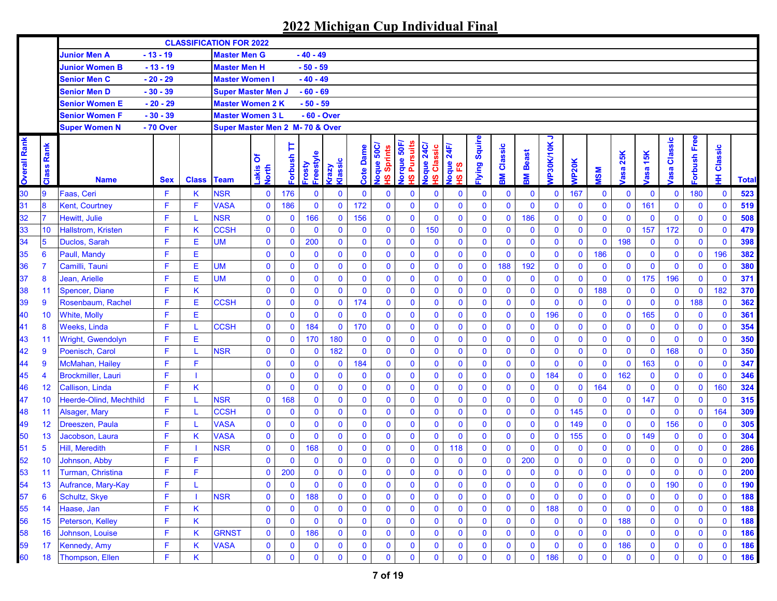|                     |                 |                                |            |                   | <b>CLASSIFICATION FOR 2022</b>  |                     |              |                          |                 |              |                                                      |                                                       |                                     |                                |              |              |              |                |              |              |             |              |                       |              |              |              |
|---------------------|-----------------|--------------------------------|------------|-------------------|---------------------------------|---------------------|--------------|--------------------------|-----------------|--------------|------------------------------------------------------|-------------------------------------------------------|-------------------------------------|--------------------------------|--------------|--------------|--------------|----------------|--------------|--------------|-------------|--------------|-----------------------|--------------|--------------|--------------|
|                     |                 | Junior Men A                   | $-13 - 19$ |                   | <b>Master Men G</b>             |                     |              | $-40 - 49$               |                 |              |                                                      |                                                       |                                     |                                |              |              |              |                |              |              |             |              |                       |              |              |              |
|                     |                 | <b>Junior Women B</b>          | $-13 - 19$ |                   | <b>Master Men H</b>             |                     |              | $-50 - 59$               |                 |              |                                                      |                                                       |                                     |                                |              |              |              |                |              |              |             |              |                       |              |              |              |
|                     |                 | <b>Senior Men C</b>            | $-20 - 29$ |                   | <b>Master Women I</b>           |                     |              | $-40 - 49$               |                 |              |                                                      |                                                       |                                     |                                |              |              |              |                |              |              |             |              |                       |              |              |              |
|                     |                 | <b>Senior Men D</b>            | $-30 - 39$ |                   | <b>Super Master Men J</b>       |                     |              | $-60 - 69$               |                 |              |                                                      |                                                       |                                     |                                |              |              |              |                |              |              |             |              |                       |              |              |              |
|                     |                 | Senior Women E                 | $-20 - 29$ |                   | <b>Master Women 2 K</b>         |                     |              | $-50 - 59$               |                 |              |                                                      |                                                       |                                     |                                |              |              |              |                |              |              |             |              |                       |              |              |              |
|                     |                 | <b>Senior Women F</b>          | $-30 - 39$ |                   | <b>Master Women 3 L</b>         |                     |              | - 60 - Over              |                 |              |                                                      |                                                       |                                     |                                |              |              |              |                |              |              |             |              |                       |              |              |              |
|                     |                 | <b>Super Women N</b>           | - 70 Over  |                   | Super Master Men 2 M- 70 & Over |                     |              |                          |                 |              |                                                      |                                                       |                                     |                                |              |              |              |                |              |              |             |              |                       |              |              |              |
| <b>Overall Rank</b> | Rank<br>Class   | <b>Name</b>                    | <b>Sex</b> | <b>Class Team</b> |                                 | δ<br>Lakis<br>North | Þ<br>Forbush | Freestyle<br><b>Asou</b> | Klassic<br>Vzev | Dame<br>Cote | Joque 50C/<br><b>Sprints</b><br>$\underline{\omega}$ | lorque 50F<br><b>Pursuits</b><br>$\underline{\omega}$ | <b>24C</b><br>Classic<br>loque<br>ഇ | 24F<br>loque<br><u>یع</u><br>ഇ | lying Squire | Classic<br>훎 | Beast<br>훎   | っ<br>VP30K/10K | <b>NP20K</b> | <b>NSM</b>   | 25K<br>/asa | asa 15K      | Classic<br><b>bse</b> | orbush Free  | Classic<br>₽ | <b>Total</b> |
| 30                  | 9               | Faas, Ceri                     | F          | Κ                 | <b>NSR</b>                      | $\mathbf 0$         | 176          | 0                        | $\mathbf 0$     | $\mathbf{0}$ | $\mathbf 0$                                          | 0                                                     | $\mathbf 0$                         | $\mathbf 0$                    | 0            | $\mathbf 0$  | $\mathbf 0$  | $\bf{0}$       | 167          | $\mathbf 0$  | $\bf{0}$    | $\mathbf 0$  | $\mathbf 0$           | 180          | $\mathbf 0$  | 523          |
| 31                  | 8               | <b>Kent, Courtney</b>          | F.         | F                 | <b>VASA</b>                     | $\mathbf 0$         | 186          | $\mathbf 0$              | $\mathbf 0$     | 172          | $\mathbf{0}$                                         | $\mathbf{0}$                                          | $\mathbf 0$                         | $\bf{0}$                       | $\mathbf 0$  | $\mathbf 0$  | $\mathbf 0$  | $\mathbf{0}$   | $\mathbf 0$  | $\mathbf 0$  | $\mathbf 0$ | 161          | $\mathbf 0$           | $\mathbf 0$  | $\mathbf{0}$ | 519          |
| 32                  | 7               | Hewitt, Julie                  | F          |                   | <b>NSR</b>                      | $\pmb{0}$           | $\mathbf 0$  | 166                      | $\mathbf 0$     | 156          | $\mathbf{0}$                                         | $\mathbf{0}$                                          | $\mathbf 0$                         | $\mathbf 0$                    | $\mathbf 0$  | $\mathbf 0$  | 186          | $\mathbf 0$    | $\mathbf 0$  | $\mathbf 0$  | $\mathbf 0$ | $\mathbf 0$  | $\mathbf 0$           | $\mathbf 0$  | $\mathbf{0}$ | 508          |
| 33                  | 10              | Hallstrom, Kristen             | F          | Κ                 | <b>CCSH</b>                     | $\pmb{0}$           | 0            | $\mathbf 0$              | $\mathbf 0$     | $\mathbf 0$  | $\mathbf{0}$                                         | $\mathbf 0$                                           | 150                                 | $\mathbf 0$                    | $\mathbf 0$  | $\mathbf 0$  | $\mathbf 0$  | $\mathbf 0$    | $\mathbf 0$  | $\mathbf 0$  | $\mathbf 0$ | 157          | 172                   | $\mathbf 0$  | $\mathbf 0$  | 479          |
| 34                  | $5\phantom{1}$  | Duclos, Sarah                  | F.         | Е                 | <b>UM</b>                       | $\pmb{0}$           | 0            | 200                      | $\bf{0}$        | $\mathbf 0$  | $\mathbf 0$                                          | $\mathbf 0$                                           | $\bf{0}$                            | $\mathbf 0$                    | $\mathbf 0$  | $\mathbf 0$  | $\mathbf 0$  | $\mathbf 0$    | $\mathbf 0$  | $\mathbf 0$  | 198         | 0            | $\mathbf 0$           | $\mathbf 0$  | $\mathbf 0$  | 398          |
| 35                  | $6\phantom{1}6$ | Paull, Mandy                   | F          | Е                 |                                 | $\mathbf 0$         | 0            | $\mathbf 0$              | $\mathbf 0$     | $\mathbf 0$  | $\mathbf{0}$                                         | $\mathbf 0$                                           | $\bf{0}$                            | $\bf{0}$                       | $\mathbf{0}$ | $\mathbf{0}$ | $\mathbf 0$  | $\mathbf 0$    | $\mathbf 0$  | 186          | $\mathbf 0$ | $\mathbf 0$  | $\mathbf 0$           | $\mathbf 0$  | 196          | 382          |
| 36                  | $\overline{7}$  | Camilli, Tauni                 | F          | Е                 | <b>UM</b>                       | $\pmb{0}$           | 0            | $\mathbf 0$              | $\mathbf 0$     | $\mathbf 0$  | $\mathbf{0}$                                         | $\mathbf 0$                                           | $\mathbf 0$                         | $\bf{0}$                       | $\mathbf 0$  | 188          | 192          | $\mathbf 0$    | $\mathbf 0$  | $\mathbf 0$  | $\pmb{0}$   | $\mathbf{0}$ | $\mathbf 0$           | $\mathbf 0$  | $\mathbf{0}$ | 380          |
| 37                  | 8               | Jean, Arielle                  | F          | Е                 | <b>UM</b>                       | $\mathbf 0$         | $\bf{0}$     | $\mathbf 0$              | $\mathbf 0$     | $\mathbf{0}$ | $\mathbf{0}$                                         | $\mathbf 0$                                           | $\mathbf 0$                         | $\mathbf 0$                    | $\mathbf 0$  | $\mathbf 0$  | $\mathbf 0$  | $\mathbf 0$    | $\mathbf{0}$ | $\mathbf 0$  | $\mathbf 0$ | 175          | 196                   | $\mathbf 0$  | $\mathbf 0$  | 371          |
| 38                  | 11              | Spencer, Diane                 | F          | Κ                 |                                 | $\mathbf 0$         | $\mathbf 0$  | $\mathbf 0$              | $\mathbf 0$     | $\mathbf 0$  | $\mathbf 0$                                          | $\mathbf 0$                                           | $\mathbf 0$                         | $\mathbf 0$                    | $\mathbf 0$  | $\mathbf 0$  | $\mathbf 0$  | $\mathbf 0$    | $\mathbf 0$  | 188          | $\mathbf 0$ | $\mathbf 0$  | $\mathbf 0$           | $\mathbf 0$  | 182          | 370          |
| 39                  | $\overline{9}$  | Rosenbaum, Rachel              | F.         | E                 | <b>CCSH</b>                     | $\mathbf 0$         | $\bf{0}$     | $\bf{0}$                 | $\mathbf 0$     | 174          | $\mathbf 0$                                          | $\mathbf 0$                                           | $\mathbf 0$                         | $\bf{0}$                       | $\mathbf 0$  | $\mathbf 0$  | $\mathbf 0$  | $\mathbf 0$    | $\mathbf{0}$ | $\mathbf 0$  | $\mathbf 0$ | $\mathbf 0$  | $\mathbf 0$           | 188          | $\mathbf{0}$ | 362          |
| 40                  | 10              | <b>White, Molly</b>            | F          | Е                 |                                 | $\mathbf 0$         | $\mathbf 0$  | 0                        | $\mathbf 0$     | $\mathbf 0$  | $\mathbf{0}$                                         | $\mathbf 0$                                           | $\bf{0}$                            | $\mathbf 0$                    | $\mathbf 0$  | $\mathbf 0$  | $\mathbf 0$  | 196            | $\mathbf 0$  | $\mathbf 0$  | $\mathbf 0$ | 165          | $\mathbf 0$           | $\mathbf 0$  | $\mathbf{0}$ | 361          |
| 41                  | 8               | <b>Weeks, Linda</b>            | F          |                   | <b>CCSH</b>                     | $\mathbf 0$         | $\mathbf{0}$ | 184                      | $\mathbf 0$     | 170          | $\mathbf{0}$                                         | $\mathbf 0$                                           | $\bf{0}$                            | $\mathbf 0$                    | $\mathbf 0$  | $\mathbf 0$  | $\mathbf 0$  | $\mathbf 0$    | $\mathbf 0$  | $\mathbf 0$  | $\mathbf 0$ | $\bf{0}$     | $\mathbf 0$           | $\mathbf 0$  | $\mathbf 0$  | 354          |
| 43                  | 11              | Wright, Gwendolyn              | F          | Е                 |                                 | $\mathbf 0$         | $\bf{0}$     | 170                      | 180             | $\mathbf 0$  | $\mathbf{0}$                                         | $\mathbf 0$                                           | $\pmb{0}$                           | $\mathbf 0$                    | $\mathbf 0$  | $\mathbf 0$  | $\mathbf 0$  | $\mathbf 0$    | $\mathbf 0$  | $\mathbf 0$  | $\mathbf 0$ | $\mathbf 0$  | $\bf{0}$              | $\mathbf 0$  | $\bf{0}$     | 350          |
| 42                  | 9               | Poenisch, Carol                |            |                   | <b>NSR</b>                      | $\bf{0}$            | $\mathbf 0$  | $\bf{0}$                 | 182             | $\mathbf 0$  | $\mathbf 0$                                          | $\mathbf 0$                                           | $\bf{0}$                            | $\mathbf 0$                    | $\mathbf 0$  | $\mathbf 0$  | $\mathbf 0$  | $\mathbf 0$    | $\mathbf 0$  | $\mathbf 0$  | $\mathbf 0$ | $\mathbf 0$  | 168                   | $\mathbf 0$  | $\mathbf 0$  | 350          |
| 44                  | 9               | McMahan, Hailey                | F.         | F                 |                                 | $\mathbf 0$         | $\bf{0}$     | $\bf{0}$                 | $\mathbf 0$     | 184          | $\mathbf 0$                                          | 0                                                     | $\bf{0}$                            | $\mathbf 0$                    | $\mathbf 0$  | $\mathbf 0$  | $\mathbf 0$  | $\mathbf 0$    | $\mathbf 0$  | $\mathbf 0$  | $\mathbf 0$ | 163          | $\mathbf 0$           | $\mathbf 0$  | $\mathbf 0$  | 347          |
| 45                  | $\overline{4}$  | <b>Brockmiller, Lauri</b>      | F          |                   |                                 | $\mathbf 0$         | $\mathbf 0$  | $\mathbf 0$              | $\mathbf 0$     | $\mathbf 0$  | $\mathbf{0}$                                         | $\mathbf 0$                                           | $\mathbf 0$                         | $\mathbf 0$                    | $\mathbf 0$  | $\mathbf{0}$ | $\mathbf 0$  | 184            | $\mathbf{0}$ | $\mathbf 0$  | 162         | $\mathbf 0$  | 0                     | $\mathbf 0$  | $\mathbf 0$  | 346          |
| 46                  | 12              | Callison, Linda                | F          | Κ                 |                                 | $\mathbf 0$         | $\mathbf 0$  | 0                        | $\mathbf 0$     | $\mathbf 0$  | $\mathbf{0}$                                         | 0                                                     | $\bf{0}$                            | $\mathbf 0$                    | $\mathbf 0$  | $\mathbf 0$  | $\mathbf 0$  | $\mathbf 0$    | $\mathbf 0$  | 164          | $\mathbf 0$ | $\mathbf 0$  | 0                     | $\mathbf 0$  | 160          | 324          |
| 47                  | 10              | <b>Heerde-Olind, Mechthild</b> | F.         |                   | <b>NSR</b>                      | $\mathbf 0$         | 168          | $\mathbf 0$              | $\mathbf 0$     | $\mathbf 0$  | $\mathbf{0}$                                         | 0                                                     | $\mathbf 0$                         | $\mathbf 0$                    | $\mathbf 0$  | $\mathbf 0$  | $\mathbf 0$  | $\mathbf 0$    | $\mathbf 0$  | $\mathbf 0$  | $\mathbf 0$ | 147          | $\bf{0}$              | $\mathbf 0$  | $\mathbf{0}$ | 315          |
| 48                  | 11              | Alsager, Mary                  | F.         |                   | <b>CCSH</b>                     | $\mathbf 0$         | $\mathbf 0$  | $\mathbf 0$              | $\mathbf 0$     | $\mathbf 0$  | $\mathbf 0$                                          | $\mathbf 0$                                           | $\mathbf 0$                         | $\bf{0}$                       | $\mathbf 0$  | $\mathbf 0$  | $\mathbf 0$  | $\mathbf 0$    | 145          | $\mathbf 0$  | $\mathbf 0$ | $\mathbf 0$  | $\mathbf 0$           | $\mathbf 0$  | 164          | 309          |
| 49                  | 12              | Dreeszen, Paula                | F.         |                   | <b>VASA</b>                     | $\mathbf 0$         | $\bf{0}$     | $\bf{0}$                 | $\mathbf 0$     | $\mathbf 0$  | $\mathbf 0$                                          | $\mathbf 0$                                           | $\mathbf 0$                         | $\bf{0}$                       | $\mathbf 0$  | $\mathbf 0$  | $\mathbf 0$  | $\mathbf 0$    | 149          | $\mathbf 0$  | $\mathbf 0$ | 0            | 156                   | $\mathbf 0$  | $\mathbf{0}$ | 305          |
| 50                  | 13              | Jacobson, Laura                | F          | Κ                 | <b>VASA</b>                     | $\mathbf 0$         | 0            | $\bf{0}$                 | $\mathbf 0$     | $\mathbf 0$  | $\mathbf{0}$                                         | $\mathbf 0$                                           | $\mathbf 0$                         | $\mathbf 0$                    | $\mathbf 0$  | $\mathbf 0$  | $\mathbf 0$  | $\mathbf 0$    | 155          | $\mathbf 0$  | $\bf{0}$    | 149          | $\mathbf 0$           | $\mathbf 0$  | $\mathbf 0$  | 304          |
| 51                  | 5               | Hill, Meredith                 | F          |                   | <b>NSR</b>                      | $\mathbf 0$         | $\mathbf 0$  | 168                      | $\mathbf 0$     | $\mathbf 0$  | $\mathbf{0}$                                         | $\mathbf 0$                                           | $\mathbf 0$                         | 118                            | $\mathbf 0$  | $\mathbf 0$  | $\mathbf 0$  | $\mathbf 0$    | $\mathbf 0$  | $\mathbf 0$  | $\mathbf 0$ | $\mathbf 0$  | $\mathbf 0$           | $\mathbf 0$  | $\mathbf 0$  | 286          |
| 52                  | 10              | Johnson, Abby                  | F          | F                 |                                 | $\mathbf 0$         | $\mathbf 0$  | 0                        | $\mathbf 0$     | $\mathbf 0$  | $\mathbf 0$                                          | $\mathbf 0$                                           | $\mathbf 0$                         | $\mathbf 0$                    | $\mathbf 0$  | $\bf{0}$     | 200          | $\mathbf 0$    | $\mathbf 0$  | $\mathbf 0$  | $\mathbf 0$ | $\mathbf 0$  | 0                     | $\mathbf 0$  | $\bf{0}$     | 200          |
| 53                  | 11              | Turman, Christina              | F          | F                 |                                 | $\mathbf 0$         | 200          | $\mathbf{0}$             | $\mathbf 0$     | $\mathbf{0}$ | $\mathbf{0}$                                         | $\mathbf 0$                                           | $\mathbf 0$                         | $\mathbf 0$                    | $\mathbf{0}$ | 0            | $\mathbf 0$  | $\mathbf{0}$   | $\mathbf 0$  | $\mathbf{0}$ | $\mathbf 0$ | $\mathbf{0}$ | $\mathbf{0}$          | $\mathbf{0}$ | $\mathbf 0$  | 200          |
| 54                  | 13              | Aufrance, Mary-Kay             | F          |                   |                                 | $\bf{0}$            | $\bf{0}$     | $\bf{0}$                 | $\mathbf 0$     | $\mathbf 0$  | $\bf{0}$                                             | 0                                                     | $\mathbf 0$                         | $\mathbf 0$                    | $\mathbf 0$  | 0            | $\mathbf 0$  | $\mathbf 0$    | $\mathbf 0$  | $\bf{0}$     | $\mathbf 0$ | 0            | 190                   | $\pmb{0}$    | $\mathbf 0$  | 190          |
| 57                  | 6               | Schultz, Skye                  | F.         |                   | <b>NSR</b>                      | $\pmb{0}$           | $\bf{0}$     | 188                      | $\mathbf 0$     | $\mathbf 0$  | $\mathbf 0$                                          | $\mathbf 0$                                           | $\mathbf 0$                         | $\bf{0}$                       | $\pmb{0}$    | $\bf{0}$     | $\mathbf 0$  | $\mathbf 0$    | $\bf{0}$     | $\pmb{0}$    | $\mathbf 0$ | 0            | $\mathbf 0$           | $\pmb{0}$    | $\mathbf{0}$ | 188          |
| 55                  | 14              | Haase, Jan                     | F.         | K                 |                                 | $\bf{0}$            | 0            | $\bf{0}$                 | $\mathbf 0$     | $\mathbf 0$  | $\mathbf 0$                                          | $\mathbf 0$                                           | $\mathbf 0$                         | 0                              | $\mathbf 0$  | $\mathbf 0$  | $\mathbf 0$  | 188            | $\mathbf 0$  | $\mathbf 0$  | $\bf{0}$    | 0            | $\bf{0}$              | $\pmb{0}$    | $\mathbf 0$  | 188          |
| 56                  | 15              | Peterson, Kelley               | F.         | Κ                 |                                 | $\mathbf 0$         | $\bf{0}$     | $\bf{0}$                 | $\mathbf 0$     | $\mathbf 0$  | $\mathbf 0$                                          | $\mathbf 0$                                           | $\mathbf 0$                         | $\bf{0}$                       | 0            | $\mathbf 0$  | $\bf{0}$     | $\mathbf 0$    | $\mathbf 0$  | $\mathbf 0$  | 188         | 0            | 0                     | $\mathbf 0$  | $\bf{0}$     | 188          |
| 58                  | 16              | Johnson, Louise                | F.         | Κ                 | <b>GRNST</b>                    | $\mathbf 0$         | 0            | 186                      | $\mathbf 0$     | $\mathbf 0$  | $\mathbf 0$                                          | $\bf{0}$                                              | $\mathbf 0$                         | 0                              | 0            | $\mathbf 0$  | $\mathbf 0$  | $\mathbf 0$    | $\mathbf 0$  | $\mathbf 0$  | $\mathbf 0$ | 0            | $\bf{0}$              | $\mathbf 0$  | $\bf{0}$     | 186          |
| 59                  | 17              | Kennedy, Amy                   | F.         | Κ                 | <b>VASA</b>                     | $\bf{0}$            | 0            | 0                        | $\bf{0}$        | $\bf{0}$     | $\bf{0}$                                             | 0                                                     | $\bf{0}$                            | $\bf{0}$                       | 0            | 0            | $\bf{0}$     | $\mathbf 0$    | $\bf{0}$     | $\bf{0}$     | 186         | 0            | 0                     | 0            | $\bf{0}$     | 186          |
| 60                  | 18              | Thompson, Ellen                | F.         | K.                |                                 | $\pmb{0}$           | 0            | 0                        | $\pmb{0}$       | $\mathbf 0$  | $\mathbf 0$                                          | $\mathbf 0$                                           | $\mathbf 0$                         | $\mathbf 0$                    | $\mathbf 0$  | $\mathbf 0$  | $\mathbf{0}$ | 186            | $\mathbf 0$  | $\bf{0}$     | $\mathbf 0$ | 0            | 0                     | $\mathbf 0$  | $\mathbf 0$  | <b>186</b>   |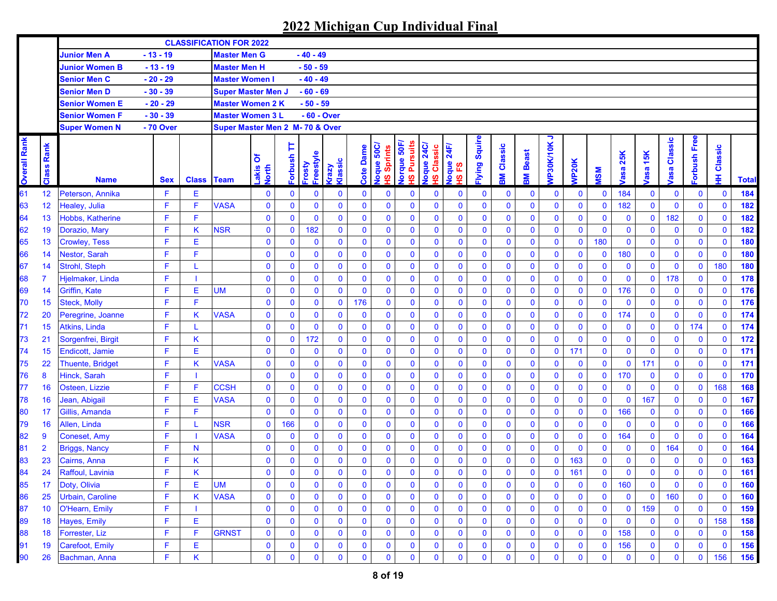|                     |                |                         |            |                   | <b>CLASSIFICATION FOR 2022</b>  |                     |              |                          |                 |              |                                                      |                                                       |                                       |                                 |              |              |                   |                |              |              |                    |              |                        |             |              |              |
|---------------------|----------------|-------------------------|------------|-------------------|---------------------------------|---------------------|--------------|--------------------------|-----------------|--------------|------------------------------------------------------|-------------------------------------------------------|---------------------------------------|---------------------------------|--------------|--------------|-------------------|----------------|--------------|--------------|--------------------|--------------|------------------------|-------------|--------------|--------------|
|                     |                | <b>Junior Men A</b>     | $-13 - 19$ |                   | <b>Master Men G</b>             |                     |              | $-40 - 49$               |                 |              |                                                      |                                                       |                                       |                                 |              |              |                   |                |              |              |                    |              |                        |             |              |              |
|                     |                | <b>Junior Women B</b>   | $-13 - 19$ |                   | <b>Master Men H</b>             |                     |              | $-50 - 59$               |                 |              |                                                      |                                                       |                                       |                                 |              |              |                   |                |              |              |                    |              |                        |             |              |              |
|                     |                | <b>Senior Men C</b>     | $-20 - 29$ |                   | <b>Master Women I</b>           |                     |              | $-40 - 49$               |                 |              |                                                      |                                                       |                                       |                                 |              |              |                   |                |              |              |                    |              |                        |             |              |              |
|                     |                | <b>Senior Men D</b>     | $-30 - 39$ |                   | <b>Super Master Men J</b>       |                     |              | $-60 - 69$               |                 |              |                                                      |                                                       |                                       |                                 |              |              |                   |                |              |              |                    |              |                        |             |              |              |
|                     |                | Senior Women E          | $-20 - 29$ |                   | <b>Master Women 2 K</b>         |                     |              | $-50 - 59$               |                 |              |                                                      |                                                       |                                       |                                 |              |              |                   |                |              |              |                    |              |                        |             |              |              |
|                     |                | <b>Senior Women F</b>   | $-30 - 39$ |                   | <b>Master Women 3 L</b>         |                     |              | - 60 - Over              |                 |              |                                                      |                                                       |                                       |                                 |              |              |                   |                |              |              |                    |              |                        |             |              |              |
|                     |                | <b>Super Women N</b>    | - 70 Over  |                   | Super Master Men 2 M- 70 & Over |                     |              |                          |                 |              |                                                      |                                                       |                                       |                                 |              |              |                   |                |              |              |                    |              |                        |             |              |              |
| <b>Overall Rank</b> | Rank<br>Class  | <b>Name</b>             | <b>Sex</b> | <b>Class Team</b> |                                 | δ<br>Lakis<br>North | Þ<br>Forbush | Freestyle<br><b>Asou</b> | Klassic<br>Vzev | Dame<br>Cote | Joque 50C/<br><b>Sprints</b><br>$\underline{\omega}$ | lorque 50F<br><b>Pursuits</b><br>$\underline{\omega}$ | <b>24C</b><br>Classic<br>loque<br>ഗ്ഗ | 24F/<br>loque<br><u>یع</u><br>ഇ | lying Squire | Classic<br>훎 | <b>Beast</b><br>훎 | っ<br>VP30K/10K | <b>NP20K</b> | <b>MSM</b>   | 25K<br><b>lasa</b> | 15K<br>asa   | Classic<br><b>lasa</b> | orbush Free | Classic<br>Ŧ | <b>Total</b> |
| 61                  | 12             | Peterson, Annika        | F          | Е                 |                                 | $\mathbf 0$         | $\bf{0}$     | 0                        | $\mathbf 0$     | $\mathbf 0$  | $\mathbf 0$                                          | 0                                                     | $\mathbf 0$                           | $\bf{0}$                        | $\bf{0}$     | $\bf{0}$     | $\bf{0}$          | $\mathbf 0$    | $\mathbf 0$  | $\mathbf 0$  | 184                | $\bf{0}$     | $\mathbf 0$            | $\mathbf 0$ | $\mathbf 0$  | 184          |
| 63                  | 12             | Healey, Julia           | F.         | F                 | <b>VASA</b>                     | $\bf{0}$            | $\mathbf 0$  | 0                        | $\mathbf 0$     | $\mathbf{0}$ | $\mathbf{0}$                                         | $\mathbf 0$                                           | $\mathbf 0$                           | $\bf{0}$                        | $\mathbf 0$  | 0            | $\mathbf 0$       | $\mathbf 0$    | $\mathbf{0}$ | $\mathbf{0}$ | 182                | $\pmb{0}$    | $\mathbf 0$            | $\mathbf 0$ | $\mathbf 0$  | 182          |
| 64                  | 13             | Hobbs, Katherine        | F          | F                 |                                 | $\mathbf 0$         | $\mathbf 0$  | $\mathbf 0$              | $\mathbf 0$     | $\mathbf{0}$ | $\mathbf 0$                                          | $\mathbf 0$                                           | $\mathbf 0$                           | $\bf{0}$                        | $\mathbf 0$  | 0            | $\mathbf 0$       | $\mathbf 0$    | $\mathbf 0$  | $\mathbf{0}$ | $\bf{0}$           | $\mathbf 0$  | 182                    | $\mathbf 0$ | $\mathbf 0$  | 182          |
| 62                  | 19             | Dorazio, Mary           | F          | K                 | <b>NSR</b>                      | $\mathbf 0$         | 0            | 182                      | $\mathbf 0$     | $\mathbf 0$  | $\mathbf{0}$                                         | $\mathbf 0$                                           | $\mathbf 0$                           | $\bf{0}$                        | $\mathbf 0$  | 0            | $\mathbf 0$       | $\mathbf 0$    | $\mathbf{0}$ | $\mathbf 0$  | $\mathbf 0$        | $\mathbf 0$  | $\mathbf 0$            | $\mathbf 0$ | $\mathbf 0$  | 182          |
| 65                  | 13             | <b>Crowley, Tess</b>    | F          | Ε                 |                                 | $\mathbf 0$         | 0            | $\mathbf 0$              | $\mathbf 0$     | $\mathbf 0$  | $\mathbf 0$                                          | $\mathbf 0$                                           | $\bf{0}$                              | $\bf{0}$                        | $\mathbf 0$  | 0            | $\mathbf 0$       | $\bf{0}$       | $\mathbf 0$  | 180          | $\bf{0}$           | $\mathbf 0$  | $\bf{0}$               | $\mathbf 0$ | $\mathbf 0$  | 180          |
| 66                  | 14             | Nestor, Sarah           | F          | F                 |                                 | $\bf{0}$            | $\mathbf 0$  | 0                        | $\pmb{0}$       | $\mathbf 0$  | $\mathbf{0}$                                         | $\mathbf 0$                                           | $\bf{0}$                              | $\bf{0}$                        | $\mathbf 0$  | 0            | $\mathbf 0$       | $\mathbf 0$    | $\mathbf 0$  | $\mathbf 0$  | 180                | $\mathbf 0$  | $\mathbf 0$            | $\mathbf 0$ | $\mathbf 0$  | 180          |
| 67                  | 14             | Strohl, Steph           | F          |                   |                                 | $\bf{0}$            | $\mathbf 0$  | 0                        | $\mathbf 0$     | $\mathbf 0$  | $\mathbf{0}$                                         | $\mathbf 0$                                           | $\bf{0}$                              | $\bf{0}$                        | $\mathbf 0$  | 0            | $\mathbf 0$       | $\bf{0}$       | $\mathbf 0$  | $\mathbf 0$  | $\mathbf 0$        | $\mathbf 0$  | $\mathbf 0$            | $\mathbf 0$ | 180          | <b>180</b>   |
| 68                  | 7              | Hjelmaker, Linda        | F          |                   |                                 | $\mathbf 0$         | 0            | 0                        | $\mathbf 0$     | $\mathbf 0$  | $\mathbf 0$                                          | $\mathbf 0$                                           | $\mathbf 0$                           | $\bf{0}$                        | $\mathbf 0$  | 0            | $\mathbf 0$       | $\mathbf 0$    | $\mathbf{0}$ | $\mathbf{0}$ | $\mathbf 0$        | $\pmb{0}$    | 178                    | $\mathbf 0$ | $\mathbf 0$  | 178          |
| 69                  | 14             | Griffin, Kate           | F          | E                 | UM                              | $\mathbf 0$         | 0            | 0                        | $\bf{0}$        | $\mathbf 0$  | $\mathbf 0$                                          | $\mathbf 0$                                           | $\bf{0}$                              | $\bf{0}$                        | $\mathbf 0$  | 0            | $\mathbf 0$       | $\mathbf 0$    | $\mathbf 0$  | $\mathbf 0$  | 176                | $\mathbf 0$  | $\mathbf 0$            | $\pmb{0}$   | $\mathbf 0$  | 176          |
| 70                  | 15             | <b>Steck, Molly</b>     | F          | F                 |                                 | $\mathbf 0$         | $\mathbf 0$  | 0                        | $\bf{0}$        | 176          | $\mathbf 0$                                          | $\mathbf 0$                                           | $\mathbf 0$                           | $\bf{0}$                        | $\mathbf 0$  | $\mathbf 0$  | $\mathbf 0$       | $\mathbf 0$    | $\mathbf{0}$ | $\mathbf{0}$ | $\mathbf 0$        | $\mathbf 0$  | $\mathbf 0$            | $\mathbf 0$ | $\mathbf 0$  | 176          |
| 72                  | 20             | Peregrine, Joanne       | F          | Κ                 | <b>VASA</b>                     | $\bf{0}$            | $\mathbf 0$  | 0                        | $\mathbf 0$     | $\mathbf 0$  | $\mathbf{0}$                                         | $\mathbf 0$                                           | $\bf{0}$                              | $\bf{0}$                        | $\mathbf 0$  | $\mathbf 0$  | $\mathbf 0$       | $\mathbf 0$    | $\mathbf 0$  | $\mathbf 0$  | 174                | $\mathbf 0$  | $\mathbf 0$            | $\mathbf 0$ | $\mathbf 0$  | 174          |
| 71                  | 15             | <b>Atkins, Linda</b>    | F          |                   |                                 | $\bf{0}$            | $\mathbf{0}$ | 0                        | $\mathbf 0$     | $\mathbf 0$  | $\mathbf{0}$                                         | $\mathbf 0$                                           | $\pmb{0}$                             | $\bf{0}$                        | $\mathbf 0$  | 0            | $\mathbf 0$       | $\mathbf 0$    | $\mathbf 0$  | $\mathbf 0$  | $\bf{0}$           | $\pmb{0}$    | $\mathbf 0$            | 174         | $\mathbf 0$  | 174          |
| 73                  | 21             | Sorgenfrei, Birgit      | F          | Κ                 |                                 | $\mathbf 0$         | $\bf{0}$     | 172                      | $\mathbf 0$     | $\mathbf 0$  | $\mathbf{0}$                                         | $\mathbf 0$                                           | $\bf{0}$                              | $\bf{0}$                        | $\mathbf 0$  | $\mathbf{0}$ | $\mathbf 0$       | $\mathbf 0$    | $\mathbf{0}$ | $\mathbf 0$  | $\bf{0}$           | $\bf{0}$     | $\mathbf 0$            | $\bf{0}$    | $\mathbf 0$  | 172          |
| 74                  | 15             | Endicott, Jamie         | F          | E                 |                                 | $\mathbf 0$         | 0            | 0                        | $\bf{0}$        | $\mathbf 0$  | $\mathbf 0$                                          | $\mathbf 0$                                           | $\pmb{0}$                             | $\bf{0}$                        | $\mathbf 0$  | 0            | $\mathbf 0$       | $\mathbf 0$    | 171          | $\mathbf 0$  | $\bf{0}$           | $\bf{0}$     | $\bf{0}$               | $\mathbf 0$ | $\mathbf 0$  | 171          |
| 75                  | 22             | <b>Thuente, Bridget</b> | F          | K                 | <b>VASA</b>                     | $\mathbf 0$         | $\mathbf{0}$ | 0                        | $\mathbf 0$     | $\mathbf 0$  | $\mathbf 0$                                          | $\mathbf{0}$                                          | $\pmb{0}$                             | $\bf{0}$                        | $\pmb{0}$    | $\mathbf{0}$ | $\mathbf 0$       | $\mathbf{0}$   | $\mathbf 0$  | $\mathbf 0$  | $\mathbf 0$        | 171          | $\mathbf 0$            | $\mathbf 0$ | $\mathbf 0$  | 171          |
| 76                  | 8              | Hinck, Sarah            | F          |                   |                                 | $\mathbf 0$         | 0            | 0                        | $\mathbf 0$     | $\mathbf{0}$ | $\mathbf{0}$                                         | $\mathbf 0$                                           | $\mathbf 0$                           | $\bf{0}$                        | $\mathbf 0$  | $\mathbf 0$  | $\mathbf{0}$      | $\mathbf{0}$   | $\mathbf 0$  | $\mathbf 0$  | 170                | $\mathbf 0$  | $\mathbf 0$            | $\mathbf 0$ | $\mathbf{0}$ | 170          |
| 77                  | 16             | Osteen, Lizzie          | F          | F                 | <b>CCSH</b>                     | $\mathbf 0$         | $\mathbf 0$  | 0                        | $\mathbf 0$     | $\mathbf{0}$ | $\mathbf{0}$                                         | 0                                                     | $\bf{0}$                              | $\bf{0}$                        | $\mathbf 0$  | 0            | $\mathbf 0$       | $\mathbf 0$    | $\mathbf{0}$ | $\mathbf 0$  | $\bf{0}$           | $\mathbf 0$  | $\mathbf 0$            | $\mathbf 0$ | 168          | 168          |
| 78                  | 16             | Jean, Abigail           | F          | Е                 | <b>VASA</b>                     | $\mathbf 0$         | $\mathbf 0$  | 0                        | $\mathbf 0$     | $\mathbf 0$  | $\mathbf 0$                                          | 0                                                     | $\mathbf 0$                           | $\bf{0}$                        | $\mathbf 0$  | 0            | $\mathbf 0$       | $\mathbf{0}$   | $\mathbf{0}$ | $\mathbf{0}$ | $\mathbf 0$        | 167          | $\bf{0}$               | $\mathbf 0$ | $\mathbf 0$  | 167          |
| 80                  | -17            | Gillis, Amanda          | F.         | F                 |                                 | $\pmb{0}$           | $\mathbf 0$  | 0                        | $\mathbf 0$     | $\mathbf 0$  | $\mathbf 0$                                          | $\mathbf 0$                                           | $\mathbf 0$                           | $\bf{0}$                        | $\mathbf 0$  | 0            | $\mathbf 0$       | $\mathbf 0$    | $\mathbf 0$  | $\mathbf 0$  | 166                | $\mathbf 0$  | $\mathbf 0$            | $\mathbf 0$ | $\mathbf 0$  | 166          |
| 79                  | 16             | Allen, Linda            | F          |                   | <b>NSR</b>                      | $\mathbf 0$         | 166          | 0                        | $\mathbf 0$     | $\mathbf 0$  | $\mathbf 0$                                          | $\mathbf 0$                                           | $\mathbf 0$                           | $\bf{0}$                        | $\mathbf 0$  | 0            | $\mathbf 0$       | $\mathbf 0$    | $\mathbf 0$  | $\mathbf{0}$ | $\mathbf 0$        | $\mathbf 0$  | $\bf{0}$               | $\mathbf 0$ | $\mathbf 0$  | 166          |
| 82                  | 9              | Coneset, Amy            | F          |                   | <b>VASA</b>                     | $\mathbf 0$         | $\bf{0}$     | 0                        | $\mathbf 0$     | $\mathbf 0$  | $\mathbf{0}$                                         | $\mathbf 0$                                           | $\mathbf 0$                           | $\bf{0}$                        | $\mathbf 0$  | $\mathbf 0$  | $\mathbf 0$       | $\mathbf 0$    | $\mathbf 0$  | $\mathbf 0$  | 164                | $\mathbf 0$  | $\mathbf 0$            | $\mathbf 0$ | $\mathbf 0$  | 164          |
| 81                  | $\overline{2}$ | <b>Briggs, Nancy</b>    | F          | N                 |                                 | $\mathbf{0}$        | $\bf{0}$     | 0                        | $\mathbf 0$     | $\mathbf 0$  | $\mathbf 0$                                          | $\mathbf 0$                                           | $\mathbf 0$                           | $\bf{0}$                        | $\mathbf 0$  | $\mathbf{0}$ | $\mathbf 0$       | $\mathbf 0$    | $\mathbf 0$  | $\mathbf{0}$ | $\bf{0}$           | $\mathbf 0$  | 164                    | $\mathbf 0$ | $\mathbf 0$  | 164          |
| 83                  | 23             | Cairns, Anna            | F          | Κ                 |                                 | $\mathbf 0$         | $\mathbf 0$  | 0                        | $\mathbf 0$     | $\mathbf 0$  | $\mathbf 0$                                          | $\mathbf 0$                                           | $\bf{0}$                              | $\bf{0}$                        | $\mathbf 0$  | 0            | $\mathbf 0$       | $\mathbf 0$    | 163          | $\mathbf 0$  | $\bf{0}$           | $\bf{0}$     | $\mathbf 0$            | $\mathbf 0$ | $\mathbf 0$  | 163          |
| 84                  | 24             | Raffoul, Lavinia        | F          | Κ                 |                                 | $\mathbf 0$         | $\mathbf{0}$ | $\overline{0}$           | $\mathbf{0}$    | $\mathbf{0}$ | $\mathbf{0}$                                         | $\mathbf{0}$                                          | $\mathbf 0$                           | $\mathbf{0}$                    | $\mathbf 0$  | $\mathbf{0}$ | $\mathbf{0}$      | $\mathbf{0}$   | 161          | $\mathbf 0$  | $\mathbf 0$        | $\mathbf{0}$ | $\mathbf 0$            | $\mathbf 0$ | $\mathbf 0$  | 161          |
| 85                  | 17             | Doty, Olivia            | F          | Е                 | <b>UM</b>                       | $\bf{0}$            | 0            | 0                        | $\mathbf 0$     | $\mathbf 0$  | $\bf{0}$                                             | $\mathbf 0$                                           | $\bf{0}$                              | $\mathbf 0$                     | 0            | 0            | $\mathbf 0$       | $\bf{0}$       | $\mathbf 0$  | $\bf{0}$     | 160                | $\bf{0}$     | $\mathbf 0$            | 0           | $\mathbf 0$  | 160          |
| 86                  | 25             | Urbain, Caroline        | F.         | Κ                 | <b>VASA</b>                     | $\bf{0}$            | 0            | 0                        | $\mathbf 0$     | $\mathbf{0}$ | $\mathbf 0$                                          | 0                                                     | $\bf{0}$                              | $\bf{0}$                        | $\bf{0}$     | $\mathbf 0$  | $\mathbf 0$       | $\mathbf 0$    | $\mathbf 0$  | $\mathbf 0$  | $\mathbf 0$        | $\bf{0}$     | 160                    | $\mathbf 0$ | $\mathbf 0$  | 160          |
| 87                  | 10             | O'Hearn, Emily          | F          |                   |                                 | $\bf{0}$            | $\bf{0}$     | 0                        | $\bf{0}$        | 0            | $\mathbf 0$                                          | $\mathbf 0$                                           | $\bf{0}$                              | $\bf{0}$                        | $\mathbf 0$  | $\bf{0}$     | $\mathbf 0$       | $\mathbf 0$    | $\mathbf{0}$ | $\mathbf 0$  | $\mathbf 0$        | 159          | $\mathbf 0$            | $\mathbf 0$ | $\mathbf 0$  | 159          |
| 89                  | 18             | Hayes, Emily            | F          | Ε                 |                                 | $\mathbf 0$         | $\mathbf 0$  | 0                        | $\bf{0}$        | $\mathbf 0$  | $\bf{0}$                                             | $\bf{0}$                                              | $\mathbf 0$                           | $\bf{0}$                        | $\bf{0}$     | $\mathbf 0$  | $\mathbf 0$       | $\bf{0}$       | $\mathbf 0$  | $\mathbf 0$  | $\mathbf 0$        | $\mathbf 0$  | $\mathbf 0$            | $\mathbf 0$ | 158          | 158          |
| 88                  | 18             | Forrester, Liz          | F          | F                 | <b>GRNST</b>                    | $\bf{0}$            | 0            | 0                        | $\bf{0}$        | $\mathbf 0$  | $\mathbf 0$                                          | $\bf{0}$                                              | $\mathbf 0$                           | $\bf{0}$                        | $\bf{0}$     | $\mathbf 0$  | $\mathbf 0$       | $\bf{0}$       | $\mathbf 0$  | $\mathbf 0$  | 158                | $\bf{0}$     | $\mathbf 0$            | 0           | $\mathbf 0$  | 158          |
| 91                  | 19             | Carefoot, Emily         | F          | Ε                 |                                 | $\bf{0}$            | 0            | 0                        | $\bf{0}$        | $\bf{0}$     | $\mathbf 0$                                          | 0                                                     | $\mathbf 0$                           | $\bf{0}$                        | 0            | 0            | $\mathbf 0$       | $\bf{0}$       | $\bf{0}$     | $\bf{0}$     | 156                | $\mathbf 0$  | $\bf{0}$               | 0           | $\mathbf 0$  | 156          |
| 90                  | 26             | Bachman, Anna           | F.         | Κ                 |                                 | $\mathbf 0$         | 0            | 0                        | $\bf{0}$        | $\mathbf 0$  | 0                                                    | 0                                                     | $\bf{0}$                              | $\bf{0}$                        | $\mathbf 0$  | $\mathbf 0$  | $\mathbf 0$       | $\mathbf 0$    | $\mathbf 0$  | $\mathbf 0$  | $\mathbf 0$        | $\mathbf 0$  | 0                      | 0           | 156          | 156          |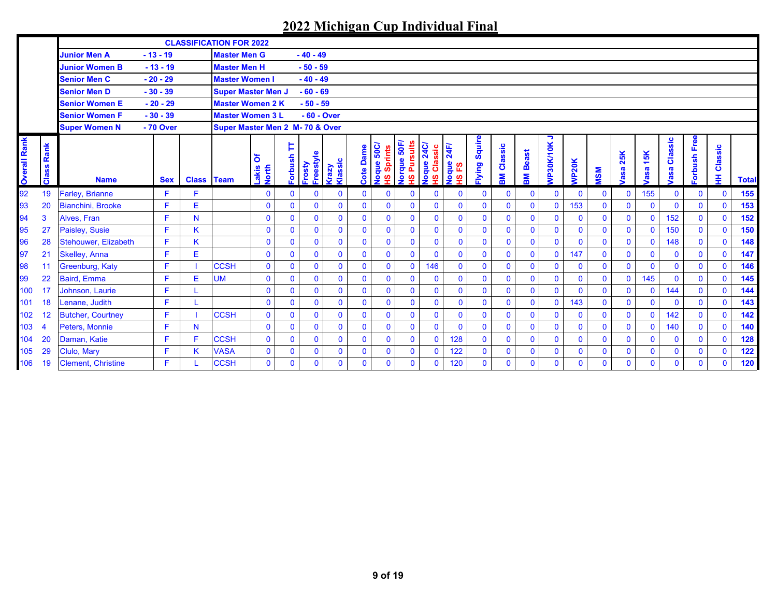|                     |                 |                           |            |                   | <b>CLASSIFICATION FOR 2022</b>  |                            |              |                     |                  |              |                      |                                        |                                      |                       |                  |              |                   |                |              |              |              |              |                        |                |              |              |
|---------------------|-----------------|---------------------------|------------|-------------------|---------------------------------|----------------------------|--------------|---------------------|------------------|--------------|----------------------|----------------------------------------|--------------------------------------|-----------------------|------------------|--------------|-------------------|----------------|--------------|--------------|--------------|--------------|------------------------|----------------|--------------|--------------|
|                     |                 | <b>Junior Men A</b>       | $-13 - 19$ |                   | <b>Master Men G</b>             |                            |              | $-40 - 49$          |                  |              |                      |                                        |                                      |                       |                  |              |                   |                |              |              |              |              |                        |                |              |              |
|                     |                 | <b>Junior Women B</b>     | $-13 - 19$ |                   | <b>Master Men H</b>             |                            |              | $-50 - 59$          |                  |              |                      |                                        |                                      |                       |                  |              |                   |                |              |              |              |              |                        |                |              |              |
|                     |                 | <b>Senior Men C</b>       | $-20 - 29$ |                   | <b>Master Women I</b>           |                            |              | $-40 - 49$          |                  |              |                      |                                        |                                      |                       |                  |              |                   |                |              |              |              |              |                        |                |              |              |
|                     |                 | <b>Senior Men D</b>       | $-30 - 39$ |                   | <b>Super Master Men J</b>       |                            |              | $-60 - 69$          |                  |              |                      |                                        |                                      |                       |                  |              |                   |                |              |              |              |              |                        |                |              |              |
|                     |                 | <b>Senior Women E</b>     | $-20 - 29$ |                   | <b>Master Women 2 K</b>         |                            |              | $-50 - 59$          |                  |              |                      |                                        |                                      |                       |                  |              |                   |                |              |              |              |              |                        |                |              |              |
|                     |                 | <b>Senior Women F</b>     | $-30 - 39$ |                   | <b>Master Women 3 L</b>         |                            |              | $-60 - Over$        |                  |              |                      |                                        |                                      |                       |                  |              |                   |                |              |              |              |              |                        |                |              |              |
|                     |                 | <b>Super Women N</b>      | - 70 Over  |                   | Super Master Men 2 M- 70 & Over |                            |              |                     |                  |              |                      |                                        |                                      |                       |                  |              |                   |                |              |              |              |              |                        |                |              |              |
| <b>Overall Rank</b> | Rank<br>Class   | <b>Name</b>               | <b>Sex</b> | <b>Class Team</b> |                                 | ঠ<br>Lakis<br><b>North</b> | Þ<br>Forbush | Freestyle<br>Frosty | Klassic<br>Crazy | Cote Dame    | squids<br>/209 anbon | <b>Norque 50F</b><br>suits<br>٦Ā<br>စ္ | Voque 24C/<br>ssic<br><b>a</b><br>စ္ | 24F/<br>Noque<br>HSFS | Squire<br>Flying | Classic<br>훎 | <b>Beast</b><br>훎 | ∍<br>VP30K/10K | <b>NP20K</b> | <b>MSM</b>   | 25K<br>asa   | 15K<br>asa   | Classic<br><b>lasa</b> | orbush Free    | Classic<br>₽ | <b>Total</b> |
| 92                  | 19              | <b>Farley, Brianne</b>    | F          |                   |                                 | $\mathbf 0$                | $\mathbf{0}$ | $\mathbf 0$         | $\mathbf 0$      | $\mathbf{0}$ | $\mathbf{0}$         | $\mathbf{0}$                           | $\mathbf{0}$                         | $\mathbf 0$           | $\mathbf{0}$     | $\mathbf 0$  | $\mathbf{0}$      | $\mathbf{0}$   | $\mathbf{0}$ | $\mathbf 0$  | $\mathbf 0$  | 155          | $\mathbf 0$            | $\mathbf{0}$   | $\mathbf 0$  | 155          |
| 93                  | 20              | Bianchini, Brooke         | F          | E                 |                                 | $\mathbf 0$                | $\mathbf{0}$ | $\mathbf{0}$        | $\mathbf{0}$     | $\mathbf{0}$ | $\mathbf{0}$         | $\mathbf{0}$                           | $\mathbf{0}$                         | $\mathbf 0$           | $\mathbf 0$      | $\mathbf 0$  | $\mathbf{0}$      | $\mathbf 0$    | 153          | $\mathbf{0}$ | $\mathbf 0$  | $\mathbf{0}$ | $\mathbf{0}$           | $\overline{0}$ | $\mathbf{0}$ | 153          |
| 94                  | 3               | Alves, Fran               | F.         | N                 |                                 | $\mathbf 0$                | $\Omega$     | $\mathbf{0}$        | $\mathbf{0}$     | $\mathbf{0}$ | $\mathbf{0}$         | $\mathbf{0}$                           | $\mathbf 0$                          | $\mathbf 0$           | $\mathbf{0}$     | $\mathbf 0$  | $\mathbf{0}$      | $\mathbf{0}$   | $\mathbf{0}$ | $\mathbf{0}$ | $\mathbf{0}$ | $\mathbf{0}$ | 152                    | $\mathbf{0}$   | $\mathbf 0$  | 152          |
| 95                  | 27              | Paisley, Susie            | F          | K.                |                                 | $\mathbf 0$                | $\mathbf{0}$ | $\mathbf{0}$        | $\mathbf{0}$     | $\mathbf 0$  | $\mathbf{0}$         | $\mathbf{0}$                           | $\mathbf 0$                          | $\mathbf 0$           | $\mathbf{0}$     | $\mathbf 0$  | $\mathbf 0$       | $\mathbf 0$    | $\mathbf{0}$ | $\mathbf 0$  | $\mathbf{0}$ | $\mathbf 0$  | 150                    | $\mathbf{0}$   | $\mathbf 0$  | 150          |
| 96                  | 28              | Stehouwer, Elizabeth      | F          | ĸ                 |                                 | $\mathbf 0$                | $\mathbf{0}$ | $\mathbf{0}$        | $\mathbf{0}$     | $\mathbf{0}$ | $\mathbf{0}$         | $\mathbf{0}$                           | $\mathbf 0$                          | $\mathbf 0$           | $\mathbf{0}$     | $\mathbf{0}$ | $\overline{0}$    | $\mathbf 0$    | $\mathbf{0}$ | $\mathbf 0$  | $\mathbf 0$  | $\mathbf{0}$ | 148                    | $\mathbf{0}$   | $\mathbf{0}$ | 148          |
| 97                  | 21              | Skelley, Anna             | F          | E.                |                                 | $\mathbf 0$                | $\mathbf{0}$ | $\mathbf 0$         | $\mathbf{0}$     | $\mathbf 0$  | $\mathbf 0$          | $\mathbf{0}$                           | $\mathbf{0}$                         | $\mathbf 0$           | $\mathbf{0}$     | $\mathbf 0$  | $\mathbf 0$       | $\mathbf{0}$   | 147          | $\mathbf{0}$ | $\mathbf 0$  | $\mathbf 0$  | $\mathbf 0$            | $\mathbf{0}$   | $\mathbf 0$  | 147          |
| 98                  | 11              | Greenburg, Katy           | F          |                   | <b>CCSH</b>                     | $\mathbf 0$                | $\mathbf{0}$ | $\mathbf 0$         | $\mathbf{0}$     | $\mathbf{0}$ | $\mathbf 0$          | $\mathbf{0}$                           | 146                                  | $\mathbf 0$           | $\mathbf{0}$     | $\mathbf 0$  | $\mathbf{0}$      | $\mathbf{0}$   | $\mathbf{0}$ | $\mathbf{0}$ | $\mathbf{0}$ | $\mathbf 0$  | $\mathbf{0}$           | $\mathbf{0}$   | $\mathbf 0$  | 146          |
| 99                  | 22              | Baird, Emma               | F          | Е                 | <b>UM</b>                       | $\mathbf 0$                | $\mathbf{0}$ | $\mathbf 0$         | $\mathbf{0}$     | $\mathbf 0$  | $\mathbf{0}$         | $\mathbf{0}$                           | $\mathbf 0$                          | $\mathbf 0$           | $\mathbf{0}$     | $\mathbf{0}$ | $\mathbf 0$       | $\pmb{0}$      | $\mathbf{0}$ | $\mathbf 0$  | $\mathbf{0}$ | 145          | $\mathbf{0}$           | $\mathbf 0$    | $\mathbf{0}$ | 145          |
| 100                 | $\overline{17}$ | Johnson, Laurie           | F          |                   |                                 | $\mathbf{0}$               | $\mathbf{0}$ | $\overline{0}$      | $\mathbf{0}$     | $\mathbf 0$  | $\mathbf{0}$         | $\mathbf{0}$                           | $\mathbf 0$                          | $\mathbf 0$           | $\mathbf{0}$     | $\mathbf 0$  | $\pmb{0}$         | $\mathbf{0}$   | $\mathbf{0}$ | $\mathbf{0}$ | $\mathbf{0}$ | $\mathbf{0}$ | 144                    | $\mathbf{0}$   | $\mathbf{0}$ | 144          |
| 101                 | 18              | Lenane, Judith            | F          |                   |                                 | $\mathbf 0$                | $\Omega$     | $\mathbf{0}$        | $\mathbf{0}$     | $\mathbf 0$  | $\mathbf 0$          | $\mathbf{0}$                           | $\mathbf{0}$                         | $\mathbf 0$           | $\mathbf{0}$     | $\mathbf{0}$ | $\mathbf{0}$      | $\mathbf{0}$   | 143          | $\mathbf{0}$ | $\mathbf{0}$ | $\mathbf 0$  | $\mathbf{0}$           | $\mathbf{0}$   | $\mathbf 0$  | 143          |
| 102                 | 12              | <b>Butcher, Courtney</b>  | F          |                   | <b>CCSH</b>                     | $\mathbf 0$                | $\mathbf{0}$ | $\mathbf 0$         | $\Omega$         | $\mathbf{0}$ | $\mathbf 0$          | $\mathbf{0}$                           | $\mathbf 0$                          | $\mathbf 0$           | $\mathbf{0}$     | $\mathbf 0$  | $\mathbf 0$       | $\mathbf{0}$   | $\mathbf{0}$ | $\mathbf 0$  | $\mathbf 0$  | $\mathbf{0}$ | 142                    | $\mathbf{0}$   | $\mathbf 0$  | 142          |
| 103                 | $\overline{4}$  | Peters. Monnie            | F          | N                 |                                 | $\mathbf 0$                | $\mathbf{0}$ | $\mathbf{0}$        | $\overline{0}$   | $\mathbf{0}$ | $\mathbf{0}$         | $\overline{0}$                         | $\mathbf{0}$                         | $\mathbf{0}$          | $\mathbf{0}$     | $\mathbf{0}$ | $\mathbf{0}$      | $\mathbf{0}$   | $\mathbf{0}$ | $\mathbf{0}$ | $\mathbf{0}$ | $\mathbf{0}$ | 140                    | $\mathbf{0}$   | $\mathbf{0}$ | 140          |
| 104                 | 20              | Daman, Katie              | F.         |                   | <b>CCSH</b>                     | $\mathbf{0}$               | $\mathbf{0}$ | $\mathbf{0}$        | $\mathbf{0}$     | $\mathbf{0}$ | $\mathbf{0}$         | $\mathbf{0}$                           | $\mathbf{0}$                         | 128                   | $\mathbf{0}$     | $\mathbf{0}$ | $\mathbf{0}$      | $\mathbf{0}$   | $\mathbf{0}$ | $\mathbf{0}$ | $\mathbf{0}$ | $\mathbf{0}$ | $\mathbf{0}$           | $\mathbf{0}$   | $\mathbf{0}$ | 128          |
| 105                 | 29              | Clulo, Marv               | F          | K.                | <b>VASA</b>                     | $\mathbf 0$                | $\mathbf{0}$ | $\overline{0}$      | $\mathbf 0$      | $\mathbf 0$  | $\mathbf{0}$         | $\mathbf{0}$                           | $\mathbf{0}$                         | 122                   | $\mathbf{0}$     | $\mathbf 0$  | $\mathbf 0$       | $\mathbf 0$    | $\mathbf{0}$ | $\mathbf 0$  | $\mathbf 0$  | $\mathbf 0$  | $\mathbf 0$            | $\mathbf 0$    | $\mathbf 0$  | 122          |
| 106                 | 19              | <b>Clement, Christine</b> | F          |                   | <b>CCSH</b>                     | $\Omega$                   | $\Omega$     | $\mathbf{0}$        | $\mathbf{0}$     | $\mathbf{0}$ | $\mathbf{0}$         | $\Omega$                               | $\Omega$                             | 120                   | $\Omega$         | $\mathbf{0}$ | 0                 | $\mathbf{0}$   | $\mathbf{0}$ | $\Omega$     | $\mathbf{0}$ | $\mathbf{0}$ | $\mathbf{0}$           | $\mathbf{0}$   | $\mathbf{0}$ | 120          |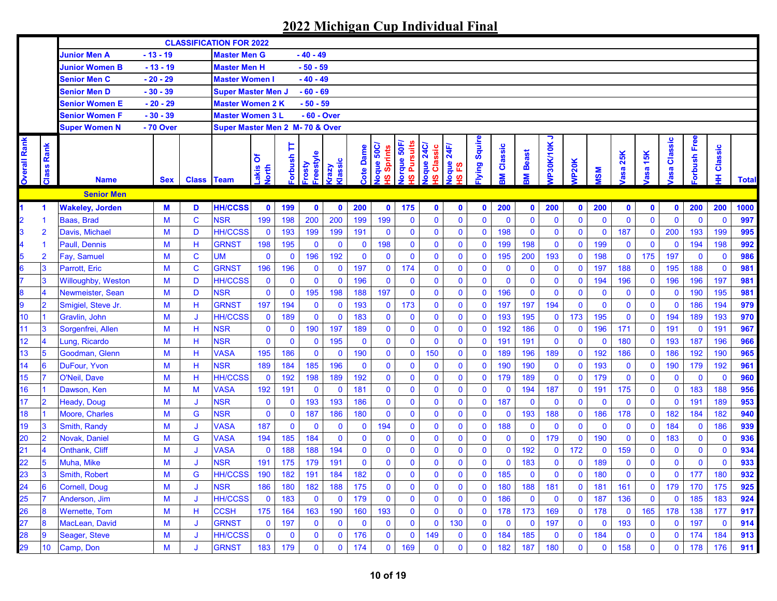| $-13 - 19$<br>$-40 - 49$<br><b>Junior Men A</b><br><b>Master Men G</b><br>$-13 - 19$<br><b>Master Men H</b><br>$-50 - 59$<br><b>Junior Women B</b><br>$-40 - 49$<br><b>Senior Men C</b><br>$-20 - 29$<br><b>Master Women I</b><br><b>Senior Men D</b><br>$-30 - 39$<br>$-60 - 69$<br><b>Super Master Men J</b><br>$-50 - 59$<br>Senior Women E<br>$-20 - 29$<br><b>Master Women 2 K</b><br><b>Senior Women F</b><br>$-30 - 39$<br><b>Master Women 3 L</b><br>- 60 - Over<br><b>Super Women N</b><br>- 70 Over<br>Super Master Men 2 M- 70 & Over<br>っ<br>lying Squire<br>orbush Free<br>asa Classic<br><b>Overall Rank</b><br><b>Vorque 50F/</b><br>1S Pursuits<br>VP30K/10K<br>Rank<br>loque 24C<br>Þ<br>Classic<br><b>Jogue 50C/</b><br>Joque 24F/<br>1S FS<br><b>IH Classic</b><br><b>Cote Dame</b><br>Classic<br>IS Sprints<br><b>Beast</b><br>25K<br>15K<br>Freestyle<br>dsnq.lo.<br>δ<br>dassic<br><b>VP20K</b><br>Frosty<br>Class<br>Vzez<br>akis<br><b>Jorth</b><br>asa<br>asa<br><b>NSM</b><br>Ş<br><b>M</b> B<br>ဖ<br><b>Class Team</b><br><b>Name</b><br><b>Sex</b><br><b>Senior Men</b><br>200<br>200<br>200<br><b>Wakeley, Jorden</b><br>M<br><b>HH/CCSS</b><br>$\mathbf 0$<br>199<br>$\bullet$<br>175<br>200<br>200<br>200<br>D<br>$\mathbf 0$<br>$\mathbf 0$<br>$\mathbf 0$<br>$\mathbf 0$<br>$\mathbf 0$<br>$\mathbf{0}$<br>$\mathbf 0$<br>$\mathbf 0$<br>$\mathbf 0$<br>$\blacktriangleleft$<br>$\mathbf 0$<br>$\mathbf C$<br>199<br>200<br>200<br>199<br>199<br>$\bf{0}$<br>$\mathbf 0$<br>$\mathbf 0$<br>$\bf{0}$<br>0<br>$\mathbf 0$<br>$\mathbf{0}$<br>Baas, Brad<br>M<br><b>NSR</b><br>198<br>$\mathbf 0$<br>$\mathbf 0$<br>$\mathbf 0$<br>$\mathbf 0$<br>$\mathbf 0$<br>$\mathbf 0$<br>$\mathbf{0}$<br>-1<br><b>HH/CCSS</b><br>199<br>191<br>$\mathbf 0$<br>$\mathbf 0$<br>198<br>$\bf{0}$<br>187<br>200<br>193<br>$\overline{2}$<br>Davis, Michael<br>M<br>D<br>$\mathbf 0$<br>193<br>199<br>$\mathbf 0$<br>$\bf{0}$<br>$\mathbf 0$<br>$\mathbf 0$<br>$\mathbf 0$<br>199<br>$\mathbf 0$<br>$\mathbf 0$<br>198<br>$\pmb{0}$<br>198<br>$\pmb{0}$<br>198<br>$\bf{0}$<br>199<br>$\bf{0}$<br>199<br>198<br>M<br>Н<br><b>GRNST</b><br>195<br>$\mathbf 0$<br>$\bf{0}$<br>$\mathbf 0$<br>$\mathbf 0$<br>194<br><b>Paull, Dennis</b><br>$\mathbf 0$<br>$\mathbf 0$<br>$\mathbf 0$<br>$\mathbf{0}$<br>-1<br>192<br>$\mathbf 0$<br>$\mathbf 0$<br>193<br>197<br>$\overline{2}$<br>$\mathbf C$<br><b>UM</b><br>$\mathbf 0$<br>196<br>$\bf{0}$<br>$\bf{0}$<br>195<br>200<br>198<br>175<br>$\mathbf 0$<br>Fay, Samuel<br>M<br>$\mathbf 0$<br>$\mathbf 0$<br>$\mathbf 0$<br>$\bf{0}$<br>$\bf{0}$<br>$\mathbf 0$<br>5.<br>$\pmb{0}$<br>3<br>$\mathbf 0$<br>188<br>188<br>$\mathbf C$<br><b>GRNST</b><br>196<br>$\bf{0}$<br>197<br>174<br>$\mathbf 0$<br>$\mathbf 0$<br>$\mathbf 0$<br>$\bf{0}$<br>195<br>Parrott. Eric<br>M<br>196<br>$\mathbf 0$<br>$\mathbf{0}$<br>$\mathbf 0$<br>197<br>$\mathbf 0$<br>$\mathbf 0$<br>3<br><b>HH/CCSS</b><br>$\mathbf 0$<br>196<br>$\mathbf 0$<br>$\bf{0}$<br>$\mathbf 0$<br>196<br>196<br>196<br>197<br>Willoughby, Weston<br>D<br>$\mathbf 0$<br>$\mathbf 0$<br>$\mathbf 0$<br>$\mathbf 0$<br>$\mathbf 0$<br>$\mathbf{0}$<br>$\mathbf 0$<br>$\bf{0}$<br>194<br>$\mathbf 0$<br>M<br>0<br>$\pmb{0}$<br>$\mathbf 0$<br>197<br>196<br><b>NSR</b><br>195<br>198<br>188<br>$\mathbf 0$<br>$\mathbf{0}$<br>$\mathbf 0$<br>$\bf{0}$<br>0<br>$\mathbf 0$<br>190<br>195<br>Newmeister, Sean<br>D<br>$\mathbf 0$<br>$\mathbf 0$<br>$\bf{0}$<br>$\mathbf 0$<br>$\overline{\mathbf{A}}$<br>M<br>$\mathbf 0$<br>3<br><b>GRNST</b><br>173<br>$\mathbf 0$<br>197<br>194<br>$\bf{0}$<br>186<br>$\overline{2}$<br>Smigiel, Steve Jr.<br>197<br>194<br>193<br>197<br>0<br>$\mathbf 0$<br>194<br>9<br>M<br>Н<br>$\mathbf 0$<br>$\mathbf 0$<br>$\mathbf 0$<br>0<br>$\bf{0}$<br>$\mathbf 0$<br>$\mathbf 0$<br>10<br>$\pmb{0}$<br>173<br><b>HH/CCSS</b><br>$\mathbf{0}$<br>183<br>$\bf{0}$<br>$\mathbf 0$<br>193<br>195<br>195<br>$\mathbf 0$<br>$\mathbf 0$<br>194<br>193<br>Gravlin. John<br>M<br>$\bf{0}$<br>189<br>$\mathbf 0$<br>$\mathbf 0$<br>$\bf{0}$<br>$\mathbf 0$<br>189<br>1<br>IJ<br>$\overline{11}$<br>$\mathbf 0$<br>190<br>$\mathbf 0$<br>$\bf{0}$<br>$\mathbf 0$<br>$\mathbf 0$<br>191<br>191<br>3<br>Sorgenfrei, Allen<br>M<br>H<br><b>NSR</b><br>$\mathbf 0$<br>197<br>189<br>$\mathbf 0$<br>$\mathbf 0$<br>192<br>186<br>$\mathbf 0$<br>$\bf{0}$<br>196<br>171<br>$\mathbf 0$<br>$\overline{12}$<br>$\mathbf 0$<br><b>NSR</b><br>$\mathbf 0$<br>195<br>$\bf{0}$<br>$\mathbf 0$<br>$\mathbf 0$<br>$\bf{0}$<br>180<br>$\mathbf 0$<br>M<br>H<br>$\mathbf 0$<br>$\mathbf 0$<br>$\mathbf 0$<br>191<br>191<br>$\mathbf 0$<br>193<br>187<br>196<br>$\boldsymbol{\Delta}$<br>Lung, Ricardo<br>$\mathbf 0$<br>$\mathbf 0$<br>13<br>$\overline{5}$<br>190<br>$\mathbf 0$<br>$\bf{0}$<br>$\mathbf 0$<br>$\bf{0}$<br>Goodman, Glenn<br>M<br><b>VASA</b><br>195<br>186<br>150<br>$\bf{0}$<br>189<br>196<br>189<br>192<br>186<br>$\mathbf 0$<br>186<br>192<br>190<br>H<br>$\mathbf 0$<br>$\bf{0}$<br>14<br>6<br>185<br>196<br>$\bf{0}$<br>$\bf{0}$<br>$\bf{0}$<br>$\bf{0}$<br>$\mathbf 0$<br>192<br>DuFour, Yvon<br>M<br><b>NSR</b><br>189<br>184<br>$\mathbf 0$<br>$\bf{0}$<br>190<br>190<br>$\mathbf 0$<br>193<br>$\mathbf 0$<br>190<br>179<br>Н<br>$\mathbf 0$<br>15<br>$\mathbf 0$<br>$\mathbf{0}$<br>$\pmb{0}$<br>$\pmb{0}$<br>$\mathbf 0$<br>7<br>192<br>179<br>189<br>$\mathbf 0$<br>$\mathbf 0$<br>$\mathbf 0$<br>O'Neil, Dave<br>M<br>H<br><b>HH/CCSS</b><br>$\bf{0}$<br>192<br>198<br>189<br>$\mathbf 0$<br>$\mathbf 0$<br>179<br>$\mathbf 0$<br>$\overline{\mathbf{0}}$<br>16<br>181<br>$\mathbf 0$<br>$\mathbf 0$<br>$\mathbf 0$<br>187<br>175<br>183<br>188<br>Dawson, Ken<br>M<br><b>VASA</b><br>192<br>191<br>$\mathbf 0$<br>$\mathbf 0$<br>$\bf{0}$<br>194<br>$\bf{0}$<br>191<br>$\mathbf 0$<br>$\mathbf 0$<br>M<br>$\mathbf 0$<br>$\bf{0}$<br>17<br>$\pmb{0}$<br>$\mathbf 0$<br><b>NSR</b><br>193<br>193<br>186<br>$\mathbf 0$<br>$\bf{0}$<br>187<br>$\mathbf{0}$<br>$\mathbf 0$<br>191<br>189<br>$\overline{2}$<br>M<br>$\mathbf 0$<br>$\mathbf 0$<br>$\mathbf 0$<br>$\mathbf 0$<br>$\mathbf 0$<br>Heady, Doug<br>$\mathbf 0$<br>$\mathbf 0$<br>$\mathbf 0$<br>J<br>$\mathbf{0}$<br>193<br>188<br>18<br>$\bf{0}$<br>187<br>180<br>$\mathbf 0$<br>$\mathbf 0$<br>186<br>178<br>$\mathbf 0$<br>182<br>182<br>Moore, Charles<br>M<br>G<br><b>NSR</b><br>$\mathbf 0$<br>186<br>$\mathbf 0$<br>$\bf{0}$<br>$\bf{0}$<br>184<br>$\mathbf 0$<br>19<br>$\mathbf 0$<br>$\mathbf 0$<br>184<br>194<br>$\mathbf 0$<br>$\bf{0}$<br>188<br>$\mathbf 0$<br>186<br>3<br>Smith, Randy<br>M<br><b>VASA</b><br>187<br>$\mathbf{0}$<br>$\mathbf{0}$<br>$\bf{0}$<br>$\mathbf 0$<br>$\bf{0}$<br>$\mathbf 0$<br>$\mathbf 0$<br>$\mathbf 0$<br>$\bf{0}$<br>0<br>J<br>20<br>184<br>$\mathbf 0$<br>$\mathbf 0$<br>179<br>$\mathbf 0$<br>190<br>183<br>$\overline{2}$<br>Novak, Daniel<br>M<br>G<br><b>VASA</b><br>194<br>185<br>$\mathbf 0$<br>$\mathbf 0$<br>$\mathbf 0$<br>$\mathbf 0$<br>$\bf{0}$<br>$\mathbf 0$<br>$\mathbf 0$<br>$\mathbf 0$<br>$\mathbf 0$<br>$\mathbf 0$<br>$\mathbf 0$<br>188<br>194<br>$\bf{0}$<br>$\mathbf 0$<br>$\bf{0}$<br>$\bf{0}$<br>192<br>172<br>159<br>$\mathbf 0$<br>$\mathbf 0$<br>Onthank, Cliff<br>M<br><b>VASA</b><br>$\bf{0}$<br>188<br>$\bf{0}$<br>0<br>$\mathbf 0$<br>$\mathbf 0$<br>21<br>$\mathbf 0$<br>$\mathbf 0$<br>$\mathbf 0$<br>J<br>191<br>$\bf{0}$<br>$\overline{22}$<br>5<br>Muha, Mike<br><b>NSR</b><br>191<br>179<br>$\bf{0}$<br>0<br>$\bf{0}$<br>$\bf{0}$<br>183<br>189<br>$\mathbf 0$<br>$\bf{0}$<br>$\mathbf 0$<br>M<br>175<br>0<br>0<br>$\mathbf 0$<br>$\mathbf 0$<br>0<br>$\mathbf 0$<br>J<br>$\mathbf 0$<br>$\mathbf{0}$<br>$\mathbf{0}$<br>$\mathbf 0$<br>$\overline{0}$<br>$\mathbf{0}$<br>190<br>191<br>184<br>182<br>$\mathbf{0}$<br>185<br>$\mathbf{0}$<br>180<br>180<br>23<br>$\mathbf{3}$<br>M<br>G<br><b>HH/CCSS</b><br>182<br>$\mathbf{0}$<br>$\mathbf{0}$<br>$\mathbf{0}$<br>177<br>Smith, Robert<br>24<br>M<br><b>NSR</b><br>186<br>180<br>182<br>188<br>175<br>0<br>$\bf{0}$<br>$\bf{0}$<br>180<br>188<br>181<br>$\mathbf 0$<br>161<br>$\mathbf 0$<br>179<br>170<br>175<br>6<br>Cornell, Doug<br>0<br>0<br>181<br>J<br>25<br><b>HH/CCSS</b><br>186<br>185<br>Anderson, Jim<br>183<br>$\mathbf 0$<br>179<br>$\mathbf 0$<br>$\bf{0}$<br>$\mathbf 0$<br>$\mathbf 0$<br>$\mathbf 0$<br>$\mathbf 0$<br>136<br>$\mathbf 0$<br>$\mathbf 0$<br>183<br>М<br>$\mathbf 0$<br>$\mathbf 0$<br>0<br>$\bf{0}$<br>187<br>J<br>26<br><b>Wernette, Tom</b><br><b>CCSH</b><br>193<br>165<br>178<br>138<br>$\bf{8}$<br>M<br>н<br>175<br>164<br>163<br>190<br>160<br>$\bf{0}$<br>$\mathbf 0$<br>$\mathbf 0$<br>178<br>173<br>169<br>$\mathbf 0$<br>178<br>$\bf{0}$<br>177<br>$\bf{0}$<br>27<br>$\pmb{0}$<br>$\mathbf 0$<br>MacLean, David<br><b>GRNST</b><br>$\mathbf 0$<br>197<br>$\bf{0}$<br>$\mathbf 0$<br>130<br>$\bf{0}$<br>$\mathbf 0$<br>$\mathbf 0$<br>197<br>193<br>$\mathbf 0$<br>$\mathbf 0$<br>197<br>8<br>M<br>$\mathbf 0$<br>$\mathbf 0$<br>$\mathbf 0$<br>$\mathbf 0$<br>$\mathbf 0$<br>J<br>28<br><b>HH/CCSS</b><br>$\mathbf 0$<br>9<br>Seager, Steve<br>M<br>$\mathbf 0$<br>176<br>$\mathbf 0$<br>$\mathbf 0$<br>184<br>185<br>$\mathbf 0$<br>184<br>$\mathbf 0$<br>174<br>184<br>$\mathbf 0$<br>$\mathbf 0$<br>149<br>$\mathbf 0$<br>0<br>$\mathbf 0$<br>$\mathbf 0$<br>J<br>$\bf{0}$ |  |  | <b>CLASSIFICATION FOR 2022</b> |  |  |  |  |  |  |  |  |  |  |              |
|-------------------------------------------------------------------------------------------------------------------------------------------------------------------------------------------------------------------------------------------------------------------------------------------------------------------------------------------------------------------------------------------------------------------------------------------------------------------------------------------------------------------------------------------------------------------------------------------------------------------------------------------------------------------------------------------------------------------------------------------------------------------------------------------------------------------------------------------------------------------------------------------------------------------------------------------------------------------------------------------------------------------------------------------------------------------------------------------------------------------------------------------------------------------------------------------------------------------------------------------------------------------------------------------------------------------------------------------------------------------------------------------------------------------------------------------------------------------------------------------------------------------------------------------------------------------------------------------------------------------------------------------------------------------------------------------------------------------------------------------------------------------------------------------------------------------------------------------------------------------------------------------------------------------------------------------------------------------------------------------------------------------------------------------------------------------------------------------------------------------------------------------------------------------------------------------------------------------------------------------------------------------------------------------------------------------------------------------------------------------------------------------------------------------------------------------------------------------------------------------------------------------------------------------------------------------------------------------------------------------------------------------------------------------------------------------------------------------------------------------------------------------------------------------------------------------------------------------------------------------------------------------------------------------------------------------------------------------------------------------------------------------------------------------------------------------------------------------------------------------------------------------------------------------------------------------------------------------------------------------------------------------------------------------------------------------------------------------------------------------------------------------------------------------------------------------------------------------------------------------------------------------------------------------------------------------------------------------------------------------------------------------------------------------------------------------------------------------------------------------------------------------------------------------------------------------------------------------------------------------------------------------------------------------------------------------------------------------------------------------------------------------------------------------------------------------------------------------------------------------------------------------------------------------------------------------------------------------------------------------------------------------------------------------------------------------------------------------------------------------------------------------------------------------------------------------------------------------------------------------------------------------------------------------------------------------------------------------------------------------------------------------------------------------------------------------------------------------------------------------------------------------------------------------------------------------------------------------------------------------------------------------------------------------------------------------------------------------------------------------------------------------------------------------------------------------------------------------------------------------------------------------------------------------------------------------------------------------------------------------------------------------------------------------------------------------------------------------------------------------------------------------------------------------------------------------------------------------------------------------------------------------------------------------------------------------------------------------------------------------------------------------------------------------------------------------------------------------------------------------------------------------------------------------------------------------------------------------------------------------------------------------------------------------------------------------------------------------------------------------------------------------------------------------------------------------------------------------------------------------------------------------------------------------------------------------------------------------------------------------------------------------------------------------------------------------------------------------------------------------------------------------------------------------------------------------------------------------------------------------------------------------------------------------------------------------------------------------------------------------------------------------------------------------------------------------------------------------------------------------------------------------------------------------------------------------------------------------------------------------------------------------------------------------------------------------------------------------------------------------------------------------------------------------------------------------------------------------------------------------------------------------------------------------------------------------------------------------------------------------------------------------------------------------------------------------------------------------------------------------------------------------------------------------------------------------------------------------------------------------------------------------------------------------------------------------------------------------------------------------------------------------------------------------------------------------------------------------------------------------------------------------------------------------------------------------------------------------------------------------------------------------------------------------------------------------------------------------------------------------------------------------------------------------------------------------------------------------------------------------------------------------------------------------------------------------------------------------------------------------------------------------------------------------------------------------------------------------------------------------------------------------------------------------------------------------------------------------------------------------------------------------------------------------------------------------------------------------------------------------------------------------------------------------------------------------------------------------------------------------------------------------------------------------------------------------------------------------------------------------------------------------------------------------------------------------------------------------------------------------------------------------------------------------------------------------------------------------------------------------------------------------------------------------------------------------------------------------------------------------------------------------------------------------------------------------------------------------------------------------------------|--|--|--------------------------------|--|--|--|--|--|--|--|--|--|--|--------------|
|                                                                                                                                                                                                                                                                                                                                                                                                                                                                                                                                                                                                                                                                                                                                                                                                                                                                                                                                                                                                                                                                                                                                                                                                                                                                                                                                                                                                                                                                                                                                                                                                                                                                                                                                                                                                                                                                                                                                                                                                                                                                                                                                                                                                                                                                                                                                                                                                                                                                                                                                                                                                                                                                                                                                                                                                                                                                                                                                                                                                                                                                                                                                                                                                                                                                                                                                                                                                                                                                                                                                                                                                                                                                                                                                                                                                                                                                                                                                                                                                                                                                                                                                                                                                                                                                                                                                                                                                                                                                                                                                                                                                                                                                                                                                                                                                                                                                                                                                                                                                                                                                                                                                                                                                                                                                                                                                                                                                                                                                                                                                                                                                                                                                                                                                                                                                                                                                                                                                                                                                                                                                                                                                                                                                                                                                                                                                                                                                                                                                                                                                                                                                                                                                                                                                                                                                                                                                                                                                                                                                                                                                                                                                                                                                                                                                                                                                                                                                                                                                                                                                                                                                                                                                                                                                                                                                                                                                                                                                                                                                                                                                                                                                                                                                                                                                                                                                                                                                                                                                                                                                                                                                                                                                                                                                                                                                                                                                                                                                                                                                                                                                                                                                                                                                                                                                                                                                                                               |  |  |                                |  |  |  |  |  |  |  |  |  |  |              |
|                                                                                                                                                                                                                                                                                                                                                                                                                                                                                                                                                                                                                                                                                                                                                                                                                                                                                                                                                                                                                                                                                                                                                                                                                                                                                                                                                                                                                                                                                                                                                                                                                                                                                                                                                                                                                                                                                                                                                                                                                                                                                                                                                                                                                                                                                                                                                                                                                                                                                                                                                                                                                                                                                                                                                                                                                                                                                                                                                                                                                                                                                                                                                                                                                                                                                                                                                                                                                                                                                                                                                                                                                                                                                                                                                                                                                                                                                                                                                                                                                                                                                                                                                                                                                                                                                                                                                                                                                                                                                                                                                                                                                                                                                                                                                                                                                                                                                                                                                                                                                                                                                                                                                                                                                                                                                                                                                                                                                                                                                                                                                                                                                                                                                                                                                                                                                                                                                                                                                                                                                                                                                                                                                                                                                                                                                                                                                                                                                                                                                                                                                                                                                                                                                                                                                                                                                                                                                                                                                                                                                                                                                                                                                                                                                                                                                                                                                                                                                                                                                                                                                                                                                                                                                                                                                                                                                                                                                                                                                                                                                                                                                                                                                                                                                                                                                                                                                                                                                                                                                                                                                                                                                                                                                                                                                                                                                                                                                                                                                                                                                                                                                                                                                                                                                                                                                                                                                                               |  |  |                                |  |  |  |  |  |  |  |  |  |  |              |
|                                                                                                                                                                                                                                                                                                                                                                                                                                                                                                                                                                                                                                                                                                                                                                                                                                                                                                                                                                                                                                                                                                                                                                                                                                                                                                                                                                                                                                                                                                                                                                                                                                                                                                                                                                                                                                                                                                                                                                                                                                                                                                                                                                                                                                                                                                                                                                                                                                                                                                                                                                                                                                                                                                                                                                                                                                                                                                                                                                                                                                                                                                                                                                                                                                                                                                                                                                                                                                                                                                                                                                                                                                                                                                                                                                                                                                                                                                                                                                                                                                                                                                                                                                                                                                                                                                                                                                                                                                                                                                                                                                                                                                                                                                                                                                                                                                                                                                                                                                                                                                                                                                                                                                                                                                                                                                                                                                                                                                                                                                                                                                                                                                                                                                                                                                                                                                                                                                                                                                                                                                                                                                                                                                                                                                                                                                                                                                                                                                                                                                                                                                                                                                                                                                                                                                                                                                                                                                                                                                                                                                                                                                                                                                                                                                                                                                                                                                                                                                                                                                                                                                                                                                                                                                                                                                                                                                                                                                                                                                                                                                                                                                                                                                                                                                                                                                                                                                                                                                                                                                                                                                                                                                                                                                                                                                                                                                                                                                                                                                                                                                                                                                                                                                                                                                                                                                                                                                               |  |  |                                |  |  |  |  |  |  |  |  |  |  |              |
|                                                                                                                                                                                                                                                                                                                                                                                                                                                                                                                                                                                                                                                                                                                                                                                                                                                                                                                                                                                                                                                                                                                                                                                                                                                                                                                                                                                                                                                                                                                                                                                                                                                                                                                                                                                                                                                                                                                                                                                                                                                                                                                                                                                                                                                                                                                                                                                                                                                                                                                                                                                                                                                                                                                                                                                                                                                                                                                                                                                                                                                                                                                                                                                                                                                                                                                                                                                                                                                                                                                                                                                                                                                                                                                                                                                                                                                                                                                                                                                                                                                                                                                                                                                                                                                                                                                                                                                                                                                                                                                                                                                                                                                                                                                                                                                                                                                                                                                                                                                                                                                                                                                                                                                                                                                                                                                                                                                                                                                                                                                                                                                                                                                                                                                                                                                                                                                                                                                                                                                                                                                                                                                                                                                                                                                                                                                                                                                                                                                                                                                                                                                                                                                                                                                                                                                                                                                                                                                                                                                                                                                                                                                                                                                                                                                                                                                                                                                                                                                                                                                                                                                                                                                                                                                                                                                                                                                                                                                                                                                                                                                                                                                                                                                                                                                                                                                                                                                                                                                                                                                                                                                                                                                                                                                                                                                                                                                                                                                                                                                                                                                                                                                                                                                                                                                                                                                                                                               |  |  |                                |  |  |  |  |  |  |  |  |  |  |              |
|                                                                                                                                                                                                                                                                                                                                                                                                                                                                                                                                                                                                                                                                                                                                                                                                                                                                                                                                                                                                                                                                                                                                                                                                                                                                                                                                                                                                                                                                                                                                                                                                                                                                                                                                                                                                                                                                                                                                                                                                                                                                                                                                                                                                                                                                                                                                                                                                                                                                                                                                                                                                                                                                                                                                                                                                                                                                                                                                                                                                                                                                                                                                                                                                                                                                                                                                                                                                                                                                                                                                                                                                                                                                                                                                                                                                                                                                                                                                                                                                                                                                                                                                                                                                                                                                                                                                                                                                                                                                                                                                                                                                                                                                                                                                                                                                                                                                                                                                                                                                                                                                                                                                                                                                                                                                                                                                                                                                                                                                                                                                                                                                                                                                                                                                                                                                                                                                                                                                                                                                                                                                                                                                                                                                                                                                                                                                                                                                                                                                                                                                                                                                                                                                                                                                                                                                                                                                                                                                                                                                                                                                                                                                                                                                                                                                                                                                                                                                                                                                                                                                                                                                                                                                                                                                                                                                                                                                                                                                                                                                                                                                                                                                                                                                                                                                                                                                                                                                                                                                                                                                                                                                                                                                                                                                                                                                                                                                                                                                                                                                                                                                                                                                                                                                                                                                                                                                                                               |  |  |                                |  |  |  |  |  |  |  |  |  |  |              |
|                                                                                                                                                                                                                                                                                                                                                                                                                                                                                                                                                                                                                                                                                                                                                                                                                                                                                                                                                                                                                                                                                                                                                                                                                                                                                                                                                                                                                                                                                                                                                                                                                                                                                                                                                                                                                                                                                                                                                                                                                                                                                                                                                                                                                                                                                                                                                                                                                                                                                                                                                                                                                                                                                                                                                                                                                                                                                                                                                                                                                                                                                                                                                                                                                                                                                                                                                                                                                                                                                                                                                                                                                                                                                                                                                                                                                                                                                                                                                                                                                                                                                                                                                                                                                                                                                                                                                                                                                                                                                                                                                                                                                                                                                                                                                                                                                                                                                                                                                                                                                                                                                                                                                                                                                                                                                                                                                                                                                                                                                                                                                                                                                                                                                                                                                                                                                                                                                                                                                                                                                                                                                                                                                                                                                                                                                                                                                                                                                                                                                                                                                                                                                                                                                                                                                                                                                                                                                                                                                                                                                                                                                                                                                                                                                                                                                                                                                                                                                                                                                                                                                                                                                                                                                                                                                                                                                                                                                                                                                                                                                                                                                                                                                                                                                                                                                                                                                                                                                                                                                                                                                                                                                                                                                                                                                                                                                                                                                                                                                                                                                                                                                                                                                                                                                                                                                                                                                                               |  |  |                                |  |  |  |  |  |  |  |  |  |  |              |
|                                                                                                                                                                                                                                                                                                                                                                                                                                                                                                                                                                                                                                                                                                                                                                                                                                                                                                                                                                                                                                                                                                                                                                                                                                                                                                                                                                                                                                                                                                                                                                                                                                                                                                                                                                                                                                                                                                                                                                                                                                                                                                                                                                                                                                                                                                                                                                                                                                                                                                                                                                                                                                                                                                                                                                                                                                                                                                                                                                                                                                                                                                                                                                                                                                                                                                                                                                                                                                                                                                                                                                                                                                                                                                                                                                                                                                                                                                                                                                                                                                                                                                                                                                                                                                                                                                                                                                                                                                                                                                                                                                                                                                                                                                                                                                                                                                                                                                                                                                                                                                                                                                                                                                                                                                                                                                                                                                                                                                                                                                                                                                                                                                                                                                                                                                                                                                                                                                                                                                                                                                                                                                                                                                                                                                                                                                                                                                                                                                                                                                                                                                                                                                                                                                                                                                                                                                                                                                                                                                                                                                                                                                                                                                                                                                                                                                                                                                                                                                                                                                                                                                                                                                                                                                                                                                                                                                                                                                                                                                                                                                                                                                                                                                                                                                                                                                                                                                                                                                                                                                                                                                                                                                                                                                                                                                                                                                                                                                                                                                                                                                                                                                                                                                                                                                                                                                                                                                               |  |  |                                |  |  |  |  |  |  |  |  |  |  |              |
|                                                                                                                                                                                                                                                                                                                                                                                                                                                                                                                                                                                                                                                                                                                                                                                                                                                                                                                                                                                                                                                                                                                                                                                                                                                                                                                                                                                                                                                                                                                                                                                                                                                                                                                                                                                                                                                                                                                                                                                                                                                                                                                                                                                                                                                                                                                                                                                                                                                                                                                                                                                                                                                                                                                                                                                                                                                                                                                                                                                                                                                                                                                                                                                                                                                                                                                                                                                                                                                                                                                                                                                                                                                                                                                                                                                                                                                                                                                                                                                                                                                                                                                                                                                                                                                                                                                                                                                                                                                                                                                                                                                                                                                                                                                                                                                                                                                                                                                                                                                                                                                                                                                                                                                                                                                                                                                                                                                                                                                                                                                                                                                                                                                                                                                                                                                                                                                                                                                                                                                                                                                                                                                                                                                                                                                                                                                                                                                                                                                                                                                                                                                                                                                                                                                                                                                                                                                                                                                                                                                                                                                                                                                                                                                                                                                                                                                                                                                                                                                                                                                                                                                                                                                                                                                                                                                                                                                                                                                                                                                                                                                                                                                                                                                                                                                                                                                                                                                                                                                                                                                                                                                                                                                                                                                                                                                                                                                                                                                                                                                                                                                                                                                                                                                                                                                                                                                                                                               |  |  |                                |  |  |  |  |  |  |  |  |  |  | <b>Total</b> |
|                                                                                                                                                                                                                                                                                                                                                                                                                                                                                                                                                                                                                                                                                                                                                                                                                                                                                                                                                                                                                                                                                                                                                                                                                                                                                                                                                                                                                                                                                                                                                                                                                                                                                                                                                                                                                                                                                                                                                                                                                                                                                                                                                                                                                                                                                                                                                                                                                                                                                                                                                                                                                                                                                                                                                                                                                                                                                                                                                                                                                                                                                                                                                                                                                                                                                                                                                                                                                                                                                                                                                                                                                                                                                                                                                                                                                                                                                                                                                                                                                                                                                                                                                                                                                                                                                                                                                                                                                                                                                                                                                                                                                                                                                                                                                                                                                                                                                                                                                                                                                                                                                                                                                                                                                                                                                                                                                                                                                                                                                                                                                                                                                                                                                                                                                                                                                                                                                                                                                                                                                                                                                                                                                                                                                                                                                                                                                                                                                                                                                                                                                                                                                                                                                                                                                                                                                                                                                                                                                                                                                                                                                                                                                                                                                                                                                                                                                                                                                                                                                                                                                                                                                                                                                                                                                                                                                                                                                                                                                                                                                                                                                                                                                                                                                                                                                                                                                                                                                                                                                                                                                                                                                                                                                                                                                                                                                                                                                                                                                                                                                                                                                                                                                                                                                                                                                                                                                                               |  |  |                                |  |  |  |  |  |  |  |  |  |  |              |
|                                                                                                                                                                                                                                                                                                                                                                                                                                                                                                                                                                                                                                                                                                                                                                                                                                                                                                                                                                                                                                                                                                                                                                                                                                                                                                                                                                                                                                                                                                                                                                                                                                                                                                                                                                                                                                                                                                                                                                                                                                                                                                                                                                                                                                                                                                                                                                                                                                                                                                                                                                                                                                                                                                                                                                                                                                                                                                                                                                                                                                                                                                                                                                                                                                                                                                                                                                                                                                                                                                                                                                                                                                                                                                                                                                                                                                                                                                                                                                                                                                                                                                                                                                                                                                                                                                                                                                                                                                                                                                                                                                                                                                                                                                                                                                                                                                                                                                                                                                                                                                                                                                                                                                                                                                                                                                                                                                                                                                                                                                                                                                                                                                                                                                                                                                                                                                                                                                                                                                                                                                                                                                                                                                                                                                                                                                                                                                                                                                                                                                                                                                                                                                                                                                                                                                                                                                                                                                                                                                                                                                                                                                                                                                                                                                                                                                                                                                                                                                                                                                                                                                                                                                                                                                                                                                                                                                                                                                                                                                                                                                                                                                                                                                                                                                                                                                                                                                                                                                                                                                                                                                                                                                                                                                                                                                                                                                                                                                                                                                                                                                                                                                                                                                                                                                                                                                                                                                               |  |  |                                |  |  |  |  |  |  |  |  |  |  | 1000         |
|                                                                                                                                                                                                                                                                                                                                                                                                                                                                                                                                                                                                                                                                                                                                                                                                                                                                                                                                                                                                                                                                                                                                                                                                                                                                                                                                                                                                                                                                                                                                                                                                                                                                                                                                                                                                                                                                                                                                                                                                                                                                                                                                                                                                                                                                                                                                                                                                                                                                                                                                                                                                                                                                                                                                                                                                                                                                                                                                                                                                                                                                                                                                                                                                                                                                                                                                                                                                                                                                                                                                                                                                                                                                                                                                                                                                                                                                                                                                                                                                                                                                                                                                                                                                                                                                                                                                                                                                                                                                                                                                                                                                                                                                                                                                                                                                                                                                                                                                                                                                                                                                                                                                                                                                                                                                                                                                                                                                                                                                                                                                                                                                                                                                                                                                                                                                                                                                                                                                                                                                                                                                                                                                                                                                                                                                                                                                                                                                                                                                                                                                                                                                                                                                                                                                                                                                                                                                                                                                                                                                                                                                                                                                                                                                                                                                                                                                                                                                                                                                                                                                                                                                                                                                                                                                                                                                                                                                                                                                                                                                                                                                                                                                                                                                                                                                                                                                                                                                                                                                                                                                                                                                                                                                                                                                                                                                                                                                                                                                                                                                                                                                                                                                                                                                                                                                                                                                                                               |  |  |                                |  |  |  |  |  |  |  |  |  |  | 997          |
|                                                                                                                                                                                                                                                                                                                                                                                                                                                                                                                                                                                                                                                                                                                                                                                                                                                                                                                                                                                                                                                                                                                                                                                                                                                                                                                                                                                                                                                                                                                                                                                                                                                                                                                                                                                                                                                                                                                                                                                                                                                                                                                                                                                                                                                                                                                                                                                                                                                                                                                                                                                                                                                                                                                                                                                                                                                                                                                                                                                                                                                                                                                                                                                                                                                                                                                                                                                                                                                                                                                                                                                                                                                                                                                                                                                                                                                                                                                                                                                                                                                                                                                                                                                                                                                                                                                                                                                                                                                                                                                                                                                                                                                                                                                                                                                                                                                                                                                                                                                                                                                                                                                                                                                                                                                                                                                                                                                                                                                                                                                                                                                                                                                                                                                                                                                                                                                                                                                                                                                                                                                                                                                                                                                                                                                                                                                                                                                                                                                                                                                                                                                                                                                                                                                                                                                                                                                                                                                                                                                                                                                                                                                                                                                                                                                                                                                                                                                                                                                                                                                                                                                                                                                                                                                                                                                                                                                                                                                                                                                                                                                                                                                                                                                                                                                                                                                                                                                                                                                                                                                                                                                                                                                                                                                                                                                                                                                                                                                                                                                                                                                                                                                                                                                                                                                                                                                                                                               |  |  |                                |  |  |  |  |  |  |  |  |  |  | 995          |
|                                                                                                                                                                                                                                                                                                                                                                                                                                                                                                                                                                                                                                                                                                                                                                                                                                                                                                                                                                                                                                                                                                                                                                                                                                                                                                                                                                                                                                                                                                                                                                                                                                                                                                                                                                                                                                                                                                                                                                                                                                                                                                                                                                                                                                                                                                                                                                                                                                                                                                                                                                                                                                                                                                                                                                                                                                                                                                                                                                                                                                                                                                                                                                                                                                                                                                                                                                                                                                                                                                                                                                                                                                                                                                                                                                                                                                                                                                                                                                                                                                                                                                                                                                                                                                                                                                                                                                                                                                                                                                                                                                                                                                                                                                                                                                                                                                                                                                                                                                                                                                                                                                                                                                                                                                                                                                                                                                                                                                                                                                                                                                                                                                                                                                                                                                                                                                                                                                                                                                                                                                                                                                                                                                                                                                                                                                                                                                                                                                                                                                                                                                                                                                                                                                                                                                                                                                                                                                                                                                                                                                                                                                                                                                                                                                                                                                                                                                                                                                                                                                                                                                                                                                                                                                                                                                                                                                                                                                                                                                                                                                                                                                                                                                                                                                                                                                                                                                                                                                                                                                                                                                                                                                                                                                                                                                                                                                                                                                                                                                                                                                                                                                                                                                                                                                                                                                                                                                               |  |  |                                |  |  |  |  |  |  |  |  |  |  | 992          |
|                                                                                                                                                                                                                                                                                                                                                                                                                                                                                                                                                                                                                                                                                                                                                                                                                                                                                                                                                                                                                                                                                                                                                                                                                                                                                                                                                                                                                                                                                                                                                                                                                                                                                                                                                                                                                                                                                                                                                                                                                                                                                                                                                                                                                                                                                                                                                                                                                                                                                                                                                                                                                                                                                                                                                                                                                                                                                                                                                                                                                                                                                                                                                                                                                                                                                                                                                                                                                                                                                                                                                                                                                                                                                                                                                                                                                                                                                                                                                                                                                                                                                                                                                                                                                                                                                                                                                                                                                                                                                                                                                                                                                                                                                                                                                                                                                                                                                                                                                                                                                                                                                                                                                                                                                                                                                                                                                                                                                                                                                                                                                                                                                                                                                                                                                                                                                                                                                                                                                                                                                                                                                                                                                                                                                                                                                                                                                                                                                                                                                                                                                                                                                                                                                                                                                                                                                                                                                                                                                                                                                                                                                                                                                                                                                                                                                                                                                                                                                                                                                                                                                                                                                                                                                                                                                                                                                                                                                                                                                                                                                                                                                                                                                                                                                                                                                                                                                                                                                                                                                                                                                                                                                                                                                                                                                                                                                                                                                                                                                                                                                                                                                                                                                                                                                                                                                                                                                                               |  |  |                                |  |  |  |  |  |  |  |  |  |  | 986          |
|                                                                                                                                                                                                                                                                                                                                                                                                                                                                                                                                                                                                                                                                                                                                                                                                                                                                                                                                                                                                                                                                                                                                                                                                                                                                                                                                                                                                                                                                                                                                                                                                                                                                                                                                                                                                                                                                                                                                                                                                                                                                                                                                                                                                                                                                                                                                                                                                                                                                                                                                                                                                                                                                                                                                                                                                                                                                                                                                                                                                                                                                                                                                                                                                                                                                                                                                                                                                                                                                                                                                                                                                                                                                                                                                                                                                                                                                                                                                                                                                                                                                                                                                                                                                                                                                                                                                                                                                                                                                                                                                                                                                                                                                                                                                                                                                                                                                                                                                                                                                                                                                                                                                                                                                                                                                                                                                                                                                                                                                                                                                                                                                                                                                                                                                                                                                                                                                                                                                                                                                                                                                                                                                                                                                                                                                                                                                                                                                                                                                                                                                                                                                                                                                                                                                                                                                                                                                                                                                                                                                                                                                                                                                                                                                                                                                                                                                                                                                                                                                                                                                                                                                                                                                                                                                                                                                                                                                                                                                                                                                                                                                                                                                                                                                                                                                                                                                                                                                                                                                                                                                                                                                                                                                                                                                                                                                                                                                                                                                                                                                                                                                                                                                                                                                                                                                                                                                                                               |  |  |                                |  |  |  |  |  |  |  |  |  |  | 981          |
|                                                                                                                                                                                                                                                                                                                                                                                                                                                                                                                                                                                                                                                                                                                                                                                                                                                                                                                                                                                                                                                                                                                                                                                                                                                                                                                                                                                                                                                                                                                                                                                                                                                                                                                                                                                                                                                                                                                                                                                                                                                                                                                                                                                                                                                                                                                                                                                                                                                                                                                                                                                                                                                                                                                                                                                                                                                                                                                                                                                                                                                                                                                                                                                                                                                                                                                                                                                                                                                                                                                                                                                                                                                                                                                                                                                                                                                                                                                                                                                                                                                                                                                                                                                                                                                                                                                                                                                                                                                                                                                                                                                                                                                                                                                                                                                                                                                                                                                                                                                                                                                                                                                                                                                                                                                                                                                                                                                                                                                                                                                                                                                                                                                                                                                                                                                                                                                                                                                                                                                                                                                                                                                                                                                                                                                                                                                                                                                                                                                                                                                                                                                                                                                                                                                                                                                                                                                                                                                                                                                                                                                                                                                                                                                                                                                                                                                                                                                                                                                                                                                                                                                                                                                                                                                                                                                                                                                                                                                                                                                                                                                                                                                                                                                                                                                                                                                                                                                                                                                                                                                                                                                                                                                                                                                                                                                                                                                                                                                                                                                                                                                                                                                                                                                                                                                                                                                                                                               |  |  |                                |  |  |  |  |  |  |  |  |  |  | 981          |
|                                                                                                                                                                                                                                                                                                                                                                                                                                                                                                                                                                                                                                                                                                                                                                                                                                                                                                                                                                                                                                                                                                                                                                                                                                                                                                                                                                                                                                                                                                                                                                                                                                                                                                                                                                                                                                                                                                                                                                                                                                                                                                                                                                                                                                                                                                                                                                                                                                                                                                                                                                                                                                                                                                                                                                                                                                                                                                                                                                                                                                                                                                                                                                                                                                                                                                                                                                                                                                                                                                                                                                                                                                                                                                                                                                                                                                                                                                                                                                                                                                                                                                                                                                                                                                                                                                                                                                                                                                                                                                                                                                                                                                                                                                                                                                                                                                                                                                                                                                                                                                                                                                                                                                                                                                                                                                                                                                                                                                                                                                                                                                                                                                                                                                                                                                                                                                                                                                                                                                                                                                                                                                                                                                                                                                                                                                                                                                                                                                                                                                                                                                                                                                                                                                                                                                                                                                                                                                                                                                                                                                                                                                                                                                                                                                                                                                                                                                                                                                                                                                                                                                                                                                                                                                                                                                                                                                                                                                                                                                                                                                                                                                                                                                                                                                                                                                                                                                                                                                                                                                                                                                                                                                                                                                                                                                                                                                                                                                                                                                                                                                                                                                                                                                                                                                                                                                                                                                               |  |  |                                |  |  |  |  |  |  |  |  |  |  | 981          |
|                                                                                                                                                                                                                                                                                                                                                                                                                                                                                                                                                                                                                                                                                                                                                                                                                                                                                                                                                                                                                                                                                                                                                                                                                                                                                                                                                                                                                                                                                                                                                                                                                                                                                                                                                                                                                                                                                                                                                                                                                                                                                                                                                                                                                                                                                                                                                                                                                                                                                                                                                                                                                                                                                                                                                                                                                                                                                                                                                                                                                                                                                                                                                                                                                                                                                                                                                                                                                                                                                                                                                                                                                                                                                                                                                                                                                                                                                                                                                                                                                                                                                                                                                                                                                                                                                                                                                                                                                                                                                                                                                                                                                                                                                                                                                                                                                                                                                                                                                                                                                                                                                                                                                                                                                                                                                                                                                                                                                                                                                                                                                                                                                                                                                                                                                                                                                                                                                                                                                                                                                                                                                                                                                                                                                                                                                                                                                                                                                                                                                                                                                                                                                                                                                                                                                                                                                                                                                                                                                                                                                                                                                                                                                                                                                                                                                                                                                                                                                                                                                                                                                                                                                                                                                                                                                                                                                                                                                                                                                                                                                                                                                                                                                                                                                                                                                                                                                                                                                                                                                                                                                                                                                                                                                                                                                                                                                                                                                                                                                                                                                                                                                                                                                                                                                                                                                                                                                                               |  |  |                                |  |  |  |  |  |  |  |  |  |  | 979          |
|                                                                                                                                                                                                                                                                                                                                                                                                                                                                                                                                                                                                                                                                                                                                                                                                                                                                                                                                                                                                                                                                                                                                                                                                                                                                                                                                                                                                                                                                                                                                                                                                                                                                                                                                                                                                                                                                                                                                                                                                                                                                                                                                                                                                                                                                                                                                                                                                                                                                                                                                                                                                                                                                                                                                                                                                                                                                                                                                                                                                                                                                                                                                                                                                                                                                                                                                                                                                                                                                                                                                                                                                                                                                                                                                                                                                                                                                                                                                                                                                                                                                                                                                                                                                                                                                                                                                                                                                                                                                                                                                                                                                                                                                                                                                                                                                                                                                                                                                                                                                                                                                                                                                                                                                                                                                                                                                                                                                                                                                                                                                                                                                                                                                                                                                                                                                                                                                                                                                                                                                                                                                                                                                                                                                                                                                                                                                                                                                                                                                                                                                                                                                                                                                                                                                                                                                                                                                                                                                                                                                                                                                                                                                                                                                                                                                                                                                                                                                                                                                                                                                                                                                                                                                                                                                                                                                                                                                                                                                                                                                                                                                                                                                                                                                                                                                                                                                                                                                                                                                                                                                                                                                                                                                                                                                                                                                                                                                                                                                                                                                                                                                                                                                                                                                                                                                                                                                                                               |  |  |                                |  |  |  |  |  |  |  |  |  |  | 970          |
|                                                                                                                                                                                                                                                                                                                                                                                                                                                                                                                                                                                                                                                                                                                                                                                                                                                                                                                                                                                                                                                                                                                                                                                                                                                                                                                                                                                                                                                                                                                                                                                                                                                                                                                                                                                                                                                                                                                                                                                                                                                                                                                                                                                                                                                                                                                                                                                                                                                                                                                                                                                                                                                                                                                                                                                                                                                                                                                                                                                                                                                                                                                                                                                                                                                                                                                                                                                                                                                                                                                                                                                                                                                                                                                                                                                                                                                                                                                                                                                                                                                                                                                                                                                                                                                                                                                                                                                                                                                                                                                                                                                                                                                                                                                                                                                                                                                                                                                                                                                                                                                                                                                                                                                                                                                                                                                                                                                                                                                                                                                                                                                                                                                                                                                                                                                                                                                                                                                                                                                                                                                                                                                                                                                                                                                                                                                                                                                                                                                                                                                                                                                                                                                                                                                                                                                                                                                                                                                                                                                                                                                                                                                                                                                                                                                                                                                                                                                                                                                                                                                                                                                                                                                                                                                                                                                                                                                                                                                                                                                                                                                                                                                                                                                                                                                                                                                                                                                                                                                                                                                                                                                                                                                                                                                                                                                                                                                                                                                                                                                                                                                                                                                                                                                                                                                                                                                                                                               |  |  |                                |  |  |  |  |  |  |  |  |  |  | 967          |
|                                                                                                                                                                                                                                                                                                                                                                                                                                                                                                                                                                                                                                                                                                                                                                                                                                                                                                                                                                                                                                                                                                                                                                                                                                                                                                                                                                                                                                                                                                                                                                                                                                                                                                                                                                                                                                                                                                                                                                                                                                                                                                                                                                                                                                                                                                                                                                                                                                                                                                                                                                                                                                                                                                                                                                                                                                                                                                                                                                                                                                                                                                                                                                                                                                                                                                                                                                                                                                                                                                                                                                                                                                                                                                                                                                                                                                                                                                                                                                                                                                                                                                                                                                                                                                                                                                                                                                                                                                                                                                                                                                                                                                                                                                                                                                                                                                                                                                                                                                                                                                                                                                                                                                                                                                                                                                                                                                                                                                                                                                                                                                                                                                                                                                                                                                                                                                                                                                                                                                                                                                                                                                                                                                                                                                                                                                                                                                                                                                                                                                                                                                                                                                                                                                                                                                                                                                                                                                                                                                                                                                                                                                                                                                                                                                                                                                                                                                                                                                                                                                                                                                                                                                                                                                                                                                                                                                                                                                                                                                                                                                                                                                                                                                                                                                                                                                                                                                                                                                                                                                                                                                                                                                                                                                                                                                                                                                                                                                                                                                                                                                                                                                                                                                                                                                                                                                                                                                               |  |  |                                |  |  |  |  |  |  |  |  |  |  | 966          |
|                                                                                                                                                                                                                                                                                                                                                                                                                                                                                                                                                                                                                                                                                                                                                                                                                                                                                                                                                                                                                                                                                                                                                                                                                                                                                                                                                                                                                                                                                                                                                                                                                                                                                                                                                                                                                                                                                                                                                                                                                                                                                                                                                                                                                                                                                                                                                                                                                                                                                                                                                                                                                                                                                                                                                                                                                                                                                                                                                                                                                                                                                                                                                                                                                                                                                                                                                                                                                                                                                                                                                                                                                                                                                                                                                                                                                                                                                                                                                                                                                                                                                                                                                                                                                                                                                                                                                                                                                                                                                                                                                                                                                                                                                                                                                                                                                                                                                                                                                                                                                                                                                                                                                                                                                                                                                                                                                                                                                                                                                                                                                                                                                                                                                                                                                                                                                                                                                                                                                                                                                                                                                                                                                                                                                                                                                                                                                                                                                                                                                                                                                                                                                                                                                                                                                                                                                                                                                                                                                                                                                                                                                                                                                                                                                                                                                                                                                                                                                                                                                                                                                                                                                                                                                                                                                                                                                                                                                                                                                                                                                                                                                                                                                                                                                                                                                                                                                                                                                                                                                                                                                                                                                                                                                                                                                                                                                                                                                                                                                                                                                                                                                                                                                                                                                                                                                                                                                                               |  |  |                                |  |  |  |  |  |  |  |  |  |  | 965          |
|                                                                                                                                                                                                                                                                                                                                                                                                                                                                                                                                                                                                                                                                                                                                                                                                                                                                                                                                                                                                                                                                                                                                                                                                                                                                                                                                                                                                                                                                                                                                                                                                                                                                                                                                                                                                                                                                                                                                                                                                                                                                                                                                                                                                                                                                                                                                                                                                                                                                                                                                                                                                                                                                                                                                                                                                                                                                                                                                                                                                                                                                                                                                                                                                                                                                                                                                                                                                                                                                                                                                                                                                                                                                                                                                                                                                                                                                                                                                                                                                                                                                                                                                                                                                                                                                                                                                                                                                                                                                                                                                                                                                                                                                                                                                                                                                                                                                                                                                                                                                                                                                                                                                                                                                                                                                                                                                                                                                                                                                                                                                                                                                                                                                                                                                                                                                                                                                                                                                                                                                                                                                                                                                                                                                                                                                                                                                                                                                                                                                                                                                                                                                                                                                                                                                                                                                                                                                                                                                                                                                                                                                                                                                                                                                                                                                                                                                                                                                                                                                                                                                                                                                                                                                                                                                                                                                                                                                                                                                                                                                                                                                                                                                                                                                                                                                                                                                                                                                                                                                                                                                                                                                                                                                                                                                                                                                                                                                                                                                                                                                                                                                                                                                                                                                                                                                                                                                                                               |  |  |                                |  |  |  |  |  |  |  |  |  |  | 961          |
|                                                                                                                                                                                                                                                                                                                                                                                                                                                                                                                                                                                                                                                                                                                                                                                                                                                                                                                                                                                                                                                                                                                                                                                                                                                                                                                                                                                                                                                                                                                                                                                                                                                                                                                                                                                                                                                                                                                                                                                                                                                                                                                                                                                                                                                                                                                                                                                                                                                                                                                                                                                                                                                                                                                                                                                                                                                                                                                                                                                                                                                                                                                                                                                                                                                                                                                                                                                                                                                                                                                                                                                                                                                                                                                                                                                                                                                                                                                                                                                                                                                                                                                                                                                                                                                                                                                                                                                                                                                                                                                                                                                                                                                                                                                                                                                                                                                                                                                                                                                                                                                                                                                                                                                                                                                                                                                                                                                                                                                                                                                                                                                                                                                                                                                                                                                                                                                                                                                                                                                                                                                                                                                                                                                                                                                                                                                                                                                                                                                                                                                                                                                                                                                                                                                                                                                                                                                                                                                                                                                                                                                                                                                                                                                                                                                                                                                                                                                                                                                                                                                                                                                                                                                                                                                                                                                                                                                                                                                                                                                                                                                                                                                                                                                                                                                                                                                                                                                                                                                                                                                                                                                                                                                                                                                                                                                                                                                                                                                                                                                                                                                                                                                                                                                                                                                                                                                                                                               |  |  |                                |  |  |  |  |  |  |  |  |  |  | 960          |
|                                                                                                                                                                                                                                                                                                                                                                                                                                                                                                                                                                                                                                                                                                                                                                                                                                                                                                                                                                                                                                                                                                                                                                                                                                                                                                                                                                                                                                                                                                                                                                                                                                                                                                                                                                                                                                                                                                                                                                                                                                                                                                                                                                                                                                                                                                                                                                                                                                                                                                                                                                                                                                                                                                                                                                                                                                                                                                                                                                                                                                                                                                                                                                                                                                                                                                                                                                                                                                                                                                                                                                                                                                                                                                                                                                                                                                                                                                                                                                                                                                                                                                                                                                                                                                                                                                                                                                                                                                                                                                                                                                                                                                                                                                                                                                                                                                                                                                                                                                                                                                                                                                                                                                                                                                                                                                                                                                                                                                                                                                                                                                                                                                                                                                                                                                                                                                                                                                                                                                                                                                                                                                                                                                                                                                                                                                                                                                                                                                                                                                                                                                                                                                                                                                                                                                                                                                                                                                                                                                                                                                                                                                                                                                                                                                                                                                                                                                                                                                                                                                                                                                                                                                                                                                                                                                                                                                                                                                                                                                                                                                                                                                                                                                                                                                                                                                                                                                                                                                                                                                                                                                                                                                                                                                                                                                                                                                                                                                                                                                                                                                                                                                                                                                                                                                                                                                                                                                               |  |  |                                |  |  |  |  |  |  |  |  |  |  | 956          |
|                                                                                                                                                                                                                                                                                                                                                                                                                                                                                                                                                                                                                                                                                                                                                                                                                                                                                                                                                                                                                                                                                                                                                                                                                                                                                                                                                                                                                                                                                                                                                                                                                                                                                                                                                                                                                                                                                                                                                                                                                                                                                                                                                                                                                                                                                                                                                                                                                                                                                                                                                                                                                                                                                                                                                                                                                                                                                                                                                                                                                                                                                                                                                                                                                                                                                                                                                                                                                                                                                                                                                                                                                                                                                                                                                                                                                                                                                                                                                                                                                                                                                                                                                                                                                                                                                                                                                                                                                                                                                                                                                                                                                                                                                                                                                                                                                                                                                                                                                                                                                                                                                                                                                                                                                                                                                                                                                                                                                                                                                                                                                                                                                                                                                                                                                                                                                                                                                                                                                                                                                                                                                                                                                                                                                                                                                                                                                                                                                                                                                                                                                                                                                                                                                                                                                                                                                                                                                                                                                                                                                                                                                                                                                                                                                                                                                                                                                                                                                                                                                                                                                                                                                                                                                                                                                                                                                                                                                                                                                                                                                                                                                                                                                                                                                                                                                                                                                                                                                                                                                                                                                                                                                                                                                                                                                                                                                                                                                                                                                                                                                                                                                                                                                                                                                                                                                                                                                                               |  |  |                                |  |  |  |  |  |  |  |  |  |  | 953          |
|                                                                                                                                                                                                                                                                                                                                                                                                                                                                                                                                                                                                                                                                                                                                                                                                                                                                                                                                                                                                                                                                                                                                                                                                                                                                                                                                                                                                                                                                                                                                                                                                                                                                                                                                                                                                                                                                                                                                                                                                                                                                                                                                                                                                                                                                                                                                                                                                                                                                                                                                                                                                                                                                                                                                                                                                                                                                                                                                                                                                                                                                                                                                                                                                                                                                                                                                                                                                                                                                                                                                                                                                                                                                                                                                                                                                                                                                                                                                                                                                                                                                                                                                                                                                                                                                                                                                                                                                                                                                                                                                                                                                                                                                                                                                                                                                                                                                                                                                                                                                                                                                                                                                                                                                                                                                                                                                                                                                                                                                                                                                                                                                                                                                                                                                                                                                                                                                                                                                                                                                                                                                                                                                                                                                                                                                                                                                                                                                                                                                                                                                                                                                                                                                                                                                                                                                                                                                                                                                                                                                                                                                                                                                                                                                                                                                                                                                                                                                                                                                                                                                                                                                                                                                                                                                                                                                                                                                                                                                                                                                                                                                                                                                                                                                                                                                                                                                                                                                                                                                                                                                                                                                                                                                                                                                                                                                                                                                                                                                                                                                                                                                                                                                                                                                                                                                                                                                                                               |  |  |                                |  |  |  |  |  |  |  |  |  |  | 940          |
|                                                                                                                                                                                                                                                                                                                                                                                                                                                                                                                                                                                                                                                                                                                                                                                                                                                                                                                                                                                                                                                                                                                                                                                                                                                                                                                                                                                                                                                                                                                                                                                                                                                                                                                                                                                                                                                                                                                                                                                                                                                                                                                                                                                                                                                                                                                                                                                                                                                                                                                                                                                                                                                                                                                                                                                                                                                                                                                                                                                                                                                                                                                                                                                                                                                                                                                                                                                                                                                                                                                                                                                                                                                                                                                                                                                                                                                                                                                                                                                                                                                                                                                                                                                                                                                                                                                                                                                                                                                                                                                                                                                                                                                                                                                                                                                                                                                                                                                                                                                                                                                                                                                                                                                                                                                                                                                                                                                                                                                                                                                                                                                                                                                                                                                                                                                                                                                                                                                                                                                                                                                                                                                                                                                                                                                                                                                                                                                                                                                                                                                                                                                                                                                                                                                                                                                                                                                                                                                                                                                                                                                                                                                                                                                                                                                                                                                                                                                                                                                                                                                                                                                                                                                                                                                                                                                                                                                                                                                                                                                                                                                                                                                                                                                                                                                                                                                                                                                                                                                                                                                                                                                                                                                                                                                                                                                                                                                                                                                                                                                                                                                                                                                                                                                                                                                                                                                                                                               |  |  |                                |  |  |  |  |  |  |  |  |  |  | 939          |
|                                                                                                                                                                                                                                                                                                                                                                                                                                                                                                                                                                                                                                                                                                                                                                                                                                                                                                                                                                                                                                                                                                                                                                                                                                                                                                                                                                                                                                                                                                                                                                                                                                                                                                                                                                                                                                                                                                                                                                                                                                                                                                                                                                                                                                                                                                                                                                                                                                                                                                                                                                                                                                                                                                                                                                                                                                                                                                                                                                                                                                                                                                                                                                                                                                                                                                                                                                                                                                                                                                                                                                                                                                                                                                                                                                                                                                                                                                                                                                                                                                                                                                                                                                                                                                                                                                                                                                                                                                                                                                                                                                                                                                                                                                                                                                                                                                                                                                                                                                                                                                                                                                                                                                                                                                                                                                                                                                                                                                                                                                                                                                                                                                                                                                                                                                                                                                                                                                                                                                                                                                                                                                                                                                                                                                                                                                                                                                                                                                                                                                                                                                                                                                                                                                                                                                                                                                                                                                                                                                                                                                                                                                                                                                                                                                                                                                                                                                                                                                                                                                                                                                                                                                                                                                                                                                                                                                                                                                                                                                                                                                                                                                                                                                                                                                                                                                                                                                                                                                                                                                                                                                                                                                                                                                                                                                                                                                                                                                                                                                                                                                                                                                                                                                                                                                                                                                                                                                               |  |  |                                |  |  |  |  |  |  |  |  |  |  | 936          |
|                                                                                                                                                                                                                                                                                                                                                                                                                                                                                                                                                                                                                                                                                                                                                                                                                                                                                                                                                                                                                                                                                                                                                                                                                                                                                                                                                                                                                                                                                                                                                                                                                                                                                                                                                                                                                                                                                                                                                                                                                                                                                                                                                                                                                                                                                                                                                                                                                                                                                                                                                                                                                                                                                                                                                                                                                                                                                                                                                                                                                                                                                                                                                                                                                                                                                                                                                                                                                                                                                                                                                                                                                                                                                                                                                                                                                                                                                                                                                                                                                                                                                                                                                                                                                                                                                                                                                                                                                                                                                                                                                                                                                                                                                                                                                                                                                                                                                                                                                                                                                                                                                                                                                                                                                                                                                                                                                                                                                                                                                                                                                                                                                                                                                                                                                                                                                                                                                                                                                                                                                                                                                                                                                                                                                                                                                                                                                                                                                                                                                                                                                                                                                                                                                                                                                                                                                                                                                                                                                                                                                                                                                                                                                                                                                                                                                                                                                                                                                                                                                                                                                                                                                                                                                                                                                                                                                                                                                                                                                                                                                                                                                                                                                                                                                                                                                                                                                                                                                                                                                                                                                                                                                                                                                                                                                                                                                                                                                                                                                                                                                                                                                                                                                                                                                                                                                                                                                                               |  |  |                                |  |  |  |  |  |  |  |  |  |  | 934          |
|                                                                                                                                                                                                                                                                                                                                                                                                                                                                                                                                                                                                                                                                                                                                                                                                                                                                                                                                                                                                                                                                                                                                                                                                                                                                                                                                                                                                                                                                                                                                                                                                                                                                                                                                                                                                                                                                                                                                                                                                                                                                                                                                                                                                                                                                                                                                                                                                                                                                                                                                                                                                                                                                                                                                                                                                                                                                                                                                                                                                                                                                                                                                                                                                                                                                                                                                                                                                                                                                                                                                                                                                                                                                                                                                                                                                                                                                                                                                                                                                                                                                                                                                                                                                                                                                                                                                                                                                                                                                                                                                                                                                                                                                                                                                                                                                                                                                                                                                                                                                                                                                                                                                                                                                                                                                                                                                                                                                                                                                                                                                                                                                                                                                                                                                                                                                                                                                                                                                                                                                                                                                                                                                                                                                                                                                                                                                                                                                                                                                                                                                                                                                                                                                                                                                                                                                                                                                                                                                                                                                                                                                                                                                                                                                                                                                                                                                                                                                                                                                                                                                                                                                                                                                                                                                                                                                                                                                                                                                                                                                                                                                                                                                                                                                                                                                                                                                                                                                                                                                                                                                                                                                                                                                                                                                                                                                                                                                                                                                                                                                                                                                                                                                                                                                                                                                                                                                                                               |  |  |                                |  |  |  |  |  |  |  |  |  |  | 933          |
|                                                                                                                                                                                                                                                                                                                                                                                                                                                                                                                                                                                                                                                                                                                                                                                                                                                                                                                                                                                                                                                                                                                                                                                                                                                                                                                                                                                                                                                                                                                                                                                                                                                                                                                                                                                                                                                                                                                                                                                                                                                                                                                                                                                                                                                                                                                                                                                                                                                                                                                                                                                                                                                                                                                                                                                                                                                                                                                                                                                                                                                                                                                                                                                                                                                                                                                                                                                                                                                                                                                                                                                                                                                                                                                                                                                                                                                                                                                                                                                                                                                                                                                                                                                                                                                                                                                                                                                                                                                                                                                                                                                                                                                                                                                                                                                                                                                                                                                                                                                                                                                                                                                                                                                                                                                                                                                                                                                                                                                                                                                                                                                                                                                                                                                                                                                                                                                                                                                                                                                                                                                                                                                                                                                                                                                                                                                                                                                                                                                                                                                                                                                                                                                                                                                                                                                                                                                                                                                                                                                                                                                                                                                                                                                                                                                                                                                                                                                                                                                                                                                                                                                                                                                                                                                                                                                                                                                                                                                                                                                                                                                                                                                                                                                                                                                                                                                                                                                                                                                                                                                                                                                                                                                                                                                                                                                                                                                                                                                                                                                                                                                                                                                                                                                                                                                                                                                                                                               |  |  |                                |  |  |  |  |  |  |  |  |  |  | 932          |
|                                                                                                                                                                                                                                                                                                                                                                                                                                                                                                                                                                                                                                                                                                                                                                                                                                                                                                                                                                                                                                                                                                                                                                                                                                                                                                                                                                                                                                                                                                                                                                                                                                                                                                                                                                                                                                                                                                                                                                                                                                                                                                                                                                                                                                                                                                                                                                                                                                                                                                                                                                                                                                                                                                                                                                                                                                                                                                                                                                                                                                                                                                                                                                                                                                                                                                                                                                                                                                                                                                                                                                                                                                                                                                                                                                                                                                                                                                                                                                                                                                                                                                                                                                                                                                                                                                                                                                                                                                                                                                                                                                                                                                                                                                                                                                                                                                                                                                                                                                                                                                                                                                                                                                                                                                                                                                                                                                                                                                                                                                                                                                                                                                                                                                                                                                                                                                                                                                                                                                                                                                                                                                                                                                                                                                                                                                                                                                                                                                                                                                                                                                                                                                                                                                                                                                                                                                                                                                                                                                                                                                                                                                                                                                                                                                                                                                                                                                                                                                                                                                                                                                                                                                                                                                                                                                                                                                                                                                                                                                                                                                                                                                                                                                                                                                                                                                                                                                                                                                                                                                                                                                                                                                                                                                                                                                                                                                                                                                                                                                                                                                                                                                                                                                                                                                                                                                                                                                               |  |  |                                |  |  |  |  |  |  |  |  |  |  | 925          |
|                                                                                                                                                                                                                                                                                                                                                                                                                                                                                                                                                                                                                                                                                                                                                                                                                                                                                                                                                                                                                                                                                                                                                                                                                                                                                                                                                                                                                                                                                                                                                                                                                                                                                                                                                                                                                                                                                                                                                                                                                                                                                                                                                                                                                                                                                                                                                                                                                                                                                                                                                                                                                                                                                                                                                                                                                                                                                                                                                                                                                                                                                                                                                                                                                                                                                                                                                                                                                                                                                                                                                                                                                                                                                                                                                                                                                                                                                                                                                                                                                                                                                                                                                                                                                                                                                                                                                                                                                                                                                                                                                                                                                                                                                                                                                                                                                                                                                                                                                                                                                                                                                                                                                                                                                                                                                                                                                                                                                                                                                                                                                                                                                                                                                                                                                                                                                                                                                                                                                                                                                                                                                                                                                                                                                                                                                                                                                                                                                                                                                                                                                                                                                                                                                                                                                                                                                                                                                                                                                                                                                                                                                                                                                                                                                                                                                                                                                                                                                                                                                                                                                                                                                                                                                                                                                                                                                                                                                                                                                                                                                                                                                                                                                                                                                                                                                                                                                                                                                                                                                                                                                                                                                                                                                                                                                                                                                                                                                                                                                                                                                                                                                                                                                                                                                                                                                                                                                                               |  |  |                                |  |  |  |  |  |  |  |  |  |  | 924          |
|                                                                                                                                                                                                                                                                                                                                                                                                                                                                                                                                                                                                                                                                                                                                                                                                                                                                                                                                                                                                                                                                                                                                                                                                                                                                                                                                                                                                                                                                                                                                                                                                                                                                                                                                                                                                                                                                                                                                                                                                                                                                                                                                                                                                                                                                                                                                                                                                                                                                                                                                                                                                                                                                                                                                                                                                                                                                                                                                                                                                                                                                                                                                                                                                                                                                                                                                                                                                                                                                                                                                                                                                                                                                                                                                                                                                                                                                                                                                                                                                                                                                                                                                                                                                                                                                                                                                                                                                                                                                                                                                                                                                                                                                                                                                                                                                                                                                                                                                                                                                                                                                                                                                                                                                                                                                                                                                                                                                                                                                                                                                                                                                                                                                                                                                                                                                                                                                                                                                                                                                                                                                                                                                                                                                                                                                                                                                                                                                                                                                                                                                                                                                                                                                                                                                                                                                                                                                                                                                                                                                                                                                                                                                                                                                                                                                                                                                                                                                                                                                                                                                                                                                                                                                                                                                                                                                                                                                                                                                                                                                                                                                                                                                                                                                                                                                                                                                                                                                                                                                                                                                                                                                                                                                                                                                                                                                                                                                                                                                                                                                                                                                                                                                                                                                                                                                                                                                                                               |  |  |                                |  |  |  |  |  |  |  |  |  |  | 917          |
|                                                                                                                                                                                                                                                                                                                                                                                                                                                                                                                                                                                                                                                                                                                                                                                                                                                                                                                                                                                                                                                                                                                                                                                                                                                                                                                                                                                                                                                                                                                                                                                                                                                                                                                                                                                                                                                                                                                                                                                                                                                                                                                                                                                                                                                                                                                                                                                                                                                                                                                                                                                                                                                                                                                                                                                                                                                                                                                                                                                                                                                                                                                                                                                                                                                                                                                                                                                                                                                                                                                                                                                                                                                                                                                                                                                                                                                                                                                                                                                                                                                                                                                                                                                                                                                                                                                                                                                                                                                                                                                                                                                                                                                                                                                                                                                                                                                                                                                                                                                                                                                                                                                                                                                                                                                                                                                                                                                                                                                                                                                                                                                                                                                                                                                                                                                                                                                                                                                                                                                                                                                                                                                                                                                                                                                                                                                                                                                                                                                                                                                                                                                                                                                                                                                                                                                                                                                                                                                                                                                                                                                                                                                                                                                                                                                                                                                                                                                                                                                                                                                                                                                                                                                                                                                                                                                                                                                                                                                                                                                                                                                                                                                                                                                                                                                                                                                                                                                                                                                                                                                                                                                                                                                                                                                                                                                                                                                                                                                                                                                                                                                                                                                                                                                                                                                                                                                                                                               |  |  |                                |  |  |  |  |  |  |  |  |  |  | 914          |
|                                                                                                                                                                                                                                                                                                                                                                                                                                                                                                                                                                                                                                                                                                                                                                                                                                                                                                                                                                                                                                                                                                                                                                                                                                                                                                                                                                                                                                                                                                                                                                                                                                                                                                                                                                                                                                                                                                                                                                                                                                                                                                                                                                                                                                                                                                                                                                                                                                                                                                                                                                                                                                                                                                                                                                                                                                                                                                                                                                                                                                                                                                                                                                                                                                                                                                                                                                                                                                                                                                                                                                                                                                                                                                                                                                                                                                                                                                                                                                                                                                                                                                                                                                                                                                                                                                                                                                                                                                                                                                                                                                                                                                                                                                                                                                                                                                                                                                                                                                                                                                                                                                                                                                                                                                                                                                                                                                                                                                                                                                                                                                                                                                                                                                                                                                                                                                                                                                                                                                                                                                                                                                                                                                                                                                                                                                                                                                                                                                                                                                                                                                                                                                                                                                                                                                                                                                                                                                                                                                                                                                                                                                                                                                                                                                                                                                                                                                                                                                                                                                                                                                                                                                                                                                                                                                                                                                                                                                                                                                                                                                                                                                                                                                                                                                                                                                                                                                                                                                                                                                                                                                                                                                                                                                                                                                                                                                                                                                                                                                                                                                                                                                                                                                                                                                                                                                                                                                               |  |  |                                |  |  |  |  |  |  |  |  |  |  | 913          |
| $\mathbf 0$<br>$\bf{0}$<br>29<br>M<br><b>GRNST</b><br>183<br>179<br>$\mathbf 0$<br>174<br>$\mathbf{0}$<br>169<br>0<br>187<br>180<br>158<br>$\mathbf 0$<br>176<br>10<br>Camp, Don<br>$\bf{0}$<br>$\mathbf 0$<br>182<br>$\bf{0}$<br>$\mathbf 0$<br>178<br>J                                                                                                                                                                                                                                                                                                                                                                                                                                                                                                                                                                                                                                                                                                                                                                                                                                                                                                                                                                                                                                                                                                                                                                                                                                                                                                                                                                                                                                                                                                                                                                                                                                                                                                                                                                                                                                                                                                                                                                                                                                                                                                                                                                                                                                                                                                                                                                                                                                                                                                                                                                                                                                                                                                                                                                                                                                                                                                                                                                                                                                                                                                                                                                                                                                                                                                                                                                                                                                                                                                                                                                                                                                                                                                                                                                                                                                                                                                                                                                                                                                                                                                                                                                                                                                                                                                                                                                                                                                                                                                                                                                                                                                                                                                                                                                                                                                                                                                                                                                                                                                                                                                                                                                                                                                                                                                                                                                                                                                                                                                                                                                                                                                                                                                                                                                                                                                                                                                                                                                                                                                                                                                                                                                                                                                                                                                                                                                                                                                                                                                                                                                                                                                                                                                                                                                                                                                                                                                                                                                                                                                                                                                                                                                                                                                                                                                                                                                                                                                                                                                                                                                                                                                                                                                                                                                                                                                                                                                                                                                                                                                                                                                                                                                                                                                                                                                                                                                                                                                                                                                                                                                                                                                                                                                                                                                                                                                                                                                                                                                                                                                                                                                                     |  |  |                                |  |  |  |  |  |  |  |  |  |  | 911          |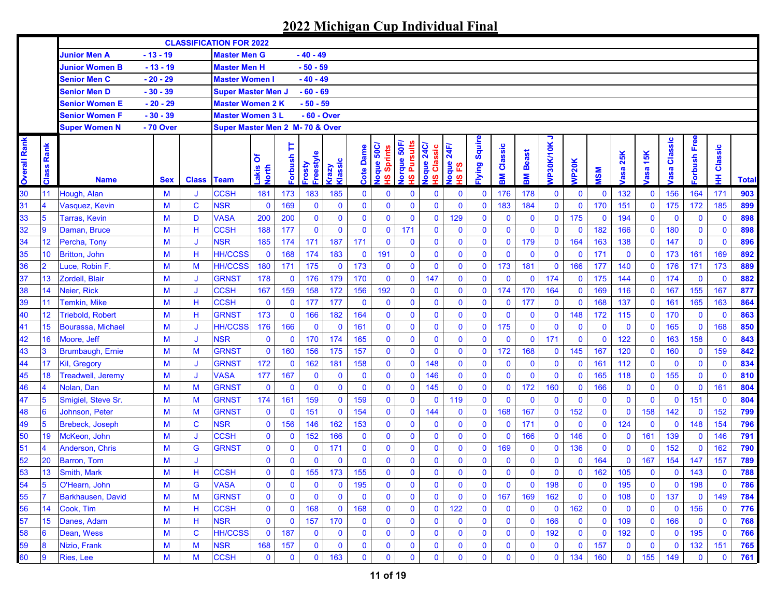|                     |                         |                          |            |                   | <b>CLASSIFICATION FOR 2022</b>  |                     |              |                          |                         |              |                                                      |                                                       |                                     |                                |              |              |                   |                |              |              |                    |              |                        |                |              |              |
|---------------------|-------------------------|--------------------------|------------|-------------------|---------------------------------|---------------------|--------------|--------------------------|-------------------------|--------------|------------------------------------------------------|-------------------------------------------------------|-------------------------------------|--------------------------------|--------------|--------------|-------------------|----------------|--------------|--------------|--------------------|--------------|------------------------|----------------|--------------|--------------|
|                     |                         | Junior Men A             | $-13 - 19$ |                   | <b>Master Men G</b>             |                     |              | $-40 - 49$               |                         |              |                                                      |                                                       |                                     |                                |              |              |                   |                |              |              |                    |              |                        |                |              |              |
|                     |                         | Junior Women B           | $-13 - 19$ |                   | <b>Master Men H</b>             |                     |              | $-50 - 59$               |                         |              |                                                      |                                                       |                                     |                                |              |              |                   |                |              |              |                    |              |                        |                |              |              |
|                     |                         | <b>Senior Men C</b>      | $-20 - 29$ |                   | <b>Master Women I</b>           |                     |              | $-40 - 49$               |                         |              |                                                      |                                                       |                                     |                                |              |              |                   |                |              |              |                    |              |                        |                |              |              |
|                     |                         | <b>Senior Men D</b>      | $-30 - 39$ |                   | <b>Super Master Men J</b>       |                     |              | $-60 - 69$               |                         |              |                                                      |                                                       |                                     |                                |              |              |                   |                |              |              |                    |              |                        |                |              |              |
|                     |                         | Senior Women E           | $-20 - 29$ |                   | <b>Master Women 2 K</b>         |                     |              | $-50 - 59$               |                         |              |                                                      |                                                       |                                     |                                |              |              |                   |                |              |              |                    |              |                        |                |              |              |
|                     |                         | <b>Senior Women F</b>    | $-30 - 39$ |                   | <b>Master Women 3 L</b>         |                     |              | - 60 - Over              |                         |              |                                                      |                                                       |                                     |                                |              |              |                   |                |              |              |                    |              |                        |                |              |              |
|                     |                         | <b>Super Women N</b>     | - 70 Over  |                   | Super Master Men 2 M- 70 & Over |                     |              |                          |                         |              |                                                      |                                                       |                                     |                                |              |              |                   |                |              |              |                    |              |                        |                |              |              |
| <b>Overall Rank</b> | Rank<br>Class           | <b>Name</b>              | <b>Sex</b> | <b>Class Team</b> |                                 | δ<br>Lakis<br>North | Þ<br>Forbush | Freestyle<br><b>Asou</b> | Klassic<br><b>Grazy</b> | Dame<br>Cote | Joque 50C/<br><b>Sprints</b><br>$\underline{\omega}$ | lorque 50F<br><b>Pursuits</b><br>$\underline{\omega}$ | <b>24C</b><br>Classic<br>loque<br>ഇ | 24F<br>loque<br><u>یع</u><br>ഇ | lying Squire | Classic<br>훎 | <b>Beast</b><br>훎 | っ<br>VP30K/10K | <b>NP20K</b> | <b>NSM</b>   | 25K<br><b>/asa</b> | asa 15K      | Classic<br><b>lasa</b> | orbush Free    | Classic<br>∓ | <b>Total</b> |
| 30                  | 11                      | Hough, Alan              | M          |                   | <b>CCSH</b>                     | 181                 | 173          | 183                      | 185                     | $\mathbf{0}$ | $\mathbf 0$                                          | 0                                                     | $\bf{0}$                            | $\mathbf 0$                    | $\mathbf 0$  | 176          | 178               | $\mathbf 0$    | $\bf{0}$     | $\bf{0}$     | 132                | 0            | 156                    | 164            | 171          | 903          |
| 31                  | $\overline{4}$          | Vasquez, Kevin           | M          | $\mathbf C$       | <b>NSR</b>                      | $\bf{0}$            | 169          | $\mathbf 0$              | $\mathbf 0$             | $\mathbf{0}$ | $\mathbf{0}$                                         | $\mathbf{0}$                                          | $\mathbf 0$                         | $\mathbf 0$                    | $\mathbf 0$  | 183          | 184               | $\mathbf 0$    | $\mathbf 0$  | 170          | 151                | $\mathbf 0$  | 175                    | 172            | 185          | 899          |
| 33                  | $5\overline{5}$         | <b>Tarras, Kevin</b>     | M          | D                 | <b>VASA</b>                     | 200                 | 200          | $\mathbf 0$              | $\mathbf 0$             | $\mathbf{0}$ | $\mathbf{0}$                                         | $\mathbf 0$                                           | $\mathbf 0$                         | 129                            | $\mathbf 0$  | $\mathbf 0$  | $\mathbf 0$       | $\mathbf 0$    | 175          | $\mathbf 0$  | 194                | $\mathbf 0$  | $\mathbf 0$            | $\mathbf 0$    | $\mathbf{0}$ | 898          |
| 32                  | 9                       | Daman, Bruce             | M          | н                 | <b>CCSH</b>                     | 188                 | 177          | $\mathbf 0$              | $\mathbf 0$             | $\mathbf 0$  | $\mathbf{0}$                                         | 171                                                   | $\mathbf 0$                         | $\mathbf 0$                    | $\mathbf 0$  | $\mathbf 0$  | $\mathbf 0$       | $\mathbf 0$    | $\mathbf 0$  | 182          | 166                | 0            | 180                    | $\mathbf 0$    | $\mathbf 0$  | 898          |
| 34                  | 12                      | Percha, Tony             | M          | J                 | <b>NSR</b>                      | 185                 | 174          | 171                      | 187                     | 171          | $\mathbf{0}$                                         | $\mathbf 0$                                           | $\bf{0}$                            | $\mathbf 0$                    | $\mathbf 0$  | $\mathbf 0$  | 179               | $\mathbf 0$    | 164          | 163          | 138                | 0            | 147                    | $\mathbf 0$    | $\mathbf{0}$ | 896          |
| 35                  | 10                      | <b>Britton, John</b>     | M          | H                 | <b>HH/CCSS</b>                  | $\mathbf 0$         | 168          | 174                      | 183                     | $\mathbf 0$  | 191                                                  | $\mathbf 0$                                           | $\mathbf 0$                         | $\bf{0}$                       | $\mathbf{0}$ | $\mathbf 0$  | $\mathbf 0$       | $\mathbf 0$    | $\mathbf 0$  | 171          | $\mathbf 0$        | 0            | 173                    | 161            | 169          | 892          |
| 36                  | $\overline{2}$          | Luce, Robin F.           | M          | M                 | <b>HH/CCSS</b>                  | 180                 | 171          | 175                      | $\mathbf 0$             | 173          | $\mathbf{0}$                                         | $\mathbf{0}$                                          | $\bf{0}$                            | $\bf{0}$                       | $\mathbf 0$  | 173          | 181               | $\mathbf 0$    | 166          | 177          | 140                | $\mathbf 0$  | 176                    | 171            | 173          | 889          |
| 37                  | 13                      | Zordell, Blair           | M          | J                 | <b>GRNST</b>                    | 178                 | $\mathbf 0$  | 176                      | 179                     | 170          | $\mathbf{0}$                                         | $\mathbf 0$                                           | 147                                 | $\mathbf 0$                    | $\mathbf{0}$ | $\mathbf 0$  | $\mathbf 0$       | 174            | $\mathbf 0$  | 175          | 144                | 0            | 174                    | $\mathbf 0$    | $\mathbf 0$  | 882          |
| 38                  | 14                      | Neier, Rick              | M          | J                 | <b>CCSH</b>                     | 167                 | 159          | 158                      | 172                     | 156          | 192                                                  | $\mathbf 0$                                           | $\mathbf 0$                         | $\mathbf 0$                    | $\mathbf 0$  | 174          | 170               | 164            | $\mathbf 0$  | 169          | 116                | $\mathbf 0$  | 167                    | 155            | 167          | 877          |
| 39                  | 11                      | Temkin, Mike             | M          | H                 | <b>CCSH</b>                     | $\pmb{0}$           | $\mathbf 0$  | 177                      | 177                     | $\mathbf 0$  | $\mathbf 0$                                          | $\mathbf{0}$                                          | $\bf{0}$                            | $\mathbf 0$                    | $\mathbf 0$  | $\mathbf 0$  | 177               | $\mathbf 0$    | $\mathbf 0$  | 168          | 137                | 0            | 161                    | 165            | 163          | 864          |
| 40                  | 12                      | <b>Triebold, Robert</b>  | M          | H                 | <b>GRNST</b>                    | 173                 | $\mathbf 0$  | 166                      | 182                     | 164          | $\mathbf{0}$                                         | $\mathbf 0$                                           | $\mathbf 0$                         | $\mathbf 0$                    | $\mathbf 0$  | $\mathbf 0$  | $\mathbf 0$       | $\mathbf 0$    | 148          | 172          | 115                | 0            | 170                    | $\mathbf 0$    | $\mathbf{0}$ | 863          |
| 41                  | 15                      | Bourassa, Michael        | M          | J                 | <b>HH/CCSS</b>                  | 176                 | 166          | $\mathbf 0$              | $\bf{0}$                | 161          | $\mathbf 0$                                          | $\mathbf 0$                                           | $\bf{0}$                            | $\mathbf 0$                    | $\mathbf 0$  | 175          | $\mathbf 0$       | $\mathbf 0$    | $\mathbf 0$  | $\mathbf 0$  | $\mathbf 0$        | 0            | 165                    | $\mathbf 0$    | 168          | 850          |
| 42                  | 16                      | Moore, Jeff              | M          |                   | <b>NSR</b>                      | $\mathbf 0$         | $\mathbf 0$  | 170                      | 174                     | 165          | $\mathbf{0}$                                         | $\mathbf{0}$                                          | $\bf{0}$                            | $\mathbf 0$                    | $\bf{0}$     | $\mathbf 0$  | $\mathbf 0$       | 171            | $\mathbf 0$  | $\mathbf 0$  | 122                | 0            | 163                    | 158            | $\mathbf 0$  | 843          |
| 43                  | 3                       | Brumbaugh, Ernie         | M          | M                 | <b>GRNST</b>                    | $\mathbf 0$         | 160          | 156                      | 175                     | 157          | $\mathbf{0}$                                         | $\mathbf 0$                                           | $\mathbf 0$                         | $\mathbf 0$                    | $\mathbf 0$  | 172          | 168               | $\mathbf 0$    | 145          | 167          | 120                | 0            | 160                    | $\mathbf 0$    | 159          | 842          |
| 44                  | 17                      | Kil, Gregory             | M          | J                 | <b>GRNST</b>                    | 172                 | $\mathbf 0$  | 162                      | 181                     | 158          | $\mathbf{0}$                                         | $\mathbf 0$                                           | 148                                 | $\mathbf 0$                    | $\mathbf 0$  | $\mathbf 0$  | $\mathbf 0$       | $\mathbf 0$    | $\mathbf 0$  | 161          | 112                | 0            | $\mathbf 0$            | $\mathbf 0$    | $\mathbf{0}$ | 834          |
| 45                  | 18                      | <b>Treadwell, Jeremy</b> | М          |                   | <b>VASA</b>                     | 177                 | 167          | $\mathbf{0}$             | $\mathbf 0$             | $\mathbf 0$  | $\mathbf{0}$                                         | $\mathbf 0$                                           | 146                                 | $\bf{0}$                       | $\mathbf 0$  | $\mathbf 0$  | $\mathbf 0$       | $\mathbf 0$    | $\mathbf{0}$ | 165          | 118                | 0            | 155                    | $\overline{0}$ | $\mathbf{0}$ | 810          |
| 46                  | $\overline{\mathbf{4}}$ | Nolan, Dan               | M          | M                 | <b>GRNST</b>                    | $\mathbf 0$         | $\mathbf 0$  | 0                        | $\mathbf 0$             | $\mathbf 0$  | $\mathbf{0}$                                         | $\bf{0}$                                              | 145                                 | $\mathbf 0$                    | $\mathbf 0$  | $\mathbf 0$  | 172               | 160            | $\mathbf 0$  | 166          | $\bf{0}$           | 0            | $\mathbf 0$            | $\mathbf 0$    | 161          | 804          |
| 47                  | 5                       | Smigiel, Steve Sr.       | M          | M                 | <b>GRNST</b>                    | 174                 | 161          | 159                      | $\mathbf 0$             | 159          | $\mathbf{0}$                                         | $\mathbf{0}$                                          | $\mathbf 0$                         | 119                            | $\mathbf 0$  | $\mathbf 0$  | $\mathbf 0$       | $\mathbf 0$    | $\mathbf 0$  | $\mathbf 0$  | $\mathbf 0$        | $\mathbf 0$  | $\mathbf 0$            | 151            | $\mathbf{0}$ | 804          |
| 48                  | 6                       | Johnson, Peter           | M          | M                 | <b>GRNST</b>                    | $\mathbf 0$         | $\mathbf 0$  | 151                      | $\mathbf 0$             | 154          | $\mathbf 0$                                          | $\mathbf 0$                                           | 144                                 | $\mathbf 0$                    | $\mathbf 0$  | 168          | 167               | $\mathbf 0$    | 152          | $\mathbf{0}$ | $\mathbf 0$        | 158          | 142                    | $\mathbf{0}$   | 152          | 799          |
| 49                  | 5                       | <b>Brebeck, Joseph</b>   | M          | C                 | <b>NSR</b>                      | $\mathbf 0$         | 156          | 146                      | 162                     | 153          | $\mathbf{0}$                                         | $\mathbf 0$                                           | $\mathbf 0$                         | $\mathbf 0$                    | $\mathbf 0$  | $\mathbf 0$  | 171               | $\mathbf{0}$   | $\mathbf 0$  | $\mathbf 0$  | 124                | $\mathbf 0$  | $\mathbf 0$            | 148            | 154          | 796          |
| 50                  | 19                      | McKeon, John             | M          | J                 | <b>CCSH</b>                     | $\mathbf 0$         | $\mathbf 0$  | 152                      | 166                     | $\mathbf 0$  | $\mathbf{0}$                                         | $\mathbf 0$                                           | $\mathbf 0$                         | $\mathbf 0$                    | $\mathbf 0$  | $\mathbf 0$  | 166               | $\mathbf 0$    | 146          | $\mathbf 0$  | $\bf{0}$           | 161          | 139                    | $\mathbf 0$    | 146          | 791          |
| 51                  |                         | Anderson, Chris          | M          | G                 | <b>GRNST</b>                    | $\mathbf 0$         | 0            | $\bf{0}$                 | 171                     | $\mathbf 0$  | $\mathbf{0}$                                         | $\mathbf 0$                                           | $\mathbf 0$                         | $\mathbf 0$                    | $\mathbf 0$  | 169          | $\mathbf 0$       | $\mathbf 0$    | 136          | $\mathbf 0$  | $\mathbf 0$        | $\mathbf 0$  | 152                    | $\mathbf 0$    | 162          | 790          |
| 52                  | 20                      | <b>Barron, Tom</b>       | M          | J                 |                                 | $\mathbf 0$         | 0            | $\mathbf{0}$             | $\mathbf 0$             | $\mathbf{0}$ | $\bf{0}$                                             | $\mathbf 0$                                           | $\mathbf 0$                         | $\mathbf 0$                    | $\mathbf 0$  | $\mathbf 0$  | $\bf{0}$          | 0              | $\mathbf 0$  | 164          | $\bf{0}$           | 167          | 154                    | 147            | 157          | 789          |
| 53                  | 13                      | Smith, Mark              | M          | н                 | <b>CCSH</b>                     | $\mathbf{0}$        | $\mathbf{0}$ | 155                      | 173                     | 155          | $\mathbf{0}$                                         | $\mathbf{0}$                                          | $\mathbf{0}$                        | $\mathbf 0$                    | $\mathbf{0}$ | 0            | $\mathbf 0$       | $\mathbf{0}$   | $\mathbf 0$  | 162          | 105                | $\mathbf{0}$ | $\mathbf 0$            | 143            | $\mathbf 0$  | 788          |
| 54                  | 15                      | O'Hearn, John            | M          | G                 | <b>VASA</b>                     | $\bf{0}$            | 0            | 0                        | $\mathbf 0$             | 195          | $\bf{0}$                                             | 0                                                     | $\mathbf 0$                         | $\bf{0}$                       | $\mathbf 0$  | 0            | $\bf{0}$          | 198            | $\mathbf 0$  | $\bf{0}$     | 195                | 0            | 0                      | 198            | $\mathbf 0$  | 786          |
| 55                  |                         | Barkhausen, David        | M          | M                 | <b>GRNST</b>                    | $\mathbf 0$         | 0            | 0                        | $\mathbf 0$             | $\mathbf{0}$ | $\mathbf 0$                                          | 0                                                     | $\mathbf 0$                         | $\mathbf 0$                    | $\mathbf{0}$ | 167          | 169               | 162            | $\bf{0}$     | $\mathbf 0$  | 108                | $\mathbf 0$  | 137                    | $\mathbf 0$    | 149          | 784          |
| 56                  | 14                      | Cook, Tim                | M          | н                 | <b>CCSH</b>                     | $\bf{0}$            | $\bf{0}$     | 168                      | $\bf{0}$                | 168          | $\bf{0}$                                             | $\bf{0}$                                              | $\bf{0}$                            | 122                            | 0            | $\mathbf 0$  | $\mathbf 0$       | $\mathbf 0$    | 162          | $\mathbf 0$  | $\bf{0}$           | $\mathbf 0$  | $\mathbf 0$            | 156            | $\mathbf 0$  | 776          |
| 57                  | 15                      | Danes, Adam              | М          | Н                 | <b>NSR</b>                      | $\mathbf 0$         | $\mathbf 0$  | 157                      | 170                     | $\bf{0}$     | $\bf{0}$                                             | $\bf{0}$                                              | $\mathbf 0$                         | $\mathbf 0$                    | 0            | $\bf{0}$     | $\bf{0}$          | 166            | $\mathbf 0$  | $\mathbf 0$  | 109                | 0            | 166                    | $\mathbf 0$    | $\mathbf 0$  | 768          |
| 58                  | 6                       | Dean, Wess               | M          | C                 | <b>HH/CCSS</b>                  | $\mathbf 0$         | 187          | $\bf{0}$                 | $\mathbf 0$             | $\bf{0}$     | $\bf{0}$                                             | $\bf{0}$                                              | $\mathbf 0$                         | $\mathbf 0$                    | 0            | $\bf{0}$     | $\mathbf 0$       | 192            | $\mathbf 0$  | $\mathbf 0$  | 192                | 0            | $\mathbf 0$            | 195            | $\mathbf 0$  | 766          |
| 59                  | 8                       | Nizio, Frank             | M          | М                 | <b>NSR</b>                      | 168                 | 157          | 0                        | $\bf{0}$                | 0            | $\bf{0}$                                             | 0                                                     | $\mathbf 0$                         | $\bf{0}$                       | 0            | 0            | $\bf{0}$          | $\mathbf 0$    | $\mathbf 0$  | 157          | $\bf{0}$           | 0            | $\mathbf 0$            | 132            | 151          | 765          |
| 60                  | 9                       | <b>Ries, Lee</b>         | М          | М                 | <b>CCSH</b>                     | $\mathbf 0$         | $\bf{0}$     | 0                        | 163                     | 0            | $\mathbf 0$                                          | $\mathbf 0$                                           | $\bf{0}$                            | $\mathbf 0$                    | $\mathbf 0$  | $\bf{0}$     | $\mathbf 0$       | $\mathbf 0$    | 134          | 160          | $\bf{0}$           | 155          | 149                    | $\mathbf 0$    | $\mathbf 0$  | 761          |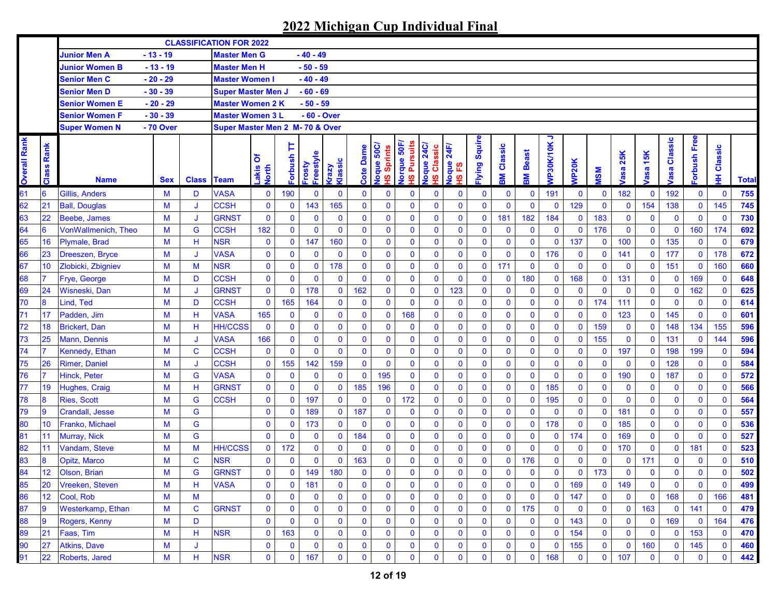|                     |                      |                            |            |              | <b>CLASSIFICATION FOR 2022</b>  |                     |                     |                     |                         |                  |                                                            |                                      |                                                 |                         |                      |              |              |                |              |              |                    |              |                |              |              |              |
|---------------------|----------------------|----------------------------|------------|--------------|---------------------------------|---------------------|---------------------|---------------------|-------------------------|------------------|------------------------------------------------------------|--------------------------------------|-------------------------------------------------|-------------------------|----------------------|--------------|--------------|----------------|--------------|--------------|--------------------|--------------|----------------|--------------|--------------|--------------|
|                     |                      | <b>Junior Men A</b>        | $-13 - 19$ |              | <b>Master Men G</b>             |                     |                     | - 40 - 49           |                         |                  |                                                            |                                      |                                                 |                         |                      |              |              |                |              |              |                    |              |                |              |              |              |
|                     |                      | <b>Junior Women B</b>      | $-13 - 19$ |              | <b>Master Men H</b>             |                     |                     | $-50 - 59$          |                         |                  |                                                            |                                      |                                                 |                         |                      |              |              |                |              |              |                    |              |                |              |              |              |
|                     |                      | <b>Senior Men C</b>        | $-20 - 29$ |              | <b>Master Women I</b>           |                     |                     | $-40 - 49$          |                         |                  |                                                            |                                      |                                                 |                         |                      |              |              |                |              |              |                    |              |                |              |              |              |
|                     |                      | <b>Senior Men D</b>        | $-30 - 39$ |              | <b>Super Master Men J</b>       |                     |                     | $-60 - 69$          |                         |                  |                                                            |                                      |                                                 |                         |                      |              |              |                |              |              |                    |              |                |              |              |              |
|                     |                      | <b>Senior Women E</b>      | $-20 - 29$ |              | <b>Master Women 2 K</b>         |                     |                     | $-50 - 59$          |                         |                  |                                                            |                                      |                                                 |                         |                      |              |              |                |              |              |                    |              |                |              |              |              |
|                     |                      | Senior Women F             | $-30 - 39$ |              | <b>Master Women 3 L</b>         |                     |                     | - 60 - Over         |                         |                  |                                                            |                                      |                                                 |                         |                      |              |              |                |              |              |                    |              |                |              |              |              |
|                     |                      | <b>Super Women N</b>       | - 70 Over  |              | Super Master Men 2 M- 70 & Over |                     |                     |                     |                         |                  |                                                            |                                      |                                                 |                         |                      |              |              |                |              |              |                    |              |                |              |              |              |
| <b>Overall Rank</b> | Rank<br><b>Class</b> | <b>Name</b>                | <b>Sex</b> | <b>Class</b> | <b>Team</b>                     | δ<br>Lakis<br>North | Þ<br><b>Forbush</b> | Freestyle<br>Frosty | Klassic<br><b>Grazy</b> | <b>Cote Dame</b> | Joque 50C/<br>Sprints<br>$\boldsymbol{\underline{\omega}}$ | lorque 50F,<br><b>Pursuits</b><br>ഗൂ | loque 24C<br>Classic<br>$\overline{\mathbf{v}}$ | 24F<br>loque<br>53<br>ഇ | <b>ilying Squire</b> | Classic<br>Μ | Beast<br>홂   | っ<br>VP30K/10K | <b>NP20K</b> | <b>MSM</b>   | 25K<br><b>lasa</b> | asa 15K      | Classic<br>asa | orbush Free  | Classic<br>里 | <b>Total</b> |
| 61                  | $6\phantom{1}6$      | Gillis, Anders             | M          | D            | <b>VASA</b>                     | $\bf{0}$            | 190                 | $\bf{0}$            | $\mathbf 0$             | $\mathbf 0$      | 0                                                          | $\bf{0}$                             | $\bf{0}$                                        | $\bf{0}$                | 0                    | $\mathbf 0$  | $\mathbf 0$  | 191            | $\mathbf 0$  | $\bf{0}$     | 182                | $\mathbf 0$  | 192            | $\mathbf 0$  | $\mathbf 0$  | 755          |
| 62                  | 21                   | <b>Ball, Douglas</b>       | M          | J            | <b>CCSH</b>                     | $\bf{0}$            | $\mathbf 0$         | 143                 | 165                     | $\mathbf{0}$     | $\mathbf 0$                                                | $\mathbf 0$                          | $\mathbf 0$                                     | $\bf{0}$                | $\mathbf 0$          | $\mathbf 0$  | $\mathbf{0}$ | $\mathbf 0$    | 129          | $\mathbf 0$  | $\bf{0}$           | 154          | 138            | $\mathbf 0$  | 145          | 745          |
| 63                  | 22                   | <b>Beebe, James</b>        | M          | J            | <b>GRNST</b>                    | $\bf{0}$            | 0                   | $\mathbf 0$         | $\mathbf 0$             | $\mathbf 0$      | $\mathbf 0$                                                | $\mathbf 0$                          | $\mathbf 0$                                     | $\mathbf 0$             | $\mathbf 0$          | 181          | 182          | 184            | $\mathbf 0$  | 183          | $\bf{0}$           | $\mathbf 0$  | $\mathbf 0$    | $\mathbf 0$  | $\mathbf 0$  | 730          |
| 64                  | $6\phantom{1}6$      | <b>VonWallmenich, Theo</b> | M          | G            | <b>CCSH</b>                     | 182                 | $\mathbf 0$         | $\mathbf 0$         | $\mathbf 0$             | $\mathbf 0$      | $\mathbf 0$                                                | $\mathbf 0$                          | $\mathbf 0$                                     | $\bf{0}$                | $\bf{0}$             | $\mathbf 0$  | $\mathbf 0$  | $\mathbf 0$    | $\mathbf{0}$ | 176          | $\bf{0}$           | $\mathbf 0$  | $\mathbf 0$    | 160          | 174          | 692          |
| 65                  | 16                   | Plymale, Brad              | M          | н            | <b>NSR</b>                      | $\bf{0}$            | $\bf{0}$            | 147                 | 160                     | $\mathbf 0$      | $\mathbf 0$                                                | $\mathbf 0$                          | $\bf{0}$                                        | $\bf{0}$                | $\bf{0}$             | $\mathbf 0$  | $\mathbf 0$  | $\mathbf 0$    | 137          | $\mathbf 0$  | 100                | $\mathbf 0$  | 135            | $\mathbf 0$  | $\mathbf 0$  | 679          |
| 66                  | 23                   | Dreeszen, Bryce            | M          | J            | <b>VASA</b>                     | $\mathbf 0$         | $\mathbf 0$         | $\mathbf 0$         | $\mathbf 0$             | $\mathbf 0$      | $\mathbf 0$                                                | $\mathbf 0$                          | $\pmb{0}$                                       | $\bf{0}$                | $\mathbf 0$          | $\mathbf 0$  | $\mathbf 0$  | 176            | $\mathbf 0$  | $\bf{0}$     | 141                | $\mathbf 0$  | 177            | $\mathbf 0$  | 178          | 672          |
| 67                  | 10                   | Zlobicki, Zbigniev         | M          | M            | <b>NSR</b>                      | $\mathbf 0$         | 0                   | $\mathbf 0$         | 178                     | $\mathbf 0$      | $\mathbf 0$                                                | $\mathbf 0$                          | $\pmb{0}$                                       | $\mathbf 0$             | $\bf{0}$             | 171          | $\mathbf 0$  | $\mathbf 0$    | $\mathbf 0$  | $\mathbf 0$  | $\mathbf 0$        | $\mathbf 0$  | 151            | $\mathbf 0$  | 160          | 660          |
| 68                  | $\overline{7}$       | Frye, George               | M          | D            | <b>CCSH</b>                     | $\pmb{0}$           | $\mathbf 0$         | $\mathbf 0$         | $\mathbf 0$             | $\mathbf 0$      | $\mathbf 0$                                                | $\mathbf 0$                          | $\mathbf 0$                                     | $\mathbf 0$             | $\bf{0}$             | $\mathbf 0$  | 180          | $\mathbf 0$    | 168          | $\mathbf 0$  | 131                | $\mathbf 0$  | $\mathbf{0}$   | 169          | $\mathbf 0$  | 648          |
| 69                  | 24                   | Wisneski, Dan              | M          | IJ           | <b>GRNST</b>                    | $\pmb{0}$           | $\mathbf 0$         | 178                 | $\mathbf 0$             | 162              | $\mathbf 0$                                                | $\mathbf 0$                          | $\mathbf 0$                                     | 123                     | $\bf{0}$             | $\mathbf 0$  | $\mathbf 0$  | $\mathbf{0}$   | $\mathbf{0}$ | $\mathbf 0$  | $\mathbf 0$        | $\mathbf 0$  | $\mathbf 0$    | 162          | $\mathbf 0$  | 625          |
| 70                  | $\pmb{8}$            | Lind. Ted                  | M          | D            | <b>CCSH</b>                     | $\mathbf 0$         | 165                 | 164                 | $\mathbf 0$             | $\mathbf 0$      | $\mathbf{0}$                                               | $\mathbf{0}$                         | $\mathbf 0$                                     | $\mathbf 0$             | $\bf{0}$             | $\mathbf 0$  | $\mathbf 0$  | $\mathbf 0$    | $\mathbf 0$  | 174          | 111                | $\mathbf 0$  | $\mathbf 0$    | $\mathbf 0$  | $\mathbf 0$  | 614          |
| 71                  | 17                   | Padden, Jim                | M          | Н            | <b>VASA</b>                     | 165                 | $\mathbf 0$         | $\mathbf 0$         | $\mathbf 0$             | $\mathbf 0$      | $\mathbf 0$                                                | 168                                  | $\bf{0}$                                        | $\mathbf 0$             | 0                    | $\mathbf 0$  | $\mathbf 0$  | $\mathbf 0$    | $\mathbf{0}$ | $\mathbf 0$  | 123                | $\mathbf 0$  | 145            | $\mathbf 0$  | $\mathbf 0$  | 601          |
| 72                  | 18                   | <b>Brickert, Dan</b>       | M          | Н            | <b>HH/CCSS</b>                  | $\bf{0}$            | $\mathbf{0}$        | $\mathbf 0$         | $\mathbf 0$             | $\mathbf 0$      | $\mathbf 0$                                                | $\mathbf 0$                          | $\pmb{0}$                                       | $\bf{0}$                | $\bf{0}$             | $\mathbf 0$  | $\mathbf 0$  | $\mathbf 0$    | $\mathbf{0}$ | 159          | $\bf{0}$           | 0            | 148            | 134          | 155          | 596          |
| 73                  | 25                   | <b>Mann, Dennis</b>        | M          |              | <b>VASA</b>                     | 166                 | 0                   | $\mathbf 0$         | $\mathbf 0$             | 0                | $\mathbf 0$                                                | $\mathbf 0$                          | $\bf{0}$                                        | $\bf{0}$                | $\bf{0}$             | $\mathbf 0$  | $\bf{0}$     | $\mathbf 0$    | $\mathbf 0$  | 155          | $\mathbf 0$        | 0            | 131            | $\mathbf 0$  | 144          | 596          |
| 74                  | $\overline{7}$       | Kennedy, Ethan             | M          | $\mathbf C$  | <b>CCSH</b>                     | $\bf{0}$            | $\mathbf{0}$        | $\mathbf 0$         | $\mathbf 0$             | $\mathbf{0}$     | $\mathbf 0$                                                | $\bf{0}$                             | $\pmb{0}$                                       | $\bf{0}$                | $\bf{0}$             | $\mathbf 0$  | $\mathbf 0$  | $\bf{0}$       | $\mathbf 0$  | $\mathbf 0$  | 197                | 0            | 198            | 199          | $\mathbf 0$  | 594          |
| 75                  | 26                   | <b>Rimer, Daniel</b>       | M          | J            | <b>CCSH</b>                     | $\mathbf 0$         | 155                 | 142                 | 159                     | $\mathbf{0}$     | $\mathbf 0$                                                | $\mathbf 0$                          | $\pmb{0}$                                       | $\bf{0}$                | $\mathbf 0$          | $\mathbf 0$  | $\mathbf 0$  | $\mathbf 0$    | $\mathbf 0$  | $\mathbf 0$  | $\mathbf 0$        | $\mathbf{0}$ | 128            | $\mathbf 0$  | $\mathbf{0}$ | 584          |
| 76                  |                      | Hinck, Peter               | M          | G            | <b>VASA</b>                     | $\mathbf 0$         | $\mathbf 0$         | $\mathbf 0$         | $\mathbf 0$             | $\mathbf{0}$     | 195                                                        | $\mathbf 0$                          | $\mathbf 0$                                     | $\bf{0}$                | $\mathbf 0$          | $\mathbf 0$  | $\mathbf{0}$ | $\mathbf{0}$   | $\mathbf 0$  | $\mathbf 0$  | 190                | $\mathbf 0$  | 187            | $\mathbf 0$  | $\mathbf{0}$ | 572          |
| 77                  | 19                   | Hughes, Craig              | M          | н            | <b>GRNST</b>                    | $\mathbf 0$         | 0                   | $\mathbf 0$         | $\mathbf 0$             | 185              | 196                                                        | $\mathbf 0$                          | $\mathbf 0$                                     | $\mathbf 0$             | $\bf{0}$             | $\mathbf 0$  | $\bf{0}$     | 185            | $\mathbf 0$  | $\mathbf 0$  | $\bf{0}$           | $\bf{0}$     | $\bf{0}$       | $\mathbf 0$  | $\mathbf{0}$ | 566          |
| 78                  | 8                    | <b>Ries, Scott</b>         | M          | G            | <b>CCSH</b>                     | $\mathbf 0$         | 0                   | 197                 | $\mathbf 0$             | $\mathbf 0$      | $\mathbf 0$                                                | 172                                  | $\mathbf 0$                                     | $\bf{0}$                | $\mathbf 0$          | $\mathbf 0$  | $\mathbf 0$  | 195            | $\mathbf 0$  | $\mathbf 0$  | $\mathbf 0$        | $\mathbf 0$  | 0              | $\mathbf 0$  | $\mathbf{0}$ | 564          |
| 79                  | 9                    | <b>Crandall</b> , Jesse    | M          | G            |                                 | $\mathbf 0$         | $\mathbf 0$         | 189                 | $\mathbf 0$             | 187              | $\mathbf 0$                                                | $\mathbf 0$                          | $\mathbf 0$                                     | $\mathbf 0$             | $\mathbf 0$          | $\mathbf 0$  | $\mathbf{0}$ | $\mathbf 0$    | $\mathbf 0$  | $\mathbf 0$  | 181                | $\mathbf 0$  | $\mathbf 0$    | $\mathbf 0$  | $\mathbf{0}$ | 557          |
| 80                  | 10                   | Franko, Michael            | M          | G            |                                 | $\bf{0}$            | $\mathbf 0$         | 173                 | $\mathbf 0$             | $\mathbf 0$      | $\mathbf 0$                                                | $\mathbf 0$                          | $\mathbf 0$                                     | $\bf{0}$                | $\bf{0}$             | $\mathbf 0$  | $\mathbf 0$  | 178            | $\mathbf 0$  | $\mathbf 0$  | 185                | $\mathbf 0$  | $\mathbf 0$    | $\mathbf 0$  | $\mathbf 0$  | 536          |
| 81                  | 11                   | Murray, Nick               | M          | G            |                                 | $\mathbf 0$         | $\mathbf 0$         | $\bf{0}$            | $\bf{0}$                | 184              | $\mathbf 0$                                                | $\mathbf 0$                          | $\mathbf 0$                                     | $\bf{0}$                | 0                    | $\mathbf 0$  | $\mathbf 0$  | $\bf{0}$       | 174          | $\mathbf 0$  | 169                | $\bf{0}$     | $\mathbf 0$    | $\mathbf 0$  | $\mathbf 0$  | 527          |
|                     | 11                   | Vandam, Steve              | M          | M            | <b>HH/CCSS</b>                  | $\mathbf 0$         | 172                 | $\mathbf 0$         | $\mathbf 0$             | $\mathbf 0$      | $\mathbf 0$                                                | $\mathbf 0$                          | $\mathbf 0$                                     | $\mathbf 0$             | $\bf{0}$             | $\mathbf 0$  | $\mathbf 0$  | $\mathbf{0}$   | $\mathbf 0$  | $\mathbf 0$  | 170                | $\pmb{0}$    | $\mathbf 0$    | 181          | $\mathbf 0$  | 523          |
| 83                  | $\boldsymbol{8}$     | <b>Opitz, Marco</b>        | M          | $\mathbf C$  | <b>NSR</b>                      | $\bf{0}$            | 0                   | $\mathbf 0$         | $\mathbf 0$             | 163              | $\bf{0}$                                                   | $\mathbf 0$                          | $\bf{0}$                                        | 0                       | $\bf{0}$             | $\bf{0}$     | 176          | $\bf{0}$       | $\mathbf 0$  | $\mathbf 0$  | $\bf{0}$           | 171          | 0              | $\mathbf 0$  | $\mathbf 0$  | 510          |
|                     | 12                   | Olson, Brian               | M          | G            | <b>GRNST</b>                    | $\mathbf{0}$        | $\mathbf{0}$        | 149                 | 180                     | $\mathbf{0}$     | $\mathbf{0}$                                               | $\mathbf{0}$                         | $\mathbf 0$                                     | $\mathbf{0}$            | $\mathbf{0}$         | $\mathbf{0}$ | $\mathbf 0$  | $\mathbf 0$    | $\mathbf{0}$ | 173          | $\mathbf{0}$       | $\mathbf{0}$ | $\mathbf{0}$   | $\mathbf{0}$ | $\mathbf{0}$ | 502          |
| 85                  | 20                   | Vreeken, Steven            | M          | н            | <b>VASA</b>                     | $\bf{0}$            | 0                   | 181                 | $\bf{0}$                | 0                | $\bf{0}$                                                   | $\bf{0}$                             | $\bf{0}$                                        | 0                       | $\bf{0}$             | 0            | $\bf{0}$     | $\mathbf 0$    | 169          | $\mathbf 0$  | 149                | $\mathbf 0$  | 0              | $\mathbf 0$  | $\mathbf 0$  | 499          |
| 86                  | 12                   | Cool, Rob                  | M          | M            |                                 | $\mathbf 0$         | 0                   | $\bf{0}$            | $\mathbf 0$             | $\mathbf 0$      | $\mathbf 0$                                                | $\bf{0}$                             | $\mathbf 0$                                     | 0                       | $\mathbf 0$          | $\mathbf 0$  | $\mathbf{0}$ | $\mathbf 0$    | 147          | $\bf{0}$     | $\mathbf 0$        | $\mathbf{0}$ | 168            | $\mathbf 0$  | 166          | 481          |
| 87                  | <u>g</u>             | Westerkamp, Ethan          | M          | $\mathbf C$  | <b>GRNST</b>                    | $\mathbf 0$         | 0                   | $\bf{0}$            | $\mathbf 0$             | $\mathbf 0$      | $\mathbf 0$                                                | $\bf{0}$                             | $\bf{0}$                                        | 0                       | 0                    | $\bf{0}$     | 175          | $\mathbf 0$    | $\mathbf 0$  | $\bf{0}$     | $\mathbf 0$        | 163          | $\mathbf 0$    | 141          | $\mathbf 0$  | 479          |
| 88                  |                      | Rogers, Kenny              | M          | D            |                                 | $\mathbf 0$         | $\mathbf 0$         | $\bf{0}$            | $\mathbf 0$             | $\bf{0}$         | $\bf{0}$                                                   | $\mathbf 0$                          | $\bf{0}$                                        | $\mathbf 0$             | 0                    | $\bf{0}$     | $\bf{0}$     | $\mathbf 0$    | 143          | $\bf{0}$     | $\bf{0}$           | $\mathbf 0$  | 169            | $\bf{0}$     | 164          | 476          |
| 89                  | 21                   | Faas, Tim                  | M          | H            | <b>NSR</b>                      | 0                   | 163                 | $\bf{0}$            | $\bf{0}$                | 0                | $\mathbf 0$                                                | $\mathbf 0$                          | $\bf{0}$                                        | 0                       | 0                    | $\bf{0}$     | $\bf{0}$     | $\mathbf 0$    | 154          | $\bf{0}$     | $\bf{0}$           | $\mathbf 0$  | $\mathbf 0$    | 153          | $\mathbf 0$  | 470          |
| 90                  | 27                   | <b>Atkins, Dave</b>        | M          | J            |                                 | 0                   | 0                   | $\bf{0}$            | $\bf{0}$                | 0                | 0                                                          | $\bf{0}$                             | $\bf{0}$                                        | 0                       | 0                    | $\bf{0}$     | $\bf{0}$     | $\mathbf 0$    | 155          | $\bf{0}$     | $\bf{0}$           | 160          | $\bf{0}$       | 145          | $\mathbf 0$  | 460          |
| 91                  | 22                   | Roberts, Jared             | M          | н            | <b>NSR</b>                      | $\mathbf 0$         | 0                   | 167                 | $\mathbf 0$             | $\mathbf{0}$     | 0                                                          | $\bf{0}$                             | $\mathbf 0$                                     | 0                       | 0                    | $\bf{0}$     | $\mathbf 0$  | 168            | $\mathbf 0$  | $\mathbf{0}$ | 107                | $\mathbf 0$  | 0              | $\mathbf 0$  | $\mathbf 0$  | 442          |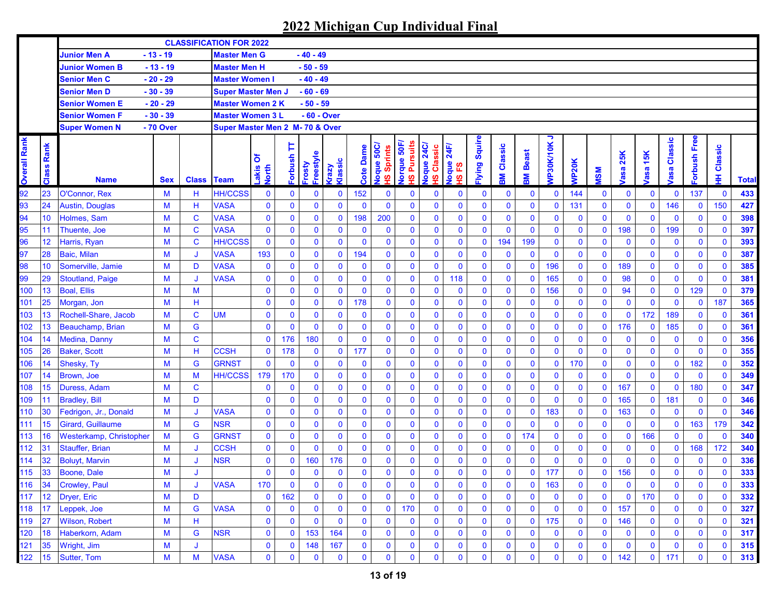|                     |               |                                |            |              | <b>CLASSIFICATION FOR 2022</b>  |                     |                     |                     |                 |                  |                                                            |                                      |                                                           |                         |              |              |              |                |              |              |                    |              |                       |                |              |              |
|---------------------|---------------|--------------------------------|------------|--------------|---------------------------------|---------------------|---------------------|---------------------|-----------------|------------------|------------------------------------------------------------|--------------------------------------|-----------------------------------------------------------|-------------------------|--------------|--------------|--------------|----------------|--------------|--------------|--------------------|--------------|-----------------------|----------------|--------------|--------------|
|                     |               | <b>Junior Men A</b>            | $-13 - 19$ |              | <b>Master Men G</b>             |                     |                     | - 40 - 49           |                 |                  |                                                            |                                      |                                                           |                         |              |              |              |                |              |              |                    |              |                       |                |              |              |
|                     |               | <b>Junior Women B</b>          | $-13 - 19$ |              | <b>Master Men H</b>             |                     |                     | $-50 - 59$          |                 |                  |                                                            |                                      |                                                           |                         |              |              |              |                |              |              |                    |              |                       |                |              |              |
|                     |               | <b>Senior Men C</b>            | $-20 - 29$ |              | <b>Master Women I</b>           |                     |                     | $-40 - 49$          |                 |                  |                                                            |                                      |                                                           |                         |              |              |              |                |              |              |                    |              |                       |                |              |              |
|                     |               | <b>Senior Men D</b>            | $-30 - 39$ |              | <b>Super Master Men J</b>       |                     |                     | $-60 - 69$          |                 |                  |                                                            |                                      |                                                           |                         |              |              |              |                |              |              |                    |              |                       |                |              |              |
|                     |               | <b>Senior Women E</b>          | $-20 - 29$ |              | <b>Master Women 2 K</b>         |                     |                     | $-50 - 59$          |                 |                  |                                                            |                                      |                                                           |                         |              |              |              |                |              |              |                    |              |                       |                |              |              |
|                     |               | <b>Senior Women F</b>          | $-30 - 39$ |              | <b>Master Women 3 L</b>         |                     |                     | - 60 - Over         |                 |                  |                                                            |                                      |                                                           |                         |              |              |              |                |              |              |                    |              |                       |                |              |              |
|                     |               | <b>Super Women N</b>           | - 70 Over  |              | Super Master Men 2 M- 70 & Over |                     |                     |                     |                 |                  |                                                            |                                      |                                                           |                         |              |              |              |                |              |              |                    |              |                       |                |              |              |
| <b>Overall Rank</b> | Rank<br>Class | <b>Name</b>                    | <b>Sex</b> | <b>Class</b> | <b>Team</b>                     | δ<br>Lakis<br>North | Þ<br><b>dsnq.o.</b> | Freestyle<br>Frosty | Klassic<br>Vzey | <b>Cote Dame</b> | loque 50C/<br>Sprints<br>$\boldsymbol{\underline{\omega}}$ | lorque 50F,<br><b>Pursuits</b><br>ഗൂ | 24C<br>Classic<br><b>Joque</b><br>$\overline{\mathbf{v}}$ | 24F<br>loque<br>53<br>ഇ | lying Squire | Classic<br>Μ | Beast<br>훎   | っ<br>VP30K/10K | <b>MP20K</b> | <b>MSM</b>   | 25K<br><b>/asa</b> | asa 15K      | Classic<br><b>bse</b> | orbush Free    | Classic<br>里 | <b>Total</b> |
|                     | 23            | O'Connor, Rex                  | M          | н            | <b>HH/CCSS</b>                  | $\bf{0}$            | 0                   | $\bf{0}$            | $\mathbf 0$     | 152              | $\bf{0}$                                                   | $\bf{0}$                             | $\bf{0}$                                                  | $\bf{0}$                | 0            | $\mathbf 0$  | $\mathbf 0$  | $\mathbf 0$    | 144          | $\bf{0}$     | $\bf{0}$           | $\mathbf 0$  | $\mathbf 0$           | 137            | $\mathbf 0$  | 433          |
| 93                  | 24            | Austin, Douglas                | M          | н            | <b>VASA</b>                     | $\bf{0}$            | 0                   | $\mathbf 0$         | $\mathbf 0$     | $\mathbf{0}$     | $\mathbf 0$                                                | $\mathbf 0$                          | $\mathbf 0$                                               | $\bf{0}$                | $\bf{0}$     | $\mathbf 0$  | $\mathbf 0$  | $\mathbf{0}$   | 131          | $\mathbf 0$  | $\bf{0}$           | $\mathbf 0$  | 146                   | $\mathbf 0$    | 150          | 427          |
| 94                  | 10            | Holmes, Sam                    | M          | $\mathbf C$  | <b>VASA</b>                     | $\bf{0}$            | 0                   | $\bf{0}$            | $\mathbf 0$     | 198              | 200                                                        | $\mathbf 0$                          | $\mathbf 0$                                               | $\mathbf 0$             | $\mathbf 0$  | $\mathbf 0$  | $\mathbf 0$  | $\mathbf 0$    | $\mathbf 0$  | $\mathbf 0$  | $\bf{0}$           | $\mathbf 0$  | $\mathbf 0$           | $\mathbf 0$    | $\mathbf 0$  | 398          |
| 95                  | 11            | Thuente, Joe                   | M          | $\mathbf C$  | <b>VASA</b>                     | $\bf{0}$            | 0                   | $\mathbf 0$         | $\mathbf 0$     | $\mathbf 0$      | $\mathbf 0$                                                | $\mathbf 0$                          | $\mathbf 0$                                               | $\bf{0}$                | $\bf{0}$     | $\mathbf 0$  | $\mathbf{0}$ | $\mathbf 0$    | $\mathbf 0$  | $\mathbf 0$  | 198                | $\mathbf{0}$ | 199                   | $\mathbf 0$    | $\mathbf 0$  | 397          |
| 96                  | 12            | Harris, Ryan                   | M          | $\mathbf C$  | <b>HH/CCSS</b>                  | $\bf{0}$            | $\bf{0}$            | $\bf{0}$            | $\mathbf 0$     | $\mathbf 0$      | $\mathbf 0$                                                | $\mathbf 0$                          | $\mathbf 0$                                               | $\mathbf 0$             | $\bf{0}$     | 194          | 199          | $\mathbf 0$    | $\mathbf 0$  | $\bf{0}$     | $\bf{0}$           | 0            | $\mathbf 0$           | $\mathbf 0$    | $\mathbf 0$  | 393          |
| 97                  | 28            | <b>Baic, Milan</b>             | M          | J            | <b>VASA</b>                     | 193                 | $\mathbf 0$         | $\mathbf 0$         | $\pmb{0}$       | 194              | $\mathbf 0$                                                | $\mathbf 0$                          | $\pmb{0}$                                                 | $\mathbf 0$             | $\bf{0}$     | $\mathbf 0$  | $\mathbf 0$  | $\mathbf 0$    | $\mathbf 0$  | $\bf{0}$     | $\bf{0}$           | $\mathbf 0$  | $\mathbf 0$           | $\mathbf 0$    | $\mathbf 0$  | 387          |
| 98                  | 10            | Somerville, Jamie              | M          | D            | <b>VASA</b>                     | $\bf{0}$            | 0                   | $\mathbf 0$         | $\mathbf 0$     | $\mathbf 0$      | $\mathbf 0$                                                | $\mathbf 0$                          | $\mathbf 0$                                               | $\mathbf 0$             | $\bf{0}$     | $\mathbf 0$  | $\mathbf 0$  | 196            | $\mathbf 0$  | $\mathbf 0$  | 189                | $\mathbf 0$  | $\mathbf 0$           | $\mathbf 0$    | $\mathbf 0$  | 385          |
| 99                  | 29            | <b>Stoutland, Paige</b>        | M          | J            | <b>VASA</b>                     | $\pmb{0}$           | $\mathbf 0$         | $\mathbf 0$         | $\mathbf 0$     | $\mathbf 0$      | $\mathbf 0$                                                | $\mathbf 0$                          | $\mathbf 0$                                               | 118                     | $\bf{0}$     | $\mathbf 0$  | $\mathbf 0$  | 165            | $\mathbf 0$  | $\mathbf 0$  | 98                 | $\mathbf 0$  | $\mathbf 0$           | $\mathbf 0$    | $\mathbf 0$  | 381          |
| 100                 | 13            | <b>Boal, Ellis</b>             | M          | M            |                                 | $\bf{0}$            | $\bf{0}$            | $\bf{0}$            | $\mathbf 0$     | $\mathbf 0$      | $\mathbf 0$                                                | $\mathbf 0$                          | $\mathbf 0$                                               | $\mathbf 0$             | $\pmb{0}$    | $\mathbf 0$  | $\mathbf 0$  | 156            | $\mathbf 0$  | $\mathbf 0$  | 94                 | $\pmb{0}$    | $\bf{0}$              | 129            | $\mathbf 0$  | 379          |
| 101                 | 25            | Morgan, Jon                    | M          | н            |                                 | $\bf{0}$            | $\bf{0}$            | $\mathbf 0$         | $\mathbf 0$     | 178              | $\mathbf{0}$                                               | $\mathbf 0$                          | $\bf{0}$                                                  | $\mathbf 0$             | $\bf{0}$     | $\mathbf 0$  | $\mathbf 0$  | $\mathbf 0$    | $\mathbf{0}$ | $\mathbf 0$  | $\mathbf 0$        | $\mathbf 0$  | $\mathbf 0$           | $\mathbf 0$    | 187          | 365          |
| 103                 | 13            | Rochell-Share, Jacob           | M          | $\mathbf C$  | <b>UM</b>                       | $\bf{0}$            | 0                   | $\mathbf 0$         | $\mathbf 0$     | $\mathbf{0}$     | $\mathbf 0$                                                | $\mathbf 0$                          | $\bf{0}$                                                  | $\mathbf 0$             | $\bf{0}$     | $\mathbf 0$  | $\mathbf 0$  | $\mathbf{0}$   | $\mathbf 0$  | $\mathbf 0$  | $\bf{0}$           | 172          | 189                   | $\mathbf 0$    | $\mathbf 0$  | 361          |
| 102                 | 13            | Beauchamp, Brian               | M          | G            |                                 | $\mathbf{0}$        | $\mathbf{0}$        | $\mathbf 0$         | $\mathbf 0$     | $\mathbf 0$      | $\mathbf 0$                                                | $\mathbf 0$                          | $\mathbf 0$                                               | $\bf{0}$                | $\bf{0}$     | $\mathbf 0$  | $\mathbf 0$  | $\mathbf 0$    | $\mathbf 0$  | $\mathbf 0$  | 176                | $\mathbf 0$  | 185                   | $\mathbf 0$    | $\bf{0}$     | 361          |
| 104                 | 14            | <b>Medina, Danny</b>           | M          | C            |                                 | $\mathbf{0}$        | 176                 | 180                 | $\mathbf 0$     | $\mathbf{0}$     | $\mathbf 0$                                                | $\mathbf 0$                          | $\bf{0}$                                                  | $\bf{0}$                | $\bf{0}$     | $\mathbf 0$  | $\mathbf 0$  | $\mathbf 0$    | $\mathbf 0$  | $\mathbf 0$  | $\bf{0}$           | $\mathbf 0$  | $\bf{0}$              | $\mathbf 0$    | $\mathbf 0$  | 356          |
| 105                 | 26            | <b>Baker, Scott</b>            | M          | н            | <b>CCSH</b>                     | $\bf{0}$            | 178                 | $\mathbf 0$         | $\mathbf 0$     | 177              | $\mathbf 0$                                                | $\bf{0}$                             | $\pmb{0}$                                                 | $\bf{0}$                | $\bf{0}$     | $\mathbf 0$  | $\mathbf 0$  | $\mathbf 0$    | $\mathbf 0$  | $\mathbf 0$  | $\bf{0}$           | $\mathbf 0$  | $\mathbf 0$           | $\mathbf 0$    | $\mathbf 0$  | 355          |
| 106                 | 14            | Shesky, Ty                     | M          | G            | <b>GRNST</b>                    | $\mathbf{0}$        | $\mathbf 0$         | $\pmb{0}$           | $\mathbf 0$     | $\mathbf 0$      | $\mathbf 0$                                                | $\mathbf 0$                          | $\pmb{0}$                                                 | $\bf{0}$                | $\mathbf 0$  | $\mathbf 0$  | $\mathbf 0$  | $\mathbf 0$    | 170          | $\mathbf 0$  | $\bf{0}$           | $\mathbf 0$  | $\mathbf 0$           | 182            | $\mathbf 0$  | 352          |
| 107                 | 14            | <b>Brown, Joe</b>              | M          | M            | <b>HH/CCSS</b>                  | 179                 | 170                 | $\mathbf 0$         | $\mathbf 0$     | $\mathbf 0$      | $\mathbf 0$                                                | $\mathbf 0$                          | $\mathbf 0$                                               | $\bf{0}$                | $\mathbf 0$  | $\mathbf 0$  | $\mathbf 0$  | $\mathbf{0}$   | $\mathbf 0$  | $\mathbf 0$  | $\mathbf{0}$       | $\mathbf 0$  | 0                     | $\mathbf 0$    | $\mathbf 0$  | 349          |
| 108                 | 15            | Duress, Adam                   | M          | $\mathbf C$  |                                 | 0                   | $\mathbf 0$         | $\bf{0}$            | $\mathbf 0$     | $\mathbf 0$      | $\mathbf 0$                                                | $\bf{0}$                             | $\mathbf 0$                                               | $\mathbf 0$             | $\bf{0}$     | $\mathbf 0$  | $\mathbf 0$  | $\mathbf 0$    | $\mathbf 0$  | $\bf{0}$     | 167                | $\mathbf 0$  | $\mathbf 0$           | 180            | $\mathbf{0}$ | 347          |
| 109                 | 11            | <b>Bradley, Bill</b>           | M          | D            |                                 | $\mathbf 0$         | 0                   | $\mathbf 0$         | $\mathbf 0$     | $\mathbf 0$      | $\mathbf 0$                                                | $\mathbf 0$                          | $\mathbf 0$                                               | $\bf{0}$                | $\mathbf 0$  | $\mathbf 0$  | $\mathbf 0$  | $\mathbf 0$    | $\mathbf 0$  | $\mathbf 0$  | 165                | $\mathbf 0$  | 181                   | $\mathbf 0$    | $\mathbf 0$  | 346          |
| 110                 | 30            | Fedrigon, Jr., Donald          | M          | J            | <b>VASA</b>                     | $\bf{0}$            | $\bf{0}$            | $\mathbf 0$         | $\mathbf 0$     | $\mathbf 0$      | $\mathbf 0$                                                | $\mathbf 0$                          | $\mathbf 0$                                               | $\bf{0}$                | $\mathbf 0$  | $\mathbf 0$  | $\mathbf 0$  | 183            | $\mathbf 0$  | $\mathbf 0$  | 163                | $\mathbf 0$  | $\mathbf 0$           | $\mathbf 0$    | $\mathbf{0}$ | 346          |
| 111                 | 15            | Girard, Guillaume              | M          | G            | <b>NSR</b>                      | $\bf{0}$            | $\bf{0}$            | $\mathbf 0$         | $\mathbf 0$     | $\mathbf 0$      | $\mathbf 0$                                                | $\mathbf 0$                          | $\mathbf 0$                                               | $\bf{0}$                | $\bf{0}$     | $\mathbf 0$  | $\mathbf 0$  | $\mathbf 0$    | $\mathbf 0$  | $\mathbf 0$  | $\bf{0}$           | $\mathbf 0$  | $\mathbf 0$           | 163            | 179          | 342          |
| 113                 | 16            | <b>Westerkamp, Christopher</b> | M          | G            | <b>GRNST</b>                    | $\bf{0}$            | $\mathbf 0$         | $\mathbf 0$         | $\mathbf 0$     | $\mathbf 0$      | $\mathbf 0$                                                | $\mathbf 0$                          | $\mathbf 0$                                               | $\bf{0}$                | $\bf{0}$     | $\mathbf 0$  | 174          | $\bf{0}$       | $\mathbf 0$  | $\mathbf 0$  | $\bf{0}$           | 166          | $\mathbf 0$           | $\mathbf 0$    | $\mathbf 0$  | 340          |
| 112                 | 31            | <b>Stauffer, Brian</b>         | M          | J            | <b>CCSH</b>                     | $\mathbf 0$         | $\mathbf 0$         | $\mathbf 0$         | $\mathbf 0$     | $\mathbf{0}$     | $\mathbf 0$                                                | $\mathbf 0$                          | $\mathbf 0$                                               | $\mathbf 0$             | $\mathbf 0$  | $\mathbf 0$  | $\mathbf 0$  | $\mathbf 0$    | $\mathbf 0$  | $\mathbf 0$  | $\bf{0}$           | $\bf{0}$     | $\mathbf 0$           | 168            | 172          | 340          |
| 114                 | 32            | <b>Boluyt, Marvin</b>          | M          | J            | <b>NSR</b>                      | $\bf{0}$            | 0                   | 160                 | 176             | 0                | $\bf{0}$                                                   | $\mathbf 0$                          | $\bf{0}$                                                  | 0                       | $\bf{0}$     | $\bf{0}$     | $\mathbf 0$  | $\mathbf 0$    | $\mathbf 0$  | $\mathbf 0$  | $\bf{0}$           | $\mathbf 0$  | 0                     | $\mathbf 0$    | $\bf{0}$     | 336          |
| 115                 | 33            | Boone, Dale                    | M          | J            |                                 | $\mathbf 0$         | $\mathbf{0}$        | $\mathbf 0$         | $\mathbf 0$     | $\mathbf{0}$     | $\mathbf{0}$                                               | $\mathbf{0}$                         | $\mathbf 0$                                               | $\mathbf{0}$            | $\mathbf 0$  | $\mathbf{0}$ | $\mathbf 0$  | 177            | $\mathbf{0}$ | $\mathbf 0$  | 156                | $\mathbf{0}$ | $\mathbf 0$           | $\overline{0}$ | $\mathbf 0$  | 333          |
| 116                 | 34            | <b>Crowley, Paul</b>           | M          | J            | <b>VASA</b>                     | 170                 | $\bf{0}$            | 0                   | $\bf{0}$        | 0                | $\bf{0}$                                                   | $\mathbf 0$                          | $\bf{0}$                                                  | 0                       | $\bf{0}$     | 0            | $\bf{0}$     | 163            | 0            | $\bf{0}$     | $\bf{0}$           | 0            | 0                     | 0              | $\mathbf 0$  | 333          |
| 117                 | 12            | Dryer, Eric                    | M          | D            |                                 | $\mathbf 0$         | 162                 | 0                   | $\mathbf 0$     | $\mathbf 0$      | $\mathbf 0$                                                | $\mathbf 0$                          | $\bf{0}$                                                  | 0                       | 0            | $\mathbf 0$  | $\mathbf 0$  | $\bf{0}$       | 0            | $\pmb{0}$    | $\bf{0}$           | 170          | 0                     | $\mathbf 0$    | $\mathbf{0}$ | 332          |
| 118                 | 17            | Leppek, Joe                    | M          | G            | <b>VASA</b>                     | $\bf{0}$            | $\bf{0}$            | $\bf{0}$            | $\bf{0}$        | $\mathbf 0$      | $\mathbf 0$                                                | 170                                  | $\bf{0}$                                                  | 0                       | 0            | $\mathbf 0$  | $\mathbf 0$  | $\bf{0}$       | $\mathbf 0$  | $\mathbf 0$  | 157                | $\mathbf 0$  | $\bf{0}$              | $\mathbf 0$    | $\mathbf 0$  | 327          |
| 119                 | 27            | Wilson, Robert                 | M          | н            |                                 | $\mathbf 0$         | 0                   | $\mathbf 0$         | $\bf{0}$        | $\bf{0}$         | $\mathbf 0$                                                | $\mathbf 0$                          | $\bf{0}$                                                  | 0                       | 0            | $\bf{0}$     | $\bf{0}$     | 175            | $\bf{0}$     | $\mathbf 0$  | 146                | $\mathbf 0$  | $\bf{0}$              | $\mathbf 0$    | $\bf{0}$     | 321          |
| 120                 | 18            | Haberkorn, Adam                | M          | G            | <b>NSR</b>                      | $\mathbf 0$         | $\bf{0}$            | 153                 | 164             | 0                | $\mathbf 0$                                                | $\bf{0}$                             | $\bf{0}$                                                  | 0                       | 0            | $\mathbf 0$  | $\mathbf 0$  | $\bf{0}$       | $\mathbf 0$  | $\mathbf 0$  | $\mathbf 0$        | 0            | 0                     | $\mathbf 0$    | $\mathbf 0$  | 317          |
| 121                 | 35            | Wright, Jim                    | M          | J            |                                 | $\bf{0}$            | $\mathbf 0$         | 148                 | 167             | 0                | 0                                                          | $\boldsymbol{0}$                     | $\bf{0}$                                                  | 0                       | 0            | 0            | $\bf{0}$     | 0              | 0            | $\bf{0}$     | $\bf{0}$           | 0            | 0                     | $\mathbf 0$    | $\bf{0}$     | 315          |
| 122                 | 15            | Sutter, Tom                    | M          | M            | <b>VASA</b>                     | $\mathbf 0$         | 0                   | $\bf{0}$            | $\mathbf 0$     | 0                | 0                                                          | $\bf{0}$                             | $\mathbf 0$                                               | 0                       | 0            | 0            | $\mathbf 0$  | $\bf{0}$       | 0            | $\mathbf{0}$ | 142                | $\mathbf{0}$ | 171                   | $\mathbf 0$    | $\mathbf 0$  | 313          |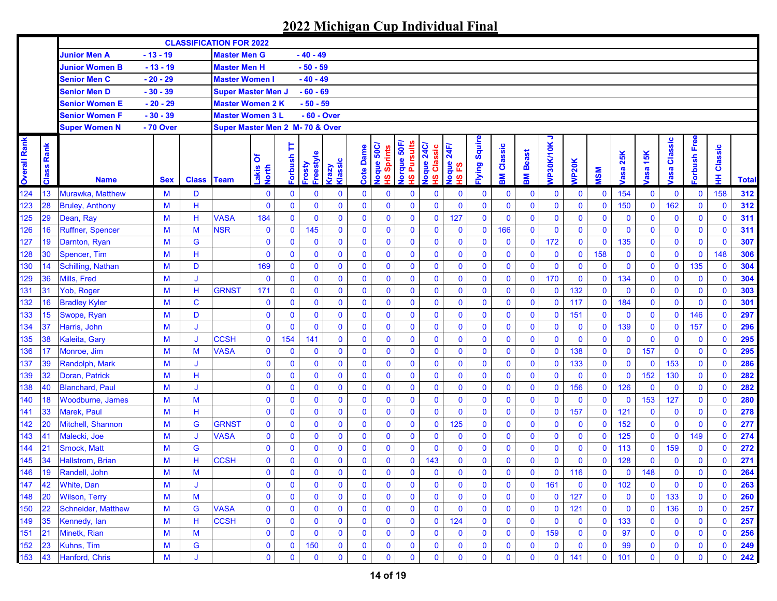|                     |               |                         |            |                   | <b>CLASSIFICATION FOR 2022</b>  |                     |                     |                     |                         |              |                                               |                                     |                                      |                                  |              |               |              |                |              |              |                    |                    |                        |              |              |              |
|---------------------|---------------|-------------------------|------------|-------------------|---------------------------------|---------------------|---------------------|---------------------|-------------------------|--------------|-----------------------------------------------|-------------------------------------|--------------------------------------|----------------------------------|--------------|---------------|--------------|----------------|--------------|--------------|--------------------|--------------------|------------------------|--------------|--------------|--------------|
|                     |               | <b>Junior Men A</b>     | $-13 - 19$ |                   | <b>Master Men G</b>             |                     |                     | - 40 - 49           |                         |              |                                               |                                     |                                      |                                  |              |               |              |                |              |              |                    |                    |                        |              |              |              |
|                     |               | <b>Junior Women B</b>   | $-13 - 19$ |                   | <b>Master Men H</b>             |                     |                     | $-50 - 59$          |                         |              |                                               |                                     |                                      |                                  |              |               |              |                |              |              |                    |                    |                        |              |              |              |
|                     |               | <b>Senior Men C</b>     | $-20 - 29$ |                   | <b>Master Women I</b>           |                     |                     | $-40 - 49$          |                         |              |                                               |                                     |                                      |                                  |              |               |              |                |              |              |                    |                    |                        |              |              |              |
|                     |               | Senior Men D            | $-30 - 39$ |                   | <b>Super Master Men J</b>       |                     |                     | $-60 - 69$          |                         |              |                                               |                                     |                                      |                                  |              |               |              |                |              |              |                    |                    |                        |              |              |              |
|                     |               | Senior Women E          | - 20 - 29  |                   | <b>Master Women 2 K</b>         |                     |                     | - 50 - 59           |                         |              |                                               |                                     |                                      |                                  |              |               |              |                |              |              |                    |                    |                        |              |              |              |
|                     |               | Senior Women F          | - 30 - 39  |                   | <b>Master Women 3 L</b>         |                     |                     | - 60 - Over         |                         |              |                                               |                                     |                                      |                                  |              |               |              |                |              |              |                    |                    |                        |              |              |              |
|                     |               | <b>Super Women N</b>    | - 70 Over  |                   | Super Master Men 2 M- 70 & Over |                     |                     |                     |                         |              |                                               |                                     |                                      |                                  |              |               |              |                |              |              |                    |                    |                        |              |              |              |
| <b>Overall Rank</b> | Rank<br>Class | <b>Name</b>             | <b>Sex</b> | <b>Class Team</b> |                                 | δ<br>Lakis<br>North | Þ<br><b>Forbush</b> | Freestyle<br>Frosty | Klassic<br><b>Grazy</b> | Dame<br>Cote | Joque 50C/<br>Sprints<br>$\underline{\omega}$ | <b>Pursuits</b><br>lorque 50F<br>ഗൂ | <b>24C</b><br>Classic<br>loque<br>ഗൂ | 24F<br>loque<br><u>یع</u><br>ഗ്ഗ | lying Squire | Classic<br>Με | Beast<br>돑   | ∍<br>VP30K/10K | <b>NP20K</b> | <b>NSM</b>   | 25K<br><b>lasa</b> | 15K<br><b>lasa</b> | Classic<br><b>lasa</b> | orbush Free  | Classic<br>₽ | <b>Total</b> |
| 124                 | 13            | Murawka, Matthew        | M          | D                 |                                 | 0                   | 0                   | $\bf{0}$            | $\mathbf 0$             | $\bf{0}$     | $\mathbf 0$                                   | $\mathbf 0$                         | $\mathbf 0$                          | $\mathbf 0$                      | 0            | $\bf{0}$      | $\bf{0}$     | $\mathbf 0$    | $\mathbf 0$  | $\bf{0}$     | 154                | $\mathbf 0$        | $\bf{0}$               | 0            | 158          | 312          |
| 123                 | 28            | <b>Bruley, Anthony</b>  | M          | н                 |                                 | $\bf{0}$            | $\bf{0}$            | $\mathbf 0$         | $\mathbf 0$             | $\mathbf 0$  | $\mathbf{0}$                                  | $\mathbf{0}$                        | $\mathbf 0$                          | $\mathbf 0$                      | $\mathbf 0$  | 0             | $\mathbf 0$  | $\mathbf 0$    | $\mathbf{0}$ | $\mathbf 0$  | 150                | $\mathbf 0$        | 162                    | 0            | $\mathbf 0$  | 312          |
| 125                 | 29            | Dean, Ray               | M          | н                 | <b>VASA</b>                     | 184                 | $\mathbf 0$         | $\mathbf 0$         | $\mathbf 0$             | $\mathbf 0$  | $\mathbf 0$                                   | $\mathbf 0$                         | $\mathbf 0$                          | 127                              | $\mathbf 0$  | $\mathbf 0$   | $\mathbf 0$  | $\mathbf 0$    | $\mathbf{0}$ | $\mathbf 0$  | $\bf{0}$           | $\mathbf 0$        | $\mathbf 0$            | 0            | $\mathbf 0$  | 311          |
| 126                 | 16            | <b>Ruffner, Spencer</b> | M          | M                 | <b>NSR</b>                      | $\bf{0}$            | $\mathbf 0$         | 145                 | $\mathbf 0$             | $\mathbf 0$  | $\mathbf 0$                                   | $\mathbf 0$                         | $\mathbf 0$                          | $\mathbf 0$                      | $\mathbf 0$  | 166           | $\mathbf 0$  | $\mathbf 0$    | $\mathbf{0}$ | $\mathbf{0}$ | $\mathbf 0$        | $\mathbf 0$        | $\mathbf 0$            | 0            | $\mathbf 0$  | 311          |
| 127                 | 19            | Darnton, Ryan           | M          | G                 |                                 | $\bf{0}$            | $\mathbf 0$         | $\mathbf 0$         | $\mathbf 0$             | $\mathbf 0$  | $\mathbf 0$                                   | $\mathbf 0$                         | $\mathbf 0$                          | $\mathbf 0$                      | $\mathbf 0$  | $\mathbf 0$   | $\mathbf 0$  | 172            | $\mathbf 0$  | $\bf{0}$     | 135                | $\mathbf 0$        | $\bf{0}$               | 0            | $\mathbf 0$  | 307          |
| 128                 | 30            | Spencer, Tim            | M          | H                 |                                 | $\bf{0}$            | $\bf{0}$            | $\mathbf 0$         | $\mathbf 0$             | $\mathbf 0$  | $\mathbf 0$                                   | $\mathbf 0$                         | $\mathbf 0$                          | $\mathbf 0$                      | $\mathbf 0$  | $\mathbf 0$   | $\mathbf 0$  | $\mathbf 0$    | $\mathbf 0$  | 158          | $\bf{0}$           | $\mathbf 0$        | $\mathbf 0$            | $\mathbf 0$  | 148          | 306          |
| 130                 | 14            | Schilling, Nathan       | M          | D                 |                                 | 169                 | $\mathbf 0$         | $\mathbf 0$         | $\mathbf 0$             | $\mathbf 0$  | $\mathbf 0$                                   | $\mathbf 0$                         | $\pmb{0}$                            | $\bf{0}$                         | $\mathbf 0$  | $\mathbf 0$   | $\mathbf 0$  | $\mathbf 0$    | $\mathbf{0}$ | $\mathbf 0$  | $\mathbf 0$        | $\pmb{0}$          | $\mathbf 0$            | 135          | $\mathbf 0$  | 304          |
| 129                 | 36            | Mills, Fred             | M          | J                 |                                 | $\bf{0}$            | $\mathbf 0$         | $\mathbf 0$         | $\mathbf 0$             | $\mathbf 0$  | $\mathbf 0$                                   | $\mathbf 0$                         | $\mathbf 0$                          | $\mathbf 0$                      | $\mathbf 0$  | $\bf{0}$      | $\mathbf 0$  | 170            | $\mathbf 0$  | $\bf{0}$     | 134                | $\mathbf 0$        | $\bf{0}$               | 0            | $\mathbf 0$  | 304          |
| 131                 | 31            | Yob, Roger              | M          | H                 | <b>GRNST</b>                    | 171                 | $\mathbf 0$         | $\bf{0}$            | $\mathbf 0$             | $\mathbf 0$  | $\mathbf 0$                                   | $\mathbf 0$                         | $\bf{0}$                             | $\mathbf 0$                      | $\mathbf 0$  | $\bf{0}$      | $\mathbf 0$  | $\bf{0}$       | 132          | $\mathbf 0$  | $\mathbf 0$        | $\bf{0}$           | $\bf{0}$               | 0            | $\mathbf 0$  | 303          |
| 132                 | 16            | <b>Bradley Kyler</b>    | M          | $\mathbf C$       |                                 | $\bf{0}$            | $\bf{0}$            | $\mathbf 0$         | $\mathbf 0$             | $\mathbf{0}$ | $\mathbf 0$                                   | $\mathbf 0$                         | $\bf{0}$                             | $\mathbf 0$                      | $\mathbf 0$  | $\bf{0}$      | $\mathbf 0$  | $\mathbf 0$    | 117          | $\mathbf{0}$ | 184                | $\bf{0}$           | $\mathbf 0$            | 0            | $\mathbf 0$  | 301          |
| 133                 | 15            | Swope, Ryan             | M          | D                 |                                 | $\bf{0}$            | $\bf{0}$            | $\mathbf 0$         | $\mathbf 0$             | $\mathbf 0$  | $\mathbf 0$                                   | $\mathbf 0$                         | $\bf{0}$                             | $\mathbf 0$                      | $\mathbf 0$  | $\mathbf 0$   | $\mathbf 0$  | $\mathbf 0$    | 151          | $\mathbf 0$  | $\mathbf 0$        | $\pmb{0}$          | $\mathbf 0$            | 146          | $\mathbf 0$  | 297          |
| 134                 | 37            | Harris, John            | M          | J                 |                                 | $\bf{0}$            | $\mathbf 0$         | $\bf{0}$            | $\mathbf 0$             | $\mathbf 0$  | $\mathbf 0$                                   | $\mathbf 0$                         | $\mathbf 0$                          | $\mathbf 0$                      | $\mathbf 0$  | $\bf{0}$      | $\mathbf 0$  | $\mathbf 0$    | $\mathbf 0$  | $\mathbf{0}$ | 139                | $\mathbf 0$        | $\bf{0}$               | 157          | $\mathbf 0$  | 296          |
| 135                 | 38            | Kaleita, Gary           | M          | J                 | <b>CCSH</b>                     | $\bf{0}$            | 154                 | 141                 | $\mathbf 0$             | $\mathbf 0$  | $\mathbf 0$                                   | $\mathbf 0$                         | $\mathbf 0$                          | $\mathbf 0$                      | $\mathbf 0$  | $\mathbf 0$   | $\mathbf 0$  | $\mathbf 0$    | $\mathbf{0}$ | $\mathbf 0$  | $\mathbf 0$        | $\bf{0}$           | $\mathbf 0$            | $\bf{0}$     | $\mathbf 0$  | 295          |
| 136                 | 17            | Monroe, Jim             | M          | M                 | <b>VASA</b>                     | $\bf{0}$            | $\mathbf 0$         | $\mathbf 0$         | $\mathbf 0$             | $\mathbf 0$  | $\mathbf 0$                                   | $\mathbf 0$                         | $\pmb{0}$                            | $\mathbf 0$                      | $\mathbf 0$  | 0             | $\mathbf 0$  | $\mathbf 0$    | 138          | $\mathbf 0$  | $\boldsymbol{0}$   | 157                | $\mathbf 0$            | 0            | $\mathbf 0$  | 295          |
| 137                 | 39            | Randolph, Mark          | M          | J                 |                                 | $\bf{0}$            | $\mathbf 0$         | $\mathbf 0$         | $\mathbf 0$             | $\mathbf{0}$ | $\mathbf 0$                                   | $\mathbf 0$                         | $\bf{0}$                             | $\mathbf 0$                      | $\mathbf 0$  | $\mathbf{0}$  | $\mathbf 0$  | $\mathbf 0$    | 133          | $\mathbf 0$  | $\mathbf 0$        | $\mathbf 0$        | 153                    | 0            | $\mathbf 0$  | 286          |
| 139                 | 32            | Doran, Patrick          | M          | н                 |                                 | $\mathbf 0$         | $\bf{0}$            | $\mathbf 0$         | $\mathbf 0$             | $\mathbf 0$  | $\mathbf 0$                                   | $\mathbf 0$                         | $\bf{0}$                             | $\mathbf 0$                      | $\mathbf 0$  | $\mathbf 0$   | $\bf{0}$     | $\mathbf 0$    | $\bf{0}$     | $\mathbf 0$  | $\mathbf 0$        | 152                | 130                    | 0            | $\mathbf 0$  | 282          |
| 138                 | 40            | <b>Blanchard, Paul</b>  | M          | J                 |                                 | $\bf{0}$            | $\mathbf 0$         | $\bf{0}$            | $\mathbf 0$             | $\mathbf 0$  | $\mathbf 0$                                   | $\mathbf 0$                         | $\mathbf 0$                          | $\bf{0}$                         | $\mathbf 0$  | 0             | $\mathbf 0$  | $\mathbf 0$    | 156          | $\mathbf 0$  | 126                | $\mathbf 0$        | $\mathbf 0$            | 0            | $\mathbf 0$  | 282          |
| 140                 | 18            | Woodburne, James        | M          | M                 |                                 | $\mathbf 0$         | $\mathbf 0$         | $\mathbf 0$         | $\mathbf 0$             | $\mathbf 0$  | $\mathbf 0$                                   | $\mathbf 0$                         | $\mathbf 0$                          | $\mathbf 0$                      | $\mathbf 0$  | 0             | $\mathbf 0$  | $\mathbf 0$    | $\mathbf 0$  | $\mathbf{0}$ | $\mathbf 0$        | 153                | 127                    | 0            | $\mathbf 0$  | 280          |
| 141                 | 33            | Marek, Paul             | M          | н                 |                                 | $\mathbf 0$         | $\mathbf 0$         | $\bf{0}$            | $\mathbf 0$             | $\mathbf 0$  | $\mathbf 0$                                   | $\mathbf 0$                         | $\mathbf 0$                          | $\mathbf 0$                      | $\mathbf 0$  | $\bf{0}$      | $\mathbf 0$  | $\mathbf 0$    | 157          | $\mathbf{0}$ | 121                | $\mathbf 0$        | $\bf{0}$               | 0            | $\mathbf 0$  | 278          |
| 142                 | 20            | Mitchell, Shannon       | M          | G                 | <b>GRNST</b>                    | $\bf{0}$            | $\bf{0}$            | $\mathbf 0$         | $\mathbf 0$             | $\mathbf 0$  | $\mathbf 0$                                   | $\mathbf 0$                         | $\mathbf 0$                          | 125                              | $\mathbf 0$  | 0             | $\mathbf 0$  | $\mathbf 0$    | $\mathbf 0$  | $\mathbf{0}$ | 152                | $\mathbf 0$        | $\mathbf 0$            | $\mathbf{0}$ | $\mathbf 0$  | 277          |
| 143                 | 41            | Malecki, Joe            | M          | J                 | VASA                            | $\mathbf 0$         | $\mathbf 0$         | $\mathbf 0$         | $\mathbf 0$             | $\mathbf 0$  | $\mathbf 0$                                   | $\mathbf 0$                         | $\mathbf 0$                          | $\mathbf 0$                      | $\mathbf 0$  | $\mathbf 0$   | $\mathbf 0$  | $\mathbf 0$    | $\mathbf 0$  | $\mathbf 0$  | 125                | $\mathbf 0$        | $\bf{0}$               | 149          | $\mathbf 0$  | 274          |
| 144                 | 21            | <b>Smock, Matt</b>      | M          | G                 |                                 | $\mathbf 0$         | $\mathbf 0$         | $\mathbf 0$         | $\mathbf 0$             | $\mathbf 0$  | $\mathbf 0$                                   | $\mathbf 0$                         | $\mathbf 0$                          | $\mathbf 0$                      | $\mathbf 0$  | $\mathbf 0$   | $\mathbf 0$  | $\bf{0}$       | $\mathbf 0$  | $\mathbf{0}$ | 113                | $\mathbf 0$        | 159                    | $\bf{0}$     | $\mathbf 0$  | 272          |
| 145                 | 34            | Hallstrom, Brian        | M          | н                 | <b>CCSH</b>                     | $\bf{0}$            | 0                   | $\bf{0}$            | $\bf{0}$                | $\mathbf 0$  | $\mathbf 0$                                   | $\mathbf 0$                         | 143                                  | $\mathbf 0$                      | $\mathbf 0$  | 0             | $\mathbf 0$  | $\mathbf 0$    | $\mathbf 0$  | $\mathbf 0$  | 128                | $\bf{0}$           | $\bf{0}$               | 0            | $\bf{0}$     | 271          |
| 146                 | 19            | Randell, John           | M          | M                 |                                 | $\mathbf{0}$        | $\mathbf 0$         | $\mathbf 0$         | $\mathbf{0}$            | $\mathbf{0}$ | $\mathbf 0$                                   | $\mathbf{0}$                        | $\mathbf 0$                          | $\mathbf 0$                      | $\mathbf{0}$ | $\mathbf{0}$  | $\mathbf{0}$ | $\mathbf 0$    | 116          | $\mathbf{0}$ | $\mathbf 0$        | 148                | $\mathbf{0}$           | 0            | $\mathbf 0$  | 264          |
| 147                 | 42            | White, Dan              | M          | J                 |                                 | 0                   | 0                   | 0                   | $\mathbf 0$             | $\mathbf 0$  | $\bf{0}$                                      | $\bf{0}$                            | $\mathbf 0$                          | $\bf{0}$                         | $\bf{0}$     | 0             | $\bf{0}$     | 161            | $\bf{0}$     | 0            | 102                | $\bf{0}$           | $\mathbf 0$            | 0            | $\bf{0}$     | 263          |
| 148                 | 20            | <b>Wilson, Terry</b>    | M          | M                 |                                 | $\bf{0}$            | $\mathbf 0$         | $\mathbf 0$         | $\mathbf 0$             | $\bf{0}$     | $\bf{0}$                                      | $\bf{0}$                            | $\bf{0}$                             | $\bf{0}$                         | 0            | 0             | $\bf{0}$     | $\mathbf 0$    | 127          | $\bf{0}$     | $\mathbf 0$        | $\mathbf 0$        | 133                    | 0            | $\bf{0}$     | 260          |
| 150                 | 22            | Schneider, Matthew      | M          | G                 | <b>VASA</b>                     | 0                   | $\bf{0}$            | $\bf{0}$            | $\bf{0}$                | $\bf{0}$     | $\mathbf 0$                                   | $\bf{0}$                            | $\bf{0}$                             | $\bf{0}$                         | 0            | $\bf{0}$      | $\bf{0}$     | $\mathbf 0$    | 121          | $\mathbf 0$  | $\mathbf 0$        | $\bf{0}$           | 136                    | 0            | $\mathbf 0$  | 257          |
| 149                 | 35            | Kennedy, lan            | M          | Н                 | <b>CCSH</b>                     | $\bf{0}$            | $\bf{0}$            | $\bf{0}$            | $\bf{0}$                | $\mathbf 0$  | $\mathbf 0$                                   | $\bf{0}$                            | $\bf{0}$                             | 124                              | 0            | $\bf{0}$      | $\bf{0}$     | $\mathbf 0$    | $\mathbf 0$  | $\mathbf 0$  | 133                | $\bf{0}$           | $\bf{0}$               | 0            | $\mathbf 0$  | <b>257</b>   |
| 151                 | 21            | Minetk, Rian            | M          | M                 |                                 | 0                   | $\bf{0}$            | $\bf{0}$            | $\bf{0}$                | $\bf{0}$     | $\mathbf 0$                                   | $\mathbf 0$                         | $\mathbf 0$                          | $\bf{0}$                         | 0            | $\bf{0}$      | $\mathbf 0$  | 159            | $\bf{0}$     | $\bf{0}$     | 97                 | $\bf{0}$           | $\bf{0}$               | 0            | $\mathbf 0$  | 256          |
| 152                 | 23            | Kuhns, Tim              | M          | G                 |                                 | $\mathbf 0$         | $\bf{0}$            | 150                 | $\bf{0}$                | $\bf{0}$     | $\mathbf 0$                                   | $\mathbf 0$                         | $\mathbf 0$                          | $\bf{0}$                         | 0            | 0             | $\mathbf 0$  | $\mathbf 0$    | $\bf{0}$     | $\bf{0}$     | 99                 | $\bf{0}$           | 0                      | 0            | $\bf{0}$     | 249          |
| 153                 | 43            | Hanford, Chris          | M          | J                 |                                 | $\mathbf 0$         | 0                   | 0                   | $\mathbf 0$             | $\mathbf{0}$ | $\bf{0}$                                      | 0                                   | $\mathbf 0$                          | 0                                | 0            | 0             | $\bf{0}$     | $\mathbf 0$    | 141          | $\mathbf 0$  | 101                | $\mathbf 0$        | $\mathbf 0$            | 0            | $\bf{0}$     | 242          |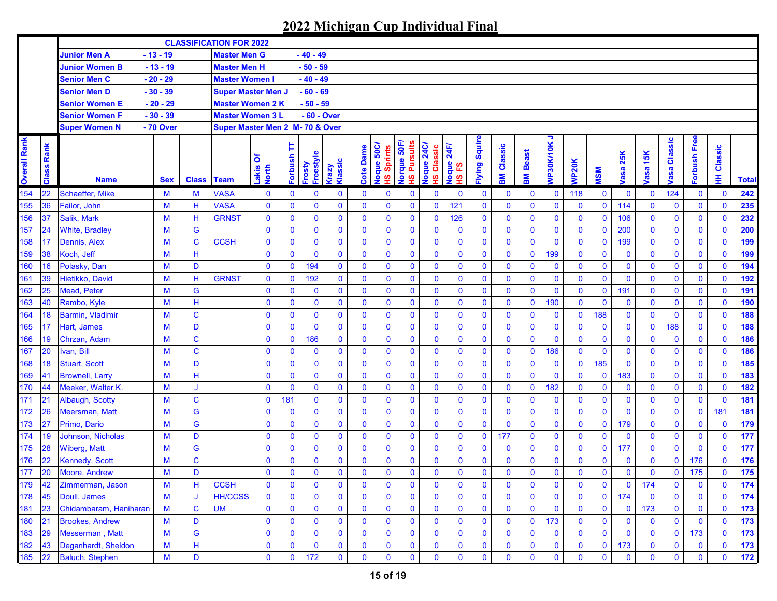|                     |               |                         |            |              | <b>CLASSIFICATION FOR 2022</b>  |                     |              |                     |                         |              |                                               |                                     |                                      |                          |                      |                   |                   |                |              |              |                   |                    |                        |                |               |              |
|---------------------|---------------|-------------------------|------------|--------------|---------------------------------|---------------------|--------------|---------------------|-------------------------|--------------|-----------------------------------------------|-------------------------------------|--------------------------------------|--------------------------|----------------------|-------------------|-------------------|----------------|--------------|--------------|-------------------|--------------------|------------------------|----------------|---------------|--------------|
|                     |               | <b>Junior Men A</b>     | $-13 - 19$ |              | <b>Master Men G</b>             |                     |              | - 40 - 49           |                         |              |                                               |                                     |                                      |                          |                      |                   |                   |                |              |              |                   |                    |                        |                |               |              |
|                     |               | <b>Junior Women B</b>   | $-13 - 19$ |              | <b>Master Men H</b>             |                     |              | $-50 - 59$          |                         |              |                                               |                                     |                                      |                          |                      |                   |                   |                |              |              |                   |                    |                        |                |               |              |
|                     |               | <b>Senior Men C</b>     | $-20 - 29$ |              | <b>Master Women I</b>           |                     |              | $-40 - 49$          |                         |              |                                               |                                     |                                      |                          |                      |                   |                   |                |              |              |                   |                    |                        |                |               |              |
|                     |               | <b>Senior Men D</b>     | $-30 - 39$ |              | <b>Super Master Men J</b>       |                     |              | $-60 - 69$          |                         |              |                                               |                                     |                                      |                          |                      |                   |                   |                |              |              |                   |                    |                        |                |               |              |
|                     |               | Senior Women E          | - 20 - 29  |              | <b>Master Women 2 K</b>         |                     |              | - 50 - 59           |                         |              |                                               |                                     |                                      |                          |                      |                   |                   |                |              |              |                   |                    |                        |                |               |              |
|                     |               | Senior Women F          | - 30 - 39  |              | <b>Master Women 3 L</b>         |                     |              | - 60 - Over         |                         |              |                                               |                                     |                                      |                          |                      |                   |                   |                |              |              |                   |                    |                        |                |               |              |
|                     |               | <b>Super Women N</b>    | - 70 Over  |              | Super Master Men 2 M- 70 & Over |                     |              |                     |                         |              |                                               |                                     |                                      |                          |                      |                   |                   |                |              |              |                   |                    |                        |                |               |              |
| <b>Overall Rank</b> | Rank<br>Class | <b>Name</b>             | <b>Sex</b> | <b>Class</b> | <b>Team</b>                     | δ<br>Lakis<br>North | Þ<br>Forbush | Freestyle<br>Frosty | Klassic<br><b>Grazy</b> | Dame<br>Cote | loque 50C/<br>Sprints<br>$\underline{\omega}$ | <b>Pursuits</b><br>lorque 50F<br>ഗൂ | <b>24C/</b><br>Classic<br>loque<br>ഇ | 24F/<br>loque<br>ဥ<br>ဖ္ | <b>ilying Squire</b> | <b>3M Classic</b> | <b>Beast</b><br>돑 | ∍<br>VP30K/10K | <b>NP20K</b> | <b>MSN</b>   | 25K<br><b>bsa</b> | 15K<br><b>lasa</b> | Classic<br><b>lasa</b> | orbush Free    | Classic<br>Ŧ. | <b>Total</b> |
| 154                 | 22            | Schaeffer, Mike         | M          | M            | <b>VASA</b>                     | 0                   | 0            | $\bf{0}$            | $\mathbf 0$             | $\bf{0}$     | $\bf{0}$                                      | $\mathbf 0$                         | $\bf{0}$                             | $\mathbf 0$              | 0                    | $\bf{0}$          | $\bf{0}$          | $\mathbf 0$    | 118          | $\mathbf 0$  | $\mathbf 0$       | $\mathbf 0$        | 124                    | 0              | $\mathbf 0$   | 242          |
| 155                 | 36            | Failor, John            | M          | H            | <b>VASA</b>                     | $\bf{0}$            | $\bf{0}$     | $\mathbf 0$         | $\mathbf 0$             | $\mathbf 0$  | $\mathbf{0}$                                  | $\mathbf{0}$                        | $\mathbf 0$                          | 121                      | $\mathbf 0$          | 0                 | $\mathbf 0$       | $\mathbf 0$    | $\mathbf{0}$ | $\mathbf{0}$ | 114               | $\mathbf 0$        | $\mathbf 0$            | 0              | $\mathbf 0$   | 235          |
| 156                 | 37            | Salik, Mark             | M          | н            | <b>GRNST</b>                    | $\bf{0}$            | $\bf{0}$     | $\mathbf 0$         | $\mathbf 0$             | $\mathbf 0$  | $\mathbf 0$                                   | $\mathbf 0$                         | $\mathbf 0$                          | 126                      | $\mathbf 0$          | 0                 | $\mathbf 0$       | $\mathbf 0$    | $\mathbf{0}$ | $\mathbf{0}$ | 106               | $\mathbf 0$        | $\mathbf 0$            | 0              | $\mathbf 0$   | 232          |
| 157                 | 24            | <b>White, Bradley</b>   | M          | G            |                                 | $\mathbf 0$         | $\mathbf 0$  | $\mathbf 0$         | $\mathbf 0$             | $\mathbf 0$  | $\mathbf 0$                                   | $\mathbf 0$                         | $\mathbf 0$                          | $\mathbf 0$              | $\mathbf 0$          | 0                 | $\mathbf 0$       | $\mathbf 0$    | $\mathbf{0}$ | $\mathbf{0}$ | 200               | $\mathbf 0$        | $\mathbf 0$            | 0              | $\mathbf 0$   | 200          |
| 158                 | 17            | Dennis, Alex            | M          | $\mathbf C$  | <b>CCSH</b>                     | $\bf{0}$            | $\mathbf 0$  | $\mathbf 0$         | $\mathbf 0$             | $\mathbf 0$  | $\mathbf 0$                                   | $\mathbf 0$                         | $\mathbf 0$                          | $\mathbf 0$              | $\mathbf 0$          | $\bf{0}$          | $\mathbf 0$       | $\bf{0}$       | $\mathbf 0$  | $\mathbf{0}$ | 199               | $\mathbf 0$        | $\bf{0}$               | 0              | $\mathbf 0$   | 199          |
| 159                 | 38            | Koch, Jeff              | M          | H            |                                 | $\mathbf 0$         | $\mathbf 0$  | $\mathbf 0$         | $\mathbf 0$             | $\mathbf 0$  | $\mathbf 0$                                   | $\mathbf 0$                         | $\mathbf 0$                          | $\mathbf 0$              | $\mathbf 0$          | $\mathbf 0$       | $\mathbf 0$       | 199            | $\mathbf 0$  | $\mathbf{0}$ | $\bf{0}$          | $\mathbf 0$        | $\mathbf 0$            | 0              | $\mathbf 0$   | 199          |
| 160                 | 16            | Polasky, Dan            | M          | D            |                                 | $\pmb{0}$           | $\mathbf 0$  | 194                 | $\mathbf 0$             | $\mathbf 0$  | $\mathbf 0$                                   | $\mathbf 0$                         | $\pmb{0}$                            | $\bf{0}$                 | $\mathbf 0$          | 0                 | $\mathbf 0$       | $\bf{0}$       | $\mathbf{0}$ | $\mathbf 0$  | $\mathbf 0$       | $\pmb{0}$          | $\mathbf 0$            | 0              | $\mathbf 0$   | 194          |
| 161                 | 39            | Hietikko, David         | M          | H            | <b>GRNST</b>                    | $\bf{0}$            | $\mathbf 0$  | 192                 | $\mathbf 0$             | $\mathbf 0$  | $\mathbf 0$                                   | $\mathbf 0$                         | $\mathbf 0$                          | $\mathbf 0$              | $\mathbf 0$          | $\bf{0}$          | $\mathbf 0$       | $\mathbf 0$    | $\mathbf{0}$ | $\mathbf{0}$ | $\mathbf 0$       | $\mathbf 0$        | $\bf{0}$               | 0              | $\mathbf 0$   | 192          |
| 162                 | 25            | <b>Mead. Peter</b>      | M          | G            |                                 | $\bf{0}$            | $\mathbf 0$  | $\bf{0}$            | $\mathbf 0$             | $\mathbf 0$  | $\mathbf 0$                                   | $\mathbf 0$                         | $\bf{0}$                             | $\mathbf 0$              | $\mathbf 0$          | $\bf{0}$          | $\mathbf 0$       | $\mathbf 0$    | $\mathbf{0}$ | $\bf{0}$     | 191               | $\bf{0}$           | $\bf{0}$               | 0              | $\mathbf 0$   | 191          |
| 163                 | 40            | Rambo, Kyle             | M          | H            |                                 | $\bf{0}$            | $\bf{0}$     | $\mathbf 0$         | $\mathbf 0$             | $\mathbf 0$  | $\mathbf 0$                                   | $\mathbf 0$                         | $\bf{0}$                             | $\mathbf 0$              | $\mathbf 0$          | $\mathbf 0$       | $\mathbf 0$       | 190            | $\mathbf{0}$ | $\mathbf{0}$ | $\mathbf 0$       | $\pmb{0}$          | $\bf{0}$               | 0              | $\mathbf 0$   | 190          |
| 164                 | 18            | <b>Barmin, Vladimir</b> | M          | $\mathbf C$  |                                 | $\bf{0}$            | $\mathbf 0$  | $\mathbf 0$         | $\mathbf 0$             | $\mathbf 0$  | $\mathbf 0$                                   | $\mathbf 0$                         | $\bf{0}$                             | $\mathbf 0$              | $\mathbf 0$          | $\mathbf 0$       | $\mathbf 0$       | $\mathbf 0$    | $\mathbf{0}$ | 188          | $\mathbf 0$       | $\mathbf 0$        | $\mathbf 0$            | 0              | $\mathbf 0$   | 188          |
| 165                 | 17            | Hart, James             | M          | D            |                                 | $\bf{0}$            | $\mathbf 0$  | $\mathbf 0$         | $\mathbf 0$             | $\mathbf 0$  | $\mathbf 0$                                   | $\mathbf 0$                         | $\mathbf 0$                          | $\mathbf 0$              | $\mathbf 0$          | $\mathbf 0$       | $\mathbf 0$       | $\mathbf 0$    | $\mathbf{0}$ | $\mathbf 0$  | $\mathbf 0$       | $\bf{0}$           | 188                    | 0              | $\mathbf 0$   | 188          |
| 166                 | 19            | Chrzan, Adam            | M          | $\mathbf C$  |                                 | $\bf{0}$            | $\mathbf 0$  | 186                 | $\mathbf 0$             | $\mathbf 0$  | $\mathbf 0$                                   | $\mathbf 0$                         | $\mathbf 0$                          | $\mathbf 0$              | $\mathbf 0$          | $\mathbf 0$       | $\mathbf 0$       | $\mathbf 0$    | $\mathbf{0}$ | $\mathbf 0$  | $\mathbf 0$       | $\mathbf 0$        | $\mathbf 0$            | 0              | $\mathbf 0$   | 186          |
| 167                 | 20            | Ivan, Bill              | M          | $\mathbf C$  |                                 | $\bf{0}$            | $\bf{0}$     | $\mathbf 0$         | $\mathbf 0$             | $\mathbf 0$  | $\mathbf 0$                                   | $\mathbf 0$                         | $\pmb{0}$                            | $\bf{0}$                 | $\mathbf 0$          | 0                 | $\mathbf 0$       | 186            | $\mathbf{0}$ | $\mathbf 0$  | $\mathbf 0$       | $\mathbf 0$        | 0                      | 0              | $\mathbf 0$   | 186          |
| 168                 | 18            | <b>Stuart, Scott</b>    | M          | D            |                                 | $\bf{0}$            | $\bf{0}$     | $\mathbf 0$         | $\mathbf 0$             | $\mathbf 0$  | $\mathbf 0$                                   | $\mathbf 0$                         | $\bf{0}$                             | $\mathbf 0$              | $\mathbf 0$          | $\mathbf{0}$      | $\mathbf 0$       | $\mathbf 0$    | $\mathbf{0}$ | 185          | $\mathbf 0$       | $\mathbf 0$        | 0                      | 0              | $\mathbf 0$   | 185          |
| 169                 | 41            | <b>Brownell, Larry</b>  | M          | н            |                                 | $\mathbf 0$         | $\bf{0}$     | $\mathbf 0$         | $\mathbf 0$             | $\mathbf 0$  | $\mathbf 0$                                   | $\mathbf 0$                         | $\mathbf 0$                          | $\mathbf 0$              | $\mathbf 0$          | $\mathbf 0$       | $\mathbf 0$       | $\mathbf 0$    | $\mathbf 0$  | $\mathbf 0$  | 183               | $\mathbf 0$        | $\mathbf 0$            | 0              | $\mathbf 0$   | 183          |
| 170                 | 44            | Meeker, Walter K.       | M          | J            |                                 | $\bf{0}$            | $\bf{0}$     | $\bf{0}$            | $\mathbf 0$             | $\mathbf 0$  | $\mathbf 0$                                   | $\mathbf 0$                         | $\mathbf 0$                          | $\bf{0}$                 | $\mathbf 0$          | 0                 | $\mathbf 0$       | 182            | $\mathbf 0$  | $\bf{0}$     | $\mathbf 0$       | $\mathbf 0$        | $\bf{0}$               | 0              | $\mathbf 0$   | 182          |
| 171                 | 21            | Albaugh, Scotty         | M          | $\mathbf C$  |                                 | $\bf{0}$            | 181          | $\mathbf 0$         | $\mathbf 0$             | $\mathbf 0$  | $\mathbf 0$                                   | $\mathbf 0$                         | $\mathbf 0$                          | $\mathbf 0$              | $\mathbf 0$          | 0                 | $\mathbf 0$       | $\mathbf 0$    | $\mathbf{0}$ | $\mathbf{0}$ | $\mathbf 0$       | $\mathbf 0$        | $\mathbf 0$            | $\overline{0}$ | $\mathbf 0$   | 181          |
| 172                 | 26            | <b>Meersman, Matt</b>   | M          | G            |                                 | $\bf{0}$            | $\mathbf 0$  | $\bf{0}$            | $\mathbf 0$             | $\mathbf 0$  | $\mathbf 0$                                   | $\mathbf 0$                         | $\mathbf 0$                          | $\mathbf 0$              | $\mathbf 0$          | 0                 | $\mathbf 0$       | $\mathbf 0$    | $\mathbf{0}$ | $\mathbf{0}$ | $\mathbf 0$       | $\mathbf 0$        | $\bf{0}$               | 0              | 181           | 181          |
| 173                 | 27            | Primo, Dario            | M          | G            |                                 | $\bf{0}$            | $\mathbf 0$  | $\mathbf 0$         | $\mathbf 0$             | $\mathbf 0$  | $\mathbf 0$                                   | $\mathbf{0}$                        | $\mathbf 0$                          | $\mathbf 0$              | $\mathbf 0$          | $\mathbf 0$       | $\mathbf 0$       | $\mathbf 0$    | $\mathbf{0}$ | $\mathbf{0}$ | 179               | $\mathbf 0$        | $\bf{0}$               | 0              | $\mathbf 0$   | 179          |
| 174                 | 19            | Johnson, Nicholas       | M          | D            |                                 | $\bf{0}$            | $\mathbf 0$  | $\mathbf 0$         | $\mathbf 0$             | $\mathbf 0$  | $\mathbf 0$                                   | $\mathbf 0$                         | $\mathbf 0$                          | $\mathbf 0$              | 0                    | 177               | $\mathbf 0$       | $\mathbf 0$    | $\mathbf 0$  | $\mathbf 0$  | $\mathbf 0$       | $\mathbf 0$        | $\mathbf 0$            | 0              | $\mathbf 0$   | 177          |
| 175                 | 28            | <b>Wiberg, Matt</b>     | M          | G            |                                 | $\bf{0}$            | $\mathbf 0$  | $\mathbf 0$         | $\mathbf 0$             | $\mathbf 0$  | $\mathbf 0$                                   | $\mathbf 0$                         | $\mathbf 0$                          | $\mathbf 0$              | $\mathbf 0$          | $\mathbf 0$       | $\mathbf 0$       | $\bf{0}$       | $\mathbf 0$  | $\mathbf 0$  | 177               | $\mathbf 0$        | $\mathbf 0$            | 0              | $\mathbf 0$   | 177          |
| 176                 | 22            | <b>Kennedy, Scott</b>   | M          | $\mathbf C$  |                                 | $\bf{0}$            | 0            | $\bf{0}$            | $\bf{0}$                | $\mathbf 0$  | $\mathbf 0$                                   | $\bf{0}$                            | $\mathbf 0$                          | $\mathbf 0$              | $\mathbf 0$          | 0                 | $\mathbf 0$       | $\bf{0}$       | $\bf{0}$     | 0            | $\bf{0}$          | $\bf{0}$           | $\bf{0}$               | 176            | $\mathbf 0$   | 176          |
| 177                 | 20            | <b>Moore, Andrew</b>    | M          | D            |                                 | $\mathbf 0$         | $\mathbf 0$  | $\mathbf 0$         | $\mathbf{0}$            | $\mathbf{0}$ | $\mathbf 0$                                   | $\mathbf{0}$                        | $\mathbf 0$                          | $\mathbf 0$              | $\mathbf{0}$         | $\mathbf{0}$      | $\mathbf 0$       | $\mathbf{0}$   | $\mathbf{0}$ | $\mathbf{0}$ | $\mathbf 0$       | $\mathbf 0$        | $\mathbf 0$            | 175            | $\mathbf 0$   | 175          |
| 179                 | 42            | Zimmerman, Jason        | M          | н            | <b>CCSH</b>                     | 0                   | $\mathbf 0$  | 0                   | $\mathbf 0$             | $\mathbf 0$  | $\bf{0}$                                      | 0                                   | $\mathbf 0$                          | $\bf{0}$                 | $\bf{0}$             | 0                 | $\bf{0}$          | $\mathbf 0$    | 0            | 0            | $\mathbf 0$       | 174                | $\bf{0}$               | 0              | 0             | 174          |
| 178                 | 45            | Doull, James            | M          | J            | <b>HH/CCSS</b>                  | $\mathbf 0$         | 0            | $\mathbf 0$         | $\mathbf 0$             | $\mathbf 0$  | $\bf{0}$                                      | $\bf{0}$                            | $\bf{0}$                             | 0                        | 0                    | $\mathbf 0$       | $\mathbf 0$       | $\bf{0}$       | $\mathbf 0$  | $\mathbf 0$  | 174               | $\bf{0}$           | $\bf{0}$               | 0              | $\mathbf 0$   | 174          |
| 181                 | 23            | Chidambaram, Haniharan  | M          | $\mathbf C$  | <b>UM</b>                       | $\bf{0}$            | $\bf{0}$     | $\bf{0}$            | $\bf{0}$                | $\bf{0}$     | $\mathbf 0$                                   | $\bf{0}$                            | $\bf{0}$                             | $\bf{0}$                 | 0                    | 0                 | $\mathbf 0$       | $\mathbf 0$    | $\mathbf 0$  | $\mathbf 0$  | $\mathbf 0$       | 173                | $\bf{0}$               | 0              | $\mathbf 0$   | 173          |
| 180                 | 21            | <b>Brookes, Andrew</b>  | M          | D            |                                 | 0                   | $\bf{0}$     | $\bf{0}$            | $\bf{0}$                | $\bf{0}$     | $\mathbf 0$                                   | $\bf{0}$                            | $\bf{0}$                             | $\bf{0}$                 | 0                    | 0                 | $\bf{0}$          | 173            | $\mathbf 0$  | $\mathbf 0$  | $\mathbf 0$       | $\bf{0}$           | 0                      | 0              | $\mathbf 0$   | 173          |
| 183                 | 29            | Messerman, Matt         | M          | G            |                                 | 0                   | $\bf{0}$     | $\bf{0}$            | $\bf{0}$                | $\mathbf 0$  | $\mathbf 0$                                   | $\mathbf 0$                         | $\mathbf 0$                          | $\bf{0}$                 | 0                    | $\bf{0}$          | $\mathbf 0$       | $\mathbf 0$    | $\mathbf 0$  | $\mathbf 0$  | $\mathbf 0$       | $\bf{0}$           | $\bf{0}$               | 173            | $\mathbf 0$   | 173          |
| 182                 | 43            | Deganhardt, Sheldon     | M          | н            |                                 | $\bf{0}$            | 0            | 0                   | $\mathbf 0$             | $\mathbf 0$  | $\mathbf 0$                                   | $\mathbf 0$                         | $\bf{0}$                             | $\bf{0}$                 | 0                    | 0                 | $\mathbf 0$       | $\bf{0}$       | $\bf{0}$     | $\bf{0}$     | 173               | $\bf{0}$           | 0                      | 0              | $\bf{0}$      | 173          |
| 185                 | 22            | <b>Baluch, Stephen</b>  | M          | D            |                                 | $\mathbf 0$         | 0            | 172                 | $\mathbf 0$             | $\mathbf 0$  | $\bf{0}$                                      | $\bf{0}$                            | $\mathbf 0$                          | 0                        | $\mathbf 0$          | 0                 | $\mathbf 0$       | $\bf{0}$       | $\mathbf 0$  | $\mathbf 0$  | $\mathbf 0$       | $\mathbf 0$        | $\mathbf 0$            | 0              | $\mathbf 0$   | 172          |
|                     |               |                         |            |              |                                 |                     |              |                     |                         |              |                                               |                                     |                                      |                          |                      |                   |                   |                |              |              |                   |                    |                        |                |               |              |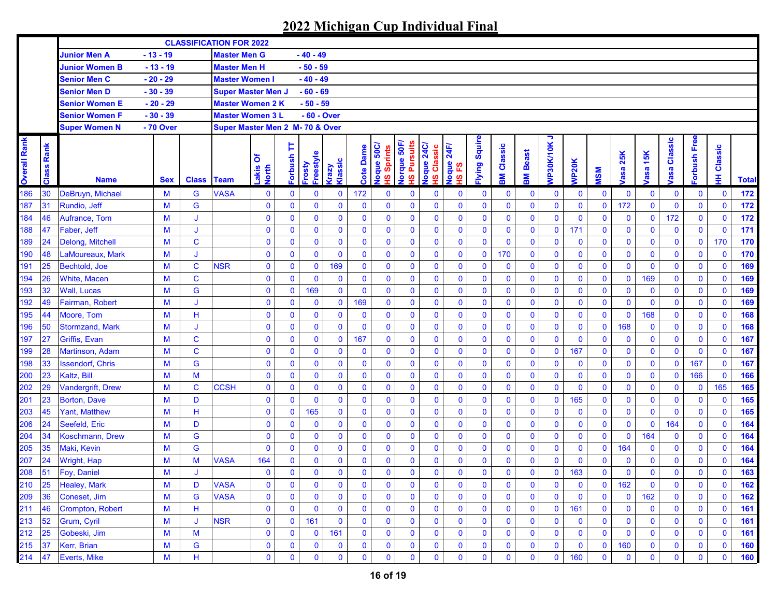|                     |               |                         |            |              | <b>CLASSIFICATION FOR 2022</b>  |                     |                     |                     |                         |                  |                            |                                       |                                       |                           |                     |              |              |                |              |              |                    |             |                       |              |              |              |
|---------------------|---------------|-------------------------|------------|--------------|---------------------------------|---------------------|---------------------|---------------------|-------------------------|------------------|----------------------------|---------------------------------------|---------------------------------------|---------------------------|---------------------|--------------|--------------|----------------|--------------|--------------|--------------------|-------------|-----------------------|--------------|--------------|--------------|
|                     |               | <b>Junior Men A</b>     | $-13 - 19$ |              | <b>Master Men G</b>             |                     |                     | - 40 - 49           |                         |                  |                            |                                       |                                       |                           |                     |              |              |                |              |              |                    |             |                       |              |              |              |
|                     |               | <b>Junior Women B</b>   | $-13 - 19$ |              | <b>Master Men H</b>             |                     |                     | $-50 - 59$          |                         |                  |                            |                                       |                                       |                           |                     |              |              |                |              |              |                    |             |                       |              |              |              |
|                     |               | <b>Senior Men C</b>     | $-20 - 29$ |              | <b>Master Women I</b>           |                     |                     | $-40 - 49$          |                         |                  |                            |                                       |                                       |                           |                     |              |              |                |              |              |                    |             |                       |              |              |              |
|                     |               | <b>Senior Men D</b>     | $-30 - 39$ |              | <b>Super Master Men J</b>       |                     |                     | $-60 - 69$          |                         |                  |                            |                                       |                                       |                           |                     |              |              |                |              |              |                    |             |                       |              |              |              |
|                     |               | Senior Women E          | - 20 - 29  |              | Master Women 2 K                |                     |                     | - 50 - 59           |                         |                  |                            |                                       |                                       |                           |                     |              |              |                |              |              |                    |             |                       |              |              |              |
|                     |               | Senior Women F          | $-30 - 39$ |              | <b>Master Women 3 L</b>         |                     |                     | - 60 - Over         |                         |                  |                            |                                       |                                       |                           |                     |              |              |                |              |              |                    |             |                       |              |              |              |
|                     |               | <b>Super Women N</b>    | - 70 Over  |              | Super Master Men 2 M- 70 & Over |                     |                     |                     |                         |                  |                            |                                       |                                       |                           |                     |              |              |                |              |              |                    |             |                       |              |              |              |
| <b>Overall Rank</b> | Rank<br>Class | <b>Name</b>             | <b>Sex</b> | <b>Class</b> | <b>Team</b>                     | ð<br>Lakis<br>North | Þ<br><b>Forbush</b> | Freestyle<br>Frosty | Klassic<br><b>Grazy</b> | <b>Cote Dame</b> | Joque 50C/<br>Sprints<br>ഇ | lorque 50F,<br><b>Pursuits</b><br>ഗ്ഗ | <b>24C/</b><br>Classic<br>Joque<br>ഗൂ | 24F/<br>loque<br>53<br>ဖ္ | <b>Iying Squire</b> | Classic<br>Μ | Beast<br>홂   | っ<br>VP30K/10K | <b>NP20K</b> | <b>MSM</b>   | 25K<br><b>lasa</b> | 15K<br>asa  | Classic<br><b>bse</b> | orbush Free  | Classic<br>₽ | <b>Total</b> |
| 186                 | 30            | DeBruyn, Michael        | M          | G            | <b>VASA</b>                     | 0                   | 0                   | 0                   | $\mathbf 0$             | 172              | $\bf{0}$                   | $\bf{0}$                              | $\bf{0}$                              | $\bf{0}$                  | 0                   | $\mathbf 0$  | $\bf{0}$     | $\mathbf 0$    | $\mathbf 0$  | $\bf{0}$     | $\bf{0}$           | 0           | $\mathbf 0$           | $\bf{0}$     | $\mathbf 0$  | 172          |
| 187                 | 31            | Rundio, Jeff            | M          | G            |                                 | $\bf{0}$            | 0                   | $\mathbf 0$         | $\bf{0}$                | $\mathbf 0$      | $\mathbf{0}$               | $\mathbf 0$                           | $\mathbf 0$                           | $\mathbf 0$               | $\mathbf 0$         | $\mathbf 0$  | $\mathbf 0$  | $\mathbf 0$    | $\mathbf 0$  | $\mathbf 0$  | 172                | $\mathbf 0$ | $\mathbf 0$           | $\mathbf 0$  | $\mathbf 0$  | 172          |
| 184                 | 46            | Aufrance, Tom           | M          | J            |                                 | $\mathbf 0$         | 0                   | $\mathbf 0$         | $\bf{0}$                | $\mathbf 0$      | $\mathbf 0$                | $\mathbf 0$                           | $\mathbf 0$                           | $\mathbf 0$               | $\mathbf 0$         | $\mathbf 0$  | $\mathbf 0$  | $\mathbf 0$    | $\mathbf 0$  | $\mathbf 0$  | $\mathbf 0$        | $\mathbf 0$ | 172                   | $\mathbf 0$  | $\mathbf 0$  | 172          |
| 188                 | 47            | Faber, Jeff             | M          | J            |                                 | $\bf{0}$            | $\bf{0}$            | $\mathbf 0$         | $\bf{0}$                | $\mathbf 0$      | $\mathbf 0$                | $\mathbf 0$                           | $\mathbf 0$                           | $\mathbf 0$               | $\mathbf 0$         | $\mathbf 0$  | $\mathbf 0$  | $\mathbf 0$    | 171          | $\mathbf{0}$ | $\mathbf 0$        | $\bf{0}$    | $\mathbf 0$           | $\mathbf 0$  | $\mathbf 0$  | 171          |
| 189                 | 24            | Delong, Mitchell        | M          | $\mathbf C$  |                                 | $\bf{0}$            | $\bf{0}$            | $\mathbf 0$         | $\mathbf 0$             | $\bf{0}$         | $\mathbf 0$                | $\mathbf 0$                           | $\mathbf 0$                           | $\mathbf 0$               | $\mathbf 0$         | $\mathbf 0$  | $\mathbf 0$  | $\mathbf 0$    | $\mathbf 0$  | $\mathbf 0$  | $\mathbf 0$        | $\mathbf 0$ | $\mathbf 0$           | $\mathbf 0$  | 170          | 170          |
| 190                 | 48            | LaMoureaux. Mark        | M          | J            |                                 | $\bf{0}$            | 0                   | $\mathbf{0}$        | $\mathbf 0$             | $\mathbf{0}$     | $\mathbf 0$                | $\mathbf 0$                           | $\mathbf 0$                           | $\bf{0}$                  | $\mathbf 0$         | 170          | $\mathbf 0$  | $\mathbf 0$    | $\mathbf 0$  | $\mathbf 0$  | $\bf{0}$           | $\bf{0}$    | $\mathbf 0$           | $\mathbf 0$  | $\mathbf 0$  | 170          |
| 191                 | 25            | Bechtold, Joe           | M          | $\mathbf C$  | <b>NSR</b>                      | $\mathbf 0$         | 0                   | $\mathbf 0$         | 169                     | $\mathbf 0$      | $\mathbf 0$                | $\mathbf 0$                           | $\mathbf 0$                           | $\mathbf 0$               | $\bf{0}$            | $\mathbf 0$  | $\mathbf 0$  | $\mathbf 0$    | $\mathbf 0$  | $\mathbf 0$  | $\mathbf 0$        | $\mathbf 0$ | $\mathbf 0$           | $\mathbf 0$  | $\mathbf 0$  | 169          |
| 194                 | 26            | <b>White, Macen</b>     | M          | $\mathbf C$  |                                 | $\bf{0}$            | 0                   | $\bf{0}$            | $\mathbf 0$             | $\mathbf 0$      | $\mathbf 0$                | $\mathbf 0$                           | $\mathbf 0$                           | $\bf{0}$                  | $\mathbf 0$         | $\bf{0}$     | $\mathbf 0$  | $\mathbf 0$    | $\mathbf 0$  | $\mathbf 0$  | $\mathbf 0$        | 169         | $\mathbf 0$           | $\mathbf 0$  | $\mathbf 0$  | 169          |
| 193                 | 32            | <b>Wall. Lucas</b>      | M          | G            |                                 | $\mathbf 0$         | $\mathbf 0$         | 169                 | $\bf{0}$                | $\mathbf 0$      | $\mathbf{0}$               | $\mathbf 0$                           | $\bf{0}$                              | $\mathbf 0$               | $\mathbf 0$         | $\bf{0}$     | $\mathbf 0$  | $\mathbf 0$    | $\mathbf 0$  | $\mathbf 0$  | $\mathbf 0$        | $\mathbf 0$ | $\mathbf 0$           | $\mathbf 0$  | $\mathbf 0$  | 169          |
| 192                 | 49            | Fairman, Robert         | M          | J            |                                 | $\bf{0}$            | $\bf{0}$            | $\mathbf 0$         | $\mathbf 0$             | 169              | $\mathbf 0$                | $\mathbf 0$                           | $\mathbf 0$                           | $\mathbf 0$               | $\bf{0}$            | $\mathbf 0$  | $\mathbf 0$  | $\mathbf 0$    | $\mathbf 0$  | $\mathbf 0$  | $\mathbf 0$        | $\mathbf 0$ | $\mathbf 0$           | $\mathbf 0$  | $\mathbf 0$  | 169          |
| 195                 | 44            | Moore, Tom              | M          | H            |                                 | $\bf{0}$            | 0                   | $\mathbf 0$         | $\mathbf 0$             | $\mathbf 0$      | $\mathbf 0$                | $\mathbf 0$                           | $\mathbf 0$                           | $\mathbf 0$               | $\mathbf 0$         | $\mathbf 0$  | $\mathbf 0$  | $\mathbf 0$    | $\bf{0}$     | $\mathbf 0$  | $\mathbf 0$        | 168         | $\mathbf 0$           | $\mathbf 0$  | $\mathbf 0$  | 168          |
| 196                 | 50            | <b>Stormzand, Mark</b>  | M          | J            |                                 | $\bf{0}$            | 0                   | $\mathbf 0$         | $\mathbf 0$             | $\mathbf 0$      | $\mathbf 0$                | $\mathbf 0$                           | $\mathbf 0$                           | $\bf{0}$                  | $\mathbf 0$         | $\mathbf 0$  | $\bf{0}$     | $\mathbf 0$    | $\mathbf 0$  | $\mathbf 0$  | 168                | $\bf{0}$    | $\mathbf 0$           | $\mathbf 0$  | $\mathbf 0$  | 168          |
| 197                 | 27            | <b>Griffis, Evan</b>    | M          | $\mathbf C$  |                                 | $\bf{0}$            | 0                   | $\mathbf 0$         | $\bf{0}$                | 167              | $\mathbf 0$                | $\mathbf 0$                           | $\bf{0}$                              | $\bf{0}$                  | $\bf{0}$            | $\mathbf 0$  | $\bf{0}$     | $\mathbf 0$    | $\mathbf 0$  | $\mathbf 0$  | $\mathbf 0$        | $\mathbf 0$ | $\mathbf 0$           | $\mathbf 0$  | $\mathbf 0$  | 167          |
| 199                 | 28            | Martinson, Adam         | M          | $\mathbf C$  |                                 | $\bf{0}$            | $\bf{0}$            | $\mathbf 0$         | $\mathbf 0$             | $\mathbf 0$      | $\mathbf 0$                | $\bf{0}$                              | $\bf{0}$                              | $\bf{0}$                  | $\mathbf 0$         | $\mathbf 0$  | $\mathbf 0$  | $\mathbf 0$    | 167          | $\mathbf 0$  | $\bf{0}$           | $\mathbf 0$ | $\mathbf 0$           | $\mathbf 0$  | $\mathbf 0$  | 167          |
| 198                 | 33            | <b>Issendorf, Chris</b> | M          | G            |                                 | $\bf{0}$            | $\bf{0}$            | $\mathbf 0$         | $\mathbf 0$             | $\mathbf{0}$     | $\mathbf 0$                | $\mathbf 0$                           | $\mathbf 0$                           | $\bf{0}$                  | $\mathbf 0$         | $\mathbf 0$  | $\mathbf 0$  | $\mathbf{0}$   | $\mathbf 0$  | $\mathbf 0$  | $\mathbf 0$        | $\mathbf 0$ | $\mathbf 0$           | 167          | $\mathbf 0$  | 167          |
| 200                 | 23            | Kaltz, Bill             | M          | M            |                                 | $\bf{0}$            | $\bf{0}$            | $\mathbf 0$         | $\mathbf 0$             | $\mathbf 0$      | $\mathbf 0$                | $\mathbf 0$                           | $\mathbf 0$                           | $\bf{0}$                  | $\mathbf 0$         | $\mathbf 0$  | $\mathbf 0$  | $\mathbf 0$    | $\bf{0}$     | $\mathbf 0$  | $\mathbf 0$        | $\mathbf 0$ | $\mathbf 0$           | 166          | $\mathbf 0$  | 166          |
| 202                 | 29            | Vandergrift, Drew       | M          | $\mathbf C$  | <b>CCSH</b>                     | 0                   | 0                   | $\bf{0}$            | $\bf{0}$                | $\mathbf 0$      | $\mathbf 0$                | $\bf{0}$                              | $\bf{0}$                              | $\mathbf 0$               | $\mathbf 0$         | $\mathbf 0$  | $\mathbf 0$  | $\mathbf 0$    | $\mathbf 0$  | $\mathbf 0$  | $\mathbf 0$        | $\mathbf 0$ | $\mathbf 0$           | $\bf{0}$     | 165          | 165          |
| 201                 | 23            | <b>Borton, Dave</b>     | M          | D            |                                 | $\mathbf 0$         | 0                   | $\mathbf 0$         | $\mathbf 0$             | $\mathbf 0$      | $\mathbf 0$                | $\mathbf 0$                           | $\mathbf 0$                           | $\mathbf 0$               | $\mathbf 0$         | $\mathbf 0$  | $\mathbf 0$  | $\mathbf{0}$   | 165          | $\mathbf 0$  | $\bf{0}$           | $\mathbf 0$ | $\mathbf 0$           | $\mathbf 0$  | $\mathbf{0}$ | 165          |
| 203                 | 45            | <b>Yant, Matthew</b>    | M          | н            |                                 | $\mathbf 0$         | $\mathbf 0$         | 165                 | $\mathbf 0$             | $\mathbf 0$      | $\mathbf 0$                | $\mathbf 0$                           | $\mathbf 0$                           | $\mathbf 0$               | $\mathbf 0$         | $\mathbf 0$  | $\mathbf 0$  | $\mathbf{0}$   | $\mathbf 0$  | $\mathbf 0$  | $\bf{0}$           | $\mathbf 0$ | $\mathbf 0$           | $\mathbf 0$  | $\mathbf 0$  | 165          |
| 206                 | 24            | Seefeld, Eric           | M          | D            |                                 | $\bf{0}$            | $\bf{0}$            | $\mathbf 0$         | $\mathbf 0$             | $\mathbf 0$      | $\mathbf 0$                | $\mathbf 0$                           | $\mathbf 0$                           | $\mathbf 0$               | $\mathbf 0$         | $\mathbf 0$  | $\mathbf 0$  | $\mathbf 0$    | $\mathbf 0$  | $\mathbf 0$  | $\mathbf 0$        | $\mathbf 0$ | 164                   | $\mathbf 0$  | $\mathbf 0$  | 164          |
| 204                 | 34            | Koschmann, Drew         | M          | G            |                                 | $\bf{0}$            | $\mathbf{0}$        | $\mathbf 0$         | $\mathbf 0$             | $\bf{0}$         | $\mathbf 0$                | $\mathbf 0$                           | $\mathbf 0$                           | $\mathbf 0$               | 0                   | $\mathbf 0$  | $\mathbf 0$  | $\mathbf 0$    | $\mathbf 0$  | $\mathbf 0$  | $\mathbf 0$        | 164         | $\mathbf 0$           | $\mathbf 0$  | $\mathbf 0$  | 164          |
| 205                 | 35            | Maki, Kevin             | M          | G            |                                 | $\mathbf 0$         | $\mathbf 0$         | $\mathbf 0$         | $\bf{0}$                | $\mathbf 0$      | $\mathbf 0$                | $\mathbf 0$                           | $\mathbf 0$                           | $\mathbf 0$               | $\mathbf 0$         | $\mathbf 0$  | $\mathbf 0$  | $\mathbf 0$    | $\mathbf 0$  | $\mathbf 0$  | 164                | $\mathbf 0$ | $\mathbf 0$           | $\mathbf 0$  | $\mathbf 0$  | 164          |
| 207                 | 24            | <b>Wright, Hap</b>      | M          | M            | <b>VASA</b>                     | 164                 | 0                   | $\bf{0}$            | $\bf{0}$                | 0                | $\mathbf 0$                | $\bf{0}$                              | $\bf{0}$                              | $\mathbf 0$               | $\mathbf 0$         | $\bf{0}$     | $\bf{0}$     | $\mathbf 0$    | $\mathbf 0$  | $\mathbf 0$  | $\mathbf 0$        | $\bf{0}$    | $\bf{0}$              | $\mathbf 0$  | $\mathbf 0$  | 164          |
| 208                 | 51            | Foy, Daniel             | M          | J            |                                 | $\mathbf 0$         | $\mathbf{0}$        | $\mathbf{0}$        | $\mathbf{0}$            | $\mathbf{0}$     | $\mathbf{0}$               | $\mathbf{0}$                          | $\mathbf 0$                           | $\mathbf{0}$              | $\mathbf 0$         | $\mathbf{0}$ | $\mathbf 0$  | $\mathbf{0}$   | 163          | $\mathbf{0}$ | $\mathbf 0$        | $\mathbf 0$ | $\mathbf 0$           | $\mathbf{0}$ | $\mathbf 0$  | 163          |
| 210 25              |               | Healey, Mark            | M          | D            | <b>VASA</b>                     | 0                   | $\bf{0}$            | 0                   | $\mathbf 0$             | 0                | 0                          | $\bf{0}$                              | $\bf{0}$                              | $\bf{0}$                  | $\bf{0}$            | $\mathbf 0$  | $\bf{0}$     | $\mathbf 0$    | $\mathbf 0$  | $\mathbf 0$  | 162                | $\mathbf 0$ | $\mathbf 0$           | 0            | $\mathbf 0$  | 162          |
| 209                 | 36            | Coneset, Jim            | M          | G            | <b>VASA</b>                     | $\bf{0}$            | $\bf{0}$            | $\mathbf 0$         | $\mathbf 0$             | $\mathbf 0$      | $\mathbf{0}$               | $\bf{0}$                              | $\bf{0}$                              | $\bf{0}$                  | 0                   | $\mathbf 0$  | $\mathbf{0}$ | $\mathbf 0$    | $\mathbf{0}$ | $\mathbf 0$  | $\mathbf 0$        | 162         | $\mathbf 0$           | $\mathbf 0$  | $\mathbf{0}$ | 162          |
| 211                 | 46            | Crompton, Robert        | M          | н            |                                 | 0                   | 0                   | $\bf{0}$            | $\mathbf 0$             | $\mathbf 0$      | $\bf{0}$                   | $\mathbf 0$                           | $\bf{0}$                              | $\bf{0}$                  | 0                   | $\bf{0}$     | $\mathbf 0$  | $\mathbf 0$    | 161          | $\mathbf 0$  | $\bf{0}$           | $\bf{0}$    | $\bf{0}$              | $\mathbf 0$  | $\mathbf{0}$ | 161          |
| 213                 | 52            | Grum, Cyril             | M          | IJ           | <b>NSR</b>                      | $\mathbf 0$         | $\mathbf 0$         | 161                 | $\mathbf{0}$            | $\mathbf{0}$     | $\mathbf 0$                | $\mathbf 0$                           | $\bf{0}$                              | $\bf{0}$                  | 0                   | $\mathbf 0$  | $\bf{0}$     | $\bf{0}$       | $\mathbf 0$  | $\mathbf 0$  | $\bf{0}$           | $\bf{0}$    | $\mathbf 0$           | $\mathbf 0$  | $\mathbf{0}$ | 161          |
| 212                 | 25            | Gobeski, Jim            | M          | M            |                                 | 0                   | $\bf{0}$            | $\bf{0}$            | 161                     | $\mathbf 0$      | $\mathbf 0$                | $\mathbf 0$                           | $\bf{0}$                              | $\mathbf 0$               | 0                   | $\mathbf 0$  | $\bf{0}$     | $\bf{0}$       | $\mathbf 0$  | $\mathbf 0$  | $\bf{0}$           | $\bf{0}$    | $\mathbf 0$           | $\bf{0}$     | $\mathbf{0}$ | 161          |
| $215$ 37            |               | Kerr, Brian             | M          | G            |                                 | $\mathbf 0$         | 0                   | $\mathbf 0$         | $\mathbf 0$             | 0                | $\mathbf 0$                | $\bf{0}$                              | $\bf{0}$                              | 0                         | 0                   | $\bf{0}$     | $\bf{0}$     | $\bf{0}$       | $\mathbf 0$  | $\bf{0}$     | 160                | $\mathbf 0$ | $\bf{0}$              | 0            | $\mathbf 0$  | 160          |
| 214 47              |               | Everts, Mike            | M          | H            |                                 | $\mathbf 0$         | 0                   | $\mathbf 0$         | $\mathbf 0$             | $\mathbf 0$      | $\mathbf 0$                | $\mathbf 0$                           | $\mathbf 0$                           | $\mathbf 0$               | 0                   | $\bf{0}$     | $\bf{0}$     | $\mathbf 0$    | 160          | $\mathbf 0$  | $\mathbf 0$        | $\mathbf 0$ | 0                     | $\mathbf 0$  | $\bf{0}$     | 160          |
|                     |               |                         |            |              |                                 |                     |                     |                     |                         |                  |                            |                                       |                                       |                           |                     |              |              |                |              |              |                    |             |                       |              |              |              |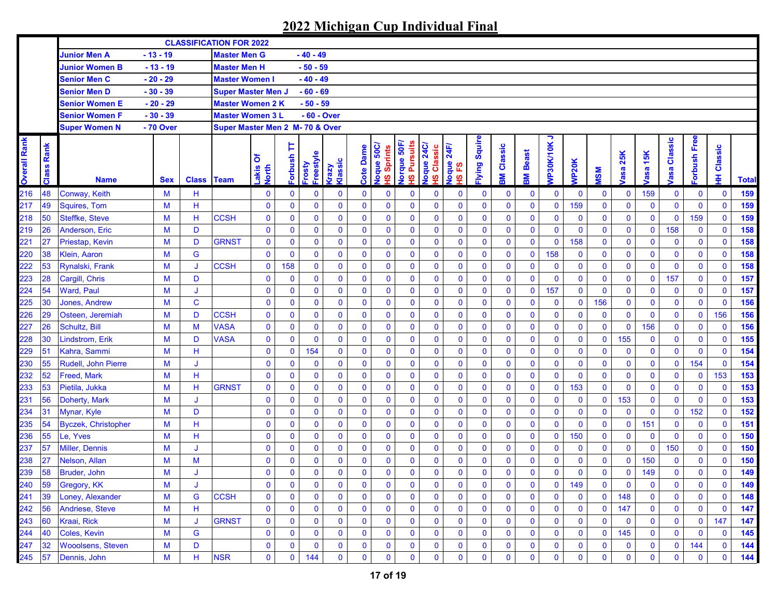|                     |               |                            |            |             | <b>CLASSIFICATION FOR 2022</b>  |                     |                     |                     |                         |                  |                            |                                       |                                      |                           |                     |              |              |                |              |              |                    |             |                |             |                  |              |
|---------------------|---------------|----------------------------|------------|-------------|---------------------------------|---------------------|---------------------|---------------------|-------------------------|------------------|----------------------------|---------------------------------------|--------------------------------------|---------------------------|---------------------|--------------|--------------|----------------|--------------|--------------|--------------------|-------------|----------------|-------------|------------------|--------------|
|                     |               | <b>Junior Men A</b>        | $-13 - 19$ |             | <b>Master Men G</b>             |                     |                     | - 40 - 49           |                         |                  |                            |                                       |                                      |                           |                     |              |              |                |              |              |                    |             |                |             |                  |              |
|                     |               | <b>Junior Women B</b>      | $-13 - 19$ |             | <b>Master Men H</b>             |                     |                     | $-50 - 59$          |                         |                  |                            |                                       |                                      |                           |                     |              |              |                |              |              |                    |             |                |             |                  |              |
|                     |               | <b>Senior Men C</b>        | $-20 - 29$ |             | <b>Master Women I</b>           |                     |                     | $-40 - 49$          |                         |                  |                            |                                       |                                      |                           |                     |              |              |                |              |              |                    |             |                |             |                  |              |
|                     |               | Senior Men D               | $-30 - 39$ |             | <b>Super Master Men J</b>       |                     |                     | $-60 - 69$          |                         |                  |                            |                                       |                                      |                           |                     |              |              |                |              |              |                    |             |                |             |                  |              |
|                     |               | Senior Women E             | - 20 - 29  |             | Master Women 2 K                |                     |                     | - 50 - 59           |                         |                  |                            |                                       |                                      |                           |                     |              |              |                |              |              |                    |             |                |             |                  |              |
|                     |               | Senior Women F             | $-30 - 39$ |             | <b>Master Women 3 L</b>         |                     |                     | - 60 - Over         |                         |                  |                            |                                       |                                      |                           |                     |              |              |                |              |              |                    |             |                |             |                  |              |
|                     |               | <b>Super Women N</b>       | - 70 Over  |             | Super Master Men 2 M- 70 & Over |                     |                     |                     |                         |                  |                            |                                       |                                      |                           |                     |              |              |                |              |              |                    |             |                |             |                  |              |
| <b>Overall Rank</b> | Rank<br>Class | <b>Name</b>                | <b>Sex</b> |             | <b>Class Team</b>               | δ<br>Lakis<br>North | Þ<br><b>Forbush</b> | Freestyle<br>Frosty | Klassic<br><b>Grazy</b> | <b>Cote Dame</b> | Joque 50C/<br>Sprints<br>ഇ | lorque 50F,<br><b>Pursuits</b><br>ഗ്ഗ | <b>24C/</b><br>Classic<br>Joque<br>ഇ | 24F/<br>loque<br>53<br>ဖ္ | <b>Iying Squire</b> | Classic<br>훎 | Beast<br>홂   | っ<br>VP30K/10K | <b>NP20K</b> | <b>NSM</b>   | 25K<br><b>rasa</b> | 15K<br>asa  | Classic<br>asa | orbush Free | lassic<br>ਠ<br>₽ | <b>Total</b> |
| 216                 | 48            | Conway, Keith              | M          | н           |                                 | 0                   | 0                   | 0                   | $\mathbf 0$             | $\mathbf 0$      | 0                          | $\bf{0}$                              | $\bf{0}$                             | $\bf{0}$                  | $\bf{0}$            | $\mathbf 0$  | $\mathbf 0$  | $\mathbf 0$    | $\mathbf 0$  | $\mathbf 0$  | $\mathbf 0$        | 159         | $\mathbf 0$    | $\bf{0}$    | $\mathbf 0$      | 159          |
| 217                 | 49            | <b>Squires, Tom</b>        | M          | н           |                                 | $\bf{0}$            | 0                   | $\mathbf 0$         | $\bf{0}$                | $\mathbf{0}$     | $\mathbf{0}$               | $\mathbf 0$                           | $\mathbf 0$                          | $\mathbf 0$               | $\mathbf 0$         | $\mathbf 0$  | $\mathbf 0$  | $\mathbf 0$    | 159          | $\mathbf 0$  | $\mathbf 0$        | $\mathbf 0$ | $\mathbf 0$    | $\mathbf 0$ | $\mathbf 0$      | 159          |
| 218                 | 50            | Steffke, Steve             | M          | н           | <b>CCSH</b>                     | $\bf{0}$            | 0                   | $\mathbf 0$         | $\mathbf 0$             | $\mathbf 0$      | $\mathbf 0$                | $\mathbf 0$                           | $\mathbf 0$                          | $\mathbf 0$               | $\mathbf 0$         | $\mathbf 0$  | $\mathbf 0$  | $\mathbf 0$    | $\mathbf 0$  | $\mathbf 0$  | $\mathbf 0$        | $\mathbf 0$ | $\mathbf 0$    | 159         | $\mathbf 0$      | 159          |
| 219                 | 26            | Anderson, Eric             | M          | D           |                                 | $\mathbf 0$         | $\bf{0}$            | $\mathbf 0$         | $\mathbf 0$             | $\mathbf 0$      | $\mathbf 0$                | $\mathbf{0}$                          | $\mathbf 0$                          | $\bf{0}$                  | $\mathbf 0$         | $\mathbf 0$  | $\mathbf 0$  | $\mathbf 0$    | $\mathbf 0$  | $\mathbf 0$  | $\mathbf 0$        | $\bf{0}$    | 158            | $\mathbf 0$ | $\mathbf 0$      | 158          |
| 221                 | 27            | <b>Priestap, Kevin</b>     | M          | D           | <b>GRNST</b>                    | $\mathbf 0$         | $\mathbf 0$         | $\mathbf 0$         | $\mathbf 0$             | $\mathbf{0}$     | $\mathbf 0$                | $\mathbf 0$                           | $\mathbf 0$                          | $\mathbf 0$               | $\mathbf 0$         | $\mathbf 0$  | $\mathbf 0$  | $\mathbf 0$    | 158          | $\mathbf 0$  | $\mathbf 0$        | $\mathbf 0$ | $\mathbf 0$    | $\mathbf 0$ | $\mathbf 0$      | 158          |
| 220                 | 38            | <b>Klein, Aaron</b>        | M          | G           |                                 | $\mathbf 0$         | $\mathbf 0$         | $\mathbf 0$         | $\mathbf 0$             | $\mathbf{0}$     | $\mathbf 0$                | $\mathbf 0$                           | $\mathbf 0$                          | $\bf{0}$                  | $\mathbf 0$         | $\mathbf 0$  | $\mathbf 0$  | 158            | $\mathbf 0$  | $\mathbf 0$  | $\mathbf 0$        | $\bf{0}$    | $\mathbf 0$    | $\mathbf 0$ | $\mathbf 0$      | 158          |
| 222                 | 53            | <b>Rynalski, Frank</b>     | M          | J           | <b>CCSH</b>                     | $\mathbf 0$         | 158                 | $\mathbf 0$         | $\mathbf 0$             | $\mathbf{0}$     | $\mathbf 0$                | $\mathbf 0$                           | $\mathbf 0$                          | $\mathbf 0$               | $\mathbf 0$         | $\mathbf 0$  | $\mathbf 0$  | $\mathbf 0$    | $\mathbf 0$  | $\mathbf 0$  | $\mathbf 0$        | $\pmb{0}$   | $\mathbf 0$    | $\mathbf 0$ | $\mathbf 0$      | 158          |
| 223                 | 28            | Cargill, Chris             | M          | D           |                                 | $\mathbf 0$         | $\mathbf 0$         | $\mathbf 0$         | $\bf{0}$                | $\mathbf 0$      | $\mathbf 0$                | $\mathbf 0$                           | $\mathbf 0$                          | $\mathbf 0$               | $\mathbf 0$         | $\mathbf 0$  | $\mathbf 0$  | $\mathbf 0$    | $\mathbf 0$  | $\mathbf{0}$ | $\mathbf 0$        | $\mathbf 0$ | 157            | $\mathbf 0$ | $\mathbf 0$      | 157          |
| 224                 | 54            | <b>Ward, Paul</b>          | M          | J           |                                 | $\mathbf 0$         | $\mathbf 0$         | $\mathbf 0$         | $\mathbf 0$             | $\mathbf 0$      | $\mathbf{0}$               | $\mathbf 0$                           | $\mathbf 0$                          | $\mathbf 0$               | $\mathbf 0$         | $\mathbf 0$  | $\mathbf 0$  | 157            | $\mathbf 0$  | $\mathbf 0$  | $\mathbf 0$        | $\mathbf 0$ | $\mathbf 0$    | $\mathbf 0$ | $\mathbf 0$      | 157          |
| 225                 | 30            | Jones, Andrew              | M          | $\mathbf C$ |                                 | $\mathbf 0$         | $\bf{0}$            | $\mathbf 0$         | $\mathbf 0$             | $\mathbf{0}$     | $\mathbf 0$                | $\mathbf{0}$                          | $\mathbf 0$                          | $\bf{0}$                  | $\bf{0}$            | $\mathbf 0$  | $\mathbf 0$  | $\mathbf 0$    | $\mathbf 0$  | 156          | $\mathbf 0$        | $\mathbf 0$ | $\mathbf 0$    | $\mathbf 0$ | $\mathbf 0$      | 156          |
| 226                 | 29            | Osteen, Jeremiah           | M          | D           | <b>CCSH</b>                     | $\bf{0}$            | 0                   | $\mathbf 0$         | $\mathbf 0$             | $\mathbf 0$      | $\mathbf 0$                | $\mathbf 0$                           | $\mathbf 0$                          | $\mathbf 0$               | $\mathbf 0$         | $\mathbf 0$  | $\mathbf 0$  | $\mathbf 0$    | $\mathbf{0}$ | $\mathbf 0$  | $\mathbf 0$        | $\mathbf 0$ | $\mathbf 0$    | $\mathbf 0$ | 156              | 156          |
| 227                 | 26            | Schultz, Bill              | M          | M           | <b>VASA</b>                     | 0                   | 0                   | $\bf{0}$            | $\bf{0}$                | $\bf{0}$         | $\mathbf 0$                | $\mathbf 0$                           | $\mathbf 0$                          | $\bf{0}$                  | $\mathbf 0$         | $\mathbf 0$  | $\bf{0}$     | $\mathbf 0$    | $\mathbf 0$  | $\mathbf 0$  | $\mathbf 0$        | 156         | $\mathbf 0$    | $\bf{0}$    | $\mathbf 0$      | 156          |
| 228                 | 30            | Lindstrom, Erik            | M          | D           | <b>VASA</b>                     | $\mathbf 0$         | 0                   | $\bf{0}$            | $\bf{0}$                | $\mathbf{0}$     | $\mathbf 0$                | $\mathbf 0$                           | $\mathbf 0$                          | $\bf{0}$                  | $\bf{0}$            | $\mathbf 0$  | $\bf{0}$     | $\mathbf 0$    | $\mathbf 0$  | $\mathbf 0$  | 155                | $\mathbf 0$ | $\mathbf 0$    | $\mathbf 0$ | $\mathbf 0$      | 155          |
| 229                 | 51            | Kahra, Sammi               | M          | Н           |                                 | $\mathbf 0$         | $\mathbf 0$         | 154                 | $\mathbf 0$             | $\mathbf{0}$     | $\mathbf 0$                | $\bf{0}$                              | $\mathbf 0$                          | $\bf{0}$                  | $\mathbf 0$         | $\mathbf 0$  | $\mathbf 0$  | $\mathbf 0$    | $\mathbf 0$  | $\mathbf 0$  | $\mathbf 0$        | $\mathbf 0$ | $\mathbf 0$    | $\mathbf 0$ | $\mathbf 0$      | 154          |
| 230                 | 55            | Rudell, John Pierre        | M          | J           |                                 | $\mathbf 0$         | $\mathbf 0$         | $\mathbf 0$         | $\mathbf 0$             | $\mathbf{0}$     | $\mathbf 0$                | $\mathbf 0$                           | $\mathbf 0$                          | $\bf{0}$                  | $\mathbf 0$         | $\mathbf{0}$ | $\mathbf 0$  | $\mathbf 0$    | $\mathbf 0$  | $\mathbf 0$  | $\mathbf 0$        | $\mathbf 0$ | $\mathbf 0$    | 154         | $\mathbf 0$      | 154          |
| 232                 | 52            | <b>Freed, Mark</b>         | M          | н           |                                 | $\mathbf 0$         | 0                   | $\mathbf 0$         | $\mathbf 0$             | $\mathbf 0$      | $\mathbf 0$                | $\bf{0}$                              | $\mathbf 0$                          | $\bf{0}$                  | $\mathbf 0$         | $\mathbf 0$  | $\mathbf 0$  | $\mathbf 0$    | $\bf{0}$     | $\mathbf 0$  | $\mathbf 0$        | $\mathbf 0$ | $\mathbf 0$    | $\mathbf 0$ | 153              | 153          |
| 233                 | 53            | Pietila, Jukka             | M          | н           | <b>GRNST</b>                    | 0                   | 0                   | $\bf{0}$            | $\bf{0}$                | $\mathbf 0$      | $\mathbf 0$                | $\bf{0}$                              | $\mathbf 0$                          | $\mathbf 0$               | $\mathbf 0$         | $\mathbf 0$  | $\mathbf 0$  | $\mathbf 0$    | 153          | $\mathbf 0$  | $\mathbf 0$        | $\mathbf 0$ | $\mathbf 0$    | $\bf{0}$    | $\mathbf 0$      | 153          |
| 231                 | 56            | Doherty, Mark              | M          | J           |                                 | $\bf{0}$            | 0                   | $\mathbf 0$         | $\mathbf 0$             | $\mathbf 0$      | $\mathbf 0$                | $\mathbf 0$                           | $\mathbf 0$                          | $\mathbf 0$               | $\mathbf 0$         | $\mathbf 0$  | $\mathbf 0$  | $\mathbf{0}$   | $\mathbf 0$  | $\mathbf 0$  | 153                | $\mathbf 0$ | $\mathbf 0$    | $\mathbf 0$ | $\mathbf{0}$     | 153          |
| 234                 | 31            | Mynar, Kyle                | M          | D           |                                 | $\mathbf 0$         | $\bf{0}$            | $\mathbf 0$         | $\mathbf 0$             | $\mathbf 0$      | $\mathbf 0$                | $\mathbf 0$                           | $\mathbf 0$                          | $\mathbf 0$               | $\mathbf 0$         | $\mathbf 0$  | $\mathbf 0$  | $\mathbf{0}$   | $\mathbf 0$  | $\mathbf 0$  | $\mathbf 0$        | $\mathbf 0$ | $\mathbf 0$    | 152         | $\mathbf 0$      | 152          |
| 235                 | 54            | <b>Byczek, Christopher</b> | M          | н           |                                 | $\mathbf 0$         | $\bf{0}$            | $\mathbf 0$         | $\mathbf 0$             | $\mathbf{0}$     | $\mathbf 0$                | $\mathbf 0$                           | $\mathbf 0$                          | $\mathbf 0$               | $\mathbf 0$         | $\mathbf 0$  | $\mathbf 0$  | $\mathbf 0$    | $\mathbf 0$  | $\mathbf 0$  | $\mathbf 0$        | 151         | $\mathbf 0$    | $\mathbf 0$ | $\mathbf 0$      | 151          |
| 236                 | 55            | Le, Yves                   | M          | Н           |                                 | $\mathbf 0$         | $\bf{0}$            | $\mathbf 0$         | $\mathbf 0$             | $\mathbf 0$      | $\mathbf 0$                | $\mathbf 0$                           | $\mathbf 0$                          | $\mathbf 0$               | 0                   | $\mathbf 0$  | $\mathbf 0$  | $\mathbf 0$    | 150          | $\mathbf 0$  | $\mathbf 0$        | $\bf{0}$    | $\mathbf 0$    | $\mathbf 0$ | $\mathbf 0$      | 150          |
| 237                 | 57            | <b>Miller, Dennis</b>      | M          | J           |                                 | $\bf{0}$            | $\mathbf 0$         | $\mathbf 0$         | $\mathbf 0$             | $\mathbf{0}$     | $\mathbf 0$                | $\mathbf 0$                           | $\mathbf 0$                          | $\mathbf 0$               | $\mathbf 0$         | $\mathbf 0$  | $\mathbf 0$  | $\mathbf 0$    | $\mathbf 0$  | $\mathbf 0$  | $\mathbf 0$        | $\mathbf 0$ | 150            | $\mathbf 0$ | $\mathbf 0$      | 150          |
| 238                 | 27            | Nelson, Allan              | M          | M           |                                 | $\bf{0}$            | 0                   | $\mathbf 0$         | $\mathbf 0$             | 0                | $\mathbf 0$                | $\bf{0}$                              | $\bf{0}$                             | $\mathbf 0$               | $\mathbf 0$         | $\mathbf 0$  | $\mathbf 0$  | $\mathbf 0$    | $\mathbf 0$  | $\mathbf 0$  | $\mathbf 0$        | 150         | $\bf{0}$       | $\mathbf 0$ | $\mathbf 0$      | 150          |
| 239                 | 58            | Bruder, John               | M          | J           |                                 | $\mathbf 0$         | $\mathbf{0}$        | $\mathbf{0}$        | $\mathbf{0}$            | $\mathbf{0}$     | $\mathbf{0}$               | $\mathbf{0}$                          | $\mathbf 0$                          | $\mathbf{0}$              | $\mathbf 0$         | $\mathbf{0}$ | $\mathbf{0}$ | $\mathbf{0}$   | $\mathbf 0$  | $\mathbf{0}$ | $\mathbf 0$        | 149         | $\mathbf 0$    | $\mathbf 0$ | $\mathbf{0}$     | 149          |
| 240                 | 59            | Gregory, KK                | M          | J           |                                 | 0                   | $\bf{0}$            | 0                   | $\mathbf 0$             | 0                | 0                          | $\bf{0}$                              | $\mathbf 0$                          | 0                         | $\bf{0}$            | $\mathbf 0$  | $\bf{0}$     | $\mathbf 0$    | 149          | $\bf{0}$     | $\mathbf 0$        | $\mathbf 0$ | $\mathbf 0$    | 0           | $\mathbf 0$      | 149          |
| 241                 | 39            | Loney, Alexander           | M          | G           | <b>CCSH</b>                     | 0                   | $\bf{0}$            | $\mathbf 0$         | $\mathbf 0$             | $\mathbf 0$      | $\mathbf 0$                | $\bf{0}$                              | $\bf{0}$                             | 0                         | 0                   | $\mathbf 0$  | $\mathbf{0}$ | $\bf{0}$       | $\bf{0}$     | $\mathbf 0$  | 148                | 0           | $\mathbf 0$    | $\mathbf 0$ | $\mathbf 0$      | 148          |
| 242                 | 56            | Andriese, Steve            | M          | н           |                                 | 0                   | 0                   | $\bf{0}$            | $\mathbf 0$             | $\mathbf 0$      | $\bf{0}$                   | $\bf{0}$                              | $\bf{0}$                             | $\bf{0}$                  | 0                   | $\bf{0}$     | $\bf{0}$     | $\bf{0}$       | $\mathbf 0$  | $\mathbf 0$  | 147                | 0           | $\bf{0}$       | $\mathbf 0$ | $\mathbf 0$      | 147          |
| 243                 | 60            | Kraai, Rick                | M          | IJ          | <b>GRNST</b>                    | $\mathbf 0$         | $\mathbf 0$         | $\bf{0}$            | $\mathbf 0$             | $\mathbf 0$      | $\bf{0}$                   | $\mathbf 0$                           | $\bf{0}$                             | $\mathbf 0$               | 0                   | $\mathbf 0$  | $\bf{0}$     | $\bf{0}$       | $\bf{0}$     | $\mathbf 0$  | $\mathbf 0$        | $\mathbf 0$ | $\mathbf 0$    | $\bf{0}$    | 147              | 147          |
| 244                 | <b>40</b>     | Coles, Kevin               | M          | G           |                                 | 0                   | 0                   | $\bf{0}$            | $\bf{0}$                | $\mathbf 0$      | $\mathbf 0$                | $\mathbf 0$                           | $\bf{0}$                             | $\mathbf 0$               | 0                   | $\mathbf 0$  | $\bf{0}$     | $\bf{0}$       | $\mathbf 0$  | $\bf{0}$     | 145                | 0           | $\mathbf 0$    | 0           | $\mathbf 0$      | 145          |
| 247                 | 32            | <b>Wooolsens, Steven</b>   | M          | D           |                                 | 0                   | 0                   | $\bf{0}$            | $\bf{0}$                | 0                | $\mathbf 0$                | $\bf{0}$                              | $\bf{0}$                             | 0                         | 0                   | $\bf{0}$     | $\bf{0}$     | $\bf{0}$       | $\bf{0}$     | $\bf{0}$     | $\bf{0}$           | 0           | $\mathbf 0$    | 144         | $\mathbf 0$      | 144          |
| 245                 | 57            | Dennis, John               | M          | н           | <b>NSR</b>                      | $\mathbf 0$         | 0                   | 144                 | $\mathbf 0$             | 0                | $\mathbf 0$                | $\mathbf 0$                           | $\bf{0}$                             | 0                         | 0                   | $\bf{0}$     | $\mathbf 0$  | 0              | $\mathbf 0$  | $\mathbf 0$  | $\mathbf 0$        | $\mathbf 0$ | 0              | $\mathbf 0$ | $\bf{0}$         | 144          |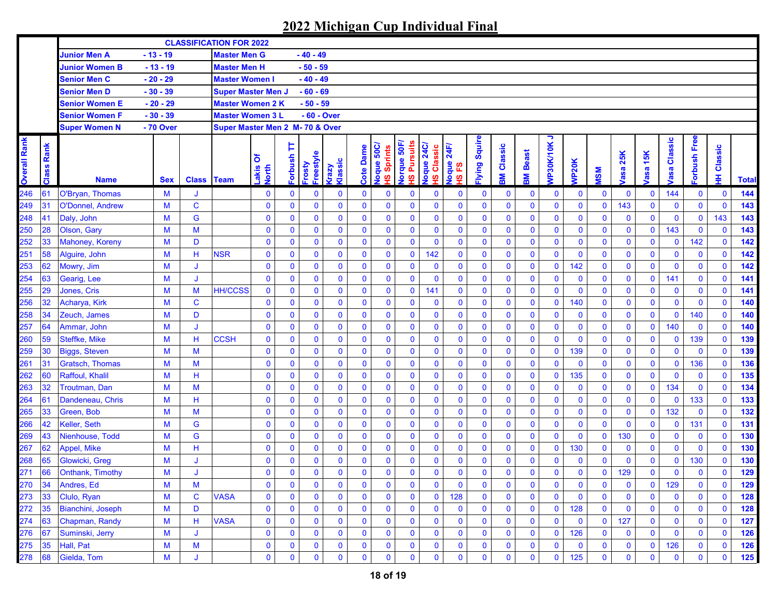|                     |               |                        |            |                   | <b>CLASSIFICATION FOR 2022</b>  |                     |                     |                     |                         |                  |                            |                                       |                                      |                           |                     |              |              |                |              |              |                    |                   |                       |              |                  |              |
|---------------------|---------------|------------------------|------------|-------------------|---------------------------------|---------------------|---------------------|---------------------|-------------------------|------------------|----------------------------|---------------------------------------|--------------------------------------|---------------------------|---------------------|--------------|--------------|----------------|--------------|--------------|--------------------|-------------------|-----------------------|--------------|------------------|--------------|
|                     |               | <b>Junior Men A</b>    | $-13 - 19$ |                   | <b>Master Men G</b>             |                     |                     | - 40 - 49           |                         |                  |                            |                                       |                                      |                           |                     |              |              |                |              |              |                    |                   |                       |              |                  |              |
|                     |               | <b>Junior Women B</b>  | $-13 - 19$ |                   | <b>Master Men H</b>             |                     |                     | $-50 - 59$          |                         |                  |                            |                                       |                                      |                           |                     |              |              |                |              |              |                    |                   |                       |              |                  |              |
|                     |               | <b>Senior Men C</b>    | $-20 - 29$ |                   | <b>Master Women I</b>           |                     |                     | $-40 - 49$          |                         |                  |                            |                                       |                                      |                           |                     |              |              |                |              |              |                    |                   |                       |              |                  |              |
|                     |               | Senior Men D           | $-30 - 39$ |                   | <b>Super Master Men J</b>       |                     |                     | $-60 - 69$          |                         |                  |                            |                                       |                                      |                           |                     |              |              |                |              |              |                    |                   |                       |              |                  |              |
|                     |               | Senior Women E         | - 20 - 29  |                   | Master Women 2 K                |                     |                     | - 50 - 59           |                         |                  |                            |                                       |                                      |                           |                     |              |              |                |              |              |                    |                   |                       |              |                  |              |
|                     |               | Senior Women F         | $-30 - 39$ |                   | <b>Master Women 3 L</b>         |                     |                     | - 60 - Over         |                         |                  |                            |                                       |                                      |                           |                     |              |              |                |              |              |                    |                   |                       |              |                  |              |
|                     |               | <b>Super Women N</b>   | - 70 Over  |                   | Super Master Men 2 M- 70 & Over |                     |                     |                     |                         |                  |                            |                                       |                                      |                           |                     |              |              |                |              |              |                    |                   |                       |              |                  |              |
| <b>Overall Rank</b> | Rank<br>Class | <b>Name</b>            | <b>Sex</b> | <b>Class Team</b> |                                 | δ<br>Lakis<br>North | Þ<br><b>Forbush</b> | Freestyle<br>Frosty | Klassic<br><b>Grazy</b> | <b>Cote Dame</b> | Joque 50C/<br>Sprints<br>ഇ | lorque 50F,<br><b>Pursuits</b><br>ഗ്ഗ | <b>24C/</b><br>Classic<br>Joque<br>ഇ | 24F/<br>loque<br>53<br>ဖ္ | <b>Iying Squire</b> | Classic<br>Μ | Beast<br>홂   | ∍<br>VP30K/10K | <b>NP20K</b> | <b>NSM</b>   | 25K<br><b>rasa</b> | 15K<br><b>asa</b> | Classic<br><b>bse</b> | orbush Free  | lassic<br>ਠ<br>₽ | <b>Total</b> |
| 246                 | 61            | O'Bryan, Thomas        | M          |                   |                                 | 0                   | 0                   | 0                   | $\mathbf 0$             | $\mathbf 0$      | 0                          | $\bf{0}$                              | $\bf{0}$                             | $\bf{0}$                  | 0                   | $\mathbf 0$  | $\mathbf 0$  | $\mathbf 0$    | $\mathbf 0$  | $\mathbf 0$  | $\mathbf 0$        | 0                 | 144                   | $\mathbf 0$  | $\mathbf 0$      | 144          |
| 249                 | 31            | O'Donnel, Andrew       | M          | $\mathbf C$       |                                 | $\bf{0}$            | 0                   | $\mathbf 0$         | $\bf{0}$                | $\mathbf{0}$     | $\mathbf{0}$               | $\mathbf 0$                           | $\mathbf 0$                          | $\mathbf 0$               | $\mathbf 0$         | $\mathbf 0$  | $\mathbf 0$  | $\mathbf 0$    | $\mathbf 0$  | $\mathbf 0$  | 143                | $\mathbf 0$       | $\mathbf 0$           | $\mathbf 0$  | $\mathbf{0}$     | 143          |
| 248                 | 41            | Daly, John             | M          | G                 |                                 | $\bf{0}$            | 0                   | $\mathbf 0$         | $\bf{0}$                | $\mathbf 0$      | $\mathbf 0$                | $\mathbf 0$                           | $\mathbf 0$                          | $\mathbf 0$               | $\mathbf 0$         | $\mathbf 0$  | $\mathbf 0$  | $\mathbf 0$    | $\mathbf 0$  | $\mathbf 0$  | $\mathbf 0$        | $\mathbf 0$       | $\mathbf 0$           | $\mathbf 0$  | 143              | 143          |
| 250                 | 28            | Olson, Gary            | M          | M                 |                                 | $\bf{0}$            | $\bf{0}$            | $\mathbf 0$         | $\mathbf 0$             | $\mathbf 0$      | $\mathbf 0$                | $\mathbf 0$                           | $\mathbf 0$                          | $\mathbf 0$               | $\mathbf 0$         | $\mathbf 0$  | $\mathbf 0$  | $\mathbf 0$    | $\mathbf 0$  | $\mathbf{0}$ | $\mathbf 0$        | $\mathbf 0$       | 143                   | $\mathbf 0$  | $\mathbf 0$      | 143          |
| 252                 | 33            | <b>Mahoney, Koreny</b> | M          | D                 |                                 | $\bf{0}$            | $\bf{0}$            | $\mathbf 0$         | $\mathbf 0$             | $\bf{0}$         | $\mathbf 0$                | $\mathbf 0$                           | $\mathbf 0$                          | $\mathbf 0$               | $\mathbf 0$         | $\mathbf 0$  | $\bf{0}$     | $\mathbf 0$    | $\mathbf 0$  | $\mathbf 0$  | $\mathbf 0$        | $\bf{0}$          | $\mathbf 0$           | 142          | $\mathbf 0$      | 142          |
| 251                 | 58            | Alguire, John          | M          | н                 | <b>NSR</b>                      | $\bf{0}$            | 0                   | $\mathbf 0$         | $\bf{0}$                | $\mathbf{0}$     | $\mathbf 0$                | $\mathbf 0$                           | 142                                  | $\bf{0}$                  | $\mathbf 0$         | $\mathbf 0$  | $\mathbf 0$  | $\mathbf 0$    | $\mathbf{0}$ | $\mathbf 0$  | $\mathbf 0$        | $\mathbf 0$       | $\mathbf 0$           | $\mathbf 0$  | $\mathbf 0$      | 142          |
| 253                 | 62            | Mowry, Jim             | M          | J                 |                                 | $\mathbf 0$         | 0                   | $\mathbf 0$         | $\mathbf 0$             | $\mathbf 0$      | $\mathbf 0$                | $\mathbf 0$                           | $\pmb{0}$                            | $\mathbf 0$               | $\mathbf 0$         | $\mathbf 0$  | $\mathbf 0$  | $\mathbf 0$    | 142          | $\mathbf 0$  | $\bf{0}$           | $\pmb{0}$         | $\mathbf 0$           | $\mathbf 0$  | $\mathbf 0$      | 142          |
| 254                 | 63            | Gearig, Lee            | M          | J                 |                                 | $\mathbf 0$         | 0                   | $\mathbf 0$         | $\bf{0}$                | $\mathbf 0$      | $\mathbf 0$                | $\mathbf{0}$                          | $\mathbf 0$                          | $\bf{0}$                  | $\mathbf 0$         | $\mathbf 0$  | $\mathbf 0$  | $\mathbf 0$    | $\mathbf 0$  | $\mathbf 0$  | $\mathbf 0$        | $\mathbf 0$       | 141                   | $\mathbf 0$  | $\mathbf 0$      | 141          |
| 255                 | 29            | Jones, Cris            | M          | M                 | <b>HH/CCSS</b>                  | $\mathbf 0$         | $\bf{0}$            | $\mathbf 0$         | $\bf{0}$                | $\mathbf 0$      | $\bf{0}$                   | $\mathbf 0$                           | 141                                  | $\bf{0}$                  | $\mathbf 0$         | $\mathbf 0$  | $\mathbf 0$  | $\mathbf 0$    | $\mathbf{0}$ | $\mathbf 0$  | $\mathbf 0$        | $\mathbf 0$       | $\mathbf 0$           | $\mathbf 0$  | $\mathbf 0$      | 141          |
| 256                 | 32            | Acharya, Kirk          | M          | $\mathbf C$       |                                 | $\bf{0}$            | $\bf{0}$            | $\mathbf 0$         | $\mathbf 0$             | $\mathbf{0}$     | $\mathbf 0$                | $\mathbf{0}$                          | $\mathbf 0$                          | $\mathbf 0$               | $\bf{0}$            | $\mathbf 0$  | $\mathbf 0$  | $\mathbf 0$    | 140          | $\mathbf 0$  | $\mathbf 0$        | $\mathbf 0$       | $\mathbf 0$           | $\mathbf 0$  | $\mathbf 0$      | 140          |
| 258                 | 34            | Zeuch, James           | M          | D                 |                                 | $\bf{0}$            | 0                   | $\mathbf 0$         | $\mathbf 0$             | $\mathbf 0$      | $\mathbf 0$                | $\mathbf 0$                           | $\bf{0}$                             | $\mathbf 0$               | $\mathbf 0$         | $\mathbf 0$  | $\mathbf 0$  | $\mathbf 0$    | $\mathbf{0}$ | $\mathbf 0$  | $\mathbf 0$        | $\mathbf 0$       | $\mathbf 0$           | 140          | $\mathbf 0$      | 140          |
| 257                 | 64            | Ammar, John            | M          | J                 |                                 | $\bf{0}$            | 0                   | $\mathbf 0$         | $\bf{0}$                | 0                | $\mathbf 0$                | $\mathbf 0$                           | $\mathbf 0$                          | $\bf{0}$                  | $\mathbf 0$         | $\mathbf 0$  | $\bf{0}$     | $\mathbf 0$    | $\mathbf 0$  | $\mathbf 0$  | $\mathbf 0$        | $\mathbf 0$       | 140                   | $\bf{0}$     | $\mathbf 0$      | 140          |
| 260                 | 59            | Steffke, Mike          | M          | Н                 | <b>CCSH</b>                     | 0                   | 0                   | $\mathbf 0$         | $\bf{0}$                | 0                | $\mathbf 0$                | $\mathbf 0$                           | $\bf{0}$                             | $\bf{0}$                  | $\mathbf 0$         | $\mathbf 0$  | $\bf{0}$     | $\mathbf 0$    | $\mathbf 0$  | $\mathbf 0$  | $\mathbf 0$        | $\mathbf 0$       | $\mathbf 0$           | 139          | $\mathbf 0$      | 139          |
| 259                 | 30            | <b>Biggs, Steven</b>   | M          | M                 |                                 | $\bf{0}$            | $\bf{0}$            | $\mathbf 0$         | $\mathbf 0$             | 0                | $\mathbf 0$                | $\mathbf 0$                           | $\bf{0}$                             | $\bf{0}$                  | $\mathbf 0$         | $\mathbf 0$  | $\mathbf 0$  | $\mathbf 0$    | 139          | $\mathbf 0$  | $\mathbf 0$        | $\mathbf 0$       | $\mathbf 0$           | $\mathbf 0$  | $\mathbf 0$      | 139          |
| 261                 | 31            | <b>Gratsch, Thomas</b> | M          | M                 |                                 | $\bf{0}$            | $\bf{0}$            | $\mathbf 0$         | $\mathbf 0$             | $\mathbf{0}$     | $\mathbf 0$                | $\mathbf 0$                           | $\mathbf 0$                          | $\bf{0}$                  | $\mathbf 0$         | $\mathbf 0$  | $\mathbf 0$  | $\mathbf{0}$   | $\mathbf 0$  | $\mathbf 0$  | $\mathbf 0$        | $\mathbf 0$       | $\mathbf 0$           | 136          | $\mathbf 0$      | 136          |
| 262                 | 60            | Raffoul, Khalil        | M          | н                 |                                 | $\mathbf 0$         | $\bf{0}$            | $\mathbf 0$         | $\mathbf 0$             | $\mathbf 0$      | $\mathbf 0$                | $\mathbf 0$                           | $\mathbf 0$                          | $\bf{0}$                  | $\mathbf 0$         | $\mathbf 0$  | $\mathbf 0$  | $\bf{0}$       | 135          | $\mathbf 0$  | $\bf{0}$           | $\mathbf 0$       | $\mathbf 0$           | $\mathbf 0$  | $\mathbf{0}$     | 135          |
| 263                 | 32            | <b>Troutman, Dan</b>   | M          | M                 |                                 | $\bf{0}$            | 0                   | $\bf{0}$            | $\bf{0}$                | $\mathbf 0$      | $\mathbf 0$                | $\bf{0}$                              | $\bf{0}$                             | $\mathbf 0$               | $\mathbf 0$         | $\mathbf 0$  | $\mathbf 0$  | $\mathbf 0$    | $\mathbf 0$  | $\mathbf 0$  | $\bf{0}$           | $\mathbf 0$       | 134                   | $\mathbf 0$  | $\mathbf{0}$     | 134          |
| 264                 | 61            | Dandeneau, Chris       | M          | н                 |                                 | $\bf{0}$            | 0                   | $\mathbf 0$         | $\mathbf 0$             | $\mathbf 0$      | $\mathbf 0$                | $\mathbf 0$                           | $\mathbf 0$                          | $\mathbf 0$               | $\mathbf 0$         | $\mathbf 0$  | $\mathbf 0$  | $\mathbf{0}$   | $\mathbf 0$  | $\mathbf 0$  | $\bf{0}$           | $\mathbf 0$       | $\mathbf 0$           | 133          | $\mathbf 0$      | 133          |
| 265                 | 33            | Green, Bob             | M          | M                 |                                 | $\mathbf 0$         | $\bf{0}$            | $\mathbf 0$         | $\mathbf 0$             | $\mathbf 0$      | $\mathbf 0$                | $\mathbf 0$                           | $\mathbf 0$                          | $\mathbf 0$               | $\mathbf 0$         | $\mathbf 0$  | $\mathbf 0$  | $\mathbf 0$    | $\mathbf 0$  | $\mathbf 0$  | $\bf{0}$           | $\mathbf 0$       | 132                   | $\mathbf 0$  | $\mathbf 0$      | 132          |
| 266                 | 42            | Keller, Seth           | M          | G                 |                                 | $\bf{0}$            | $\bf{0}$            | $\mathbf 0$         | $\mathbf 0$             | $\mathbf{0}$     | $\mathbf 0$                | $\mathbf 0$                           | $\mathbf 0$                          | $\mathbf 0$               | $\mathbf 0$         | $\mathbf 0$  | $\mathbf 0$  | $\mathbf 0$    | $\mathbf 0$  | $\mathbf{0}$ | $\mathbf 0$        | $\mathbf 0$       | $\mathbf 0$           | 131          | $\mathbf 0$      | 131          |
| 269                 | 43            | Nienhouse, Todd        | M          | G                 |                                 | $\bf{0}$            | $\bf{0}$            | $\mathbf 0$         | $\mathbf 0$             | $\bf{0}$         | $\mathbf 0$                | $\mathbf 0$                           | $\mathbf 0$                          | 0                         | 0                   | $\mathbf 0$  | $\mathbf 0$  | $\mathbf 0$    | $\mathbf 0$  | $\mathbf 0$  | 130                | $\mathbf 0$       | $\mathbf 0$           | $\mathbf 0$  | $\mathbf 0$      | 130          |
| 267                 | 62            | Appel, Mike            | M          | Н                 |                                 | $\bf{0}$            | 0                   | $\mathbf 0$         | $\mathbf 0$             | $\mathbf 0$      | $\mathbf 0$                | $\mathbf 0$                           | $\mathbf 0$                          | $\mathbf 0$               | $\mathbf 0$         | $\mathbf 0$  | $\mathbf 0$  | $\mathbf 0$    | 130          | $\mathbf 0$  | $\mathbf 0$        | $\mathbf 0$       | $\mathbf 0$           | $\mathbf 0$  | $\mathbf 0$      | 130          |
| 268                 | 65            | Glowicki, Greg         | M          | J                 |                                 | $\bf{0}$            | 0                   | $\mathbf 0$         | $\mathbf 0$             | 0                | $\mathbf 0$                | $\bf{0}$                              | $\bf{0}$                             | $\mathbf 0$               | $\mathbf 0$         | $\bf{0}$     | $\bf{0}$     | $\mathbf 0$    | $\mathbf 0$  | $\mathbf 0$  | $\mathbf 0$        | $\mathbf 0$       | $\bf{0}$              | 130          | $\mathbf 0$      | 130          |
| 271                 | 66            | Onthank, Timothy       | M          | J                 |                                 | $\mathbf 0$         | $\mathbf{0}$        | $\mathbf{0}$        | $\mathbf{0}$            | $\mathbf{0}$     | $\mathbf{0}$               | $\mathbf 0$                           | $\mathbf 0$                          | $\mathbf{0}$              | $\mathbf 0$         | $\mathbf{0}$ | $\mathbf 0$  | $\mathbf{0}$   | $\mathbf 0$  | $\mathbf{0}$ | 129                | $\mathbf 0$       | $\mathbf 0$           | $\mathbf{0}$ | $\mathbf{0}$     | 129          |
| 270                 | 34            | Andres, Ed             | M          | M                 |                                 | $\mathbf 0$         | $\bf{0}$            | 0                   | $\mathbf 0$             | 0                | 0                          | $\bf{0}$                              | $\mathbf 0$                          | $\bf{0}$                  | $\bf{0}$            | $\mathbf 0$  | $\mathbf 0$  | 0              | $\mathbf 0$  | $\bf{0}$     | $\mathbf 0$        | $\mathbf 0$       | 129                   | 0            | $\mathbf 0$      | 129          |
| 273                 | 33            | Clulo, Ryan            | M          | C                 | <b>VASA</b>                     | 0                   | 0                   | $\mathbf 0$         | $\mathbf 0$             | 0                | $\mathbf{0}$               | $\bf{0}$                              | $\bf{0}$                             | 128                       | $\mathbf 0$         | $\mathbf 0$  | $\mathbf{0}$ | $\mathbf 0$    | $\mathbf{0}$ | $\mathbf 0$  | $\mathbf 0$        | $\mathbf 0$       | $\mathbf 0$           | $\mathbf 0$  | $\mathbf{0}$     | 128          |
| 272                 | 35            | Bianchini, Joseph      | M          | D                 |                                 | 0                   | 0                   | $\bf{0}$            | $\mathbf 0$             | $\mathbf 0$      | $\bf{0}$                   | $\mathbf 0$                           | $\mathbf 0$                          | $\bf{0}$                  | $\bf{0}$            | $\bf{0}$     | $\bf{0}$     | $\mathbf 0$    | 128          | $\mathbf 0$  | $\mathbf 0$        | $\bf{0}$          | $\mathbf 0$           | $\mathbf 0$  | $\mathbf{0}$     | 128          |
| 274                 | 63            | Chapman, Randy         | M          | н                 | <b>VASA</b>                     | $\mathbf 0$         | $\bf{0}$            | $\bf{0}$            | $\mathbf{0}$            | $\mathbf{0}$     | $\mathbf 0$                | $\mathbf 0$                           | $\mathbf 0$                          | $\bf{0}$                  | 0                   | $\mathbf 0$  | $\bf{0}$     | $\bf{0}$       | $\mathbf 0$  | $\mathbf 0$  | 127                | $\bf{0}$          | $\bf{0}$              | $\bf{0}$     | $\bf{0}$         | 127          |
| 276                 | - 67          | Suminski, Jerry        | M          | J                 |                                 | 0                   | 0                   | $\bf{0}$            | $\bf{0}$                | $\mathbf 0$      | $\mathbf 0$                | $\mathbf 0$                           | $\bf{0}$                             | $\mathbf 0$               | 0                   | $\bf{0}$     | $\bf{0}$     | $\mathbf 0$    | 126          | $\mathbf 0$  | $\mathbf 0$        | $\bf{0}$          | $\mathbf 0$           | $\bf{0}$     | $\mathbf{0}$     | 126          |
| 275                 | 35            | Hall, Pat              | M          | M                 |                                 | 0                   | 0                   | $\bf{0}$            | $\bf{0}$                | 0                | $\mathbf 0$                | $\bf{0}$                              | $\bf{0}$                             | 0                         | 0                   | $\bf{0}$     | $\bf{0}$     | $\bf{0}$       | $\mathbf 0$  | $\mathbf 0$  | $\mathbf 0$        | $\bf{0}$          | 126                   | 0            | $\mathbf 0$      | 126          |
| 278 68              |               | Gielda, Tom            | M          | J                 |                                 | $\mathbf 0$         | 0                   | $\mathbf 0$         | $\mathbf 0$             | 0                | $\mathbf 0$                | $\mathbf 0$                           | $\bf{0}$                             | 0                         | $\mathbf 0$         | $\bf{0}$     | $\mathbf 0$  | $\mathbf 0$    | 125          | $\mathbf 0$  | $\mathbf 0$        | $\mathbf 0$       | $\bf{0}$              | $\mathbf 0$  | $\bf{0}$         | 125          |